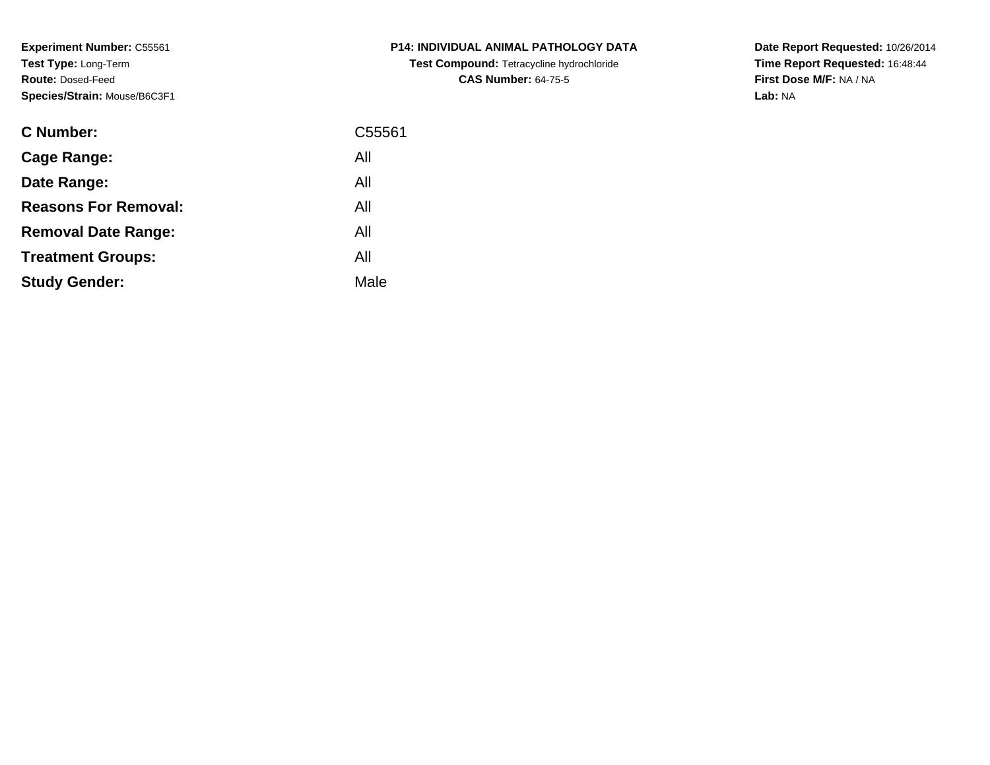**Experiment Number:** C55561**Test Type:** Long-Term**Route:** Dosed-Feed**Species/Strain:** Mouse/B6C3F1

| <b>C Number:</b>            | C55561 |
|-----------------------------|--------|
| <b>Cage Range:</b>          | All    |
| Date Range:                 | All    |
| <b>Reasons For Removal:</b> | All    |
| <b>Removal Date Range:</b>  | All    |
| <b>Treatment Groups:</b>    | All    |
| <b>Study Gender:</b>        | Male   |
|                             |        |

**P14: INDIVIDUAL ANIMAL PATHOLOGY DATATest Compound:** Tetracycline hydrochloride**CAS Number:** 64-75-5

**Date Report Requested:** 10/26/2014 **Time Report Requested:** 16:48:44**First Dose M/F:** NA / NA**Lab:** NA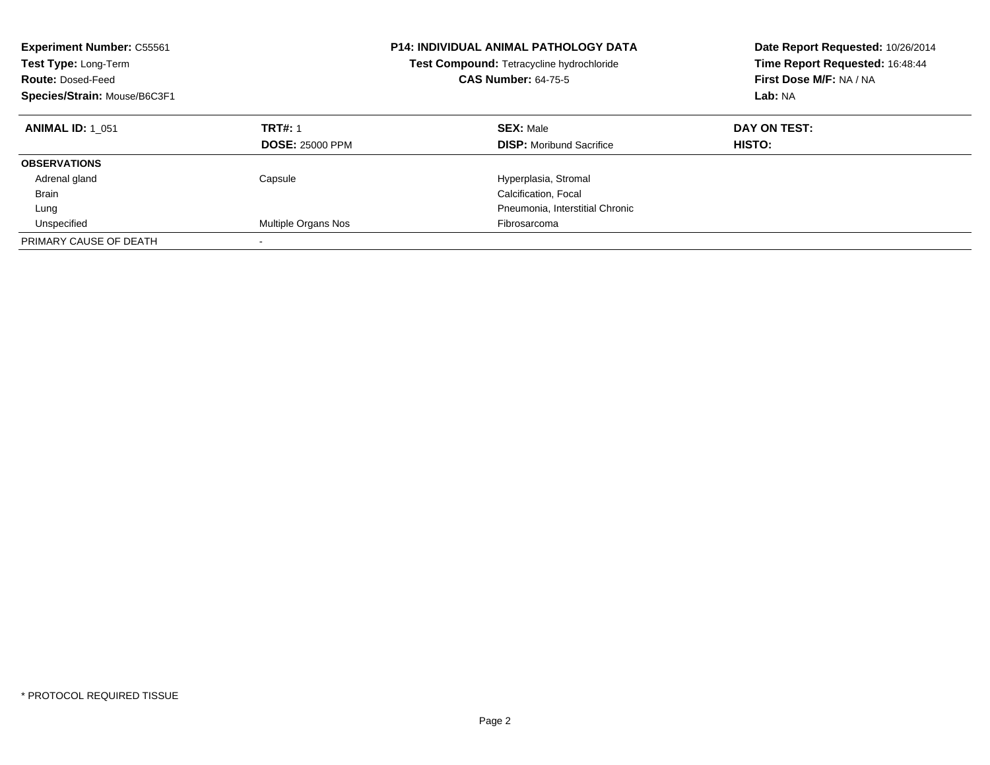| <b>Experiment Number: C55561</b><br>Test Type: Long-Term<br><b>Route: Dosed-Feed</b><br>Species/Strain: Mouse/B6C3F1 |                                          | <b>P14: INDIVIDUAL ANIMAL PATHOLOGY DATA</b><br>Test Compound: Tetracycline hydrochloride<br><b>CAS Number: 64-75-5</b> | Date Report Requested: 10/26/2014<br>Time Report Requested: 16:48:44<br>First Dose M/F: NA / NA<br>Lab: NA |
|----------------------------------------------------------------------------------------------------------------------|------------------------------------------|-------------------------------------------------------------------------------------------------------------------------|------------------------------------------------------------------------------------------------------------|
| <b>ANIMAL ID: 1 051</b>                                                                                              | <b>TRT#: 1</b><br><b>DOSE: 25000 PPM</b> | <b>SEX: Male</b><br><b>DISP:</b> Moribund Sacrifice                                                                     | DAY ON TEST:<br>HISTO:                                                                                     |
| <b>OBSERVATIONS</b>                                                                                                  |                                          |                                                                                                                         |                                                                                                            |
| Adrenal gland                                                                                                        | Capsule                                  | Hyperplasia, Stromal                                                                                                    |                                                                                                            |
| <b>Brain</b>                                                                                                         |                                          | Calcification, Focal                                                                                                    |                                                                                                            |
| Lung                                                                                                                 |                                          | Pneumonia, Interstitial Chronic                                                                                         |                                                                                                            |
| Unspecified                                                                                                          | Multiple Organs Nos                      | Fibrosarcoma                                                                                                            |                                                                                                            |
| PRIMARY CAUSE OF DEATH                                                                                               |                                          |                                                                                                                         |                                                                                                            |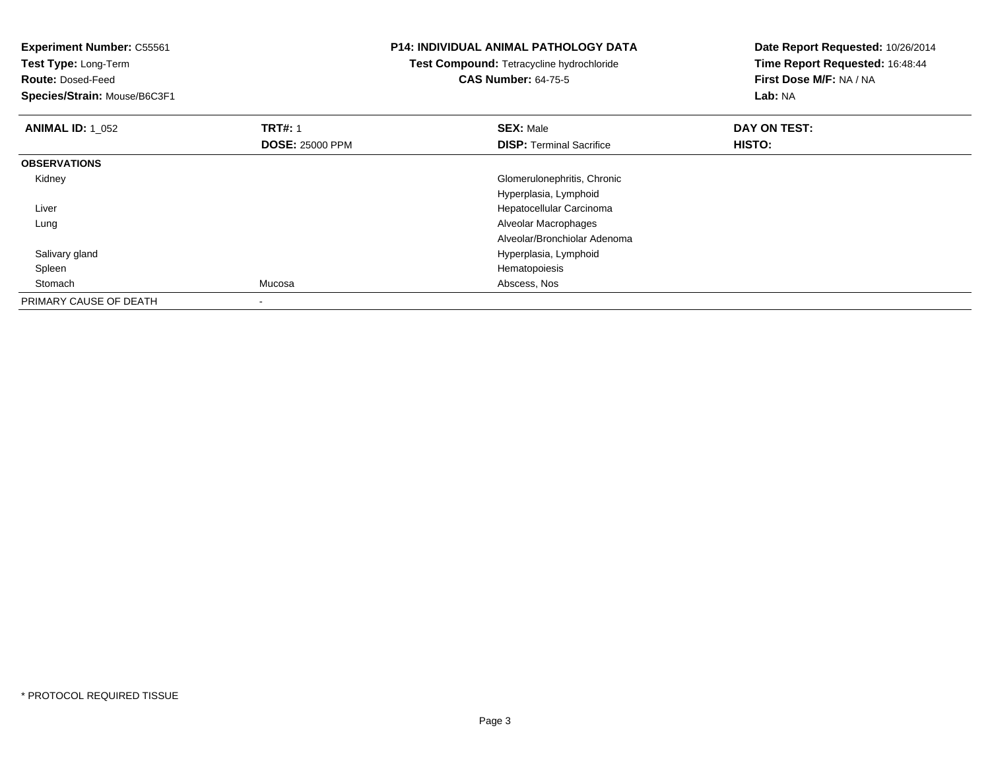| <b>Experiment Number: C55561</b> |                        | <b>P14: INDIVIDUAL ANIMAL PATHOLOGY DATA</b> | Date Report Requested: 10/26/2014 |
|----------------------------------|------------------------|----------------------------------------------|-----------------------------------|
| Test Type: Long-Term             |                        | Test Compound: Tetracycline hydrochloride    | Time Report Requested: 16:48:44   |
| <b>Route: Dosed-Feed</b>         |                        | <b>CAS Number: 64-75-5</b>                   | First Dose M/F: NA / NA           |
| Species/Strain: Mouse/B6C3F1     |                        |                                              | Lab: NA                           |
| <b>ANIMAL ID: 1_052</b>          | <b>TRT#: 1</b>         | <b>SEX: Male</b>                             | DAY ON TEST:                      |
|                                  | <b>DOSE: 25000 PPM</b> | <b>DISP:</b> Terminal Sacrifice              | HISTO:                            |
| <b>OBSERVATIONS</b>              |                        |                                              |                                   |
| Kidney                           |                        | Glomerulonephritis, Chronic                  |                                   |
|                                  |                        | Hyperplasia, Lymphoid                        |                                   |
| Liver                            |                        | Hepatocellular Carcinoma                     |                                   |
| Lung                             |                        | Alveolar Macrophages                         |                                   |
|                                  |                        | Alveolar/Bronchiolar Adenoma                 |                                   |
| Salivary gland                   |                        | Hyperplasia, Lymphoid                        |                                   |
| Spleen                           |                        | Hematopoiesis                                |                                   |
| Stomach                          | Mucosa                 | Abscess, Nos                                 |                                   |
| PRIMARY CAUSE OF DEATH           |                        |                                              |                                   |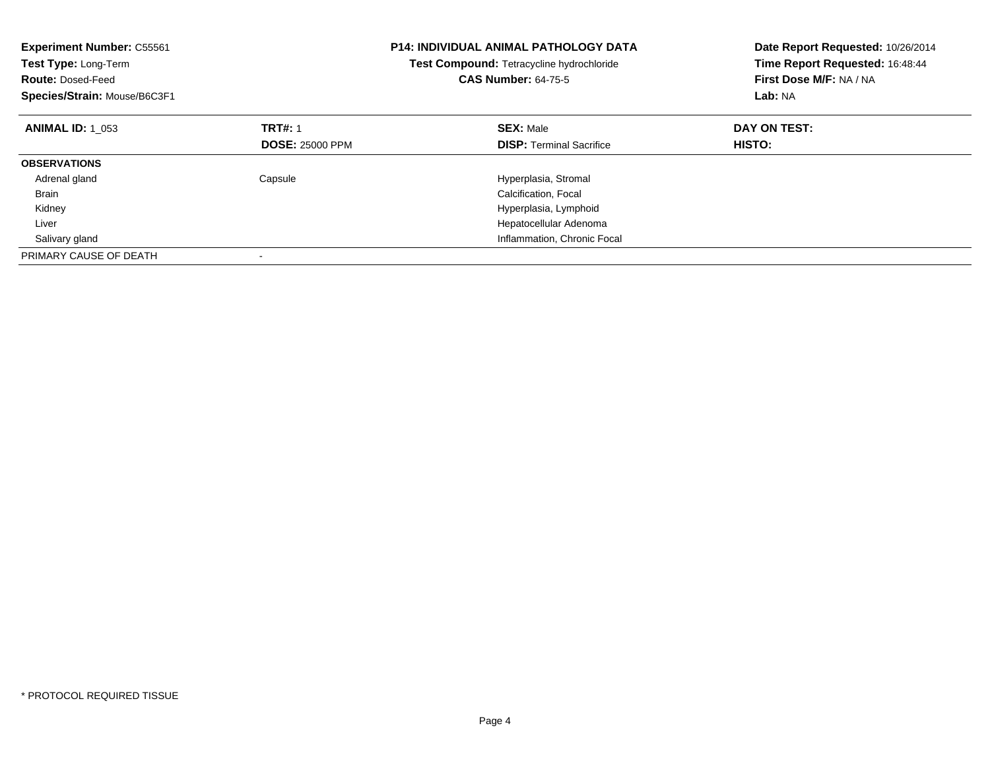| <b>Experiment Number: C55561</b><br>Test Type: Long-Term<br><b>Route: Dosed-Feed</b><br>Species/Strain: Mouse/B6C3F1 |                        | <b>P14: INDIVIDUAL ANIMAL PATHOLOGY DATA</b><br>Test Compound: Tetracycline hydrochloride<br><b>CAS Number: 64-75-5</b> | Date Report Requested: 10/26/2014<br>Time Report Requested: 16:48:44<br>First Dose M/F: NA / NA<br>Lab: NA |
|----------------------------------------------------------------------------------------------------------------------|------------------------|-------------------------------------------------------------------------------------------------------------------------|------------------------------------------------------------------------------------------------------------|
| <b>ANIMAL ID: 1 053</b>                                                                                              | <b>TRT#: 1</b>         | <b>SEX: Male</b>                                                                                                        | DAY ON TEST:                                                                                               |
|                                                                                                                      | <b>DOSE: 25000 PPM</b> | <b>DISP: Terminal Sacrifice</b>                                                                                         | HISTO:                                                                                                     |
| <b>OBSERVATIONS</b>                                                                                                  |                        |                                                                                                                         |                                                                                                            |
| Adrenal gland                                                                                                        | Capsule                | Hyperplasia, Stromal                                                                                                    |                                                                                                            |
| <b>Brain</b>                                                                                                         |                        | Calcification, Focal                                                                                                    |                                                                                                            |
| Kidney                                                                                                               |                        | Hyperplasia, Lymphoid                                                                                                   |                                                                                                            |
| Liver                                                                                                                |                        | Hepatocellular Adenoma                                                                                                  |                                                                                                            |
| Salivary gland                                                                                                       |                        | Inflammation, Chronic Focal                                                                                             |                                                                                                            |
| PRIMARY CAUSE OF DEATH                                                                                               |                        |                                                                                                                         |                                                                                                            |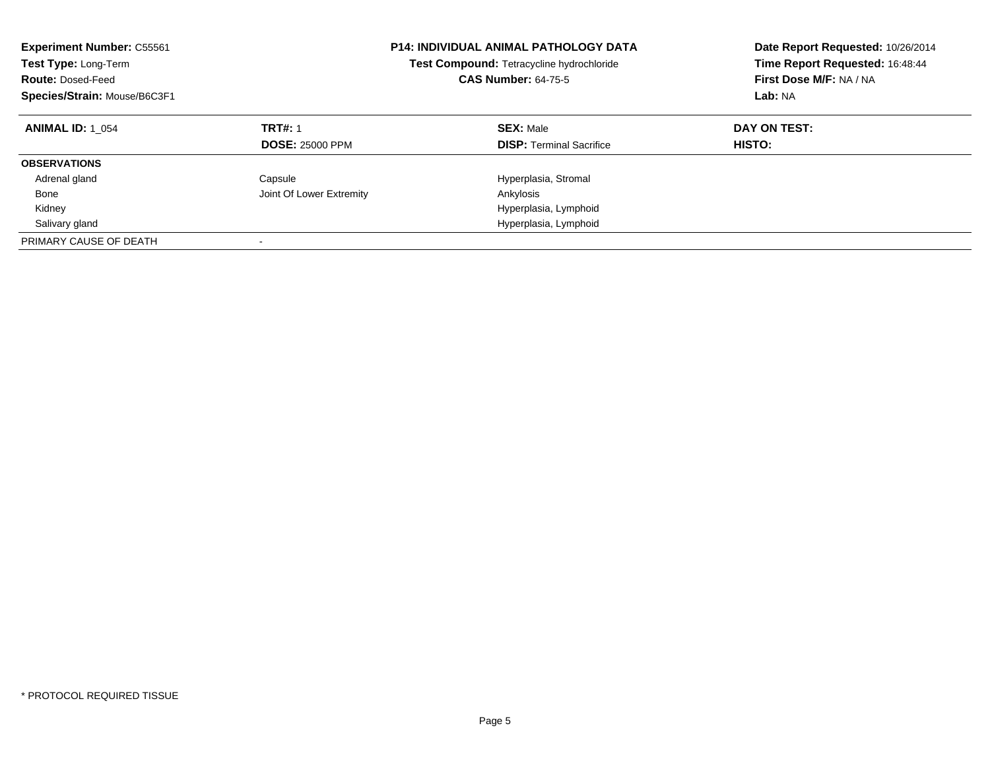| <b>Experiment Number: C55561</b><br>Test Type: Long-Term<br><b>Route: Dosed-Feed</b><br>Species/Strain: Mouse/B6C3F1 |                                          | <b>P14: INDIVIDUAL ANIMAL PATHOLOGY DATA</b><br>Test Compound: Tetracycline hydrochloride<br><b>CAS Number: 64-75-5</b> | Date Report Requested: 10/26/2014<br>Time Report Requested: 16:48:44<br>First Dose M/F: NA / NA<br>Lab: NA |
|----------------------------------------------------------------------------------------------------------------------|------------------------------------------|-------------------------------------------------------------------------------------------------------------------------|------------------------------------------------------------------------------------------------------------|
| <b>ANIMAL ID: 1 054</b>                                                                                              | <b>TRT#: 1</b><br><b>DOSE: 25000 PPM</b> | <b>SEX: Male</b><br><b>DISP:</b> Terminal Sacrifice                                                                     | DAY ON TEST:<br>HISTO:                                                                                     |
| <b>OBSERVATIONS</b>                                                                                                  |                                          |                                                                                                                         |                                                                                                            |
| Adrenal gland                                                                                                        | Capsule                                  | Hyperplasia, Stromal                                                                                                    |                                                                                                            |
| Bone                                                                                                                 | Joint Of Lower Extremity                 | Ankylosis                                                                                                               |                                                                                                            |
| Kidney                                                                                                               |                                          | Hyperplasia, Lymphoid                                                                                                   |                                                                                                            |
| Salivary gland                                                                                                       |                                          | Hyperplasia, Lymphoid                                                                                                   |                                                                                                            |
| PRIMARY CAUSE OF DEATH                                                                                               |                                          |                                                                                                                         |                                                                                                            |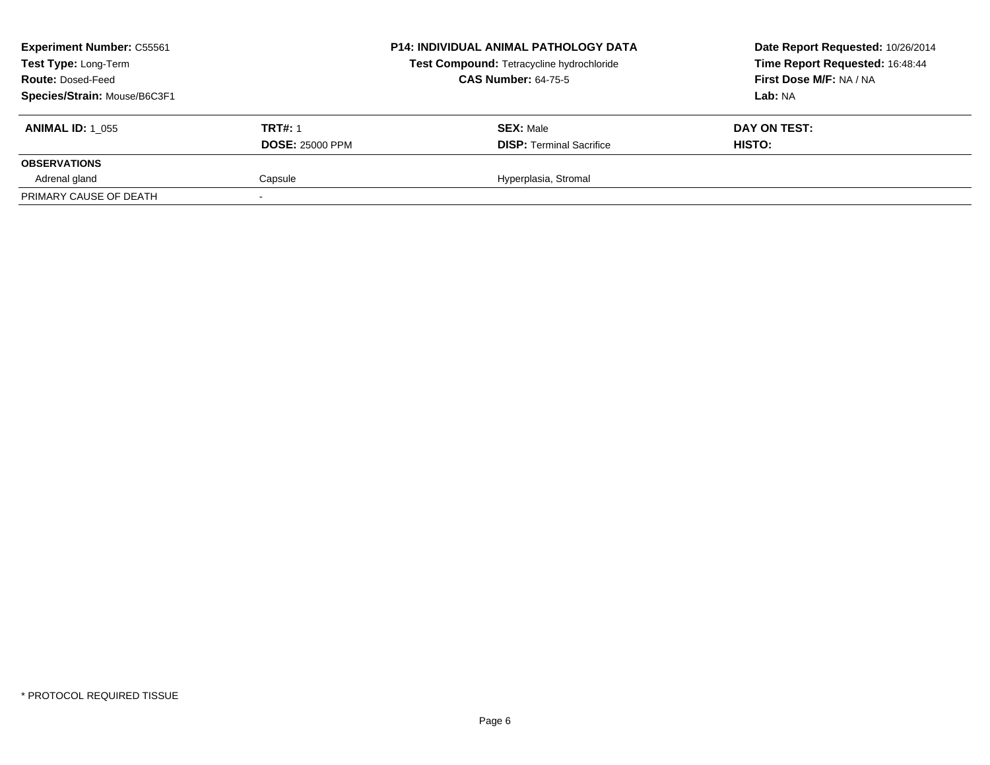| <b>Experiment Number: C55561</b><br>Test Type: Long-Term<br><b>Route: Dosed-Feed</b><br>Species/Strain: Mouse/B6C3F1 |                                          | <b>P14: INDIVIDUAL ANIMAL PATHOLOGY DATA</b><br>Test Compound: Tetracycline hydrochloride<br><b>CAS Number: 64-75-5</b> | Date Report Requested: 10/26/2014<br>Time Report Requested: 16:48:44<br>First Dose M/F: NA / NA<br>Lab: NA |
|----------------------------------------------------------------------------------------------------------------------|------------------------------------------|-------------------------------------------------------------------------------------------------------------------------|------------------------------------------------------------------------------------------------------------|
| <b>ANIMAL ID: 1 055</b>                                                                                              | <b>TRT#: 1</b><br><b>DOSE: 25000 PPM</b> | <b>SEX: Male</b><br><b>DISP: Terminal Sacrifice</b>                                                                     | DAY ON TEST:<br>HISTO:                                                                                     |
| <b>OBSERVATIONS</b>                                                                                                  |                                          |                                                                                                                         |                                                                                                            |
| Adrenal gland                                                                                                        | Capsule                                  | Hyperplasia, Stromal                                                                                                    |                                                                                                            |
| PRIMARY CAUSE OF DEATH                                                                                               |                                          |                                                                                                                         |                                                                                                            |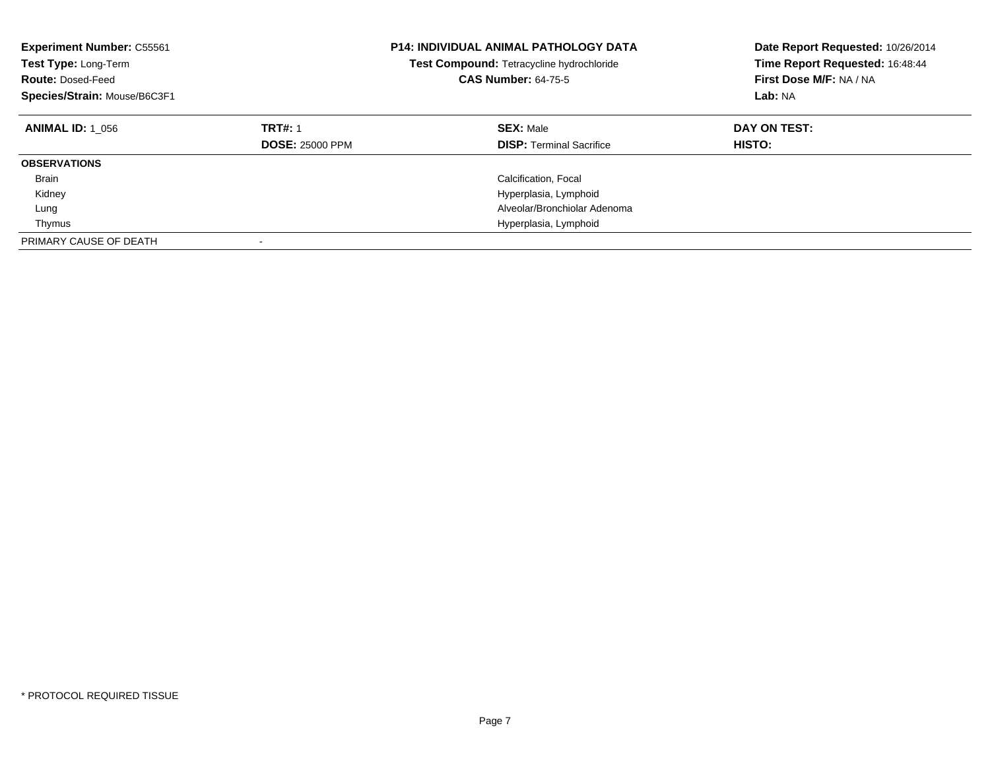| <b>Experiment Number: C55561</b><br>Test Type: Long-Term<br><b>Route: Dosed-Feed</b><br>Species/Strain: Mouse/B6C3F1 |                                          | <b>P14: INDIVIDUAL ANIMAL PATHOLOGY DATA</b><br>Test Compound: Tetracycline hydrochloride<br><b>CAS Number: 64-75-5</b> | Date Report Requested: 10/26/2014<br>Time Report Requested: 16:48:44<br>First Dose M/F: NA / NA<br>Lab: NA |
|----------------------------------------------------------------------------------------------------------------------|------------------------------------------|-------------------------------------------------------------------------------------------------------------------------|------------------------------------------------------------------------------------------------------------|
| <b>ANIMAL ID: 1 056</b>                                                                                              | <b>TRT#: 1</b><br><b>DOSE: 25000 PPM</b> | <b>SEX: Male</b><br><b>DISP:</b> Terminal Sacrifice                                                                     | DAY ON TEST:<br>HISTO:                                                                                     |
| <b>OBSERVATIONS</b>                                                                                                  |                                          |                                                                                                                         |                                                                                                            |
| <b>Brain</b>                                                                                                         |                                          | Calcification, Focal                                                                                                    |                                                                                                            |
| Kidney                                                                                                               |                                          | Hyperplasia, Lymphoid                                                                                                   |                                                                                                            |
| Lung                                                                                                                 |                                          | Alveolar/Bronchiolar Adenoma                                                                                            |                                                                                                            |
| Thymus                                                                                                               |                                          | Hyperplasia, Lymphoid                                                                                                   |                                                                                                            |
| PRIMARY CAUSE OF DEATH                                                                                               |                                          |                                                                                                                         |                                                                                                            |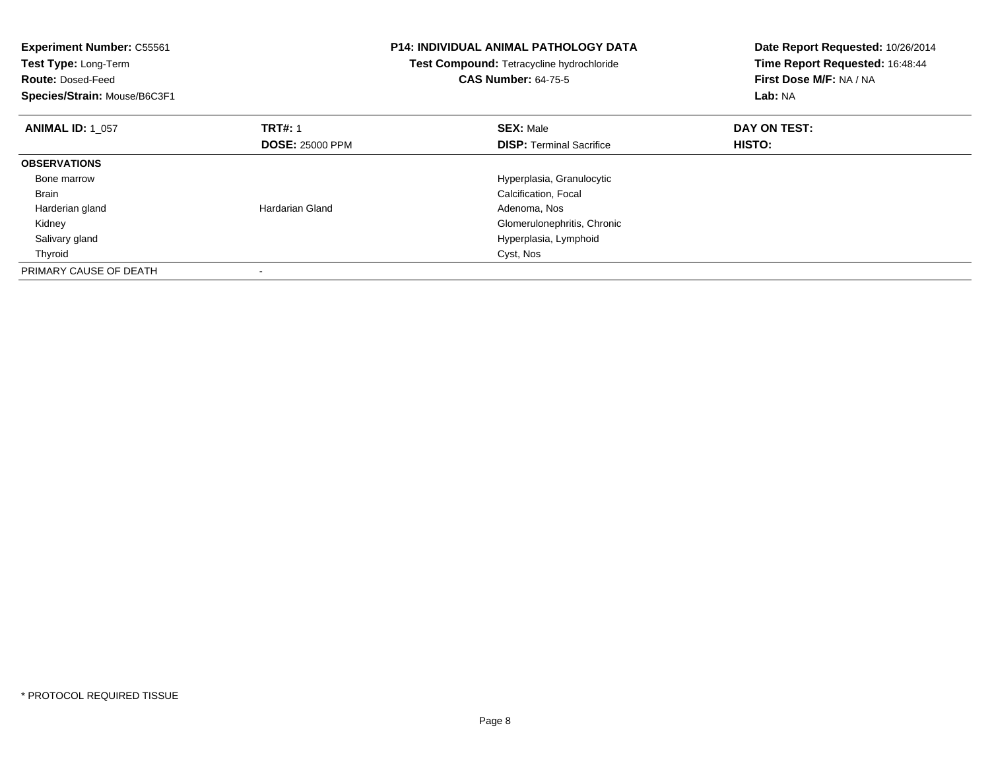| <b>Experiment Number: C55561</b><br>Test Type: Long-Term<br><b>Route: Dosed-Feed</b><br>Species/Strain: Mouse/B6C3F1 |                        | <b>P14: INDIVIDUAL ANIMAL PATHOLOGY DATA</b><br>Test Compound: Tetracycline hydrochloride<br><b>CAS Number: 64-75-5</b> | Date Report Requested: 10/26/2014<br>Time Report Requested: 16:48:44<br>First Dose M/F: NA / NA<br>Lab: NA |
|----------------------------------------------------------------------------------------------------------------------|------------------------|-------------------------------------------------------------------------------------------------------------------------|------------------------------------------------------------------------------------------------------------|
| <b>ANIMAL ID: 1 057</b>                                                                                              | <b>TRT#: 1</b>         | <b>SEX: Male</b>                                                                                                        | DAY ON TEST:                                                                                               |
|                                                                                                                      | <b>DOSE: 25000 PPM</b> | <b>DISP:</b> Terminal Sacrifice                                                                                         | <b>HISTO:</b>                                                                                              |
| <b>OBSERVATIONS</b>                                                                                                  |                        |                                                                                                                         |                                                                                                            |
| Bone marrow                                                                                                          |                        | Hyperplasia, Granulocytic                                                                                               |                                                                                                            |
| <b>Brain</b>                                                                                                         |                        | Calcification, Focal                                                                                                    |                                                                                                            |
| Harderian gland                                                                                                      | Hardarian Gland        | Adenoma, Nos                                                                                                            |                                                                                                            |
| Kidney                                                                                                               |                        | Glomerulonephritis, Chronic                                                                                             |                                                                                                            |
| Salivary gland                                                                                                       |                        | Hyperplasia, Lymphoid                                                                                                   |                                                                                                            |
| Thyroid                                                                                                              |                        | Cyst, Nos                                                                                                               |                                                                                                            |
| PRIMARY CAUSE OF DEATH                                                                                               |                        |                                                                                                                         |                                                                                                            |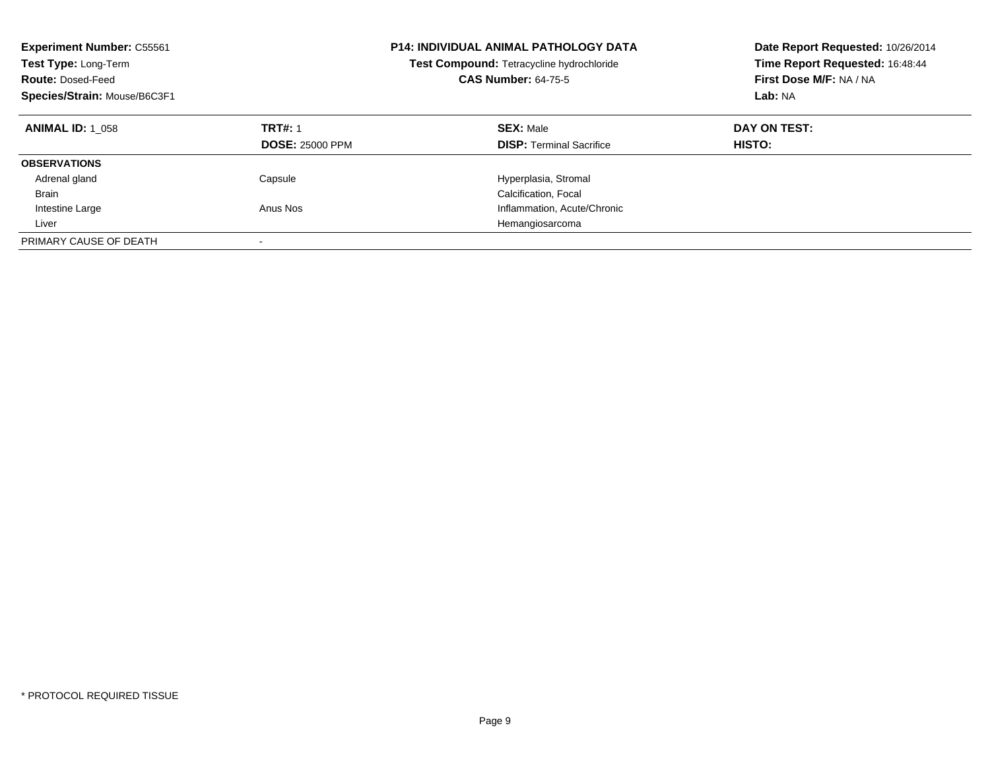| <b>Experiment Number: C55561</b><br>Test Type: Long-Term<br><b>Route: Dosed-Feed</b><br>Species/Strain: Mouse/B6C3F1 |                                          | <b>P14: INDIVIDUAL ANIMAL PATHOLOGY DATA</b><br>Test Compound: Tetracycline hydrochloride<br><b>CAS Number: 64-75-5</b> | Date Report Requested: 10/26/2014<br>Time Report Requested: 16:48:44<br>First Dose M/F: NA / NA<br>Lab: NA |
|----------------------------------------------------------------------------------------------------------------------|------------------------------------------|-------------------------------------------------------------------------------------------------------------------------|------------------------------------------------------------------------------------------------------------|
| <b>ANIMAL ID: 1 058</b>                                                                                              | <b>TRT#: 1</b><br><b>DOSE: 25000 PPM</b> | <b>SEX: Male</b><br><b>DISP: Terminal Sacrifice</b>                                                                     | DAY ON TEST:<br>HISTO:                                                                                     |
| <b>OBSERVATIONS</b>                                                                                                  |                                          |                                                                                                                         |                                                                                                            |
| Adrenal gland                                                                                                        | Capsule                                  | Hyperplasia, Stromal                                                                                                    |                                                                                                            |
| <b>Brain</b>                                                                                                         |                                          | Calcification, Focal                                                                                                    |                                                                                                            |
| Intestine Large                                                                                                      | Anus Nos                                 | Inflammation, Acute/Chronic                                                                                             |                                                                                                            |
| Liver                                                                                                                |                                          | Hemangiosarcoma                                                                                                         |                                                                                                            |
| PRIMARY CAUSE OF DEATH                                                                                               | -                                        |                                                                                                                         |                                                                                                            |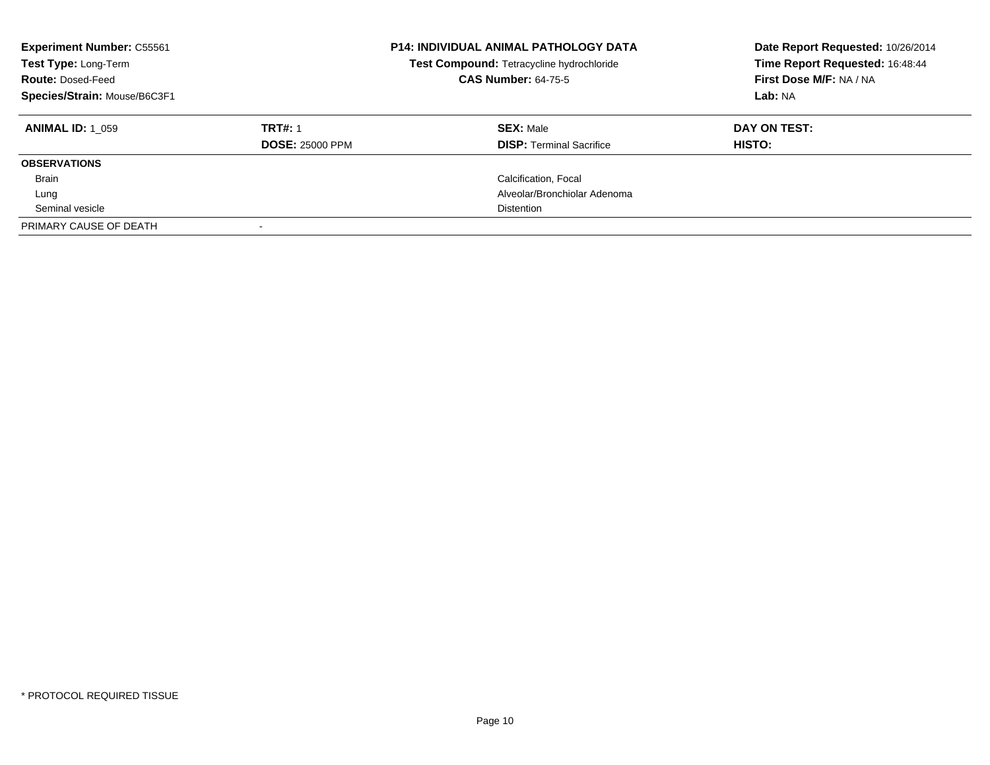| <b>Experiment Number: C55561</b><br>Test Type: Long-Term<br><b>Route: Dosed-Feed</b><br>Species/Strain: Mouse/B6C3F1 |                        | <b>P14: INDIVIDUAL ANIMAL PATHOLOGY DATA</b><br>Test Compound: Tetracycline hydrochloride<br><b>CAS Number: 64-75-5</b> | Date Report Requested: 10/26/2014<br>Time Report Requested: 16:48:44<br>First Dose M/F: NA / NA<br>Lab: NA |
|----------------------------------------------------------------------------------------------------------------------|------------------------|-------------------------------------------------------------------------------------------------------------------------|------------------------------------------------------------------------------------------------------------|
| <b>ANIMAL ID: 1 059</b>                                                                                              | <b>TRT#: 1</b>         | <b>SEX: Male</b>                                                                                                        | DAY ON TEST:                                                                                               |
|                                                                                                                      | <b>DOSE: 25000 PPM</b> | <b>DISP: Terminal Sacrifice</b>                                                                                         | HISTO:                                                                                                     |
| <b>OBSERVATIONS</b>                                                                                                  |                        |                                                                                                                         |                                                                                                            |
| <b>Brain</b>                                                                                                         |                        | Calcification, Focal                                                                                                    |                                                                                                            |
| Lung                                                                                                                 |                        | Alveolar/Bronchiolar Adenoma                                                                                            |                                                                                                            |
| Seminal vesicle                                                                                                      |                        | Distention                                                                                                              |                                                                                                            |
| PRIMARY CAUSE OF DEATH                                                                                               |                        |                                                                                                                         |                                                                                                            |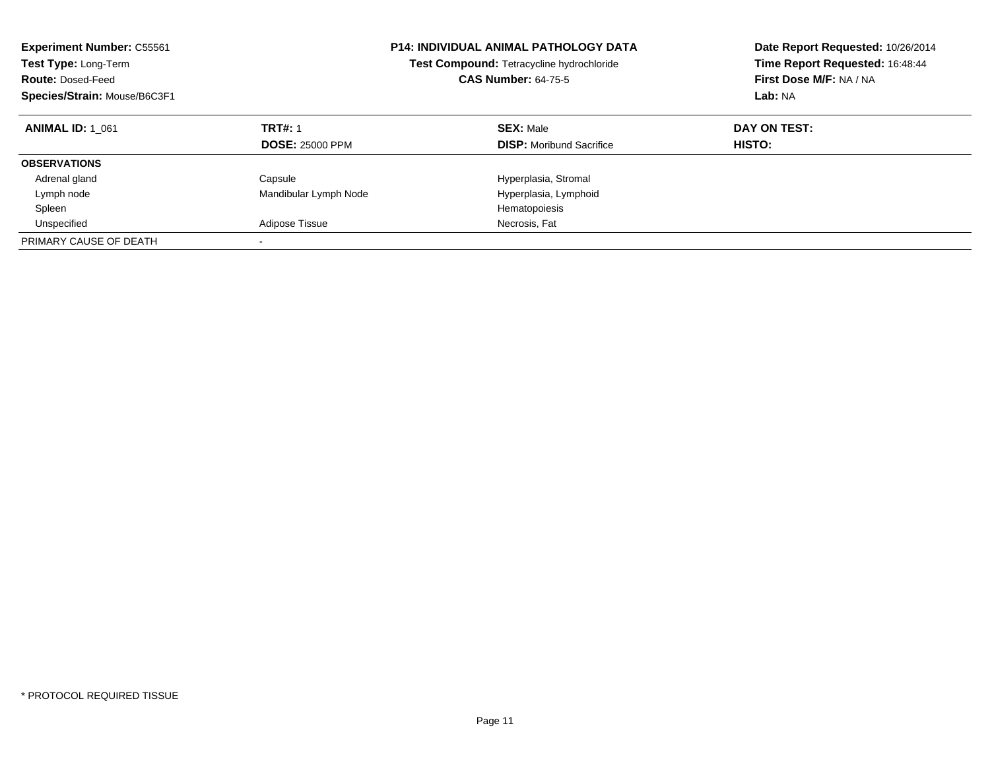| <b>Experiment Number: C55561</b><br>Test Type: Long-Term<br><b>Route: Dosed-Feed</b><br>Species/Strain: Mouse/B6C3F1 |                                          | <b>P14: INDIVIDUAL ANIMAL PATHOLOGY DATA</b><br>Test Compound: Tetracycline hydrochloride<br><b>CAS Number: 64-75-5</b> | Date Report Requested: 10/26/2014<br>Time Report Requested: 16:48:44<br>First Dose M/F: NA / NA<br>Lab: NA |
|----------------------------------------------------------------------------------------------------------------------|------------------------------------------|-------------------------------------------------------------------------------------------------------------------------|------------------------------------------------------------------------------------------------------------|
| <b>ANIMAL ID: 1 061</b>                                                                                              | <b>TRT#: 1</b><br><b>DOSE: 25000 PPM</b> | <b>SEX: Male</b><br><b>DISP:</b> Moribund Sacrifice                                                                     | DAY ON TEST:<br>HISTO:                                                                                     |
| <b>OBSERVATIONS</b>                                                                                                  |                                          |                                                                                                                         |                                                                                                            |
| Adrenal gland                                                                                                        | Capsule                                  | Hyperplasia, Stromal                                                                                                    |                                                                                                            |
| Lymph node                                                                                                           | Mandibular Lymph Node                    | Hyperplasia, Lymphoid                                                                                                   |                                                                                                            |
| Spleen                                                                                                               |                                          | Hematopoiesis                                                                                                           |                                                                                                            |
| Unspecified                                                                                                          | Adipose Tissue                           | Necrosis, Fat                                                                                                           |                                                                                                            |
| PRIMARY CAUSE OF DEATH                                                                                               |                                          |                                                                                                                         |                                                                                                            |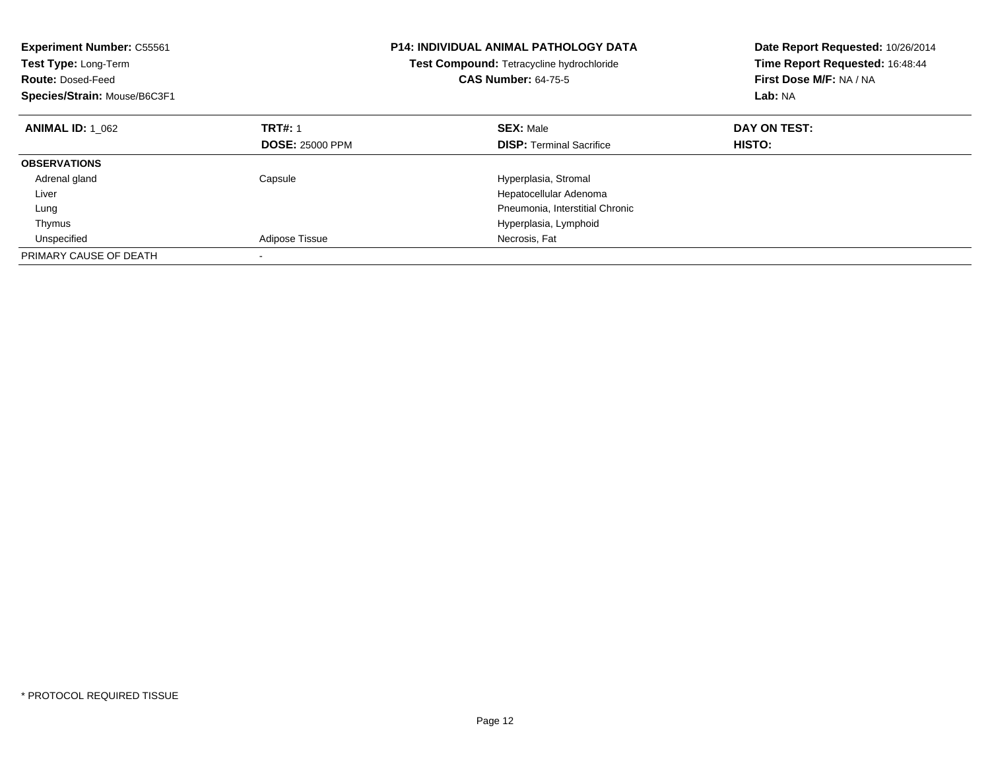| <b>Experiment Number: C55561</b><br>Test Type: Long-Term<br><b>Route: Dosed-Feed</b><br>Species/Strain: Mouse/B6C3F1 |                        | <b>P14: INDIVIDUAL ANIMAL PATHOLOGY DATA</b><br>Test Compound: Tetracycline hydrochloride<br><b>CAS Number: 64-75-5</b> | Date Report Requested: 10/26/2014<br>Time Report Requested: 16:48:44<br>First Dose M/F: NA / NA<br>Lab: NA |
|----------------------------------------------------------------------------------------------------------------------|------------------------|-------------------------------------------------------------------------------------------------------------------------|------------------------------------------------------------------------------------------------------------|
| <b>ANIMAL ID: 1 062</b>                                                                                              | <b>TRT#: 1</b>         | <b>SEX: Male</b>                                                                                                        | DAY ON TEST:                                                                                               |
|                                                                                                                      | <b>DOSE: 25000 PPM</b> | <b>DISP:</b> Terminal Sacrifice                                                                                         | HISTO:                                                                                                     |
| <b>OBSERVATIONS</b>                                                                                                  |                        |                                                                                                                         |                                                                                                            |
| Adrenal gland                                                                                                        | Capsule                | Hyperplasia, Stromal                                                                                                    |                                                                                                            |
| Liver                                                                                                                |                        | Hepatocellular Adenoma                                                                                                  |                                                                                                            |
| Lung                                                                                                                 |                        | Pneumonia, Interstitial Chronic                                                                                         |                                                                                                            |
| Thymus                                                                                                               |                        | Hyperplasia, Lymphoid                                                                                                   |                                                                                                            |
| Unspecified                                                                                                          | Adipose Tissue         | Necrosis, Fat                                                                                                           |                                                                                                            |
| PRIMARY CAUSE OF DEATH                                                                                               |                        |                                                                                                                         |                                                                                                            |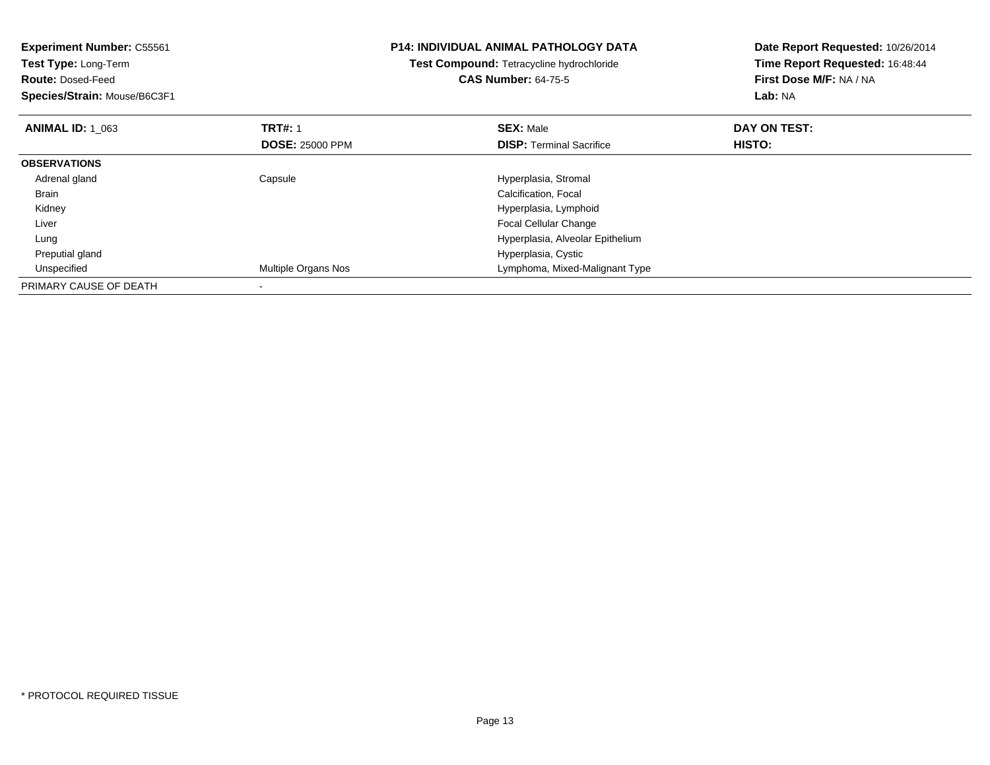| <b>Experiment Number: C55561</b> |                        | <b>P14: INDIVIDUAL ANIMAL PATHOLOGY DATA</b> | Date Report Requested: 10/26/2014 |
|----------------------------------|------------------------|----------------------------------------------|-----------------------------------|
| Test Type: Long-Term             |                        | Test Compound: Tetracycline hydrochloride    | Time Report Requested: 16:48:44   |
| <b>Route: Dosed-Feed</b>         |                        | <b>CAS Number: 64-75-5</b>                   | First Dose M/F: NA / NA           |
| Species/Strain: Mouse/B6C3F1     |                        |                                              | Lab: NA                           |
| <b>ANIMAL ID: 1 063</b>          | <b>TRT#: 1</b>         | <b>SEX: Male</b>                             | DAY ON TEST:                      |
|                                  | <b>DOSE: 25000 PPM</b> | <b>DISP:</b> Terminal Sacrifice              | HISTO:                            |
| <b>OBSERVATIONS</b>              |                        |                                              |                                   |
| Adrenal gland                    | Capsule                | Hyperplasia, Stromal                         |                                   |
| <b>Brain</b>                     |                        | Calcification, Focal                         |                                   |
| Kidney                           |                        | Hyperplasia, Lymphoid                        |                                   |
| Liver                            |                        | Focal Cellular Change                        |                                   |
| Lung                             |                        | Hyperplasia, Alveolar Epithelium             |                                   |
| Preputial gland                  |                        | Hyperplasia, Cystic                          |                                   |
| Unspecified                      | Multiple Organs Nos    | Lymphoma, Mixed-Malignant Type               |                                   |
| PRIMARY CAUSE OF DEATH           |                        |                                              |                                   |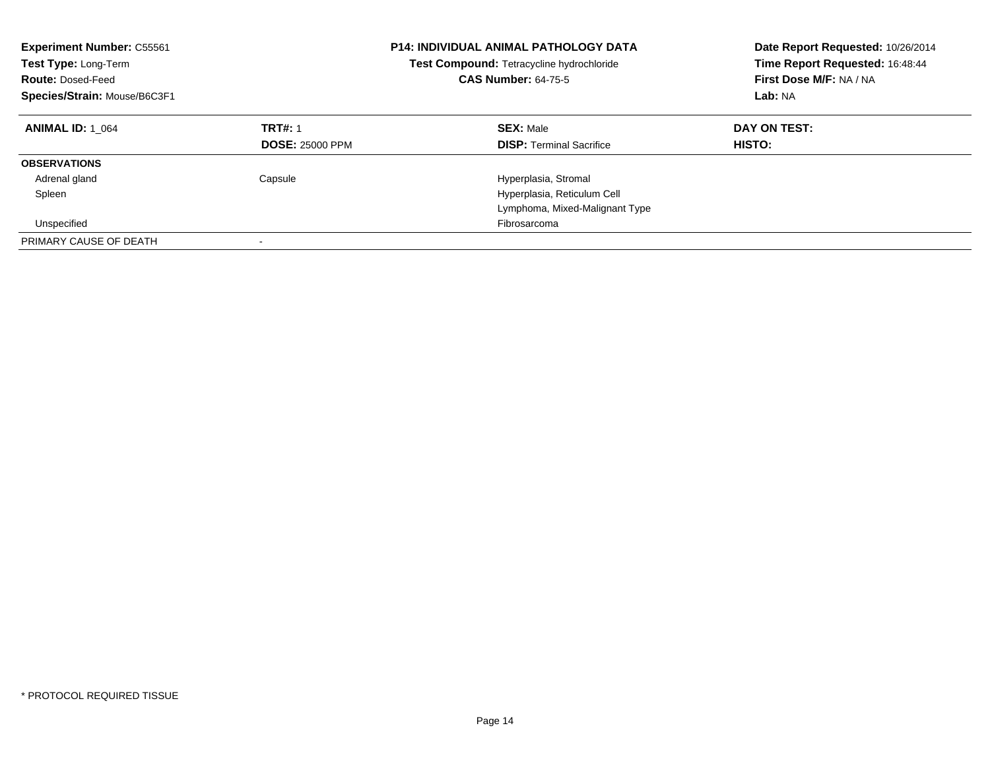| <b>Experiment Number: C55561</b><br>Test Type: Long-Term<br><b>Route: Dosed-Feed</b><br>Species/Strain: Mouse/B6C3F1 |                                          | <b>P14: INDIVIDUAL ANIMAL PATHOLOGY DATA</b><br>Test Compound: Tetracycline hydrochloride<br><b>CAS Number: 64-75-5</b> | Date Report Requested: 10/26/2014<br>Time Report Requested: 16:48:44<br>First Dose M/F: NA / NA<br>Lab: NA |
|----------------------------------------------------------------------------------------------------------------------|------------------------------------------|-------------------------------------------------------------------------------------------------------------------------|------------------------------------------------------------------------------------------------------------|
| <b>ANIMAL ID: 1 064</b>                                                                                              | <b>TRT#: 1</b><br><b>DOSE: 25000 PPM</b> | <b>SEX: Male</b><br><b>DISP:</b> Terminal Sacrifice                                                                     | DAY ON TEST:<br><b>HISTO:</b>                                                                              |
| <b>OBSERVATIONS</b>                                                                                                  |                                          |                                                                                                                         |                                                                                                            |
| Adrenal gland                                                                                                        | Capsule                                  | Hyperplasia, Stromal                                                                                                    |                                                                                                            |
| Spleen                                                                                                               |                                          | Hyperplasia, Reticulum Cell                                                                                             |                                                                                                            |
|                                                                                                                      |                                          | Lymphoma, Mixed-Malignant Type                                                                                          |                                                                                                            |
| Unspecified                                                                                                          |                                          | Fibrosarcoma                                                                                                            |                                                                                                            |
| PRIMARY CAUSE OF DEATH                                                                                               |                                          |                                                                                                                         |                                                                                                            |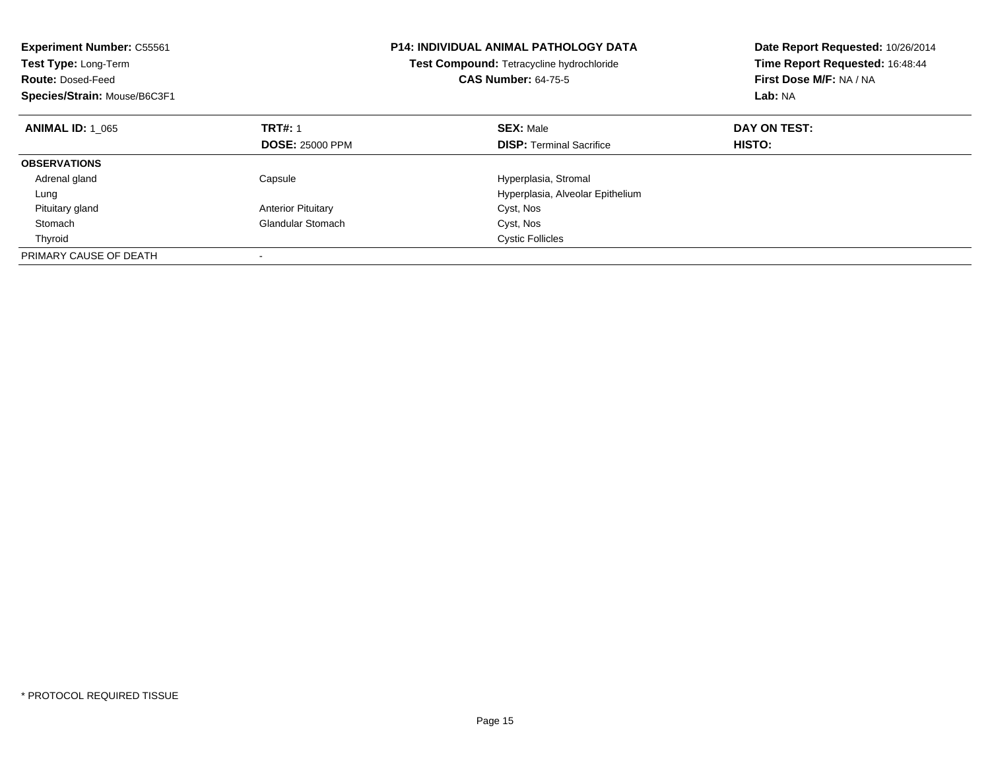| <b>Experiment Number: C55561</b><br>Test Type: Long-Term<br><b>Route: Dosed-Feed</b><br>Species/Strain: Mouse/B6C3F1 |                           | <b>P14: INDIVIDUAL ANIMAL PATHOLOGY DATA</b><br>Test Compound: Tetracycline hydrochloride<br><b>CAS Number: 64-75-5</b> | Date Report Requested: 10/26/2014<br>Time Report Requested: 16:48:44<br>First Dose M/F: NA / NA<br>Lab: NA |
|----------------------------------------------------------------------------------------------------------------------|---------------------------|-------------------------------------------------------------------------------------------------------------------------|------------------------------------------------------------------------------------------------------------|
| <b>ANIMAL ID: 1 065</b>                                                                                              | <b>TRT#: 1</b>            | <b>SEX: Male</b>                                                                                                        | DAY ON TEST:                                                                                               |
|                                                                                                                      | <b>DOSE: 25000 PPM</b>    | <b>DISP:</b> Terminal Sacrifice                                                                                         | HISTO:                                                                                                     |
| <b>OBSERVATIONS</b>                                                                                                  |                           |                                                                                                                         |                                                                                                            |
| Adrenal gland                                                                                                        | Capsule                   | Hyperplasia, Stromal                                                                                                    |                                                                                                            |
| Lung                                                                                                                 |                           | Hyperplasia, Alveolar Epithelium                                                                                        |                                                                                                            |
| Pituitary gland                                                                                                      | <b>Anterior Pituitary</b> | Cyst, Nos                                                                                                               |                                                                                                            |
| Stomach                                                                                                              | <b>Glandular Stomach</b>  | Cyst, Nos                                                                                                               |                                                                                                            |
| Thyroid                                                                                                              |                           | <b>Cystic Follicles</b>                                                                                                 |                                                                                                            |
| PRIMARY CAUSE OF DEATH                                                                                               |                           |                                                                                                                         |                                                                                                            |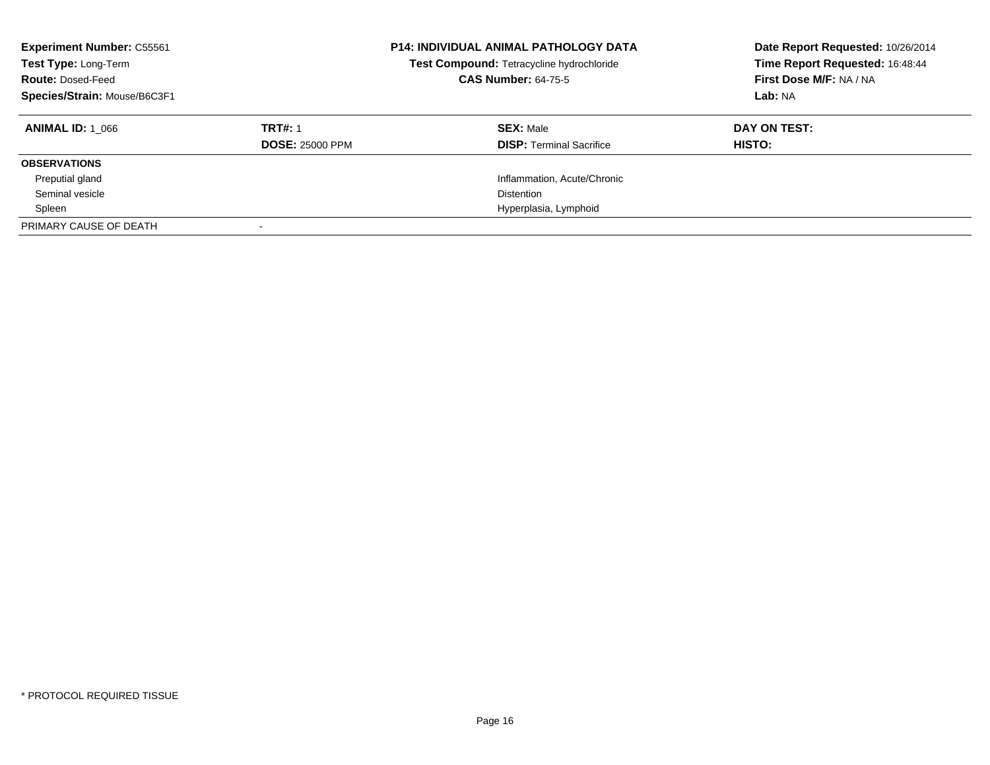| <b>Experiment Number: C55561</b><br>Test Type: Long-Term<br><b>Route: Dosed-Feed</b><br>Species/Strain: Mouse/B6C3F1 | <b>P14: INDIVIDUAL ANIMAL PATHOLOGY DATA</b><br>Test Compound: Tetracycline hydrochloride<br><b>CAS Number: 64-75-5</b> |                                 | Date Report Requested: 10/26/2014<br>Time Report Requested: 16:48:44<br>First Dose M/F: NA / NA<br>Lab: NA |
|----------------------------------------------------------------------------------------------------------------------|-------------------------------------------------------------------------------------------------------------------------|---------------------------------|------------------------------------------------------------------------------------------------------------|
| <b>ANIMAL ID: 1 066</b>                                                                                              | <b>TRT#: 1</b>                                                                                                          | <b>SEX: Male</b>                | DAY ON TEST:                                                                                               |
|                                                                                                                      | <b>DOSE: 25000 PPM</b>                                                                                                  | <b>DISP:</b> Terminal Sacrifice | HISTO:                                                                                                     |
| <b>OBSERVATIONS</b>                                                                                                  |                                                                                                                         |                                 |                                                                                                            |
| Preputial gland                                                                                                      |                                                                                                                         | Inflammation, Acute/Chronic     |                                                                                                            |
| Seminal vesicle                                                                                                      |                                                                                                                         | Distention                      |                                                                                                            |
| Spleen                                                                                                               |                                                                                                                         | Hyperplasia, Lymphoid           |                                                                                                            |
| PRIMARY CAUSE OF DEATH                                                                                               |                                                                                                                         |                                 |                                                                                                            |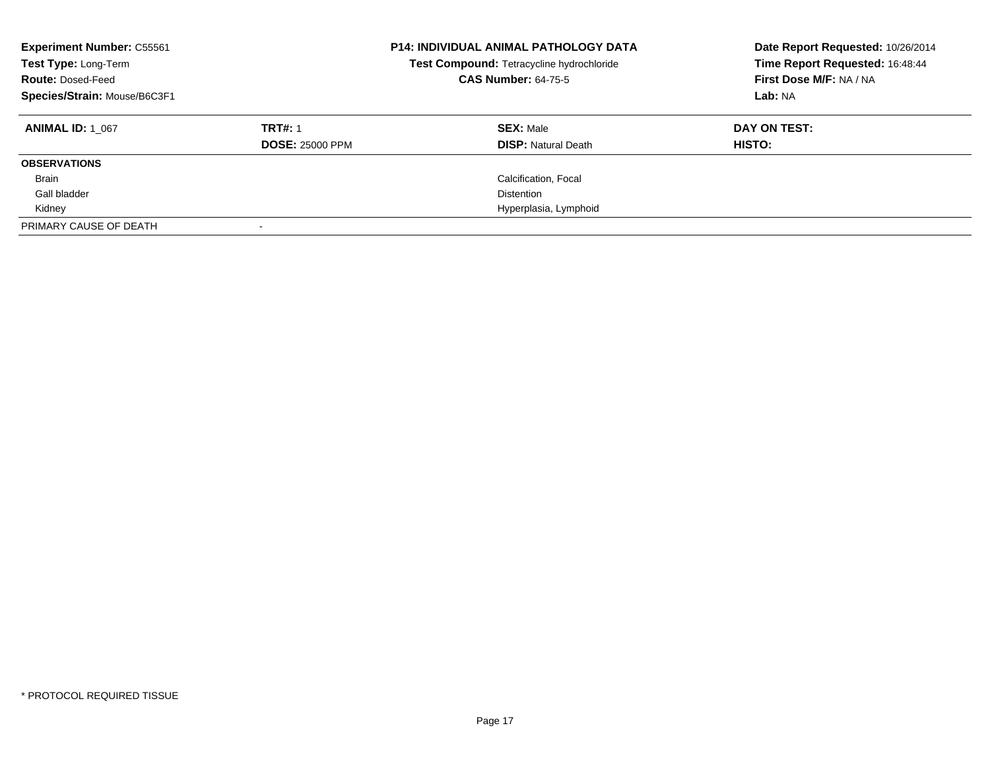| <b>Experiment Number: C55561</b><br>Test Type: Long-Term<br><b>Route: Dosed-Feed</b><br>Species/Strain: Mouse/B6C3F1 | <b>P14: INDIVIDUAL ANIMAL PATHOLOGY DATA</b><br>Test Compound: Tetracycline hydrochloride<br><b>CAS Number: 64-75-5</b> |                            | Date Report Requested: 10/26/2014<br>Time Report Requested: 16:48:44<br>First Dose M/F: NA / NA<br>Lab: NA |
|----------------------------------------------------------------------------------------------------------------------|-------------------------------------------------------------------------------------------------------------------------|----------------------------|------------------------------------------------------------------------------------------------------------|
| <b>ANIMAL ID: 1 067</b>                                                                                              | <b>TRT#: 1</b>                                                                                                          | <b>SEX: Male</b>           | DAY ON TEST:                                                                                               |
|                                                                                                                      | <b>DOSE: 25000 PPM</b>                                                                                                  | <b>DISP:</b> Natural Death | HISTO:                                                                                                     |
| <b>OBSERVATIONS</b>                                                                                                  |                                                                                                                         |                            |                                                                                                            |
| <b>Brain</b>                                                                                                         |                                                                                                                         | Calcification, Focal       |                                                                                                            |
| Gall bladder                                                                                                         |                                                                                                                         | Distention                 |                                                                                                            |
| Kidney                                                                                                               |                                                                                                                         | Hyperplasia, Lymphoid      |                                                                                                            |
| PRIMARY CAUSE OF DEATH                                                                                               |                                                                                                                         |                            |                                                                                                            |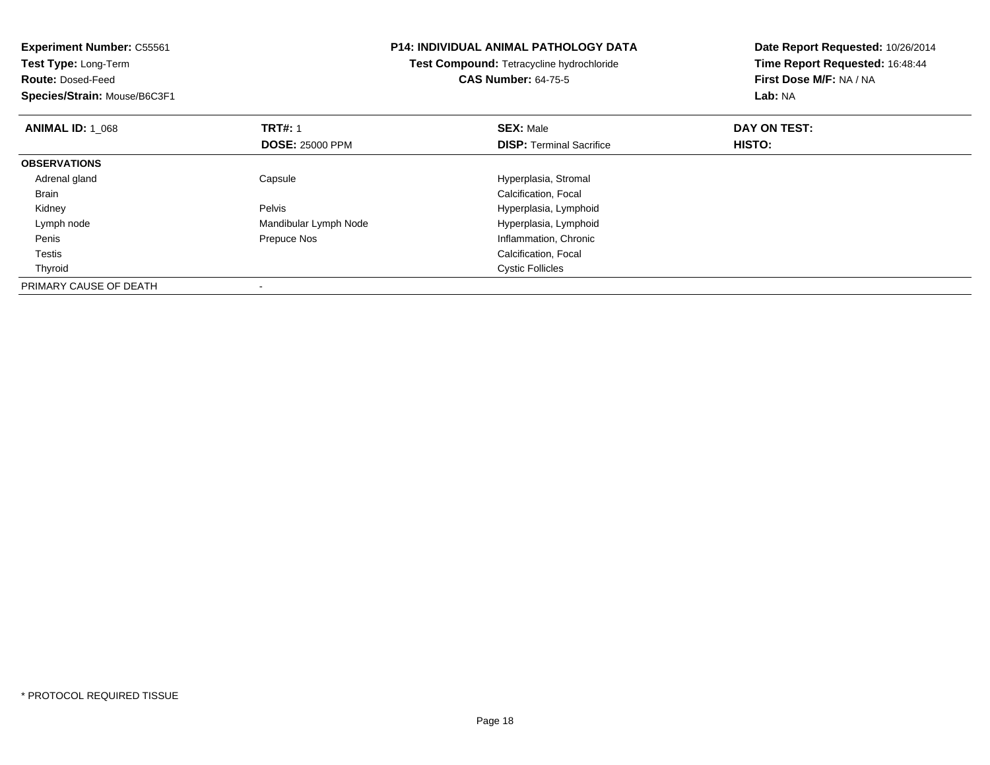| <b>Experiment Number: C55561</b> |                                           | <b>P14: INDIVIDUAL ANIMAL PATHOLOGY DATA</b> | Date Report Requested: 10/26/2014 |
|----------------------------------|-------------------------------------------|----------------------------------------------|-----------------------------------|
| Test Type: Long-Term             | Test Compound: Tetracycline hydrochloride |                                              | Time Report Requested: 16:48:44   |
| <b>Route: Dosed-Feed</b>         |                                           | <b>CAS Number: 64-75-5</b>                   | First Dose M/F: NA / NA           |
| Species/Strain: Mouse/B6C3F1     |                                           |                                              | Lab: NA                           |
| <b>ANIMAL ID: 1 068</b>          | <b>TRT#: 1</b>                            | <b>SEX: Male</b>                             | DAY ON TEST:                      |
|                                  | <b>DOSE: 25000 PPM</b>                    | <b>DISP:</b> Terminal Sacrifice              | HISTO:                            |
| <b>OBSERVATIONS</b>              |                                           |                                              |                                   |
| Adrenal gland                    | Capsule                                   | Hyperplasia, Stromal                         |                                   |
| Brain                            |                                           | Calcification, Focal                         |                                   |
| Kidney                           | Pelvis                                    | Hyperplasia, Lymphoid                        |                                   |
| Lymph node                       | Mandibular Lymph Node                     | Hyperplasia, Lymphoid                        |                                   |
| Penis                            | Prepuce Nos                               | Inflammation, Chronic                        |                                   |
| Testis                           |                                           | Calcification, Focal                         |                                   |
| Thyroid                          |                                           | <b>Cystic Follicles</b>                      |                                   |
| PRIMARY CAUSE OF DEATH           |                                           |                                              |                                   |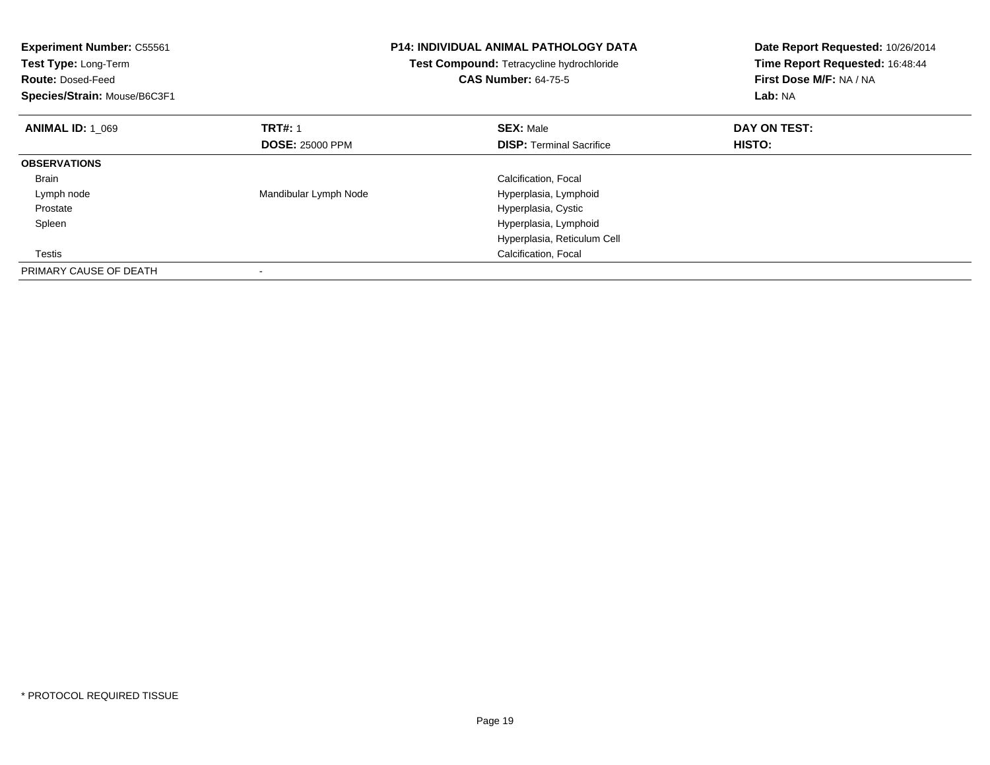| <b>Experiment Number: C55561</b><br>Test Type: Long-Term<br><b>Route: Dosed-Feed</b><br>Species/Strain: Mouse/B6C3F1 |                        | <b>P14: INDIVIDUAL ANIMAL PATHOLOGY DATA</b><br>Test Compound: Tetracycline hydrochloride<br><b>CAS Number: 64-75-5</b> | Date Report Requested: 10/26/2014<br>Time Report Requested: 16:48:44<br>First Dose M/F: NA / NA<br>Lab: NA |
|----------------------------------------------------------------------------------------------------------------------|------------------------|-------------------------------------------------------------------------------------------------------------------------|------------------------------------------------------------------------------------------------------------|
| <b>ANIMAL ID: 1 069</b>                                                                                              | <b>TRT#: 1</b>         | <b>SEX: Male</b>                                                                                                        | DAY ON TEST:                                                                                               |
|                                                                                                                      | <b>DOSE: 25000 PPM</b> | <b>DISP:</b> Terminal Sacrifice                                                                                         | HISTO:                                                                                                     |
| <b>OBSERVATIONS</b>                                                                                                  |                        |                                                                                                                         |                                                                                                            |
| <b>Brain</b>                                                                                                         |                        | Calcification, Focal                                                                                                    |                                                                                                            |
| Lymph node                                                                                                           | Mandibular Lymph Node  | Hyperplasia, Lymphoid                                                                                                   |                                                                                                            |
| Prostate                                                                                                             |                        | Hyperplasia, Cystic                                                                                                     |                                                                                                            |
| Spleen                                                                                                               |                        | Hyperplasia, Lymphoid                                                                                                   |                                                                                                            |
|                                                                                                                      |                        | Hyperplasia, Reticulum Cell                                                                                             |                                                                                                            |
| Testis                                                                                                               |                        | Calcification, Focal                                                                                                    |                                                                                                            |
| PRIMARY CAUSE OF DEATH                                                                                               |                        |                                                                                                                         |                                                                                                            |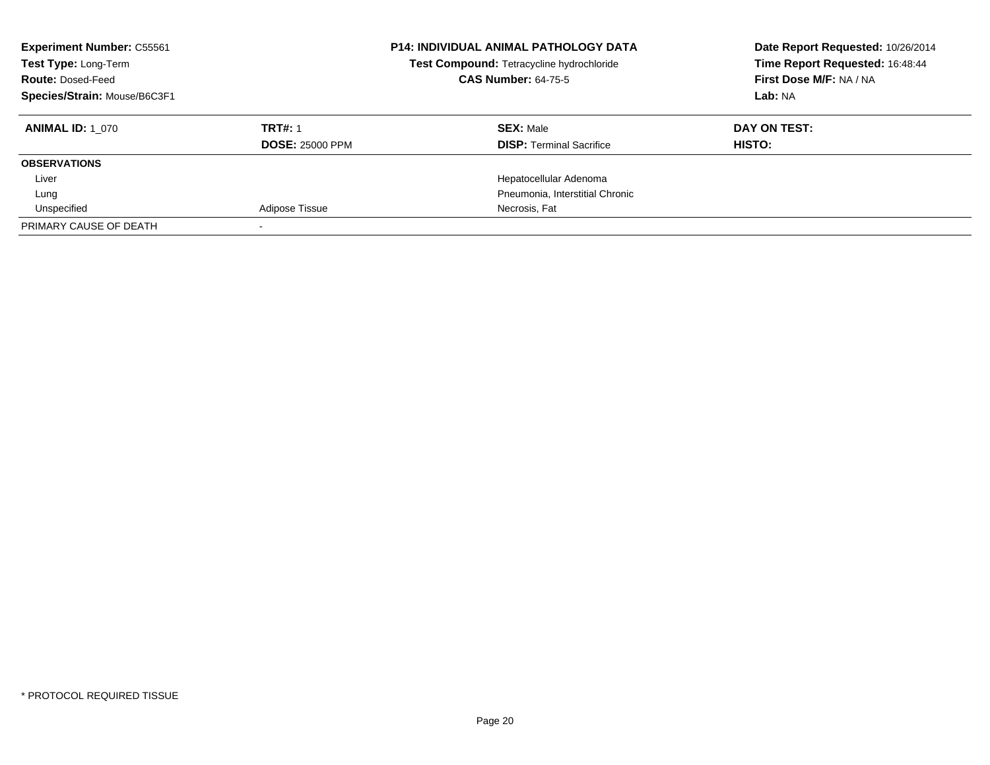| <b>Experiment Number: C55561</b><br><b>P14: INDIVIDUAL ANIMAL PATHOLOGY DATA</b><br>Test Compound: Tetracycline hydrochloride<br>Test Type: Long-Term<br><b>CAS Number: 64-75-5</b><br><b>Route: Dosed-Feed</b><br>Species/Strain: Mouse/B6C3F1 |                        | Date Report Requested: 10/26/2014<br>Time Report Requested: 16:48:44<br>First Dose M/F: NA / NA<br>Lab: NA |               |
|-------------------------------------------------------------------------------------------------------------------------------------------------------------------------------------------------------------------------------------------------|------------------------|------------------------------------------------------------------------------------------------------------|---------------|
| <b>ANIMAL ID:</b> 1 070                                                                                                                                                                                                                         | <b>TRT#: 1</b>         | <b>SEX: Male</b>                                                                                           | DAY ON TEST:  |
|                                                                                                                                                                                                                                                 | <b>DOSE: 25000 PPM</b> | <b>DISP:</b> Terminal Sacrifice                                                                            | <b>HISTO:</b> |
| <b>OBSERVATIONS</b>                                                                                                                                                                                                                             |                        |                                                                                                            |               |
| Liver                                                                                                                                                                                                                                           |                        | Hepatocellular Adenoma                                                                                     |               |
| Lung                                                                                                                                                                                                                                            |                        | Pneumonia. Interstitial Chronic                                                                            |               |
| Unspecified                                                                                                                                                                                                                                     | Adipose Tissue         | Necrosis, Fat                                                                                              |               |
| PRIMARY CAUSE OF DEATH                                                                                                                                                                                                                          |                        |                                                                                                            |               |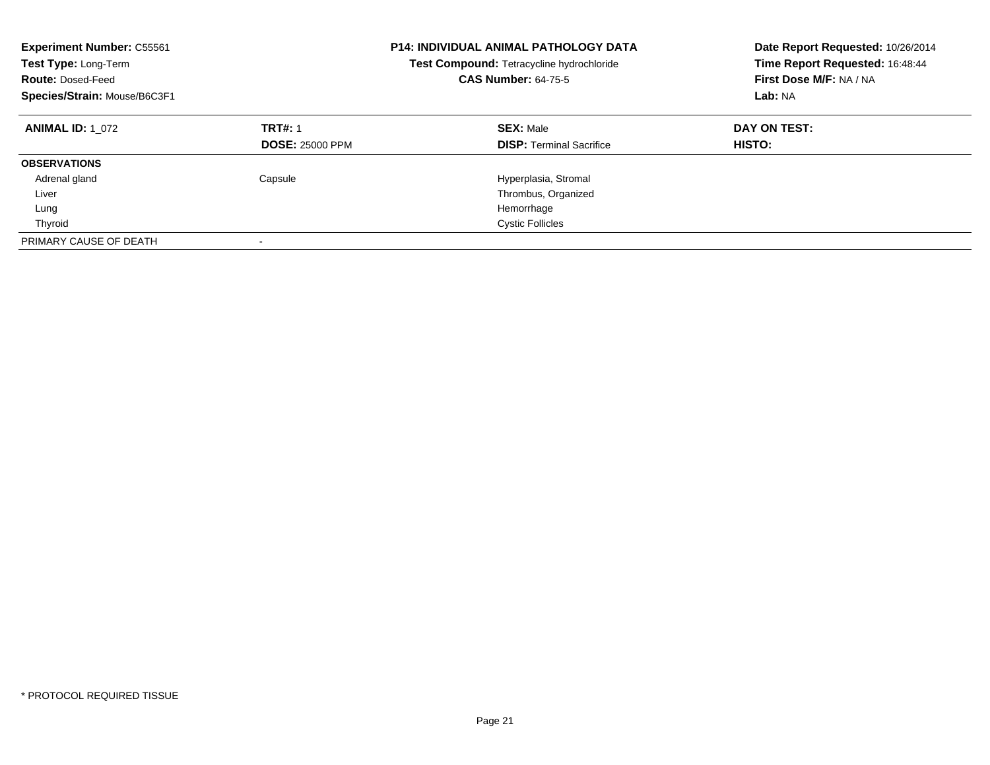| <b>Experiment Number: C55561</b><br>Test Type: Long-Term<br><b>Route: Dosed-Feed</b><br>Species/Strain: Mouse/B6C3F1 |                                          | <b>P14: INDIVIDUAL ANIMAL PATHOLOGY DATA</b><br>Test Compound: Tetracycline hydrochloride<br><b>CAS Number: 64-75-5</b> | Date Report Requested: 10/26/2014<br>Time Report Requested: 16:48:44<br>First Dose M/F: NA / NA<br>Lab: NA |
|----------------------------------------------------------------------------------------------------------------------|------------------------------------------|-------------------------------------------------------------------------------------------------------------------------|------------------------------------------------------------------------------------------------------------|
| <b>ANIMAL ID: 1 072</b>                                                                                              | <b>TRT#: 1</b><br><b>DOSE: 25000 PPM</b> | <b>SEX: Male</b><br><b>DISP:</b> Terminal Sacrifice                                                                     | DAY ON TEST:<br>HISTO:                                                                                     |
| <b>OBSERVATIONS</b>                                                                                                  |                                          |                                                                                                                         |                                                                                                            |
| Adrenal gland                                                                                                        | Capsule                                  | Hyperplasia, Stromal                                                                                                    |                                                                                                            |
| Liver                                                                                                                |                                          | Thrombus, Organized                                                                                                     |                                                                                                            |
| Lung                                                                                                                 |                                          | Hemorrhage                                                                                                              |                                                                                                            |
| Thyroid                                                                                                              |                                          | <b>Cystic Follicles</b>                                                                                                 |                                                                                                            |
| PRIMARY CAUSE OF DEATH                                                                                               |                                          |                                                                                                                         |                                                                                                            |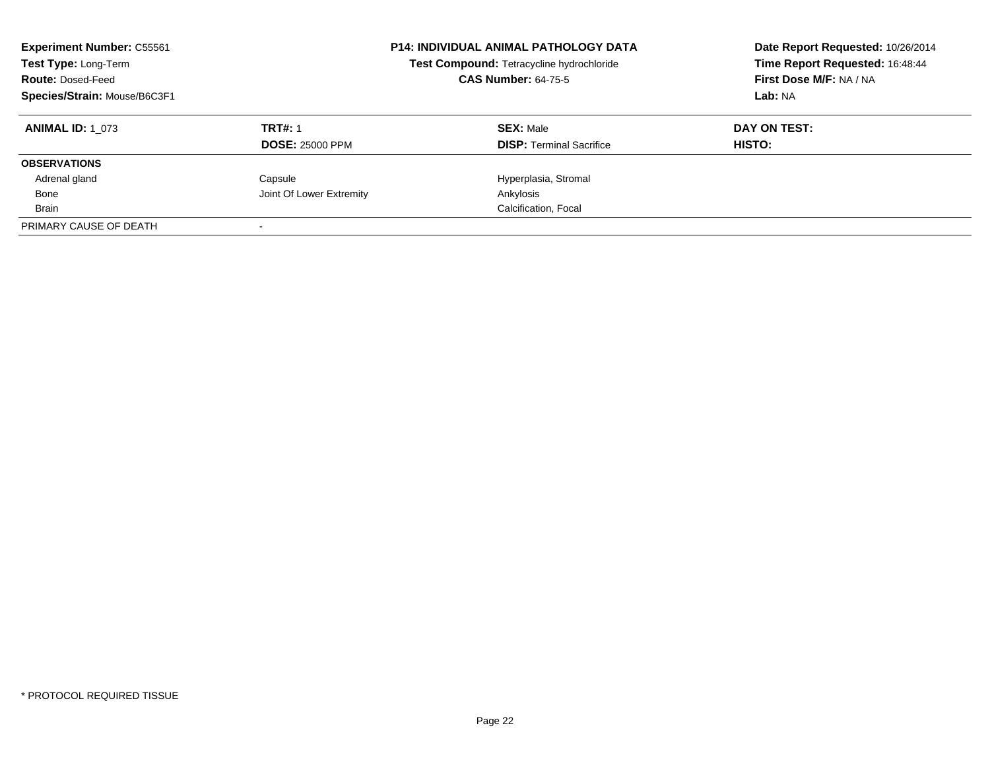| <b>Experiment Number: C55561</b><br>Test Type: Long-Term<br><b>Route: Dosed-Feed</b><br>Species/Strain: Mouse/B6C3F1 | <b>P14: INDIVIDUAL ANIMAL PATHOLOGY DATA</b><br>Test Compound: Tetracycline hydrochloride<br><b>CAS Number: 64-75-5</b> |                                                     | Date Report Requested: 10/26/2014<br>Time Report Requested: 16:48:44<br>First Dose M/F: NA / NA<br>Lab: NA |
|----------------------------------------------------------------------------------------------------------------------|-------------------------------------------------------------------------------------------------------------------------|-----------------------------------------------------|------------------------------------------------------------------------------------------------------------|
| <b>ANIMAL ID:</b> 1 073                                                                                              | <b>TRT#: 1</b><br><b>DOSE: 25000 PPM</b>                                                                                | <b>SEX: Male</b><br><b>DISP:</b> Terminal Sacrifice | DAY ON TEST:<br>HISTO:                                                                                     |
| <b>OBSERVATIONS</b>                                                                                                  |                                                                                                                         |                                                     |                                                                                                            |
| Adrenal gland                                                                                                        | Capsule                                                                                                                 | Hyperplasia, Stromal                                |                                                                                                            |
| Bone                                                                                                                 | Joint Of Lower Extremity                                                                                                | Ankylosis                                           |                                                                                                            |
| Brain                                                                                                                |                                                                                                                         | Calcification, Focal                                |                                                                                                            |
| PRIMARY CAUSE OF DEATH                                                                                               |                                                                                                                         |                                                     |                                                                                                            |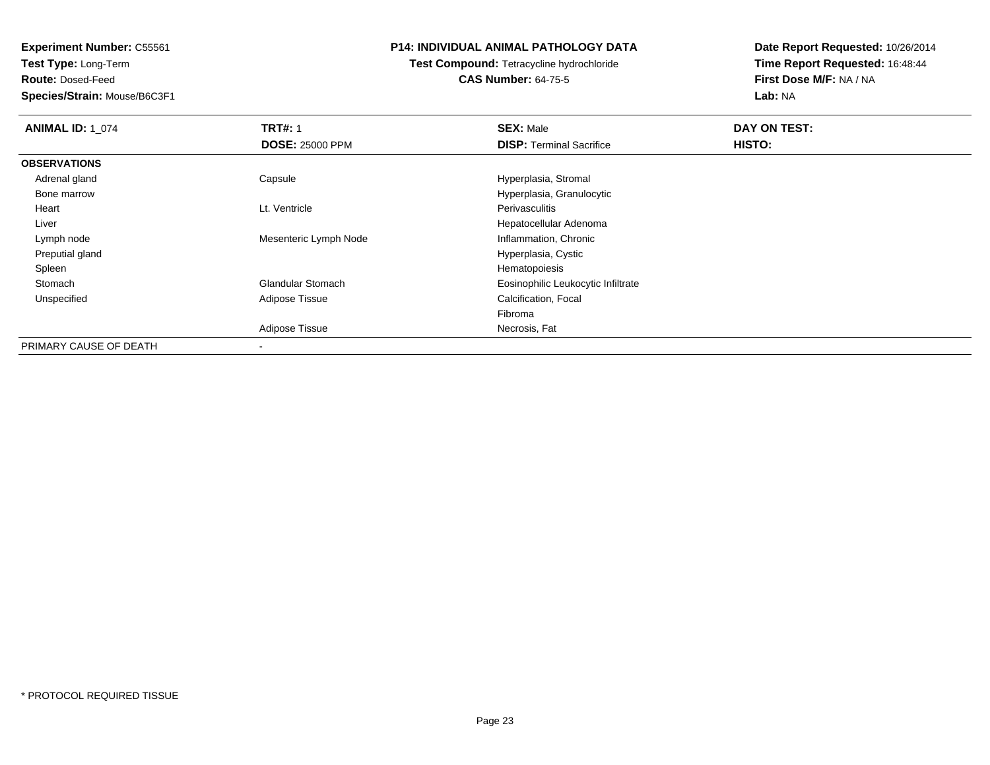**Experiment Number:** C55561

**Test Type:** Long-Term

**Route:** Dosed-Feed

**Species/Strain:** Mouse/B6C3F1

## **P14: INDIVIDUAL ANIMAL PATHOLOGY DATA**

**Test Compound:** Tetracycline hydrochloride**CAS Number:** 64-75-5

**Date Report Requested:** 10/26/2014**Time Report Requested:** 16:48:44**First Dose M/F:** NA / NA**Lab:** NA

| <b>ANIMAL ID: 1 074</b> | <b>TRT#: 1</b>           | <b>SEX: Male</b>                   | DAY ON TEST: |  |
|-------------------------|--------------------------|------------------------------------|--------------|--|
|                         | <b>DOSE: 25000 PPM</b>   | <b>DISP:</b> Terminal Sacrifice    | HISTO:       |  |
| <b>OBSERVATIONS</b>     |                          |                                    |              |  |
| Adrenal gland           | Capsule                  | Hyperplasia, Stromal               |              |  |
| Bone marrow             |                          | Hyperplasia, Granulocytic          |              |  |
| Heart                   | Lt. Ventricle            | Perivasculitis                     |              |  |
| Liver                   |                          | Hepatocellular Adenoma             |              |  |
| Lymph node              | Mesenteric Lymph Node    | Inflammation, Chronic              |              |  |
| Preputial gland         |                          | Hyperplasia, Cystic                |              |  |
| Spleen                  |                          | Hematopoiesis                      |              |  |
| Stomach                 | <b>Glandular Stomach</b> | Eosinophilic Leukocytic Infiltrate |              |  |
| Unspecified             | Adipose Tissue           | Calcification, Focal               |              |  |
|                         |                          | Fibroma                            |              |  |
|                         | Adipose Tissue           | Necrosis, Fat                      |              |  |
| PRIMARY CAUSE OF DEATH  | $\blacksquare$           |                                    |              |  |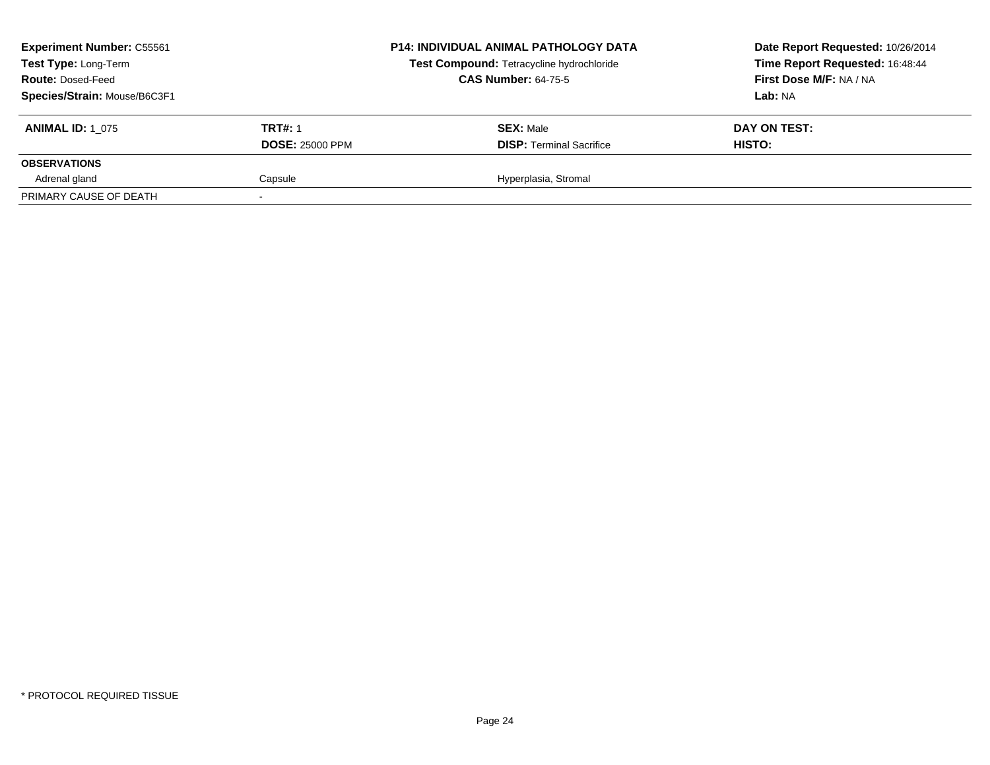| <b>Experiment Number: C55561</b><br>Test Type: Long-Term<br><b>Route: Dosed-Feed</b><br>Species/Strain: Mouse/B6C3F1 |                                          | <b>P14: INDIVIDUAL ANIMAL PATHOLOGY DATA</b><br>Test Compound: Tetracycline hydrochloride<br><b>CAS Number: 64-75-5</b> | Date Report Requested: 10/26/2014<br>Time Report Requested: 16:48:44<br>First Dose M/F: NA / NA<br>Lab: NA |
|----------------------------------------------------------------------------------------------------------------------|------------------------------------------|-------------------------------------------------------------------------------------------------------------------------|------------------------------------------------------------------------------------------------------------|
| <b>ANIMAL ID: 1 075</b>                                                                                              | <b>TRT#: 1</b><br><b>DOSE: 25000 PPM</b> | <b>SEX: Male</b><br><b>DISP: Terminal Sacrifice</b>                                                                     | DAY ON TEST:<br>HISTO:                                                                                     |
| <b>OBSERVATIONS</b>                                                                                                  |                                          |                                                                                                                         |                                                                                                            |
| Adrenal gland                                                                                                        | Capsule                                  | Hyperplasia, Stromal                                                                                                    |                                                                                                            |
| PRIMARY CAUSE OF DEATH                                                                                               |                                          |                                                                                                                         |                                                                                                            |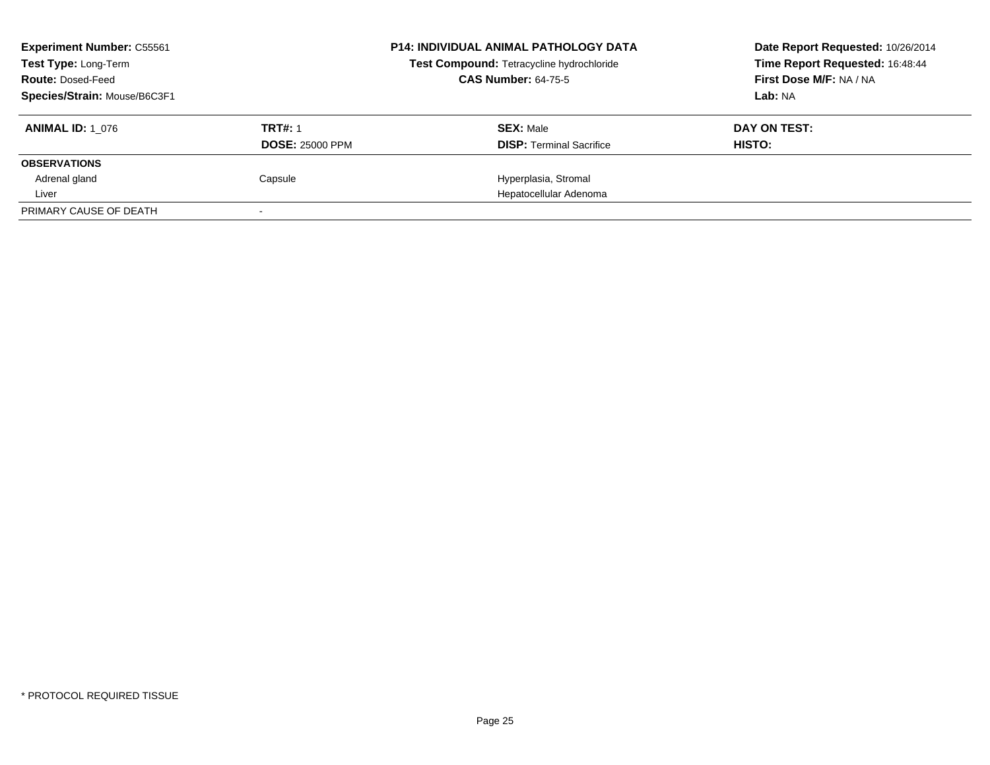| <b>Experiment Number: C55561</b><br><b>Test Type: Long-Term</b><br><b>Route: Dosed-Feed</b> |                                          | <b>P14: INDIVIDUAL ANIMAL PATHOLOGY DATA</b><br>Test Compound: Tetracycline hydrochloride<br><b>CAS Number: 64-75-5</b> | Date Report Requested: 10/26/2014<br>Time Report Requested: 16:48:44<br>First Dose M/F: NA / NA |
|---------------------------------------------------------------------------------------------|------------------------------------------|-------------------------------------------------------------------------------------------------------------------------|-------------------------------------------------------------------------------------------------|
| Species/Strain: Mouse/B6C3F1                                                                |                                          |                                                                                                                         | Lab: NA                                                                                         |
| <b>ANIMAL ID: 1 076</b>                                                                     | <b>TRT#: 1</b><br><b>DOSE: 25000 PPM</b> | <b>SEX: Male</b><br><b>DISP:</b> Terminal Sacrifice                                                                     | DAY ON TEST:<br>HISTO:                                                                          |
| <b>OBSERVATIONS</b>                                                                         |                                          |                                                                                                                         |                                                                                                 |
| Adrenal gland                                                                               | Capsule                                  | Hyperplasia, Stromal                                                                                                    |                                                                                                 |
| Liver                                                                                       |                                          | Hepatocellular Adenoma                                                                                                  |                                                                                                 |
| PRIMARY CAUSE OF DEATH                                                                      |                                          |                                                                                                                         |                                                                                                 |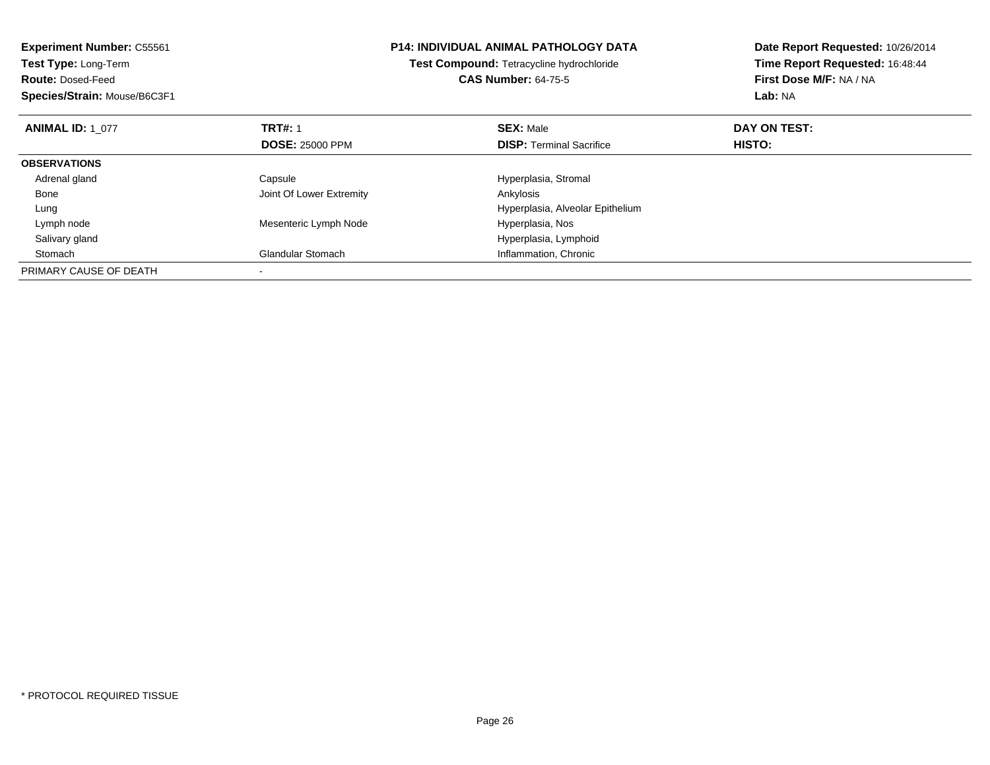| <b>Experiment Number: C55561</b> |                          | <b>P14: INDIVIDUAL ANIMAL PATHOLOGY DATA</b> | Date Report Requested: 10/26/2014 |
|----------------------------------|--------------------------|----------------------------------------------|-----------------------------------|
| Test Type: Long-Term             |                          | Test Compound: Tetracycline hydrochloride    | Time Report Requested: 16:48:44   |
| <b>Route: Dosed-Feed</b>         |                          | <b>CAS Number: 64-75-5</b>                   | First Dose M/F: NA / NA           |
| Species/Strain: Mouse/B6C3F1     |                          |                                              | Lab: NA                           |
| <b>ANIMAL ID: 1 077</b>          | <b>TRT#: 1</b>           | <b>SEX: Male</b>                             | DAY ON TEST:                      |
|                                  | <b>DOSE: 25000 PPM</b>   | <b>DISP: Terminal Sacrifice</b>              | <b>HISTO:</b>                     |
| <b>OBSERVATIONS</b>              |                          |                                              |                                   |
| Adrenal gland                    | Capsule                  | Hyperplasia, Stromal                         |                                   |
| Bone                             | Joint Of Lower Extremity | Ankylosis                                    |                                   |
| Lung                             |                          | Hyperplasia, Alveolar Epithelium             |                                   |
| Lymph node                       | Mesenteric Lymph Node    | Hyperplasia, Nos                             |                                   |
| Salivary gland                   |                          | Hyperplasia, Lymphoid                        |                                   |
| Stomach                          | <b>Glandular Stomach</b> | Inflammation, Chronic                        |                                   |
| PRIMARY CAUSE OF DEATH           |                          |                                              |                                   |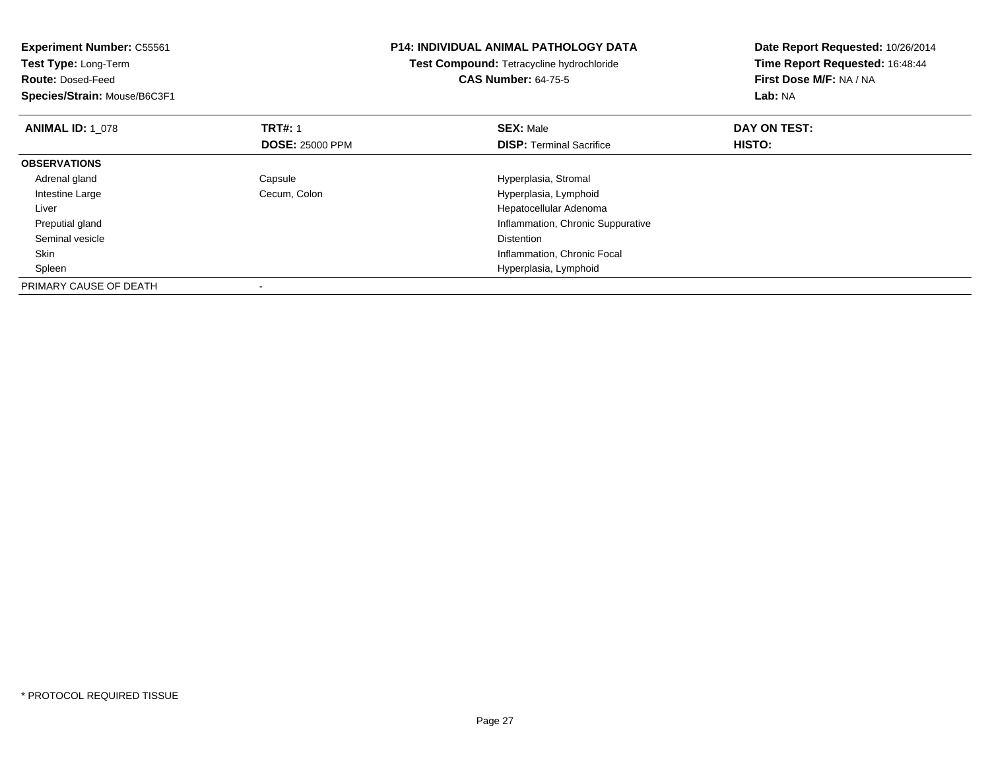| <b>Experiment Number: C55561</b> |                        | <b>P14: INDIVIDUAL ANIMAL PATHOLOGY DATA</b>     | Date Report Requested: 10/26/2014 |
|----------------------------------|------------------------|--------------------------------------------------|-----------------------------------|
| <b>Test Type: Long-Term</b>      |                        | <b>Test Compound: Tetracycline hydrochloride</b> | Time Report Requested: 16:48:44   |
| <b>Route: Dosed-Feed</b>         |                        | <b>CAS Number: 64-75-5</b>                       | First Dose M/F: NA / NA           |
| Species/Strain: Mouse/B6C3F1     |                        |                                                  | <b>Lab: NA</b>                    |
| <b>ANIMAL ID: 1 078</b>          | <b>TRT#: 1</b>         | <b>SEX: Male</b>                                 | DAY ON TEST:                      |
|                                  | <b>DOSE: 25000 PPM</b> | <b>DISP:</b> Terminal Sacrifice                  | HISTO:                            |
| <b>OBSERVATIONS</b>              |                        |                                                  |                                   |
| Adrenal gland                    | Capsule                | Hyperplasia, Stromal                             |                                   |
| Intestine Large                  | Cecum, Colon           | Hyperplasia, Lymphoid                            |                                   |
| Liver                            |                        | Hepatocellular Adenoma                           |                                   |
| Preputial gland                  |                        | Inflammation, Chronic Suppurative                |                                   |
| Seminal vesicle                  |                        | <b>Distention</b>                                |                                   |
| Skin                             |                        | Inflammation, Chronic Focal                      |                                   |
| Spleen                           |                        | Hyperplasia, Lymphoid                            |                                   |
| PRIMARY CAUSE OF DEATH           |                        |                                                  |                                   |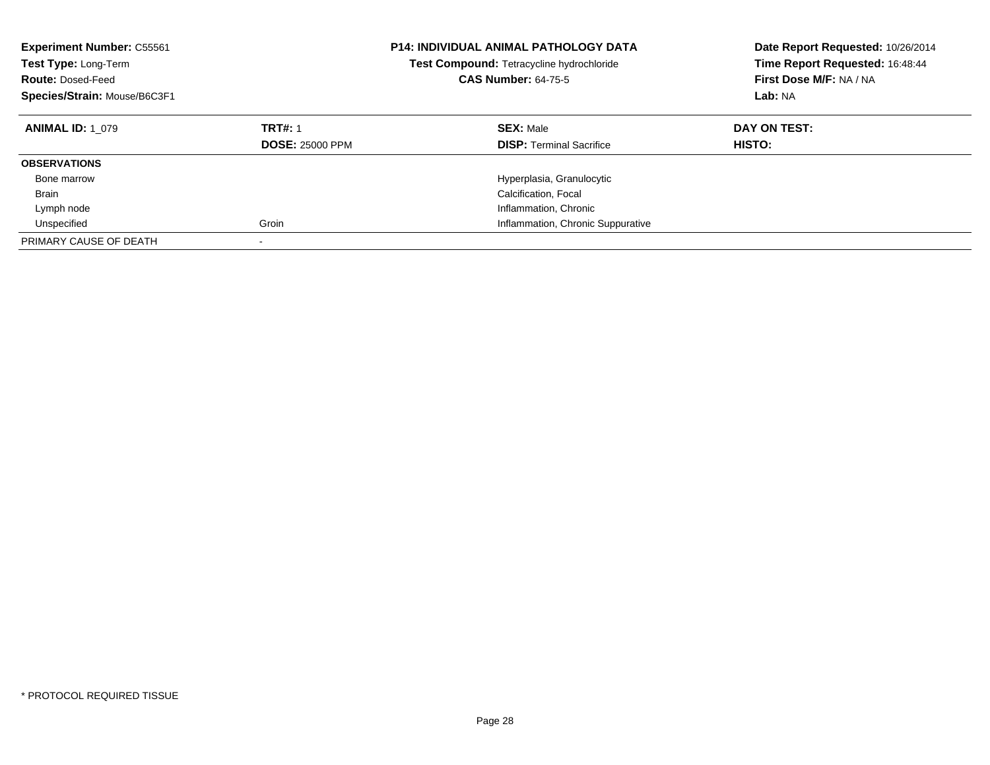| <b>Experiment Number: C55561</b><br>Test Type: Long-Term<br><b>Route: Dosed-Feed</b><br>Species/Strain: Mouse/B6C3F1 |                                          | <b>P14: INDIVIDUAL ANIMAL PATHOLOGY DATA</b><br>Test Compound: Tetracycline hydrochloride<br><b>CAS Number: 64-75-5</b> | Date Report Requested: 10/26/2014<br>Time Report Requested: 16:48:44<br>First Dose M/F: NA / NA<br>Lab: NA |
|----------------------------------------------------------------------------------------------------------------------|------------------------------------------|-------------------------------------------------------------------------------------------------------------------------|------------------------------------------------------------------------------------------------------------|
| <b>ANIMAL ID: 1 079</b>                                                                                              | <b>TRT#: 1</b><br><b>DOSE: 25000 PPM</b> | <b>SEX: Male</b><br><b>DISP:</b> Terminal Sacrifice                                                                     | DAY ON TEST:<br><b>HISTO:</b>                                                                              |
| <b>OBSERVATIONS</b>                                                                                                  |                                          |                                                                                                                         |                                                                                                            |
| Bone marrow                                                                                                          |                                          | Hyperplasia, Granulocytic                                                                                               |                                                                                                            |
| <b>Brain</b>                                                                                                         |                                          | Calcification, Focal                                                                                                    |                                                                                                            |
| Lymph node                                                                                                           |                                          | Inflammation, Chronic                                                                                                   |                                                                                                            |
| Unspecified                                                                                                          | Groin                                    | Inflammation, Chronic Suppurative                                                                                       |                                                                                                            |
| PRIMARY CAUSE OF DEATH                                                                                               | ٠                                        |                                                                                                                         |                                                                                                            |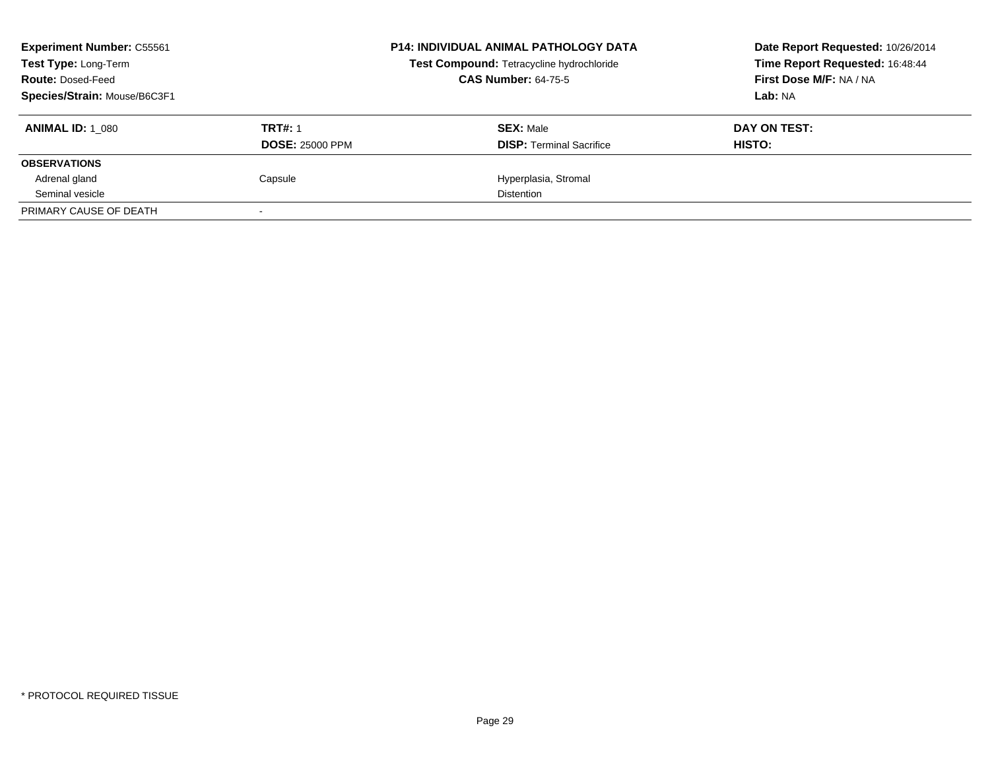| <b>Experiment Number: C55561</b><br><b>Test Type: Long-Term</b><br><b>Route: Dosed-Feed</b><br>Species/Strain: Mouse/B6C3F1 |                                          | <b>P14: INDIVIDUAL ANIMAL PATHOLOGY DATA</b><br>Test Compound: Tetracycline hydrochloride<br><b>CAS Number: 64-75-5</b> | Date Report Requested: 10/26/2014<br>Time Report Requested: 16:48:44<br>First Dose M/F: NA / NA<br>Lab: NA |
|-----------------------------------------------------------------------------------------------------------------------------|------------------------------------------|-------------------------------------------------------------------------------------------------------------------------|------------------------------------------------------------------------------------------------------------|
| <b>ANIMAL ID: 1 080</b>                                                                                                     | <b>TRT#: 1</b><br><b>DOSE: 25000 PPM</b> | <b>SEX: Male</b><br><b>DISP:</b> Terminal Sacrifice                                                                     | DAY ON TEST:<br>HISTO:                                                                                     |
| <b>OBSERVATIONS</b>                                                                                                         |                                          |                                                                                                                         |                                                                                                            |
| Adrenal gland                                                                                                               | Capsule                                  | Hyperplasia, Stromal                                                                                                    |                                                                                                            |
| Seminal vesicle                                                                                                             |                                          | <b>Distention</b>                                                                                                       |                                                                                                            |
| PRIMARY CAUSE OF DEATH                                                                                                      |                                          |                                                                                                                         |                                                                                                            |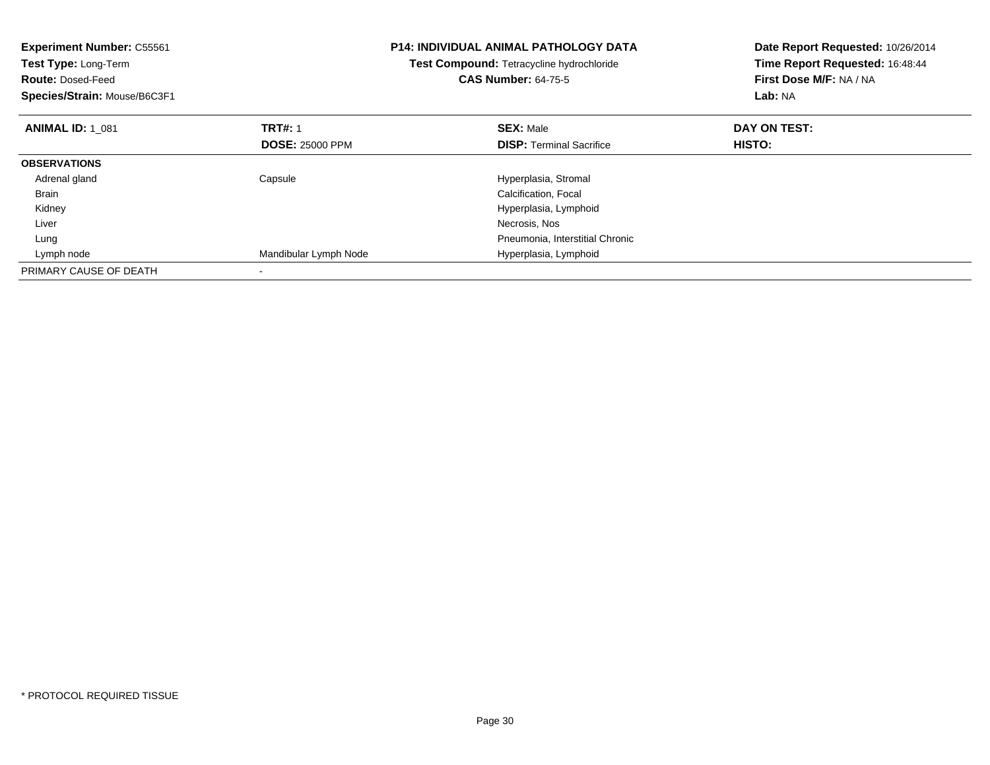| <b>Experiment Number: C55561</b><br>Test Type: Long-Term<br><b>Route: Dosed-Feed</b><br>Species/Strain: Mouse/B6C3F1 |                        | <b>P14: INDIVIDUAL ANIMAL PATHOLOGY DATA</b><br>Test Compound: Tetracycline hydrochloride<br><b>CAS Number: 64-75-5</b> | Date Report Requested: 10/26/2014<br>Time Report Requested: 16:48:44<br>First Dose M/F: NA / NA<br>Lab: NA |
|----------------------------------------------------------------------------------------------------------------------|------------------------|-------------------------------------------------------------------------------------------------------------------------|------------------------------------------------------------------------------------------------------------|
| <b>ANIMAL ID: 1 081</b>                                                                                              | <b>TRT#: 1</b>         | <b>SEX: Male</b>                                                                                                        | DAY ON TEST:                                                                                               |
|                                                                                                                      | <b>DOSE: 25000 PPM</b> | <b>DISP:</b> Terminal Sacrifice                                                                                         | HISTO:                                                                                                     |
| <b>OBSERVATIONS</b>                                                                                                  |                        |                                                                                                                         |                                                                                                            |
| Adrenal gland                                                                                                        | Capsule                | Hyperplasia, Stromal                                                                                                    |                                                                                                            |
| <b>Brain</b>                                                                                                         |                        | Calcification, Focal                                                                                                    |                                                                                                            |
| Kidney                                                                                                               |                        | Hyperplasia, Lymphoid                                                                                                   |                                                                                                            |
| Liver                                                                                                                |                        | Necrosis, Nos                                                                                                           |                                                                                                            |
| Lung                                                                                                                 |                        | Pneumonia, Interstitial Chronic                                                                                         |                                                                                                            |
| Lymph node                                                                                                           | Mandibular Lymph Node  | Hyperplasia, Lymphoid                                                                                                   |                                                                                                            |
| PRIMARY CAUSE OF DEATH                                                                                               |                        |                                                                                                                         |                                                                                                            |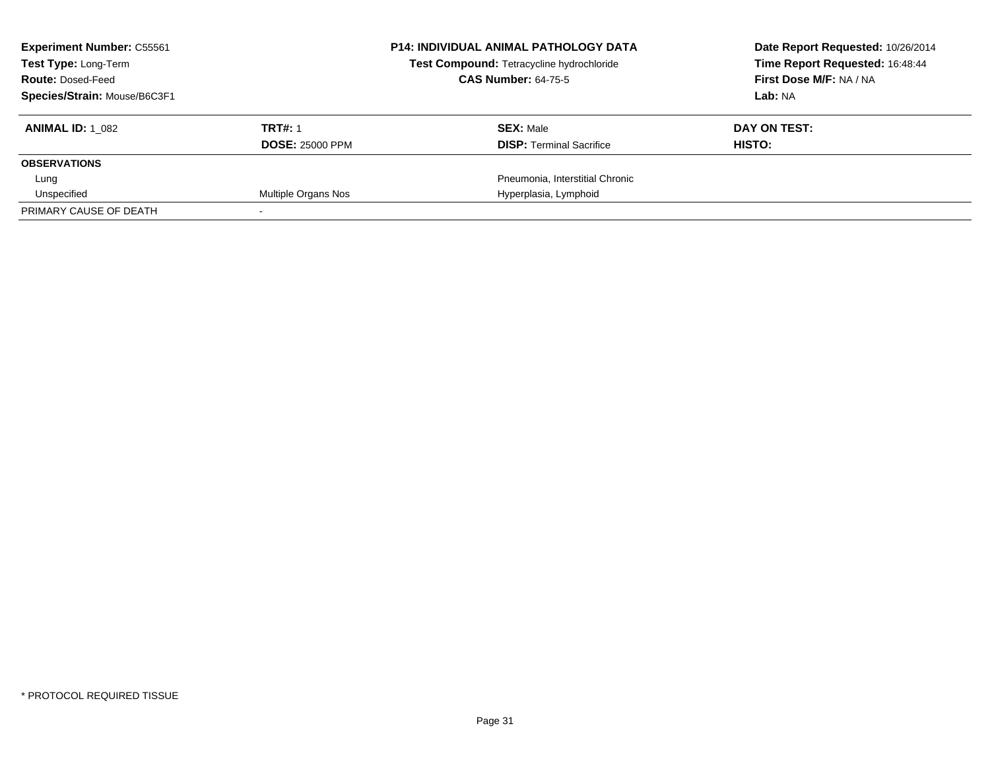| <b>Experiment Number: C55561</b><br><b>Test Type: Long-Term</b> |                        | <b>P14: INDIVIDUAL ANIMAL PATHOLOGY DATA</b><br>Test Compound: Tetracycline hydrochloride | Date Report Requested: 10/26/2014<br>Time Report Requested: 16:48:44 |
|-----------------------------------------------------------------|------------------------|-------------------------------------------------------------------------------------------|----------------------------------------------------------------------|
| <b>Route: Dosed-Feed</b>                                        |                        | <b>CAS Number: 64-75-5</b>                                                                | First Dose M/F: NA / NA                                              |
| Species/Strain: Mouse/B6C3F1                                    |                        |                                                                                           | Lab: NA                                                              |
| <b>ANIMAL ID: 1 082</b>                                         | <b>TRT#: 1</b>         | <b>SEX: Male</b>                                                                          | DAY ON TEST:                                                         |
|                                                                 | <b>DOSE: 25000 PPM</b> | <b>DISP:</b> Terminal Sacrifice                                                           | HISTO:                                                               |
| <b>OBSERVATIONS</b>                                             |                        |                                                                                           |                                                                      |
| Lung                                                            |                        | Pneumonia, Interstitial Chronic                                                           |                                                                      |
| Unspecified                                                     | Multiple Organs Nos    | Hyperplasia, Lymphoid                                                                     |                                                                      |
| PRIMARY CAUSE OF DEATH                                          |                        |                                                                                           |                                                                      |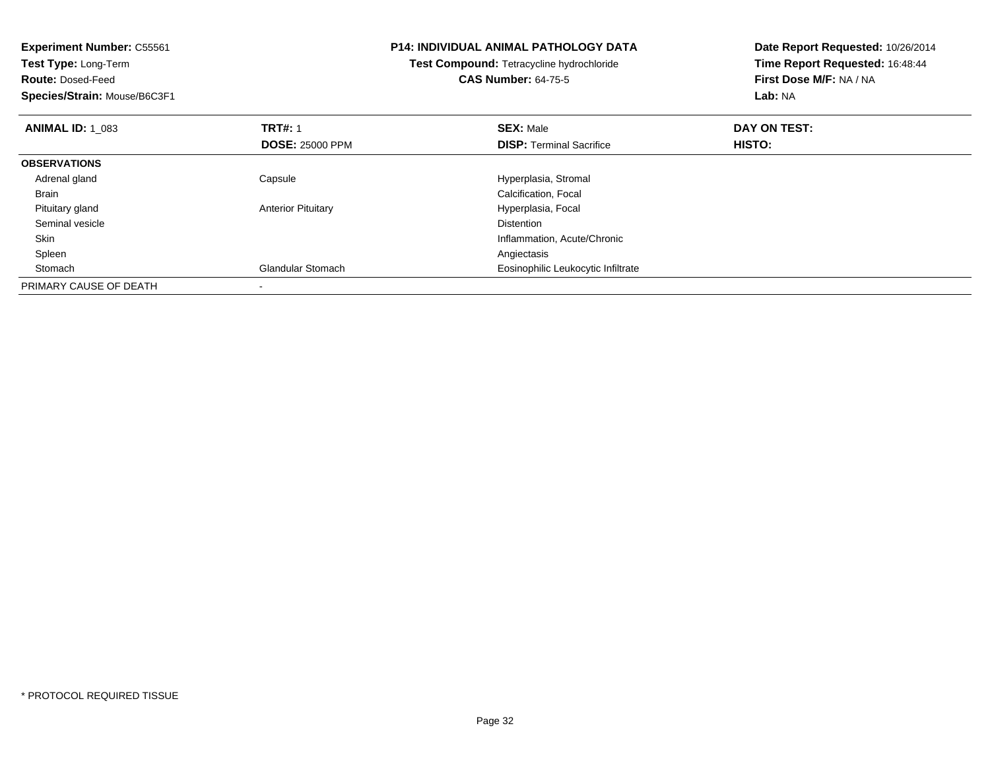| <b>Experiment Number: C55561</b> |                           | <b>P14: INDIVIDUAL ANIMAL PATHOLOGY DATA</b>     | Date Report Requested: 10/26/2014 |
|----------------------------------|---------------------------|--------------------------------------------------|-----------------------------------|
| <b>Test Type: Long-Term</b>      |                           | <b>Test Compound: Tetracycline hydrochloride</b> | Time Report Requested: 16:48:44   |
| <b>Route: Dosed-Feed</b>         |                           | <b>CAS Number: 64-75-5</b>                       | First Dose M/F: NA / NA           |
| Species/Strain: Mouse/B6C3F1     |                           |                                                  | <b>Lab: NA</b>                    |
| <b>ANIMAL ID: 1 083</b>          | <b>TRT#: 1</b>            | <b>SEX: Male</b>                                 | DAY ON TEST:                      |
|                                  | <b>DOSE: 25000 PPM</b>    | <b>DISP:</b> Terminal Sacrifice                  | <b>HISTO:</b>                     |
| <b>OBSERVATIONS</b>              |                           |                                                  |                                   |
| Adrenal gland                    | Capsule                   | Hyperplasia, Stromal                             |                                   |
| Brain                            |                           | Calcification, Focal                             |                                   |
| Pituitary gland                  | <b>Anterior Pituitary</b> | Hyperplasia, Focal                               |                                   |
| Seminal vesicle                  |                           | <b>Distention</b>                                |                                   |
| Skin                             |                           | Inflammation, Acute/Chronic                      |                                   |
| Spleen                           |                           | Angiectasis                                      |                                   |
| Stomach                          | <b>Glandular Stomach</b>  | Eosinophilic Leukocytic Infiltrate               |                                   |
| PRIMARY CAUSE OF DEATH           |                           |                                                  |                                   |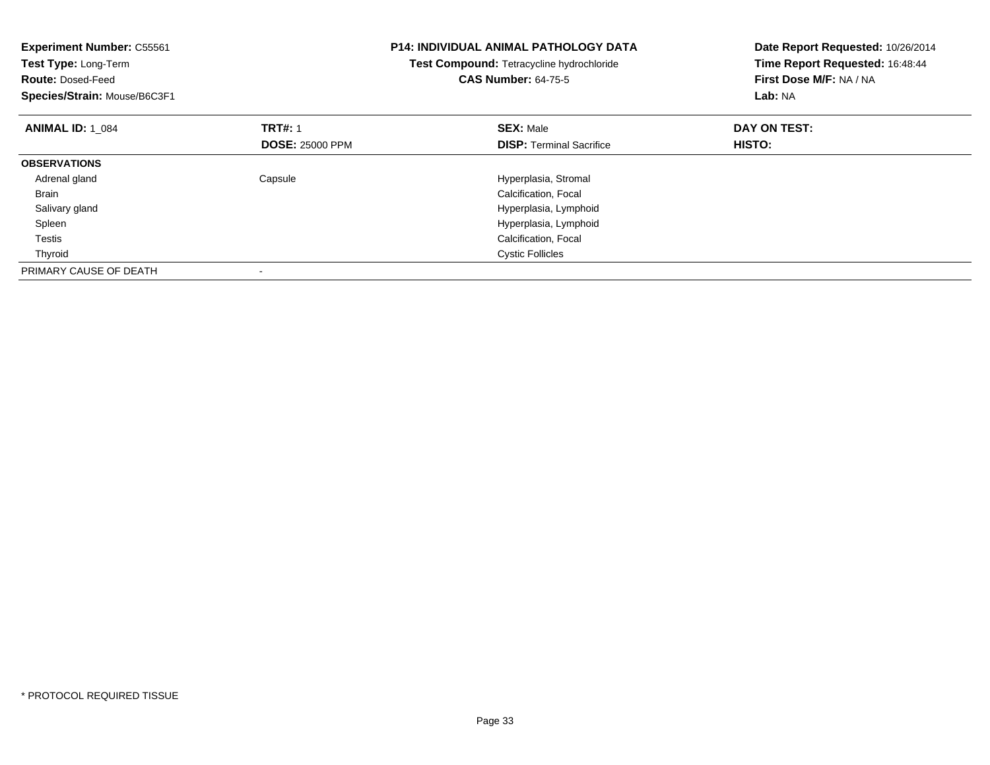| <b>Experiment Number: C55561</b><br>Test Type: Long-Term<br><b>Route: Dosed-Feed</b><br>Species/Strain: Mouse/B6C3F1 |                        | P14: INDIVIDUAL ANIMAL PATHOLOGY DATA<br>Test Compound: Tetracycline hydrochloride<br><b>CAS Number: 64-75-5</b> | Date Report Requested: 10/26/2014<br>Time Report Requested: 16:48:44<br>First Dose M/F: NA / NA<br>Lab: NA |
|----------------------------------------------------------------------------------------------------------------------|------------------------|------------------------------------------------------------------------------------------------------------------|------------------------------------------------------------------------------------------------------------|
| <b>ANIMAL ID: 1 084</b>                                                                                              | <b>TRT#: 1</b>         | <b>SEX: Male</b>                                                                                                 | DAY ON TEST:                                                                                               |
|                                                                                                                      | <b>DOSE: 25000 PPM</b> | <b>DISP:</b> Terminal Sacrifice                                                                                  | HISTO:                                                                                                     |
| <b>OBSERVATIONS</b>                                                                                                  |                        |                                                                                                                  |                                                                                                            |
| Adrenal gland                                                                                                        | Capsule                | Hyperplasia, Stromal                                                                                             |                                                                                                            |
| <b>Brain</b>                                                                                                         |                        | Calcification, Focal                                                                                             |                                                                                                            |
| Salivary gland                                                                                                       |                        | Hyperplasia, Lymphoid                                                                                            |                                                                                                            |
| Spleen                                                                                                               |                        | Hyperplasia, Lymphoid                                                                                            |                                                                                                            |
| Testis                                                                                                               |                        | Calcification, Focal                                                                                             |                                                                                                            |
| Thyroid                                                                                                              |                        | <b>Cystic Follicles</b>                                                                                          |                                                                                                            |
| PRIMARY CAUSE OF DEATH                                                                                               |                        |                                                                                                                  |                                                                                                            |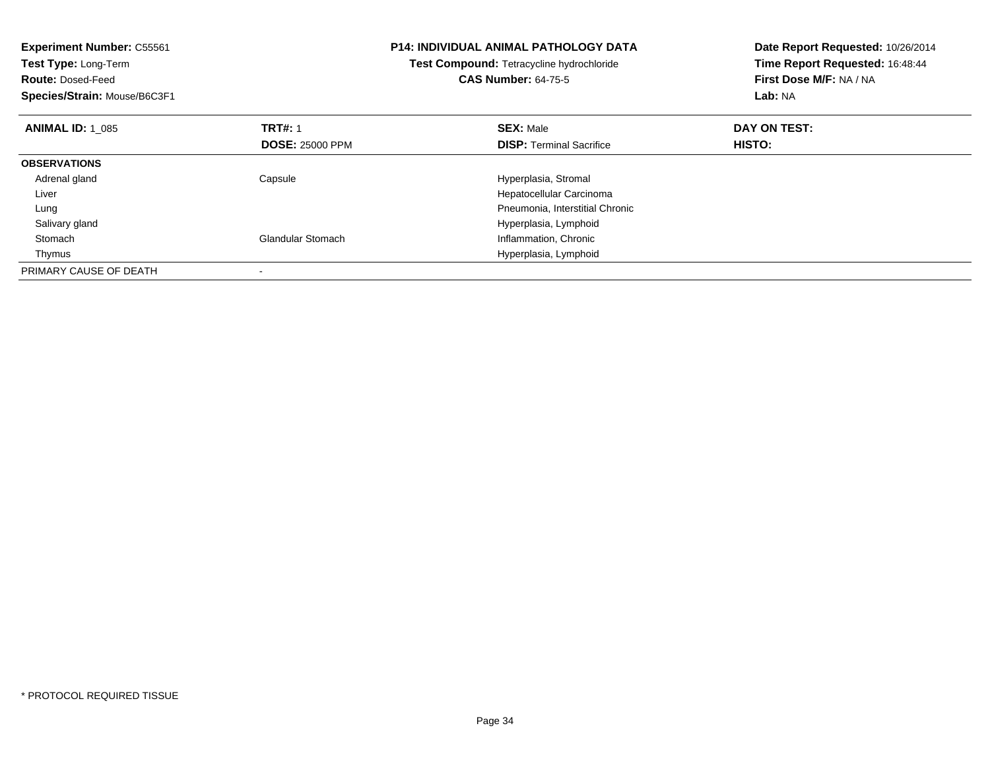| <b>Experiment Number: C55561</b><br>Test Type: Long-Term<br><b>Route: Dosed-Feed</b><br>Species/Strain: Mouse/B6C3F1 |                          | <b>P14: INDIVIDUAL ANIMAL PATHOLOGY DATA</b><br>Test Compound: Tetracycline hydrochloride<br><b>CAS Number: 64-75-5</b> | Date Report Requested: 10/26/2014<br>Time Report Requested: 16:48:44<br>First Dose M/F: NA / NA<br>Lab: NA |
|----------------------------------------------------------------------------------------------------------------------|--------------------------|-------------------------------------------------------------------------------------------------------------------------|------------------------------------------------------------------------------------------------------------|
| <b>ANIMAL ID: 1 085</b>                                                                                              | <b>TRT#: 1</b>           | <b>SEX: Male</b>                                                                                                        | DAY ON TEST:                                                                                               |
|                                                                                                                      | <b>DOSE: 25000 PPM</b>   | <b>DISP:</b> Terminal Sacrifice                                                                                         | HISTO:                                                                                                     |
| <b>OBSERVATIONS</b>                                                                                                  |                          |                                                                                                                         |                                                                                                            |
| Adrenal gland                                                                                                        | Capsule                  | Hyperplasia, Stromal                                                                                                    |                                                                                                            |
| Liver                                                                                                                |                          | Hepatocellular Carcinoma                                                                                                |                                                                                                            |
| Lung                                                                                                                 |                          | Pneumonia, Interstitial Chronic                                                                                         |                                                                                                            |
| Salivary gland                                                                                                       |                          | Hyperplasia, Lymphoid                                                                                                   |                                                                                                            |
| Stomach                                                                                                              | <b>Glandular Stomach</b> | Inflammation, Chronic                                                                                                   |                                                                                                            |
| Thymus                                                                                                               |                          | Hyperplasia, Lymphoid                                                                                                   |                                                                                                            |
| PRIMARY CAUSE OF DEATH                                                                                               |                          |                                                                                                                         |                                                                                                            |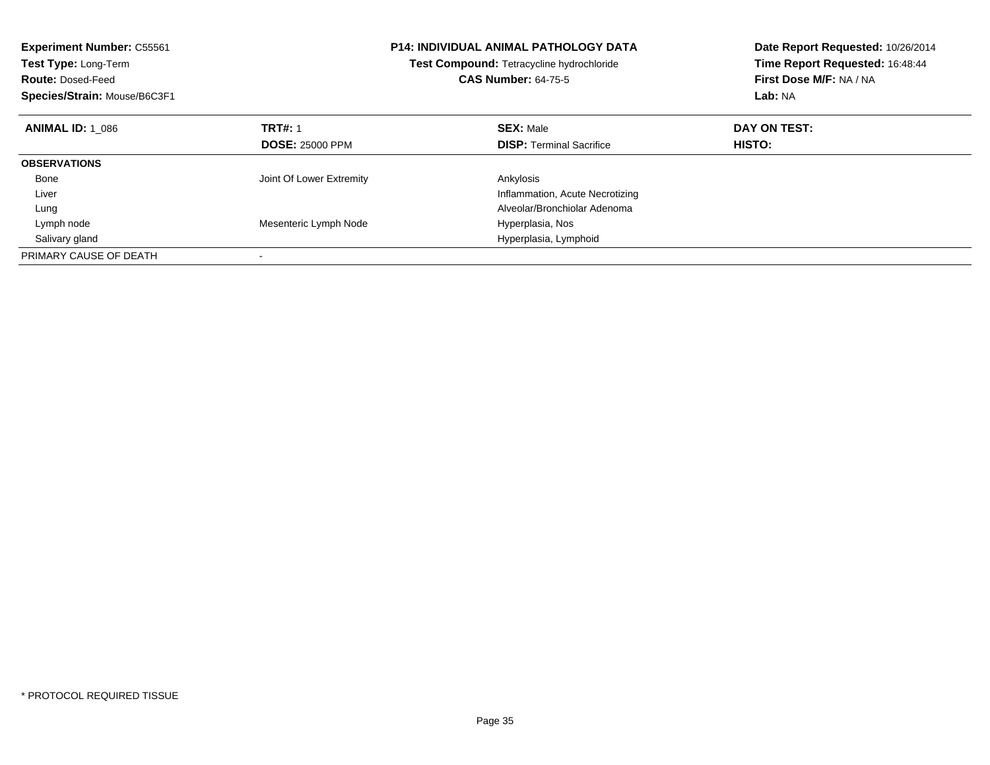| <b>Experiment Number: C55561</b><br>Test Type: Long-Term<br><b>Route: Dosed-Feed</b><br>Species/Strain: Mouse/B6C3F1 |                          | <b>P14: INDIVIDUAL ANIMAL PATHOLOGY DATA</b><br>Test Compound: Tetracycline hydrochloride<br><b>CAS Number: 64-75-5</b> | Date Report Requested: 10/26/2014<br>Time Report Requested: 16:48:44<br>First Dose M/F: NA / NA<br>Lab: NA |
|----------------------------------------------------------------------------------------------------------------------|--------------------------|-------------------------------------------------------------------------------------------------------------------------|------------------------------------------------------------------------------------------------------------|
| <b>ANIMAL ID: 1 086</b>                                                                                              | <b>TRT#: 1</b>           | <b>SEX: Male</b>                                                                                                        | DAY ON TEST:                                                                                               |
|                                                                                                                      | <b>DOSE: 25000 PPM</b>   | <b>DISP:</b> Terminal Sacrifice                                                                                         | HISTO:                                                                                                     |
| <b>OBSERVATIONS</b>                                                                                                  |                          |                                                                                                                         |                                                                                                            |
| Bone                                                                                                                 | Joint Of Lower Extremity | Ankylosis                                                                                                               |                                                                                                            |
| Liver                                                                                                                |                          | Inflammation, Acute Necrotizing                                                                                         |                                                                                                            |
| Lung                                                                                                                 |                          | Alveolar/Bronchiolar Adenoma                                                                                            |                                                                                                            |
| Lymph node                                                                                                           | Mesenteric Lymph Node    | Hyperplasia, Nos                                                                                                        |                                                                                                            |
| Salivary gland                                                                                                       |                          | Hyperplasia, Lymphoid                                                                                                   |                                                                                                            |
| PRIMARY CAUSE OF DEATH                                                                                               |                          |                                                                                                                         |                                                                                                            |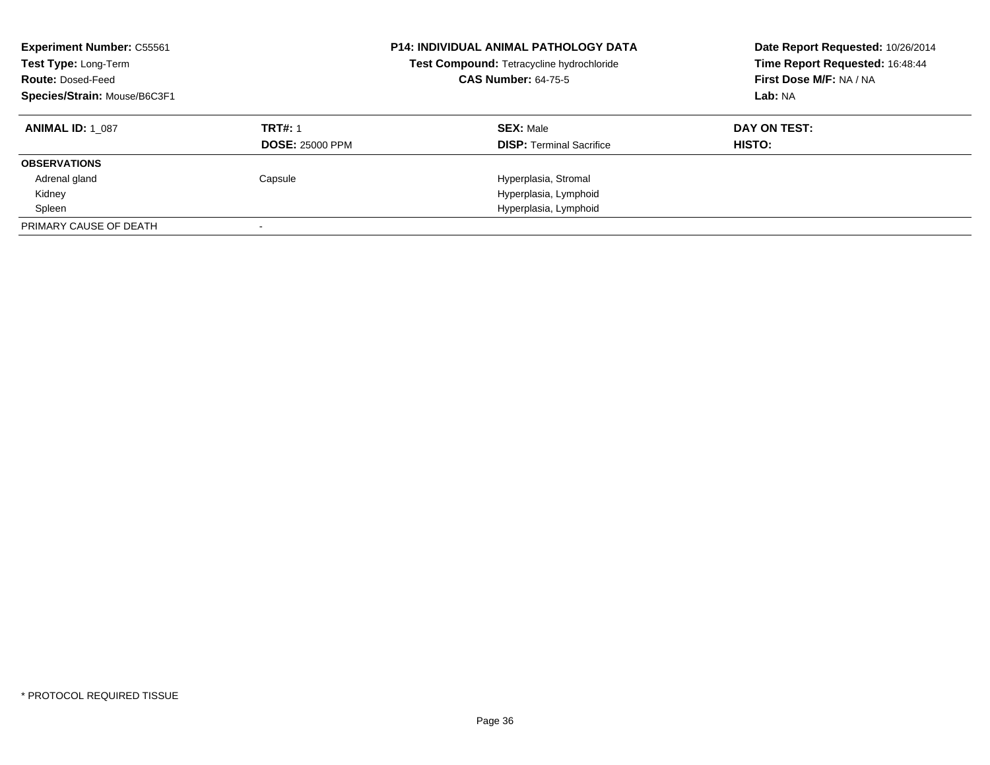| <b>Experiment Number: C55561</b><br>Test Type: Long-Term<br><b>Route: Dosed-Feed</b><br>Species/Strain: Mouse/B6C3F1 |                        | <b>P14: INDIVIDUAL ANIMAL PATHOLOGY DATA</b><br>Test Compound: Tetracycline hydrochloride<br><b>CAS Number: 64-75-5</b> | Date Report Requested: 10/26/2014<br>Time Report Requested: 16:48:44<br>First Dose M/F: NA / NA<br>Lab: NA |
|----------------------------------------------------------------------------------------------------------------------|------------------------|-------------------------------------------------------------------------------------------------------------------------|------------------------------------------------------------------------------------------------------------|
| <b>ANIMAL ID: 1 087</b>                                                                                              | <b>TRT#: 1</b>         | <b>SEX: Male</b>                                                                                                        | DAY ON TEST:                                                                                               |
|                                                                                                                      | <b>DOSE: 25000 PPM</b> | <b>DISP:</b> Terminal Sacrifice                                                                                         | HISTO:                                                                                                     |
| <b>OBSERVATIONS</b>                                                                                                  |                        |                                                                                                                         |                                                                                                            |
| Adrenal gland                                                                                                        | Capsule                | Hyperplasia, Stromal                                                                                                    |                                                                                                            |
| Kidney                                                                                                               |                        | Hyperplasia, Lymphoid                                                                                                   |                                                                                                            |
| Spleen                                                                                                               |                        | Hyperplasia, Lymphoid                                                                                                   |                                                                                                            |
| PRIMARY CAUSE OF DEATH                                                                                               |                        |                                                                                                                         |                                                                                                            |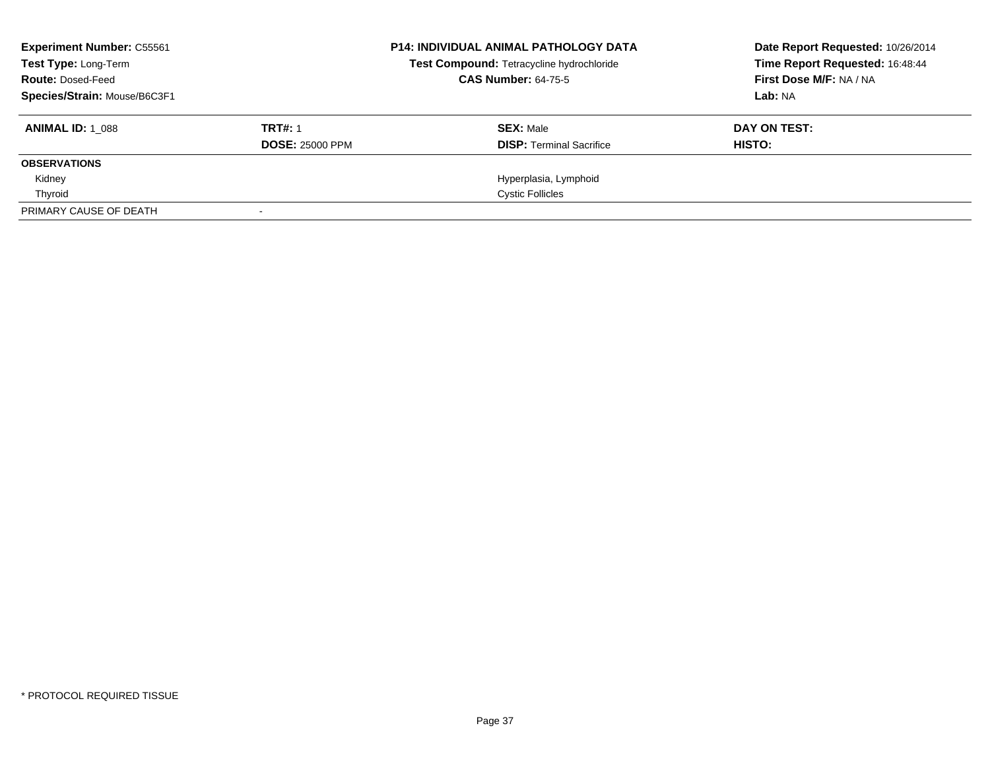| <b>Experiment Number: C55561</b><br>Test Type: Long-Term<br><b>Route: Dosed-Feed</b><br>Species/Strain: Mouse/B6C3F1 |                                          | <b>P14: INDIVIDUAL ANIMAL PATHOLOGY DATA</b><br>Test Compound: Tetracycline hydrochloride<br><b>CAS Number: 64-75-5</b> | Date Report Requested: 10/26/2014<br>Time Report Requested: 16:48:44<br>First Dose M/F: NA / NA<br>Lab: NA |
|----------------------------------------------------------------------------------------------------------------------|------------------------------------------|-------------------------------------------------------------------------------------------------------------------------|------------------------------------------------------------------------------------------------------------|
| <b>ANIMAL ID: 1 088</b>                                                                                              | <b>TRT#: 1</b><br><b>DOSE: 25000 PPM</b> | <b>SEX: Male</b><br><b>DISP: Terminal Sacrifice</b>                                                                     | DAY ON TEST:<br>HISTO:                                                                                     |
| <b>OBSERVATIONS</b>                                                                                                  |                                          |                                                                                                                         |                                                                                                            |
| Kidney                                                                                                               |                                          | Hyperplasia, Lymphoid                                                                                                   |                                                                                                            |
| Thyroid                                                                                                              |                                          | <b>Cystic Follicles</b>                                                                                                 |                                                                                                            |
| PRIMARY CAUSE OF DEATH                                                                                               |                                          |                                                                                                                         |                                                                                                            |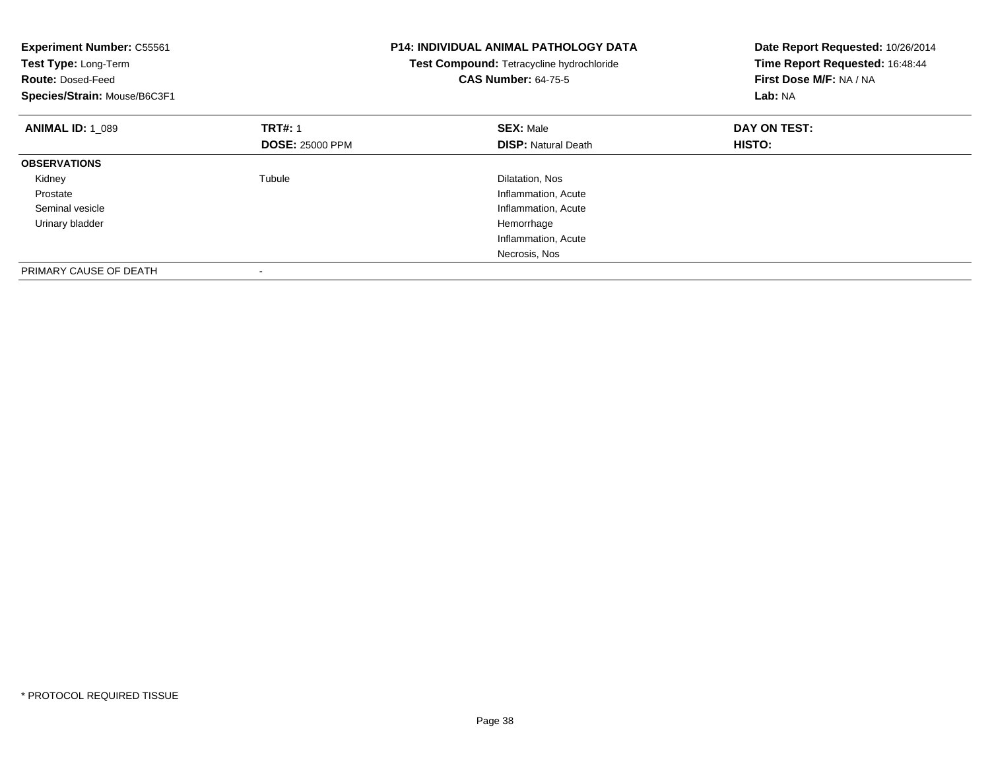| <b>Experiment Number: C55561</b><br>Test Type: Long-Term<br><b>Route: Dosed-Feed</b><br>Species/Strain: Mouse/B6C3F1 |                        | <b>P14: INDIVIDUAL ANIMAL PATHOLOGY DATA</b><br>Test Compound: Tetracycline hydrochloride<br><b>CAS Number: 64-75-5</b> | Date Report Requested: 10/26/2014<br>Time Report Requested: 16:48:44<br>First Dose M/F: NA / NA<br>Lab: NA |
|----------------------------------------------------------------------------------------------------------------------|------------------------|-------------------------------------------------------------------------------------------------------------------------|------------------------------------------------------------------------------------------------------------|
| <b>ANIMAL ID: 1 089</b>                                                                                              | <b>TRT#: 1</b>         | <b>SEX: Male</b>                                                                                                        | DAY ON TEST:                                                                                               |
|                                                                                                                      | <b>DOSE: 25000 PPM</b> | <b>DISP:</b> Natural Death                                                                                              | <b>HISTO:</b>                                                                                              |
| <b>OBSERVATIONS</b>                                                                                                  |                        |                                                                                                                         |                                                                                                            |
| Kidney                                                                                                               | Tubule                 | Dilatation, Nos                                                                                                         |                                                                                                            |
| Prostate                                                                                                             |                        | Inflammation, Acute                                                                                                     |                                                                                                            |
| Seminal vesicle                                                                                                      |                        | Inflammation, Acute                                                                                                     |                                                                                                            |
| Urinary bladder                                                                                                      |                        | Hemorrhage                                                                                                              |                                                                                                            |
|                                                                                                                      |                        | Inflammation, Acute                                                                                                     |                                                                                                            |
|                                                                                                                      |                        | Necrosis, Nos                                                                                                           |                                                                                                            |
| PRIMARY CAUSE OF DEATH                                                                                               |                        |                                                                                                                         |                                                                                                            |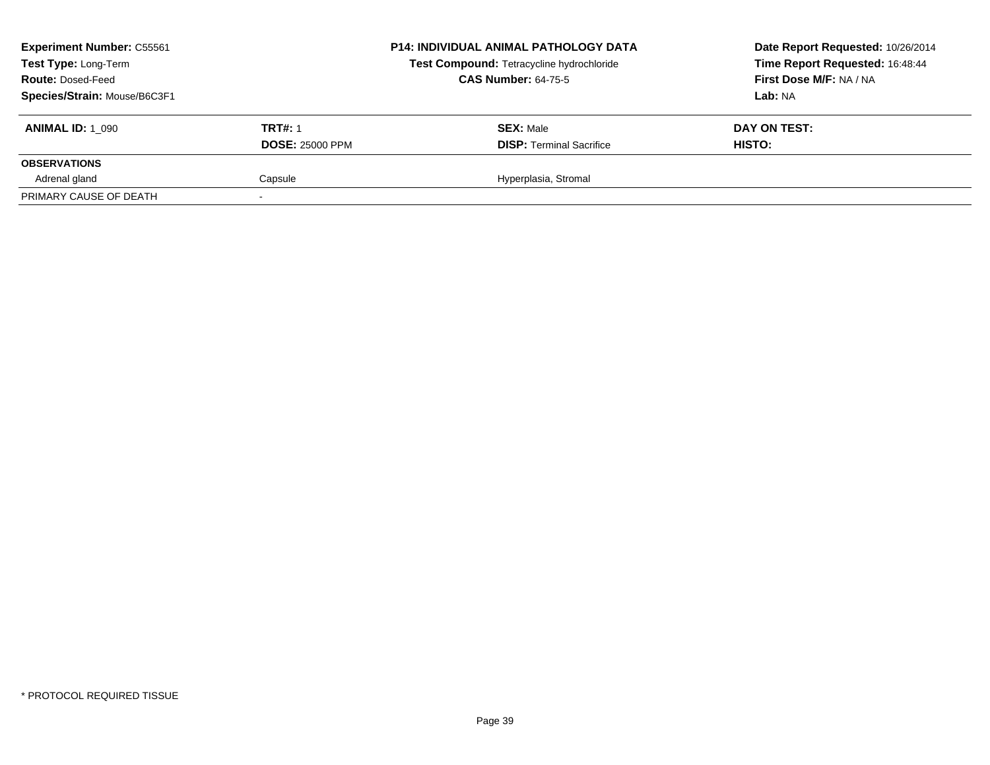| <b>Experiment Number: C55561</b><br>Test Type: Long-Term<br><b>Route: Dosed-Feed</b><br>Species/Strain: Mouse/B6C3F1 |                                          | <b>P14: INDIVIDUAL ANIMAL PATHOLOGY DATA</b><br>Test Compound: Tetracycline hydrochloride<br><b>CAS Number: 64-75-5</b> | Date Report Requested: 10/26/2014<br>Time Report Requested: 16:48:44<br>First Dose M/F: NA / NA<br>Lab: NA |
|----------------------------------------------------------------------------------------------------------------------|------------------------------------------|-------------------------------------------------------------------------------------------------------------------------|------------------------------------------------------------------------------------------------------------|
| <b>ANIMAL ID: 1 090</b>                                                                                              | <b>TRT#: 1</b><br><b>DOSE: 25000 PPM</b> | <b>SEX: Male</b><br><b>DISP: Terminal Sacrifice</b>                                                                     | DAY ON TEST:<br>HISTO:                                                                                     |
| <b>OBSERVATIONS</b>                                                                                                  |                                          |                                                                                                                         |                                                                                                            |
| Adrenal gland                                                                                                        | Capsule                                  | Hyperplasia, Stromal                                                                                                    |                                                                                                            |
| PRIMARY CAUSE OF DEATH                                                                                               |                                          |                                                                                                                         |                                                                                                            |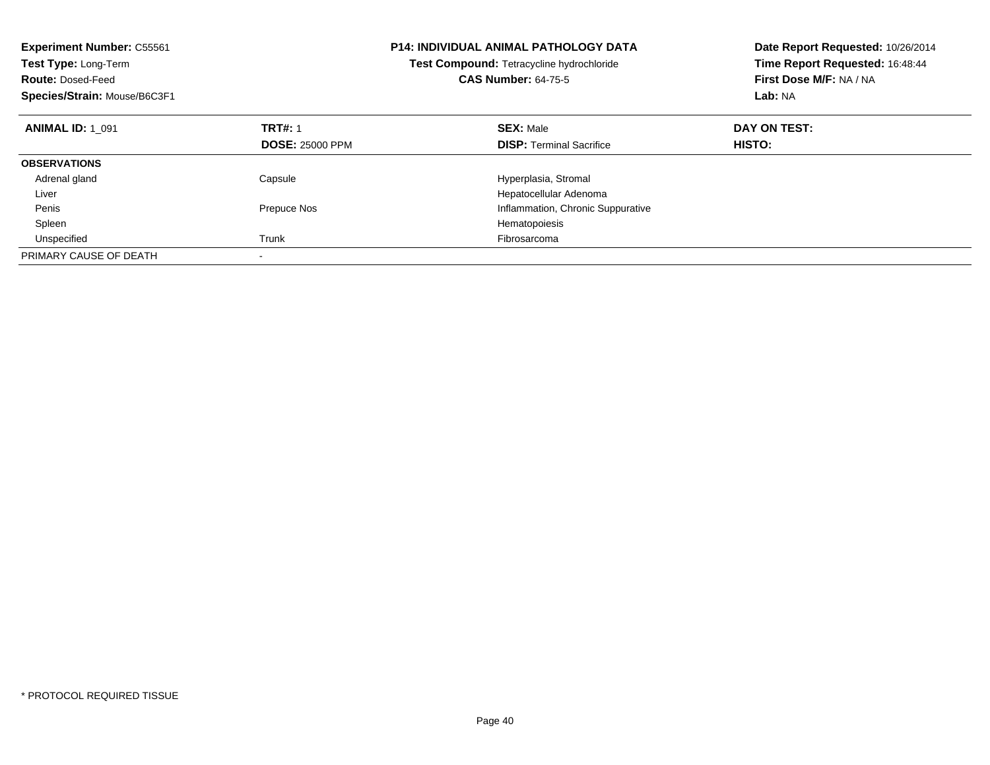| <b>Experiment Number: C55561</b><br>Test Type: Long-Term<br><b>Route: Dosed-Feed</b><br>Species/Strain: Mouse/B6C3F1 |                        | <b>P14: INDIVIDUAL ANIMAL PATHOLOGY DATA</b><br>Test Compound: Tetracycline hydrochloride<br><b>CAS Number: 64-75-5</b> | Date Report Requested: 10/26/2014<br>Time Report Requested: 16:48:44<br>First Dose M/F: NA / NA<br>Lab: NA |
|----------------------------------------------------------------------------------------------------------------------|------------------------|-------------------------------------------------------------------------------------------------------------------------|------------------------------------------------------------------------------------------------------------|
| <b>ANIMAL ID: 1 091</b>                                                                                              | <b>TRT#: 1</b>         | <b>SEX: Male</b>                                                                                                        | DAY ON TEST:                                                                                               |
|                                                                                                                      | <b>DOSE: 25000 PPM</b> | <b>DISP:</b> Terminal Sacrifice                                                                                         | HISTO:                                                                                                     |
| <b>OBSERVATIONS</b>                                                                                                  |                        |                                                                                                                         |                                                                                                            |
| Adrenal gland                                                                                                        | Capsule                | Hyperplasia, Stromal                                                                                                    |                                                                                                            |
| Liver                                                                                                                |                        | Hepatocellular Adenoma                                                                                                  |                                                                                                            |
| Penis                                                                                                                | Prepuce Nos            | Inflammation, Chronic Suppurative                                                                                       |                                                                                                            |
| Spleen                                                                                                               |                        | Hematopoiesis                                                                                                           |                                                                                                            |
| Unspecified                                                                                                          | Trunk                  | Fibrosarcoma                                                                                                            |                                                                                                            |
| PRIMARY CAUSE OF DEATH                                                                                               |                        |                                                                                                                         |                                                                                                            |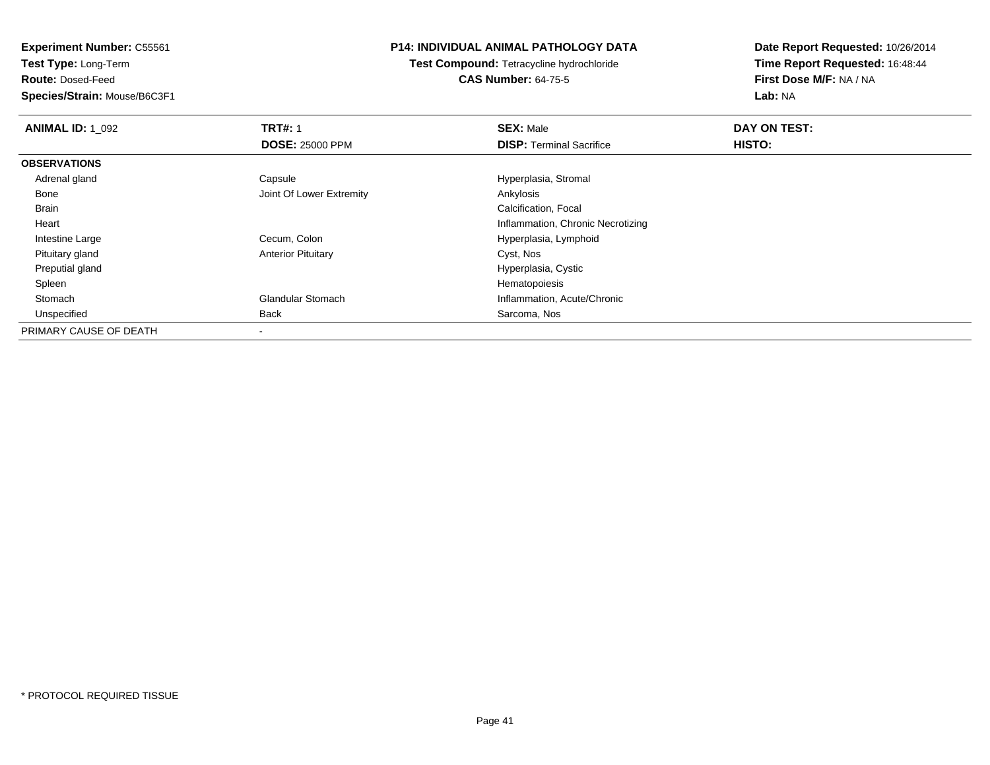**Experiment Number:** C55561

**Test Type:** Long-Term

**Route:** Dosed-Feed

**Species/Strain:** Mouse/B6C3F1

## **P14: INDIVIDUAL ANIMAL PATHOLOGY DATA**

**Test Compound:** Tetracycline hydrochloride**CAS Number:** 64-75-5

**Date Report Requested:** 10/26/2014**Time Report Requested:** 16:48:44**First Dose M/F:** NA / NA**Lab:** NA

| <b>ANIMAL ID: 1 092</b> | <b>TRT#: 1</b>            | <b>SEX: Male</b>                  | DAY ON TEST: |  |
|-------------------------|---------------------------|-----------------------------------|--------------|--|
|                         | <b>DOSE: 25000 PPM</b>    | <b>DISP: Terminal Sacrifice</b>   | HISTO:       |  |
| <b>OBSERVATIONS</b>     |                           |                                   |              |  |
| Adrenal gland           | Capsule                   | Hyperplasia, Stromal              |              |  |
| Bone                    | Joint Of Lower Extremity  | Ankylosis                         |              |  |
| Brain                   |                           | Calcification, Focal              |              |  |
| Heart                   |                           | Inflammation, Chronic Necrotizing |              |  |
| Intestine Large         | Cecum, Colon              | Hyperplasia, Lymphoid             |              |  |
| Pituitary gland         | <b>Anterior Pituitary</b> | Cyst, Nos                         |              |  |
| Preputial gland         |                           | Hyperplasia, Cystic               |              |  |
| Spleen                  |                           | Hematopoiesis                     |              |  |
| Stomach                 | <b>Glandular Stomach</b>  | Inflammation, Acute/Chronic       |              |  |
| Unspecified             | Back                      | Sarcoma, Nos                      |              |  |
| PRIMARY CAUSE OF DEATH  |                           |                                   |              |  |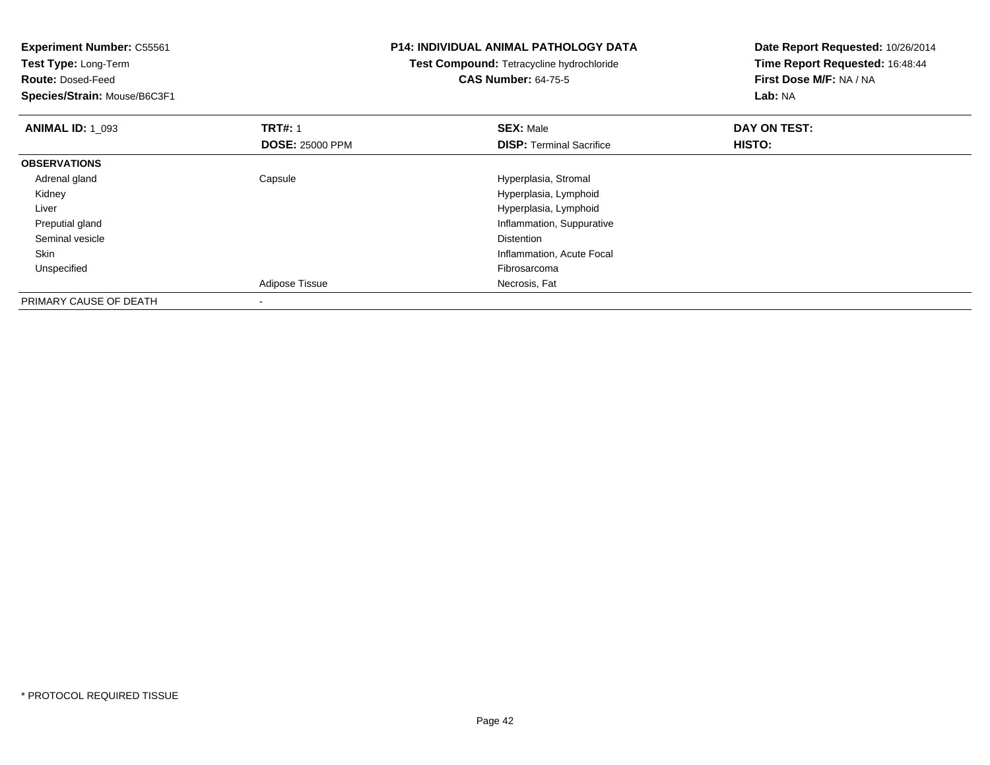| <b>Experiment Number: C55561</b> |                        | <b>P14: INDIVIDUAL ANIMAL PATHOLOGY DATA</b> | Date Report Requested: 10/26/2014 |
|----------------------------------|------------------------|----------------------------------------------|-----------------------------------|
| Test Type: Long-Term             |                        | Test Compound: Tetracycline hydrochloride    | Time Report Requested: 16:48:44   |
| <b>Route: Dosed-Feed</b>         |                        | <b>CAS Number: 64-75-5</b>                   | First Dose M/F: NA / NA           |
| Species/Strain: Mouse/B6C3F1     |                        |                                              | Lab: NA                           |
| <b>ANIMAL ID: 1 093</b>          | <b>TRT#: 1</b>         | <b>SEX: Male</b>                             | DAY ON TEST:                      |
|                                  | <b>DOSE: 25000 PPM</b> | <b>DISP:</b> Terminal Sacrifice              | HISTO:                            |
| <b>OBSERVATIONS</b>              |                        |                                              |                                   |
| Adrenal gland                    | Capsule                | Hyperplasia, Stromal                         |                                   |
| Kidney                           |                        | Hyperplasia, Lymphoid                        |                                   |
| Liver                            |                        | Hyperplasia, Lymphoid                        |                                   |
| Preputial gland                  |                        | Inflammation, Suppurative                    |                                   |
| Seminal vesicle                  |                        | <b>Distention</b>                            |                                   |
| Skin                             |                        | Inflammation, Acute Focal                    |                                   |
| Unspecified                      |                        | Fibrosarcoma                                 |                                   |
|                                  | Adipose Tissue         | Necrosis, Fat                                |                                   |
| PRIMARY CAUSE OF DEATH           |                        |                                              |                                   |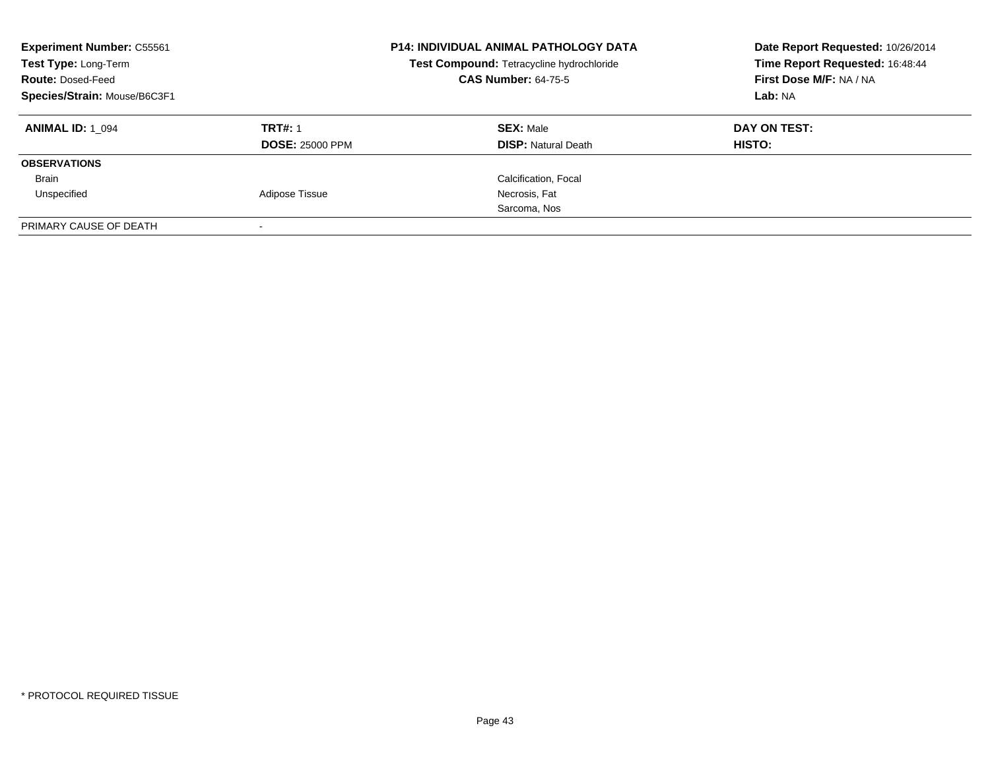| <b>Experiment Number: C55561</b><br>Test Type: Long-Term<br><b>Route: Dosed-Feed</b><br>Species/Strain: Mouse/B6C3F1 |                                          | <b>P14: INDIVIDUAL ANIMAL PATHOLOGY DATA</b><br>Test Compound: Tetracycline hydrochloride<br><b>CAS Number: 64-75-5</b> | Date Report Requested: 10/26/2014<br>Time Report Requested: 16:48:44<br>First Dose M/F: NA / NA<br>Lab: NA |
|----------------------------------------------------------------------------------------------------------------------|------------------------------------------|-------------------------------------------------------------------------------------------------------------------------|------------------------------------------------------------------------------------------------------------|
| <b>ANIMAL ID: 1 094</b>                                                                                              | <b>TRT#: 1</b><br><b>DOSE: 25000 PPM</b> | <b>SEX: Male</b><br><b>DISP:</b> Natural Death                                                                          | DAY ON TEST:<br>HISTO:                                                                                     |
| <b>OBSERVATIONS</b>                                                                                                  |                                          |                                                                                                                         |                                                                                                            |
| <b>Brain</b>                                                                                                         |                                          | Calcification, Focal                                                                                                    |                                                                                                            |
| Unspecified                                                                                                          | Adipose Tissue                           | Necrosis, Fat                                                                                                           |                                                                                                            |
|                                                                                                                      |                                          | Sarcoma, Nos                                                                                                            |                                                                                                            |
| PRIMARY CAUSE OF DEATH                                                                                               |                                          |                                                                                                                         |                                                                                                            |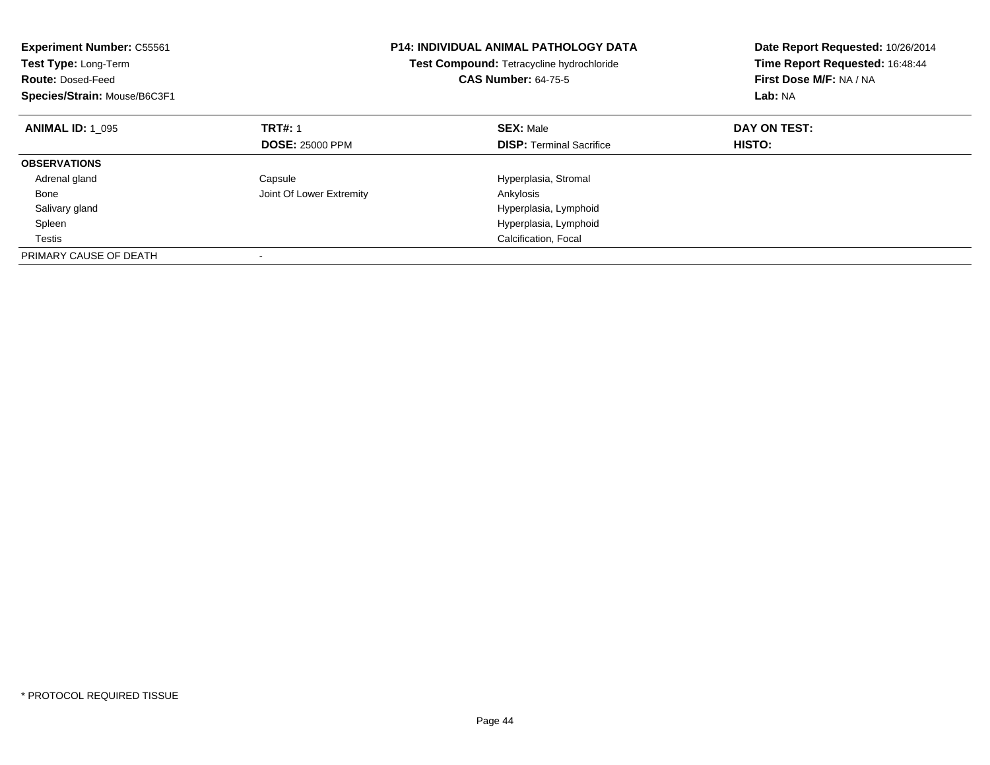| <b>Experiment Number: C55561</b><br>Test Type: Long-Term<br><b>Route: Dosed-Feed</b><br>Species/Strain: Mouse/B6C3F1 |                          | <b>P14: INDIVIDUAL ANIMAL PATHOLOGY DATA</b><br>Test Compound: Tetracycline hydrochloride<br><b>CAS Number: 64-75-5</b> | Date Report Requested: 10/26/2014<br>Time Report Requested: 16:48:44<br>First Dose M/F: NA / NA<br>Lab: NA |
|----------------------------------------------------------------------------------------------------------------------|--------------------------|-------------------------------------------------------------------------------------------------------------------------|------------------------------------------------------------------------------------------------------------|
| <b>ANIMAL ID: 1 095</b>                                                                                              | <b>TRT#: 1</b>           | <b>SEX: Male</b>                                                                                                        | DAY ON TEST:                                                                                               |
|                                                                                                                      | <b>DOSE: 25000 PPM</b>   | <b>DISP:</b> Terminal Sacrifice                                                                                         | HISTO:                                                                                                     |
| <b>OBSERVATIONS</b>                                                                                                  |                          |                                                                                                                         |                                                                                                            |
| Adrenal gland                                                                                                        | Capsule                  | Hyperplasia, Stromal                                                                                                    |                                                                                                            |
| Bone                                                                                                                 | Joint Of Lower Extremity | Ankylosis                                                                                                               |                                                                                                            |
| Salivary gland                                                                                                       |                          | Hyperplasia, Lymphoid                                                                                                   |                                                                                                            |
| Spleen                                                                                                               |                          | Hyperplasia, Lymphoid                                                                                                   |                                                                                                            |
| Testis                                                                                                               |                          | Calcification, Focal                                                                                                    |                                                                                                            |
| PRIMARY CAUSE OF DEATH                                                                                               |                          |                                                                                                                         |                                                                                                            |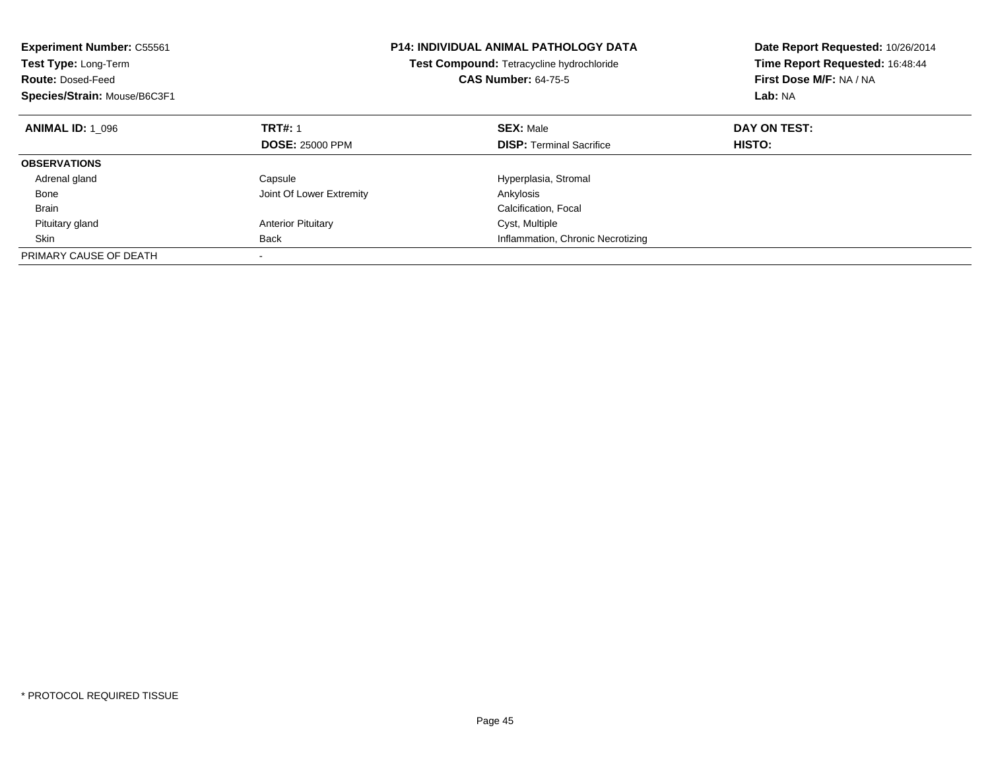| <b>Experiment Number: C55561</b><br>Test Type: Long-Term<br><b>Route: Dosed-Feed</b><br>Species/Strain: Mouse/B6C3F1 |                           | <b>P14: INDIVIDUAL ANIMAL PATHOLOGY DATA</b><br>Test Compound: Tetracycline hydrochloride<br><b>CAS Number: 64-75-5</b> | Date Report Requested: 10/26/2014<br>Time Report Requested: 16:48:44<br>First Dose M/F: NA / NA<br>Lab: NA |
|----------------------------------------------------------------------------------------------------------------------|---------------------------|-------------------------------------------------------------------------------------------------------------------------|------------------------------------------------------------------------------------------------------------|
| <b>ANIMAL ID: 1 096</b>                                                                                              | <b>TRT#: 1</b>            | <b>SEX: Male</b>                                                                                                        | DAY ON TEST:                                                                                               |
|                                                                                                                      | <b>DOSE: 25000 PPM</b>    | <b>DISP: Terminal Sacrifice</b>                                                                                         | HISTO:                                                                                                     |
| <b>OBSERVATIONS</b>                                                                                                  |                           |                                                                                                                         |                                                                                                            |
| Adrenal gland                                                                                                        | Capsule                   | Hyperplasia, Stromal                                                                                                    |                                                                                                            |
| Bone                                                                                                                 | Joint Of Lower Extremity  | Ankylosis                                                                                                               |                                                                                                            |
| <b>Brain</b>                                                                                                         |                           | Calcification, Focal                                                                                                    |                                                                                                            |
| Pituitary gland                                                                                                      | <b>Anterior Pituitary</b> | Cyst, Multiple                                                                                                          |                                                                                                            |
| Skin                                                                                                                 | <b>Back</b>               | Inflammation, Chronic Necrotizing                                                                                       |                                                                                                            |
| PRIMARY CAUSE OF DEATH                                                                                               |                           |                                                                                                                         |                                                                                                            |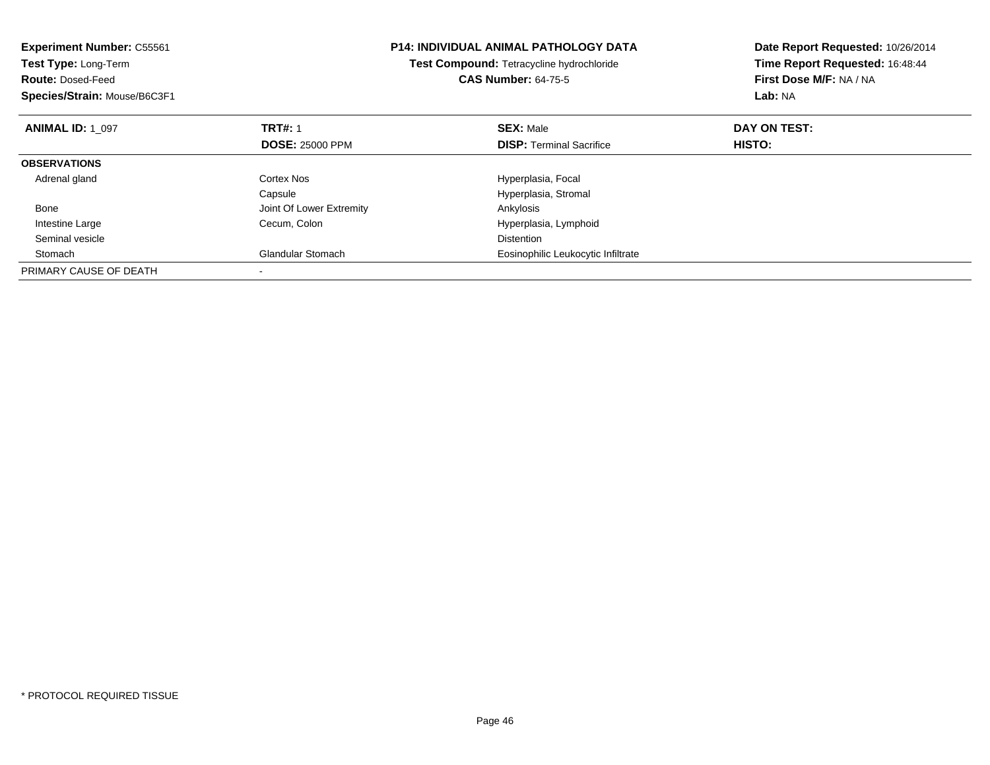| <b>Experiment Number: C55561</b><br><b>Test Type: Long-Term</b><br><b>Route: Dosed-Feed</b><br>Species/Strain: Mouse/B6C3F1 |                                          | <b>P14: INDIVIDUAL ANIMAL PATHOLOGY DATA</b><br>Test Compound: Tetracycline hydrochloride<br><b>CAS Number: 64-75-5</b> | Date Report Requested: 10/26/2014<br>Time Report Requested: 16:48:44<br>First Dose M/F: NA / NA<br>Lab: NA |
|-----------------------------------------------------------------------------------------------------------------------------|------------------------------------------|-------------------------------------------------------------------------------------------------------------------------|------------------------------------------------------------------------------------------------------------|
| <b>ANIMAL ID: 1 097</b>                                                                                                     | <b>TRT#: 1</b><br><b>DOSE: 25000 PPM</b> | <b>SEX: Male</b><br><b>DISP:</b> Terminal Sacrifice                                                                     | DAY ON TEST:<br>HISTO:                                                                                     |
| <b>OBSERVATIONS</b>                                                                                                         |                                          |                                                                                                                         |                                                                                                            |
| Adrenal gland                                                                                                               | Cortex Nos<br>Capsule                    | Hyperplasia, Focal<br>Hyperplasia, Stromal                                                                              |                                                                                                            |
| Bone                                                                                                                        | Joint Of Lower Extremity                 | Ankylosis                                                                                                               |                                                                                                            |
| Intestine Large                                                                                                             | Cecum, Colon                             | Hyperplasia, Lymphoid                                                                                                   |                                                                                                            |
| Seminal vesicle                                                                                                             |                                          | <b>Distention</b>                                                                                                       |                                                                                                            |
| Stomach                                                                                                                     | <b>Glandular Stomach</b>                 | Eosinophilic Leukocytic Infiltrate                                                                                      |                                                                                                            |
| PRIMARY CAUSE OF DEATH                                                                                                      |                                          |                                                                                                                         |                                                                                                            |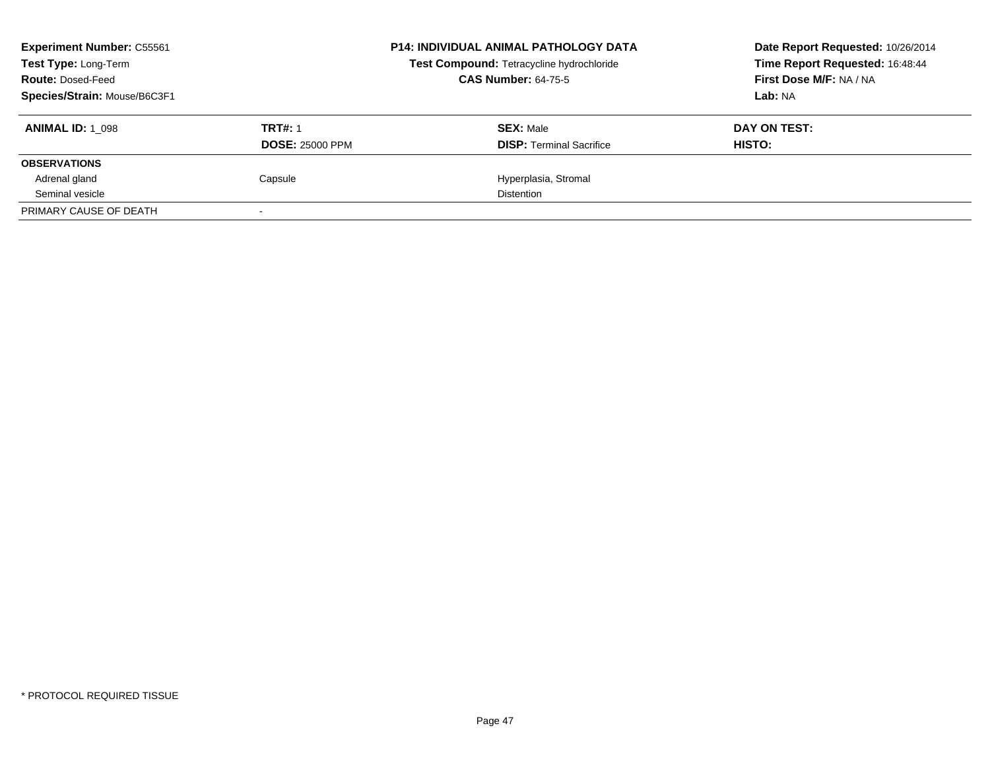| <b>Experiment Number: C55561</b><br>Test Type: Long-Term<br><b>Route: Dosed-Feed</b><br>Species/Strain: Mouse/B6C3F1 |                                          | <b>P14: INDIVIDUAL ANIMAL PATHOLOGY DATA</b><br>Test Compound: Tetracycline hydrochloride<br><b>CAS Number: 64-75-5</b> | Date Report Requested: 10/26/2014<br>Time Report Requested: 16:48:44<br>First Dose M/F: NA / NA<br>Lab: NA |
|----------------------------------------------------------------------------------------------------------------------|------------------------------------------|-------------------------------------------------------------------------------------------------------------------------|------------------------------------------------------------------------------------------------------------|
| <b>ANIMAL ID: 1 098</b>                                                                                              | <b>TRT#: 1</b><br><b>DOSE: 25000 PPM</b> | <b>SEX: Male</b><br><b>DISP:</b> Terminal Sacrifice                                                                     | DAY ON TEST:<br>HISTO:                                                                                     |
| <b>OBSERVATIONS</b>                                                                                                  |                                          |                                                                                                                         |                                                                                                            |
| Adrenal gland                                                                                                        | Capsule                                  | Hyperplasia, Stromal                                                                                                    |                                                                                                            |
| Seminal vesicle                                                                                                      |                                          | <b>Distention</b>                                                                                                       |                                                                                                            |
| PRIMARY CAUSE OF DEATH                                                                                               |                                          |                                                                                                                         |                                                                                                            |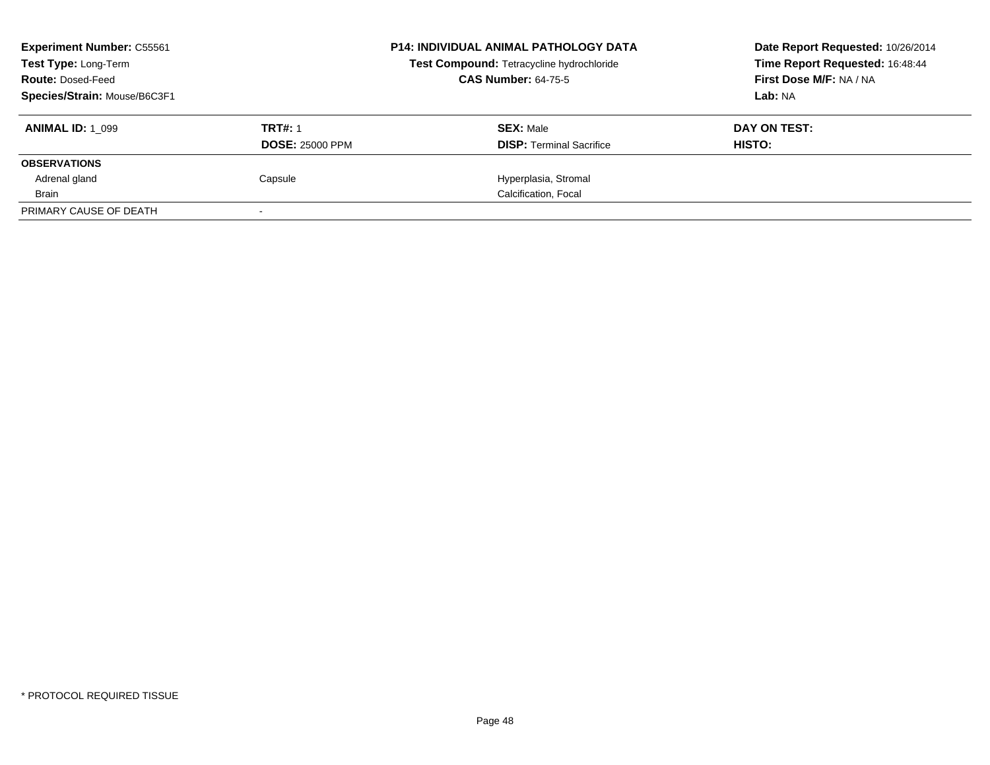| <b>Experiment Number: C55561</b><br><b>Test Type: Long-Term</b><br><b>Route: Dosed-Feed</b><br>Species/Strain: Mouse/B6C3F1 |                                          | <b>P14: INDIVIDUAL ANIMAL PATHOLOGY DATA</b><br>Test Compound: Tetracycline hydrochloride<br><b>CAS Number: 64-75-5</b> | Date Report Requested: 10/26/2014<br>Time Report Requested: 16:48:44<br>First Dose M/F: NA / NA<br>Lab: NA |
|-----------------------------------------------------------------------------------------------------------------------------|------------------------------------------|-------------------------------------------------------------------------------------------------------------------------|------------------------------------------------------------------------------------------------------------|
| <b>ANIMAL ID: 1 099</b>                                                                                                     | <b>TRT#: 1</b><br><b>DOSE: 25000 PPM</b> | <b>SEX: Male</b><br><b>DISP:</b> Terminal Sacrifice                                                                     | DAY ON TEST:<br>HISTO:                                                                                     |
| <b>OBSERVATIONS</b>                                                                                                         |                                          |                                                                                                                         |                                                                                                            |
| Adrenal gland                                                                                                               | Capsule                                  | Hyperplasia, Stromal                                                                                                    |                                                                                                            |
| Brain                                                                                                                       |                                          | Calcification, Focal                                                                                                    |                                                                                                            |
| PRIMARY CAUSE OF DEATH                                                                                                      |                                          |                                                                                                                         |                                                                                                            |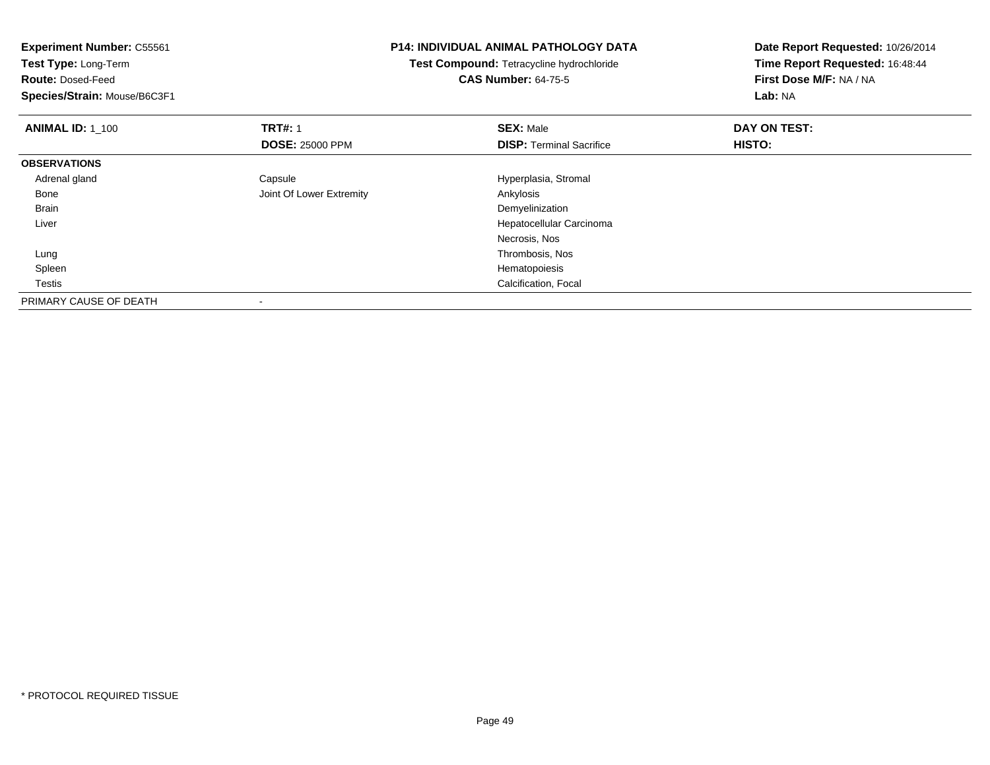| <b>Experiment Number: C55561</b><br>Test Type: Long-Term<br><b>Route: Dosed-Feed</b><br>Species/Strain: Mouse/B6C3F1 | <b>P14: INDIVIDUAL ANIMAL PATHOLOGY DATA</b><br>Test Compound: Tetracycline hydrochloride<br><b>CAS Number: 64-75-5</b> | Date Report Requested: 10/26/2014<br>Time Report Requested: 16:48:44<br>First Dose M/F: NA / NA<br>Lab: NA |
|----------------------------------------------------------------------------------------------------------------------|-------------------------------------------------------------------------------------------------------------------------|------------------------------------------------------------------------------------------------------------|
| <b>TRT#: 1</b><br><b>ANIMAL ID: 1_100</b>                                                                            | <b>SEX: Male</b>                                                                                                        | DAY ON TEST:                                                                                               |
| <b>DOSE: 25000 PPM</b>                                                                                               | <b>DISP: Terminal Sacrifice</b>                                                                                         | HISTO:                                                                                                     |
| <b>OBSERVATIONS</b>                                                                                                  |                                                                                                                         |                                                                                                            |
| Adrenal gland<br>Capsule                                                                                             | Hyperplasia, Stromal                                                                                                    |                                                                                                            |
| Joint Of Lower Extremity<br>Bone                                                                                     | Ankylosis                                                                                                               |                                                                                                            |
| Brain                                                                                                                | Demyelinization                                                                                                         |                                                                                                            |
| Liver                                                                                                                | Hepatocellular Carcinoma                                                                                                |                                                                                                            |
|                                                                                                                      | Necrosis, Nos                                                                                                           |                                                                                                            |
| Lung                                                                                                                 | Thrombosis, Nos                                                                                                         |                                                                                                            |
| Spleen                                                                                                               | Hematopoiesis                                                                                                           |                                                                                                            |
| Testis                                                                                                               | Calcification, Focal                                                                                                    |                                                                                                            |
| PRIMARY CAUSE OF DEATH                                                                                               |                                                                                                                         |                                                                                                            |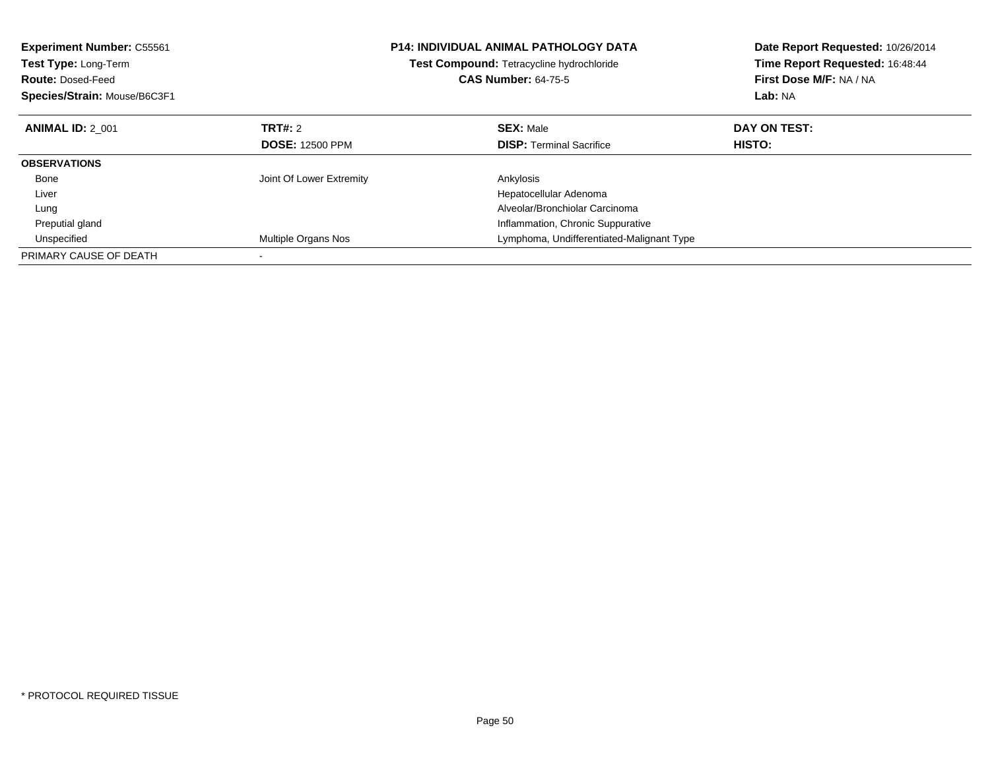| <b>Experiment Number: C55561</b><br>Test Type: Long-Term<br><b>Route: Dosed-Feed</b><br>Species/Strain: Mouse/B6C3F1 |                          | <b>P14: INDIVIDUAL ANIMAL PATHOLOGY DATA</b><br><b>Test Compound: Tetracycline hydrochloride</b><br><b>CAS Number: 64-75-5</b> | Date Report Requested: 10/26/2014<br>Time Report Requested: 16:48:44<br>First Dose M/F: NA / NA<br>Lab: NA |
|----------------------------------------------------------------------------------------------------------------------|--------------------------|--------------------------------------------------------------------------------------------------------------------------------|------------------------------------------------------------------------------------------------------------|
| <b>ANIMAL ID: 2 001</b>                                                                                              | TRT#: 2                  | <b>SEX: Male</b>                                                                                                               | DAY ON TEST:                                                                                               |
|                                                                                                                      | <b>DOSE: 12500 PPM</b>   | <b>DISP:</b> Terminal Sacrifice                                                                                                | HISTO:                                                                                                     |
| <b>OBSERVATIONS</b>                                                                                                  |                          |                                                                                                                                |                                                                                                            |
| Bone                                                                                                                 | Joint Of Lower Extremity | Ankylosis                                                                                                                      |                                                                                                            |
| Liver                                                                                                                |                          | Hepatocellular Adenoma                                                                                                         |                                                                                                            |
| Lung                                                                                                                 |                          | Alveolar/Bronchiolar Carcinoma                                                                                                 |                                                                                                            |
| Preputial gland                                                                                                      |                          | Inflammation, Chronic Suppurative                                                                                              |                                                                                                            |
| Unspecified                                                                                                          | Multiple Organs Nos      | Lymphoma, Undifferentiated-Malignant Type                                                                                      |                                                                                                            |
| PRIMARY CAUSE OF DEATH                                                                                               |                          |                                                                                                                                |                                                                                                            |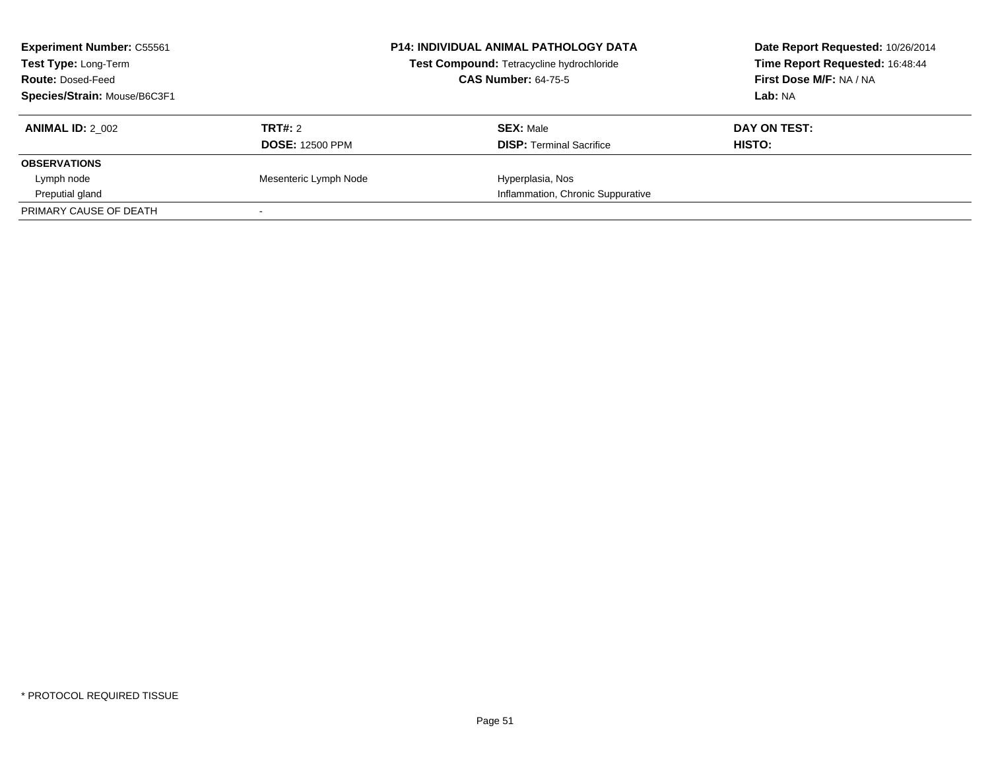| <b>Experiment Number: C55561</b><br><b>Test Type: Long-Term</b><br><b>Route: Dosed-Feed</b><br>Species/Strain: Mouse/B6C3F1 |                                   | <b>P14: INDIVIDUAL ANIMAL PATHOLOGY DATA</b><br>Test Compound: Tetracycline hydrochloride<br><b>CAS Number: 64-75-5</b> | Date Report Requested: 10/26/2014<br>Time Report Requested: 16:48:44<br>First Dose M/F: NA / NA<br>Lab: NA |
|-----------------------------------------------------------------------------------------------------------------------------|-----------------------------------|-------------------------------------------------------------------------------------------------------------------------|------------------------------------------------------------------------------------------------------------|
| <b>ANIMAL ID: 2 002</b>                                                                                                     | TRT#: 2<br><b>DOSE: 12500 PPM</b> | <b>SEX: Male</b><br><b>DISP:</b> Terminal Sacrifice                                                                     | DAY ON TEST:<br>HISTO:                                                                                     |
| <b>OBSERVATIONS</b>                                                                                                         |                                   |                                                                                                                         |                                                                                                            |
| Lymph node                                                                                                                  | Mesenteric Lymph Node             | Hyperplasia, Nos                                                                                                        |                                                                                                            |
| Preputial gland                                                                                                             |                                   | Inflammation, Chronic Suppurative                                                                                       |                                                                                                            |
| PRIMARY CAUSE OF DEATH                                                                                                      |                                   |                                                                                                                         |                                                                                                            |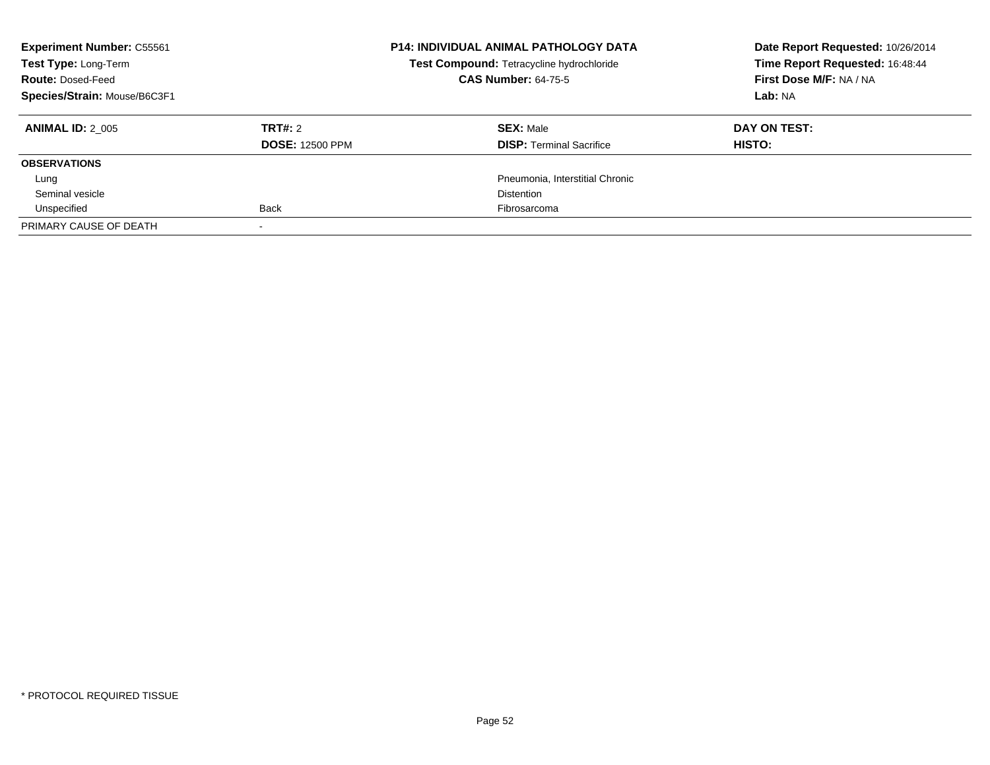| <b>Experiment Number: C55561</b><br>Test Type: Long-Term<br><b>Route: Dosed-Feed</b><br>Species/Strain: Mouse/B6C3F1 |                                   | <b>P14: INDIVIDUAL ANIMAL PATHOLOGY DATA</b><br>Test Compound: Tetracycline hydrochloride<br><b>CAS Number: 64-75-5</b> | Date Report Requested: 10/26/2014<br>Time Report Requested: 16:48:44<br>First Dose M/F: NA / NA<br>Lab: NA |
|----------------------------------------------------------------------------------------------------------------------|-----------------------------------|-------------------------------------------------------------------------------------------------------------------------|------------------------------------------------------------------------------------------------------------|
| <b>ANIMAL ID: 2 005</b>                                                                                              | TRT#: 2<br><b>DOSE: 12500 PPM</b> | <b>SEX: Male</b><br><b>DISP:</b> Terminal Sacrifice                                                                     | DAY ON TEST:<br>HISTO:                                                                                     |
| <b>OBSERVATIONS</b>                                                                                                  |                                   |                                                                                                                         |                                                                                                            |
| Lung                                                                                                                 |                                   | Pneumonia. Interstitial Chronic                                                                                         |                                                                                                            |
| Seminal vesicle                                                                                                      |                                   | <b>Distention</b>                                                                                                       |                                                                                                            |
| Unspecified                                                                                                          | <b>Back</b>                       | Fibrosarcoma                                                                                                            |                                                                                                            |
| PRIMARY CAUSE OF DEATH                                                                                               |                                   |                                                                                                                         |                                                                                                            |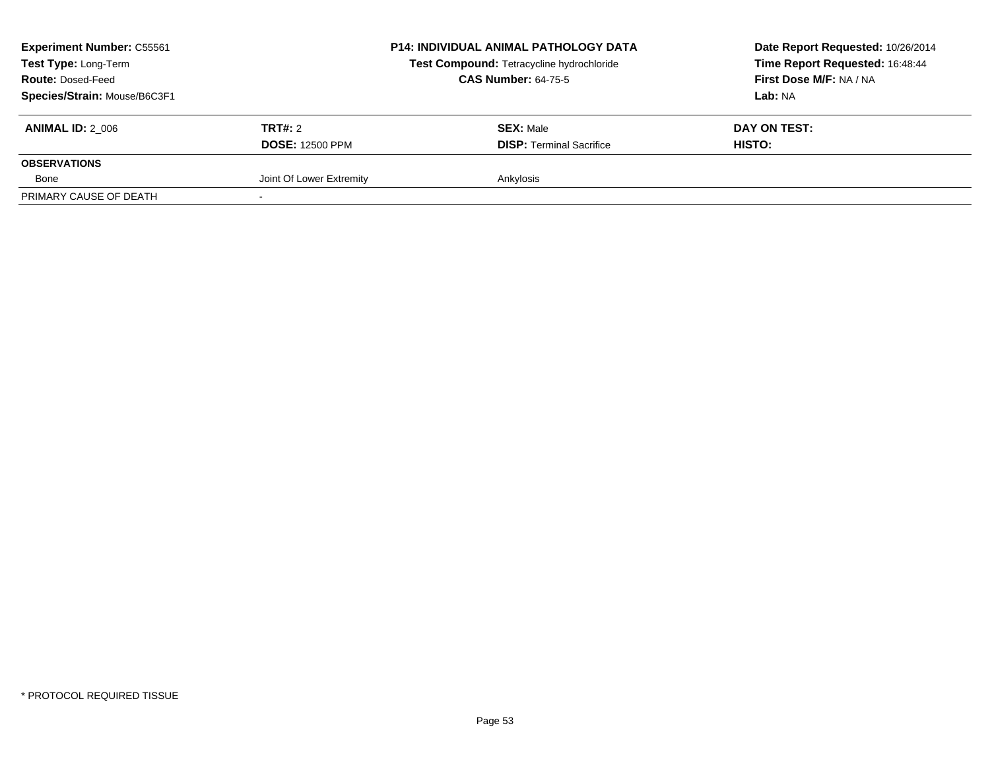| <b>Experiment Number: C55561</b><br>Test Type: Long-Term<br><b>Route: Dosed-Feed</b><br>Species/Strain: Mouse/B6C3F1 |                                          | <b>P14: INDIVIDUAL ANIMAL PATHOLOGY DATA</b><br>Test Compound: Tetracycline hydrochloride<br><b>CAS Number: 64-75-5</b> | Date Report Requested: 10/26/2014<br>Time Report Requested: 16:48:44<br>First Dose M/F: NA / NA<br>Lab: NA |
|----------------------------------------------------------------------------------------------------------------------|------------------------------------------|-------------------------------------------------------------------------------------------------------------------------|------------------------------------------------------------------------------------------------------------|
| <b>ANIMAL ID: 2 006</b>                                                                                              | <b>TRT#: 2</b><br><b>DOSE: 12500 PPM</b> | <b>SEX: Male</b><br><b>DISP: Terminal Sacrifice</b>                                                                     | DAY ON TEST:<br>HISTO:                                                                                     |
| <b>OBSERVATIONS</b>                                                                                                  |                                          |                                                                                                                         |                                                                                                            |
| Bone                                                                                                                 | Joint Of Lower Extremity                 | Ankylosis                                                                                                               |                                                                                                            |
| PRIMARY CAUSE OF DEATH                                                                                               |                                          |                                                                                                                         |                                                                                                            |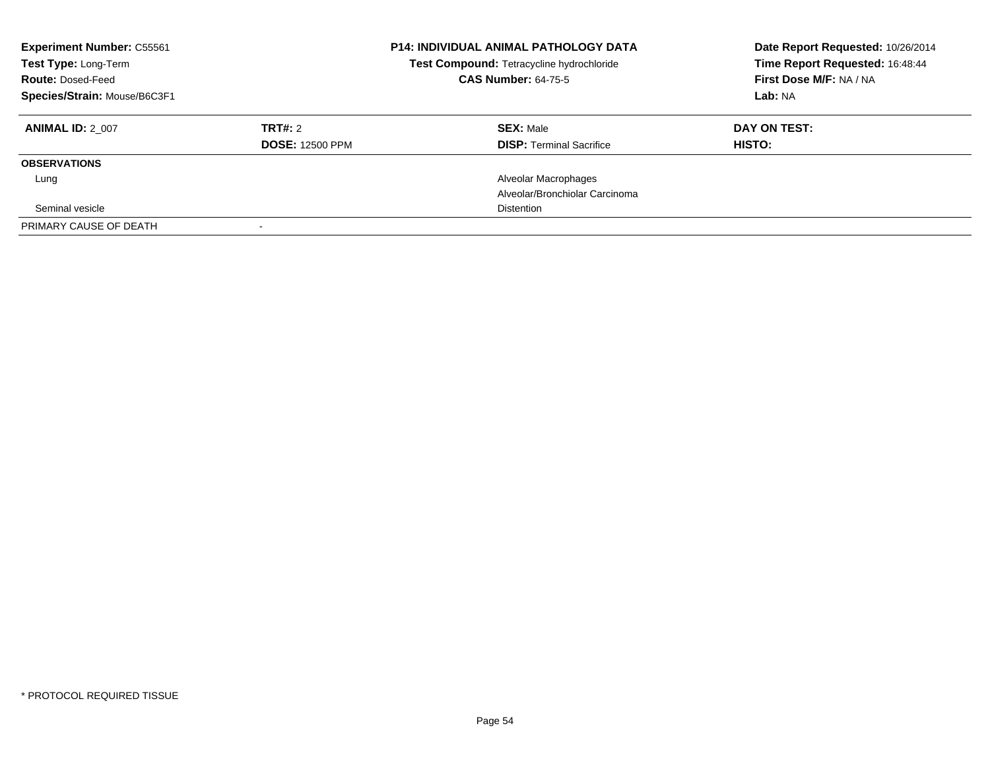| <b>Experiment Number: C55561</b><br>Test Type: Long-Term<br><b>Route: Dosed-Feed</b><br>Species/Strain: Mouse/B6C3F1 |                        | <b>P14: INDIVIDUAL ANIMAL PATHOLOGY DATA</b><br>Test Compound: Tetracycline hydrochloride<br><b>CAS Number: 64-75-5</b> | Date Report Requested: 10/26/2014<br>Time Report Requested: 16:48:44<br>First Dose M/F: NA / NA<br>Lab: NA |
|----------------------------------------------------------------------------------------------------------------------|------------------------|-------------------------------------------------------------------------------------------------------------------------|------------------------------------------------------------------------------------------------------------|
| <b>ANIMAL ID: 2 007</b>                                                                                              | <b>TRT#: 2</b>         | <b>SEX: Male</b>                                                                                                        | DAY ON TEST:                                                                                               |
|                                                                                                                      | <b>DOSE: 12500 PPM</b> | <b>DISP: Terminal Sacrifice</b>                                                                                         | HISTO:                                                                                                     |
| <b>OBSERVATIONS</b>                                                                                                  |                        |                                                                                                                         |                                                                                                            |
| Lung                                                                                                                 |                        | Alveolar Macrophages                                                                                                    |                                                                                                            |
|                                                                                                                      |                        | Alveolar/Bronchiolar Carcinoma                                                                                          |                                                                                                            |
| Seminal vesicle                                                                                                      |                        | Distention                                                                                                              |                                                                                                            |
| PRIMARY CAUSE OF DEATH                                                                                               |                        |                                                                                                                         |                                                                                                            |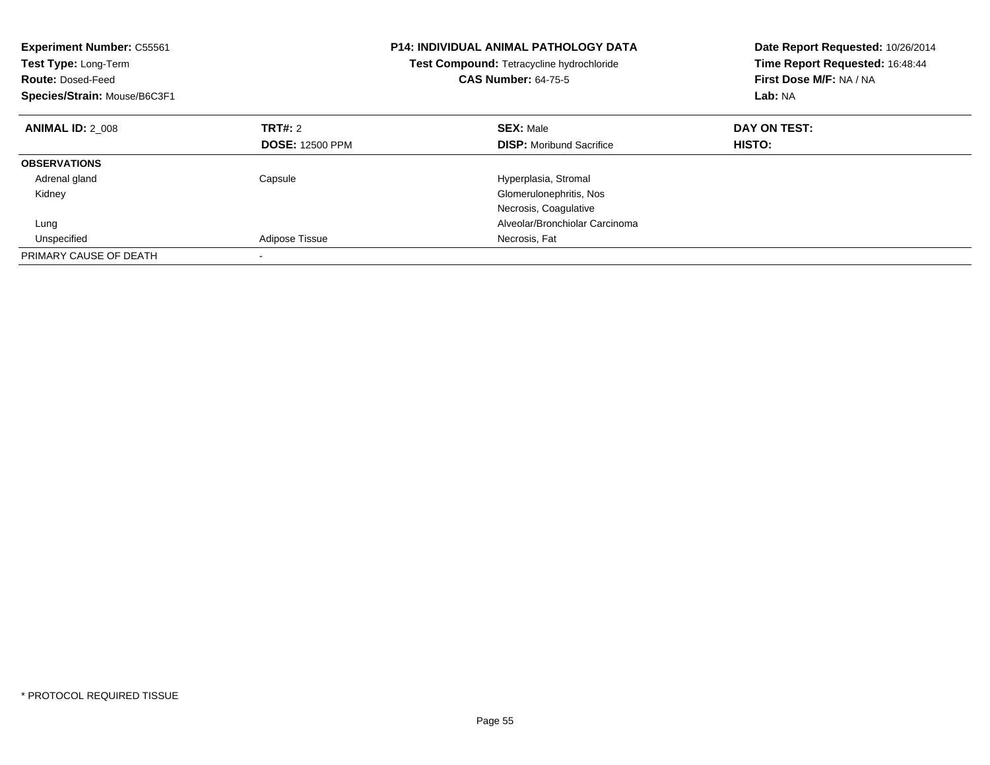| <b>Experiment Number: C55561</b><br>Test Type: Long-Term<br><b>Route: Dosed-Feed</b><br>Species/Strain: Mouse/B6C3F1 |                        | <b>P14: INDIVIDUAL ANIMAL PATHOLOGY DATA</b><br>Test Compound: Tetracycline hydrochloride<br><b>CAS Number: 64-75-5</b> | Date Report Requested: 10/26/2014<br>Time Report Requested: 16:48:44<br>First Dose M/F: NA / NA<br>Lab: NA |
|----------------------------------------------------------------------------------------------------------------------|------------------------|-------------------------------------------------------------------------------------------------------------------------|------------------------------------------------------------------------------------------------------------|
| <b>ANIMAL ID: 2 008</b>                                                                                              | TRT#: 2                | <b>SEX: Male</b>                                                                                                        | DAY ON TEST:                                                                                               |
|                                                                                                                      | <b>DOSE: 12500 PPM</b> | <b>DISP:</b> Moribund Sacrifice                                                                                         | HISTO:                                                                                                     |
| <b>OBSERVATIONS</b>                                                                                                  |                        |                                                                                                                         |                                                                                                            |
| Adrenal gland                                                                                                        | Capsule                | Hyperplasia, Stromal                                                                                                    |                                                                                                            |
| Kidney                                                                                                               |                        | Glomerulonephritis, Nos                                                                                                 |                                                                                                            |
|                                                                                                                      |                        | Necrosis, Coagulative                                                                                                   |                                                                                                            |
| Lung                                                                                                                 |                        | Alveolar/Bronchiolar Carcinoma                                                                                          |                                                                                                            |
| Unspecified                                                                                                          | Adipose Tissue         | Necrosis, Fat                                                                                                           |                                                                                                            |
| PRIMARY CAUSE OF DEATH                                                                                               |                        |                                                                                                                         |                                                                                                            |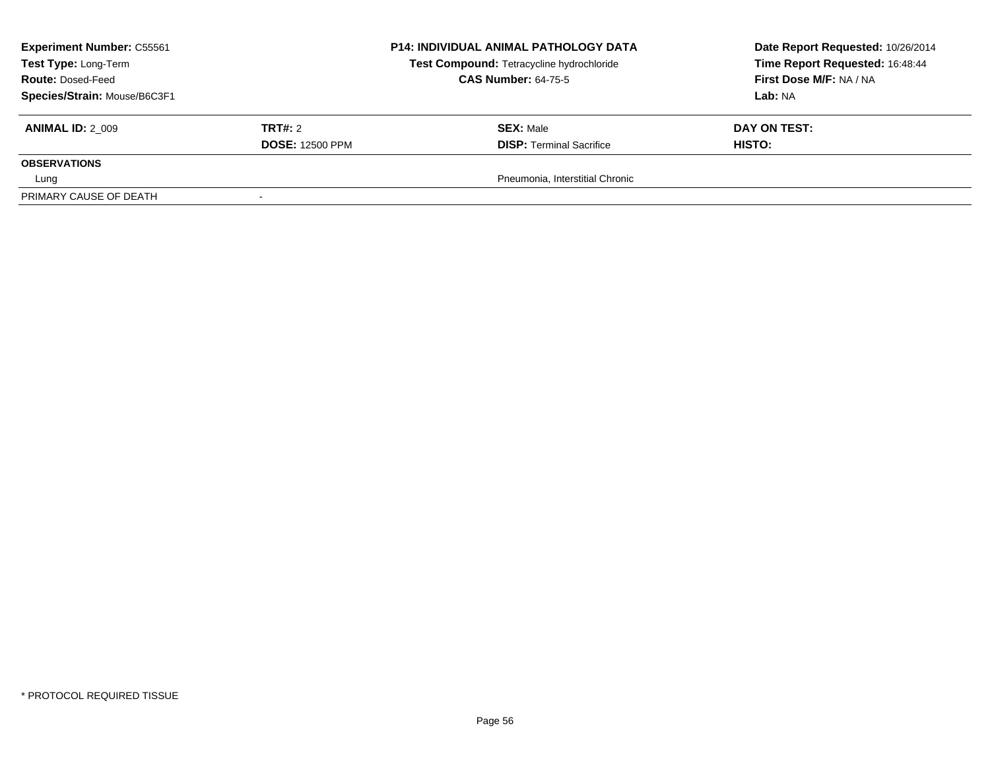| <b>Experiment Number: C55561</b><br>Test Type: Long-Term |                        | <b>P14: INDIVIDUAL ANIMAL PATHOLOGY DATA</b><br>Test Compound: Tetracycline hydrochloride | Date Report Requested: 10/26/2014<br>Time Report Requested: 16:48:44 |
|----------------------------------------------------------|------------------------|-------------------------------------------------------------------------------------------|----------------------------------------------------------------------|
| <b>Route: Dosed-Feed</b>                                 |                        | <b>CAS Number: 64-75-5</b>                                                                | First Dose M/F: NA / NA                                              |
| Species/Strain: Mouse/B6C3F1                             |                        |                                                                                           | <b>Lab: NA</b>                                                       |
| <b>ANIMAL ID: 2 009</b>                                  | TRT#: 2                | <b>SEX: Male</b>                                                                          | DAY ON TEST:                                                         |
|                                                          | <b>DOSE: 12500 PPM</b> | <b>DISP:</b> Terminal Sacrifice                                                           | <b>HISTO:</b>                                                        |
| <b>OBSERVATIONS</b>                                      |                        |                                                                                           |                                                                      |
| Lung                                                     |                        | Pneumonia, Interstitial Chronic                                                           |                                                                      |
| PRIMARY CAUSE OF DEATH                                   |                        |                                                                                           |                                                                      |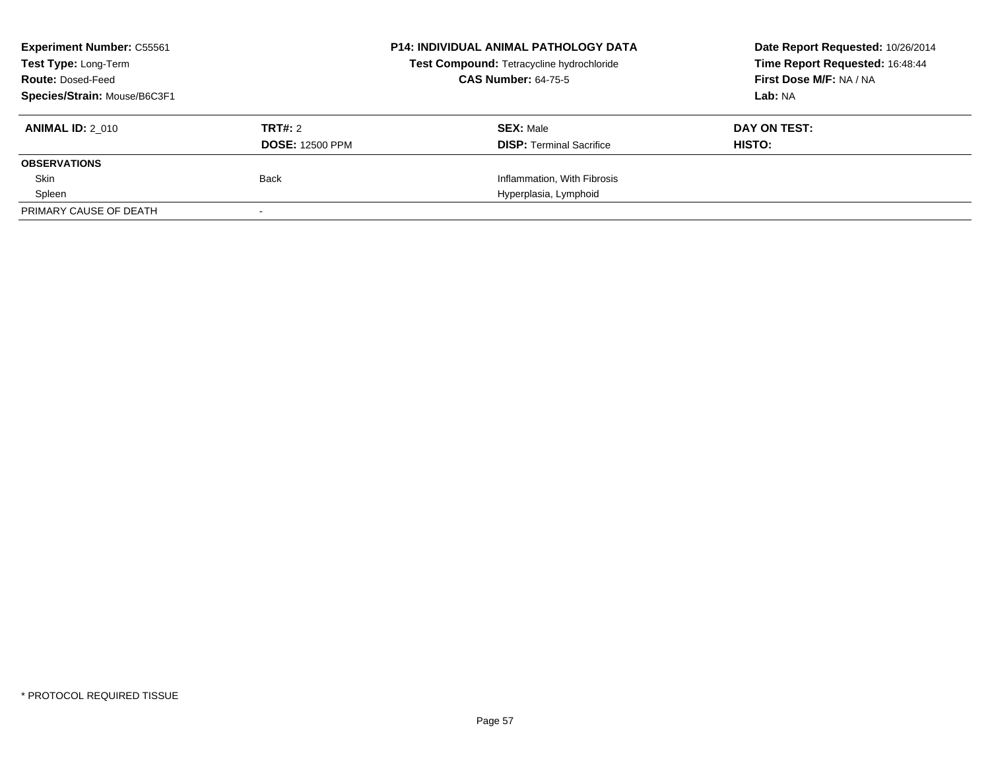| <b>Experiment Number: C55561</b><br><b>Test Type: Long-Term</b><br><b>Route: Dosed-Feed</b><br>Species/Strain: Mouse/B6C3F1 |                                   | <b>P14: INDIVIDUAL ANIMAL PATHOLOGY DATA</b><br>Test Compound: Tetracycline hydrochloride<br><b>CAS Number: 64-75-5</b> | Date Report Requested: 10/26/2014<br>Time Report Requested: 16:48:44<br>First Dose M/F: NA / NA<br>Lab: NA |
|-----------------------------------------------------------------------------------------------------------------------------|-----------------------------------|-------------------------------------------------------------------------------------------------------------------------|------------------------------------------------------------------------------------------------------------|
| <b>ANIMAL ID: 2 010</b>                                                                                                     | TRT#: 2<br><b>DOSE: 12500 PPM</b> | <b>SEX: Male</b><br><b>DISP:</b> Terminal Sacrifice                                                                     | DAY ON TEST:<br>HISTO:                                                                                     |
| <b>OBSERVATIONS</b>                                                                                                         |                                   |                                                                                                                         |                                                                                                            |
| Skin                                                                                                                        | Back                              | Inflammation, With Fibrosis                                                                                             |                                                                                                            |
| Spleen                                                                                                                      |                                   | Hyperplasia, Lymphoid                                                                                                   |                                                                                                            |
| PRIMARY CAUSE OF DEATH                                                                                                      |                                   |                                                                                                                         |                                                                                                            |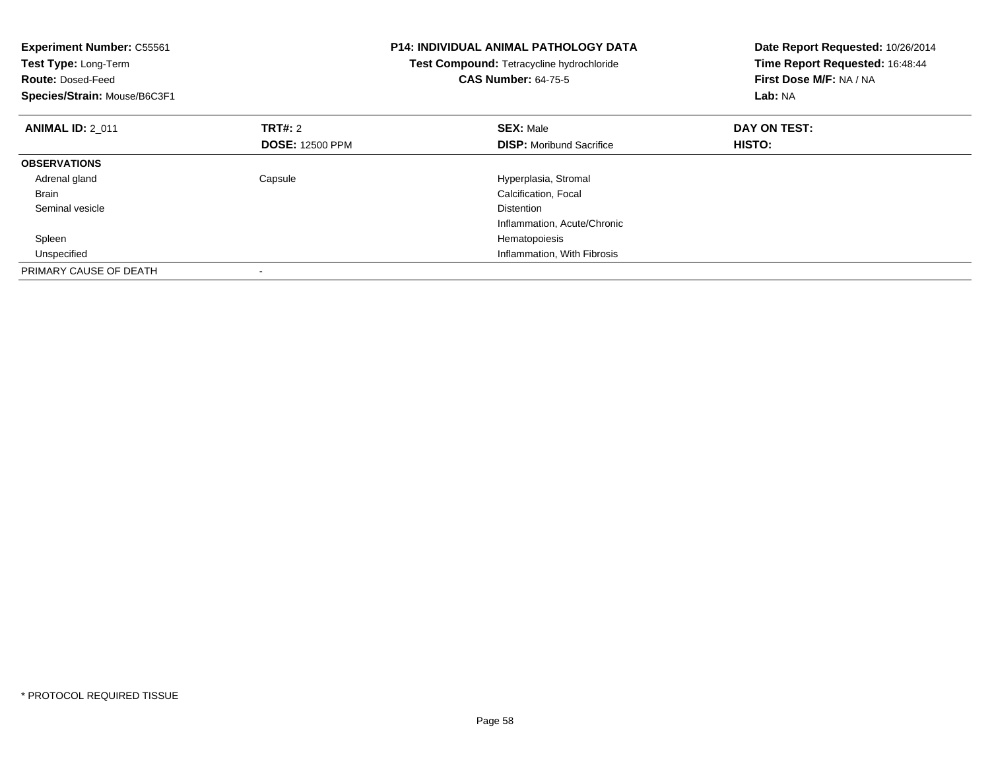| <b>Experiment Number: C55561</b><br><b>Test Type: Long-Term</b><br><b>Route: Dosed-Feed</b><br>Species/Strain: Mouse/B6C3F1 |                        | <b>P14: INDIVIDUAL ANIMAL PATHOLOGY DATA</b><br>Test Compound: Tetracycline hydrochloride<br><b>CAS Number: 64-75-5</b> | Date Report Requested: 10/26/2014<br>Time Report Requested: 16:48:44<br>First Dose M/F: NA / NA<br>Lab: NA |
|-----------------------------------------------------------------------------------------------------------------------------|------------------------|-------------------------------------------------------------------------------------------------------------------------|------------------------------------------------------------------------------------------------------------|
| <b>ANIMAL ID: 2 011</b>                                                                                                     | <b>TRT#: 2</b>         | <b>SEX: Male</b>                                                                                                        | DAY ON TEST:                                                                                               |
|                                                                                                                             | <b>DOSE: 12500 PPM</b> | <b>DISP:</b> Moribund Sacrifice                                                                                         | HISTO:                                                                                                     |
| <b>OBSERVATIONS</b>                                                                                                         |                        |                                                                                                                         |                                                                                                            |
| Adrenal gland                                                                                                               | Capsule                | Hyperplasia, Stromal                                                                                                    |                                                                                                            |
| <b>Brain</b>                                                                                                                |                        | Calcification, Focal                                                                                                    |                                                                                                            |
| Seminal vesicle                                                                                                             |                        | <b>Distention</b>                                                                                                       |                                                                                                            |
|                                                                                                                             |                        | Inflammation, Acute/Chronic                                                                                             |                                                                                                            |
| Spleen                                                                                                                      |                        | Hematopoiesis                                                                                                           |                                                                                                            |
| Unspecified                                                                                                                 |                        | Inflammation, With Fibrosis                                                                                             |                                                                                                            |
| PRIMARY CAUSE OF DEATH                                                                                                      |                        |                                                                                                                         |                                                                                                            |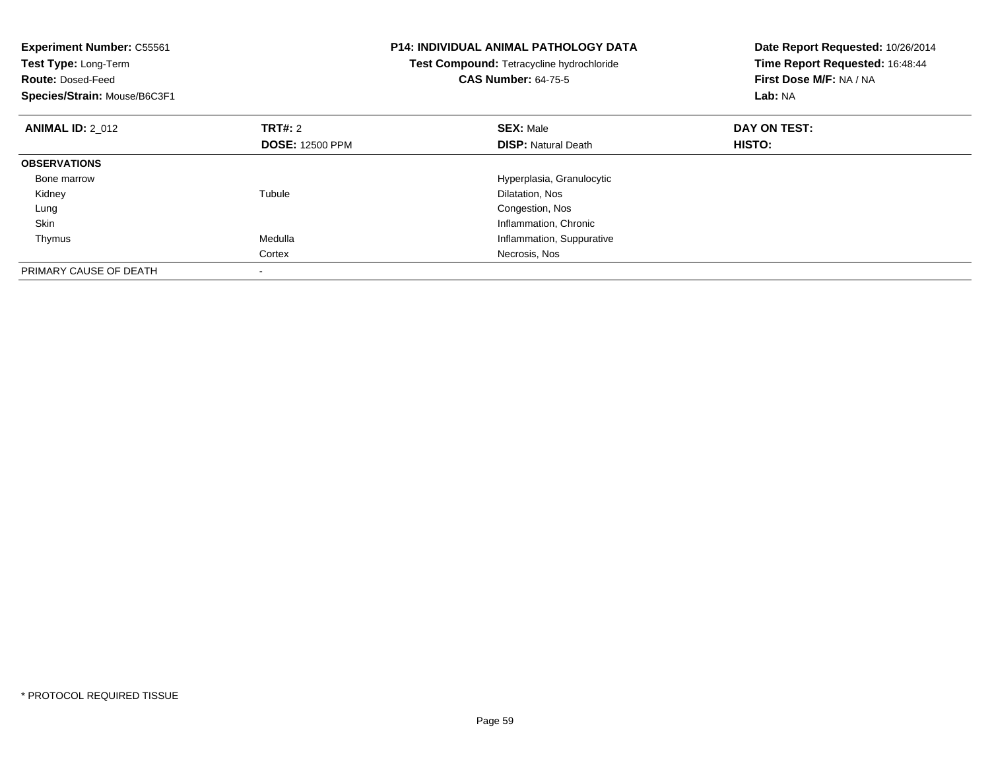| <b>Experiment Number: C55561</b><br>Test Type: Long-Term<br><b>Route: Dosed-Feed</b><br>Species/Strain: Mouse/B6C3F1 |                        | <b>P14: INDIVIDUAL ANIMAL PATHOLOGY DATA</b><br>Test Compound: Tetracycline hydrochloride<br><b>CAS Number: 64-75-5</b> | Date Report Requested: 10/26/2014<br>Time Report Requested: 16:48:44<br>First Dose M/F: NA / NA<br>Lab: NA |
|----------------------------------------------------------------------------------------------------------------------|------------------------|-------------------------------------------------------------------------------------------------------------------------|------------------------------------------------------------------------------------------------------------|
| <b>ANIMAL ID: 2 012</b>                                                                                              | TRT#: 2                | <b>SEX: Male</b>                                                                                                        | DAY ON TEST:                                                                                               |
|                                                                                                                      | <b>DOSE: 12500 PPM</b> | <b>DISP: Natural Death</b>                                                                                              | HISTO:                                                                                                     |
| <b>OBSERVATIONS</b>                                                                                                  |                        |                                                                                                                         |                                                                                                            |
| Bone marrow                                                                                                          |                        | Hyperplasia, Granulocytic                                                                                               |                                                                                                            |
| Kidney                                                                                                               | Tubule                 | Dilatation, Nos                                                                                                         |                                                                                                            |
| Lung                                                                                                                 |                        | Congestion, Nos                                                                                                         |                                                                                                            |
| Skin                                                                                                                 |                        | Inflammation, Chronic                                                                                                   |                                                                                                            |
| Thymus                                                                                                               | Medulla                | Inflammation, Suppurative                                                                                               |                                                                                                            |
|                                                                                                                      | Cortex                 | Necrosis, Nos                                                                                                           |                                                                                                            |
| PRIMARY CAUSE OF DEATH                                                                                               |                        |                                                                                                                         |                                                                                                            |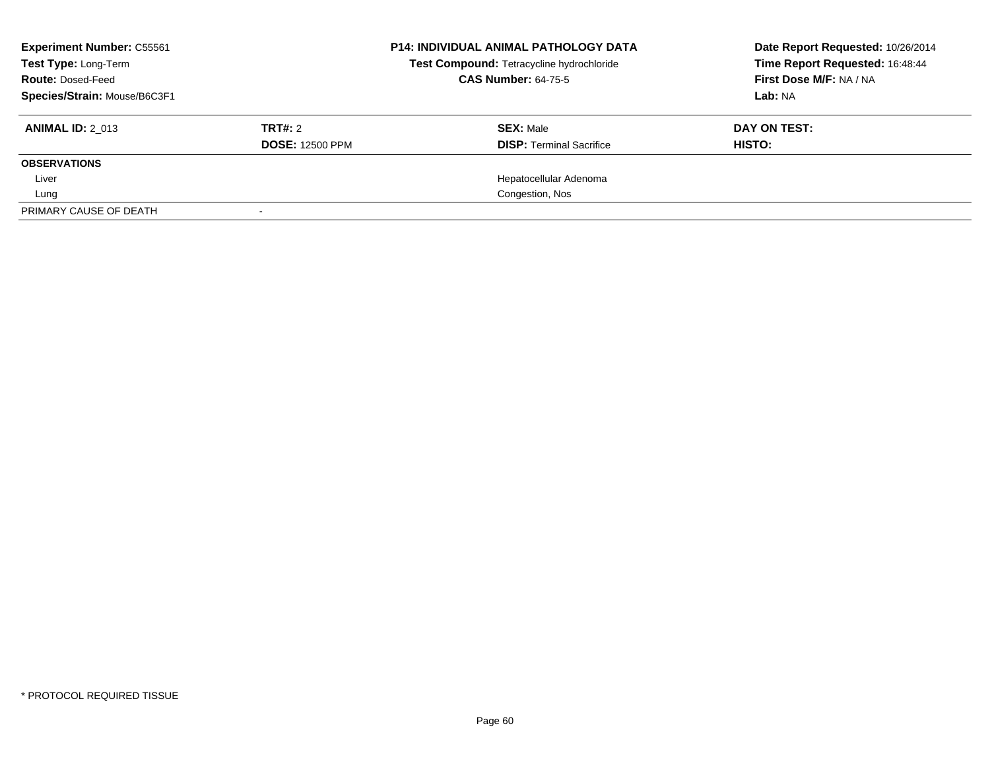| <b>Experiment Number: C55561</b><br>Test Type: Long-Term<br><b>Route: Dosed-Feed</b><br>Species/Strain: Mouse/B6C3F1 |                                   | <b>P14: INDIVIDUAL ANIMAL PATHOLOGY DATA</b><br>Test Compound: Tetracycline hydrochloride<br><b>CAS Number: 64-75-5</b> | Date Report Requested: 10/26/2014<br>Time Report Requested: 16:48:44<br>First Dose M/F: NA / NA<br>Lab: NA |
|----------------------------------------------------------------------------------------------------------------------|-----------------------------------|-------------------------------------------------------------------------------------------------------------------------|------------------------------------------------------------------------------------------------------------|
| <b>ANIMAL ID: 2 013</b>                                                                                              | TRT#: 2<br><b>DOSE: 12500 PPM</b> | <b>SEX: Male</b><br><b>DISP: Terminal Sacrifice</b>                                                                     | DAY ON TEST:<br>HISTO:                                                                                     |
| <b>OBSERVATIONS</b>                                                                                                  |                                   |                                                                                                                         |                                                                                                            |
| Liver                                                                                                                |                                   | Hepatocellular Adenoma                                                                                                  |                                                                                                            |
| Lung                                                                                                                 |                                   | Congestion, Nos                                                                                                         |                                                                                                            |
| PRIMARY CAUSE OF DEATH                                                                                               |                                   |                                                                                                                         |                                                                                                            |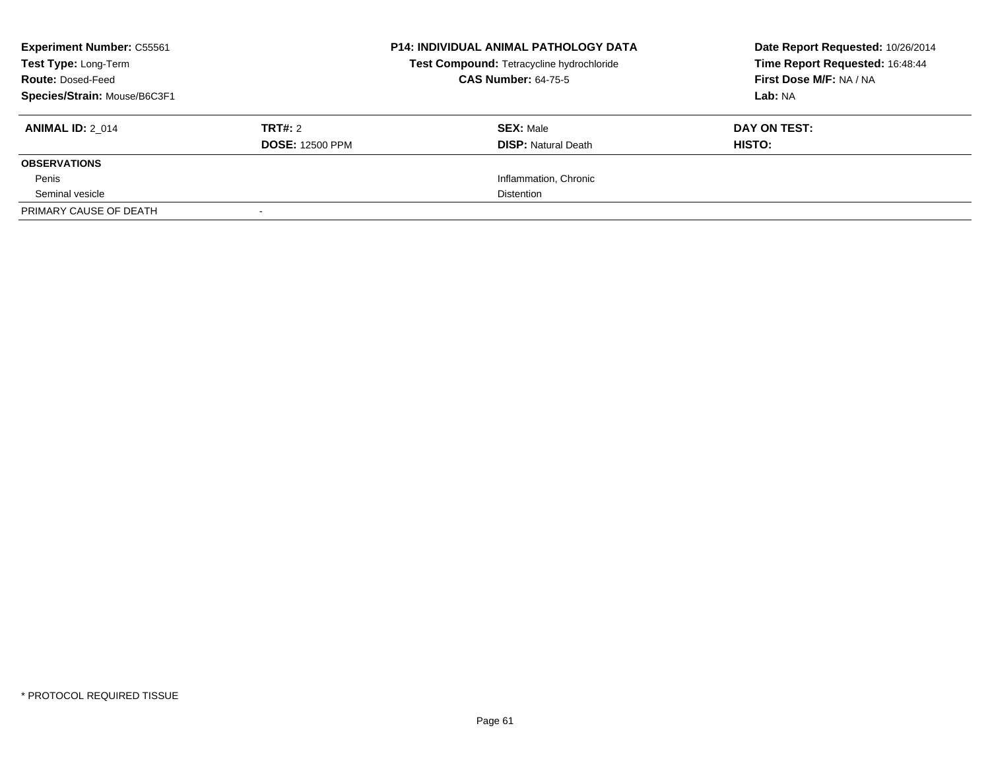| <b>Experiment Number: C55561</b><br>Test Type: Long-Term<br><b>Route: Dosed-Feed</b><br>Species/Strain: Mouse/B6C3F1 |                                   | <b>P14: INDIVIDUAL ANIMAL PATHOLOGY DATA</b><br>Test Compound: Tetracycline hydrochloride<br><b>CAS Number: 64-75-5</b> | Date Report Requested: 10/26/2014<br>Time Report Requested: 16:48:44<br>First Dose M/F: NA / NA<br>Lab: NA |
|----------------------------------------------------------------------------------------------------------------------|-----------------------------------|-------------------------------------------------------------------------------------------------------------------------|------------------------------------------------------------------------------------------------------------|
| <b>ANIMAL ID: 2 014</b>                                                                                              | TRT#: 2<br><b>DOSE: 12500 PPM</b> | <b>SEX: Male</b><br><b>DISP:</b> Natural Death                                                                          | DAY ON TEST:<br>HISTO:                                                                                     |
| <b>OBSERVATIONS</b>                                                                                                  |                                   |                                                                                                                         |                                                                                                            |
| Penis                                                                                                                |                                   | Inflammation, Chronic                                                                                                   |                                                                                                            |
| Seminal vesicle                                                                                                      |                                   | <b>Distention</b>                                                                                                       |                                                                                                            |
| PRIMARY CAUSE OF DEATH                                                                                               |                                   |                                                                                                                         |                                                                                                            |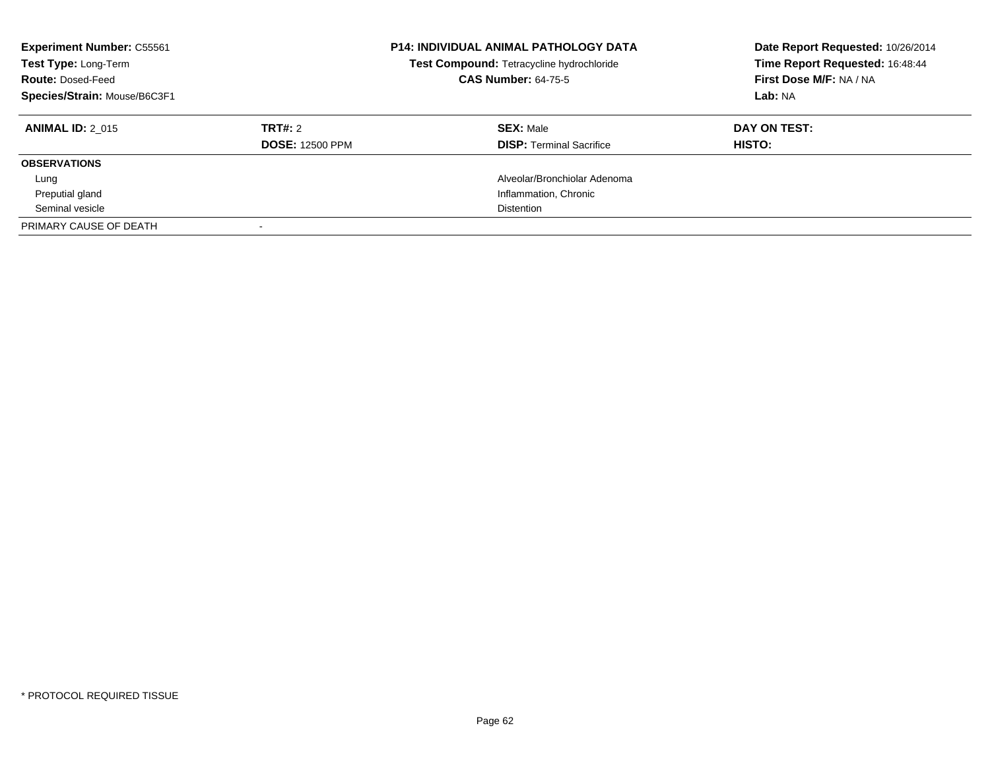| <b>Experiment Number: C55561</b><br>Test Type: Long-Term<br><b>Route: Dosed-Feed</b><br>Species/Strain: Mouse/B6C3F1 |                        | <b>P14: INDIVIDUAL ANIMAL PATHOLOGY DATA</b><br>Test Compound: Tetracycline hydrochloride<br><b>CAS Number: 64-75-5</b> | Date Report Requested: 10/26/2014<br>Time Report Requested: 16:48:44<br>First Dose M/F: NA / NA<br>Lab: NA |
|----------------------------------------------------------------------------------------------------------------------|------------------------|-------------------------------------------------------------------------------------------------------------------------|------------------------------------------------------------------------------------------------------------|
| <b>ANIMAL ID: 2 015</b>                                                                                              | TRT#: 2                | <b>SEX: Male</b>                                                                                                        | DAY ON TEST:                                                                                               |
|                                                                                                                      | <b>DOSE: 12500 PPM</b> | <b>DISP:</b> Terminal Sacrifice                                                                                         | HISTO:                                                                                                     |
| <b>OBSERVATIONS</b>                                                                                                  |                        |                                                                                                                         |                                                                                                            |
| Lung                                                                                                                 |                        | Alveolar/Bronchiolar Adenoma                                                                                            |                                                                                                            |
| Preputial gland                                                                                                      |                        | Inflammation, Chronic                                                                                                   |                                                                                                            |
| Seminal vesicle                                                                                                      |                        | Distention                                                                                                              |                                                                                                            |
| PRIMARY CAUSE OF DEATH                                                                                               |                        |                                                                                                                         |                                                                                                            |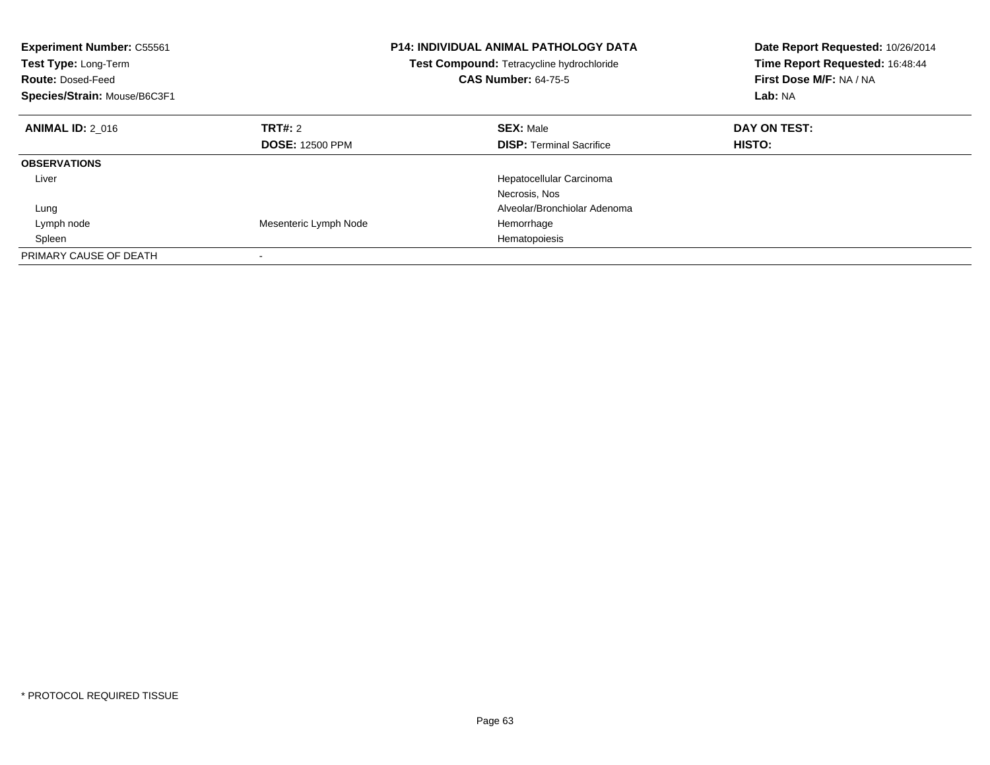| <b>Experiment Number: C55561</b><br>Test Type: Long-Term<br><b>Route: Dosed-Feed</b><br>Species/Strain: Mouse/B6C3F1 |                        | <b>P14: INDIVIDUAL ANIMAL PATHOLOGY DATA</b><br>Test Compound: Tetracycline hydrochloride<br><b>CAS Number: 64-75-5</b> | Date Report Requested: 10/26/2014<br>Time Report Requested: 16:48:44<br>First Dose M/F: NA / NA<br>Lab: NA |
|----------------------------------------------------------------------------------------------------------------------|------------------------|-------------------------------------------------------------------------------------------------------------------------|------------------------------------------------------------------------------------------------------------|
| <b>ANIMAL ID: 2 016</b>                                                                                              | TRT#: 2                | <b>SEX: Male</b>                                                                                                        | DAY ON TEST:                                                                                               |
|                                                                                                                      | <b>DOSE: 12500 PPM</b> | <b>DISP:</b> Terminal Sacrifice                                                                                         | HISTO:                                                                                                     |
| <b>OBSERVATIONS</b>                                                                                                  |                        |                                                                                                                         |                                                                                                            |
| Liver                                                                                                                |                        | Hepatocellular Carcinoma                                                                                                |                                                                                                            |
|                                                                                                                      |                        | Necrosis, Nos                                                                                                           |                                                                                                            |
| Lung                                                                                                                 |                        | Alveolar/Bronchiolar Adenoma                                                                                            |                                                                                                            |
| Lymph node                                                                                                           | Mesenteric Lymph Node  | Hemorrhage                                                                                                              |                                                                                                            |
| Spleen                                                                                                               |                        | Hematopoiesis                                                                                                           |                                                                                                            |
| PRIMARY CAUSE OF DEATH                                                                                               |                        |                                                                                                                         |                                                                                                            |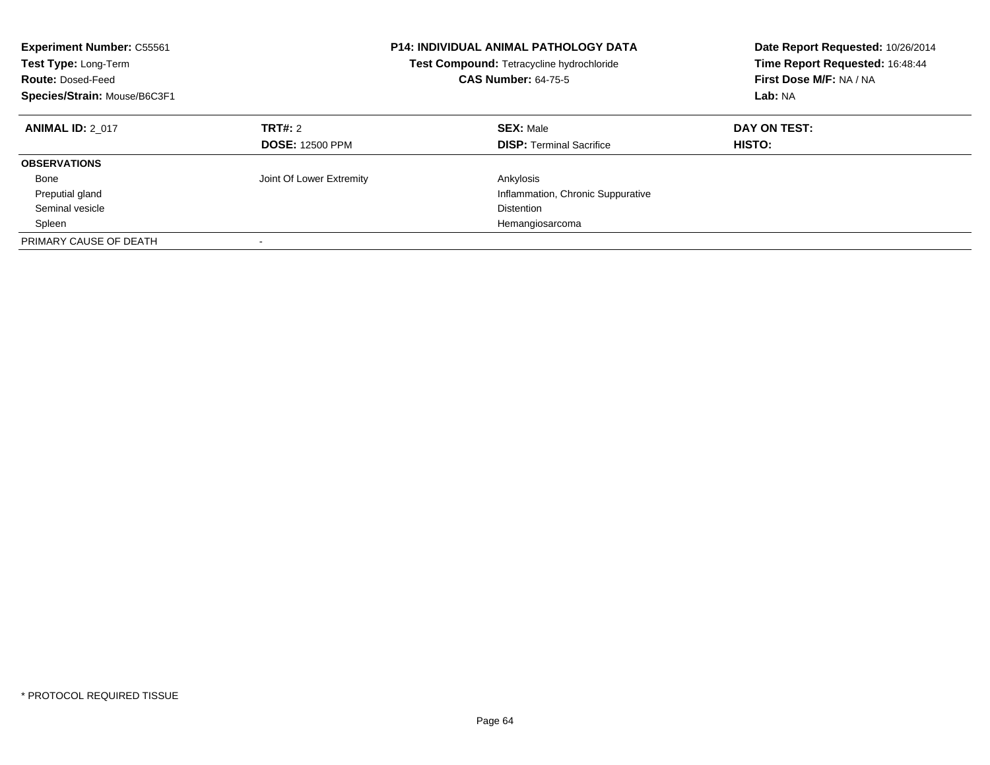| <b>Experiment Number: C55561</b><br>Test Type: Long-Term<br><b>Route: Dosed-Feed</b><br>Species/Strain: Mouse/B6C3F1 |                                          | <b>P14: INDIVIDUAL ANIMAL PATHOLOGY DATA</b><br>Test Compound: Tetracycline hydrochloride<br><b>CAS Number: 64-75-5</b> | Date Report Requested: 10/26/2014<br>Time Report Requested: 16:48:44<br>First Dose M/F: NA / NA<br>Lab: NA |
|----------------------------------------------------------------------------------------------------------------------|------------------------------------------|-------------------------------------------------------------------------------------------------------------------------|------------------------------------------------------------------------------------------------------------|
| <b>ANIMAL ID: 2 017</b>                                                                                              | <b>TRT#: 2</b><br><b>DOSE: 12500 PPM</b> | <b>SEX: Male</b><br><b>DISP: Terminal Sacrifice</b>                                                                     | DAY ON TEST:<br>HISTO:                                                                                     |
| <b>OBSERVATIONS</b>                                                                                                  |                                          |                                                                                                                         |                                                                                                            |
| Bone                                                                                                                 | Joint Of Lower Extremity                 | Ankylosis                                                                                                               |                                                                                                            |
| Preputial gland                                                                                                      |                                          | Inflammation, Chronic Suppurative                                                                                       |                                                                                                            |
| Seminal vesicle                                                                                                      |                                          | <b>Distention</b>                                                                                                       |                                                                                                            |
| Spleen                                                                                                               |                                          | Hemangiosarcoma                                                                                                         |                                                                                                            |
| PRIMARY CAUSE OF DEATH                                                                                               |                                          |                                                                                                                         |                                                                                                            |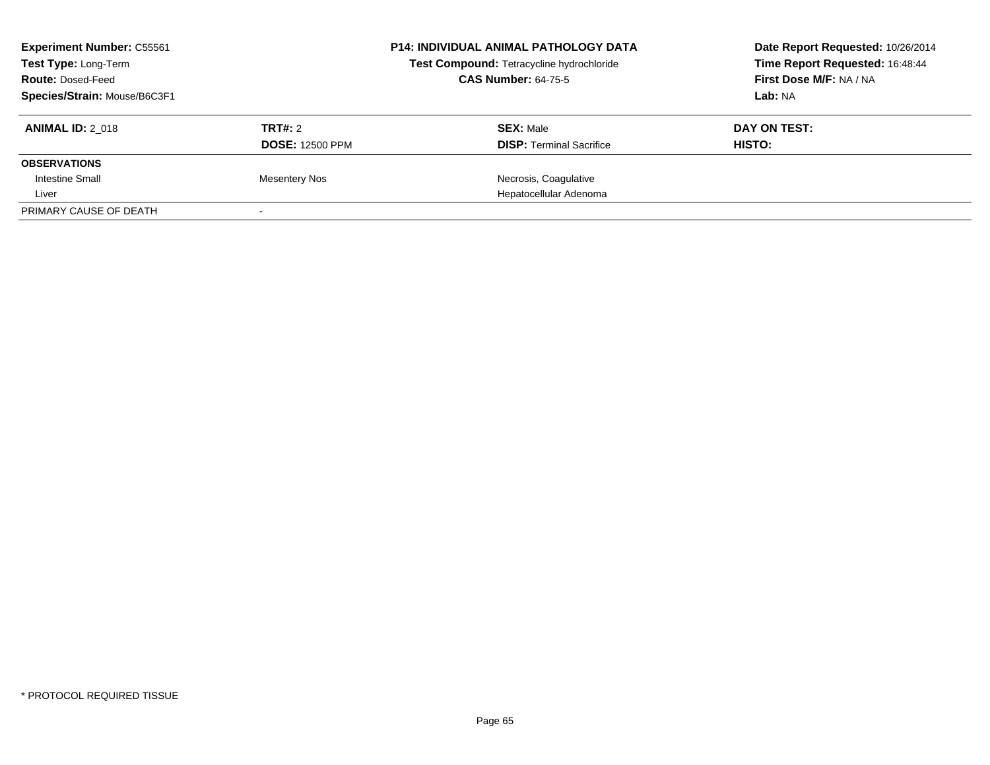| <b>Experiment Number: C55561</b><br><b>Test Type: Long-Term</b><br><b>Route: Dosed-Feed</b> |                        | <b>P14: INDIVIDUAL ANIMAL PATHOLOGY DATA</b><br>Test Compound: Tetracycline hydrochloride<br><b>CAS Number: 64-75-5</b> | Date Report Requested: 10/26/2014<br>Time Report Requested: 16:48:44<br>First Dose M/F: NA / NA |
|---------------------------------------------------------------------------------------------|------------------------|-------------------------------------------------------------------------------------------------------------------------|-------------------------------------------------------------------------------------------------|
| Species/Strain: Mouse/B6C3F1                                                                |                        |                                                                                                                         | Lab: NA                                                                                         |
| <b>ANIMAL ID: 2 018</b>                                                                     | TRT#: 2                | <b>SEX: Male</b>                                                                                                        | DAY ON TEST:                                                                                    |
|                                                                                             | <b>DOSE: 12500 PPM</b> | <b>DISP:</b> Terminal Sacrifice                                                                                         | HISTO:                                                                                          |
| <b>OBSERVATIONS</b>                                                                         |                        |                                                                                                                         |                                                                                                 |
| Intestine Small                                                                             | <b>Mesentery Nos</b>   | Necrosis, Coagulative                                                                                                   |                                                                                                 |
| Liver                                                                                       |                        | Hepatocellular Adenoma                                                                                                  |                                                                                                 |
| PRIMARY CAUSE OF DEATH                                                                      |                        |                                                                                                                         |                                                                                                 |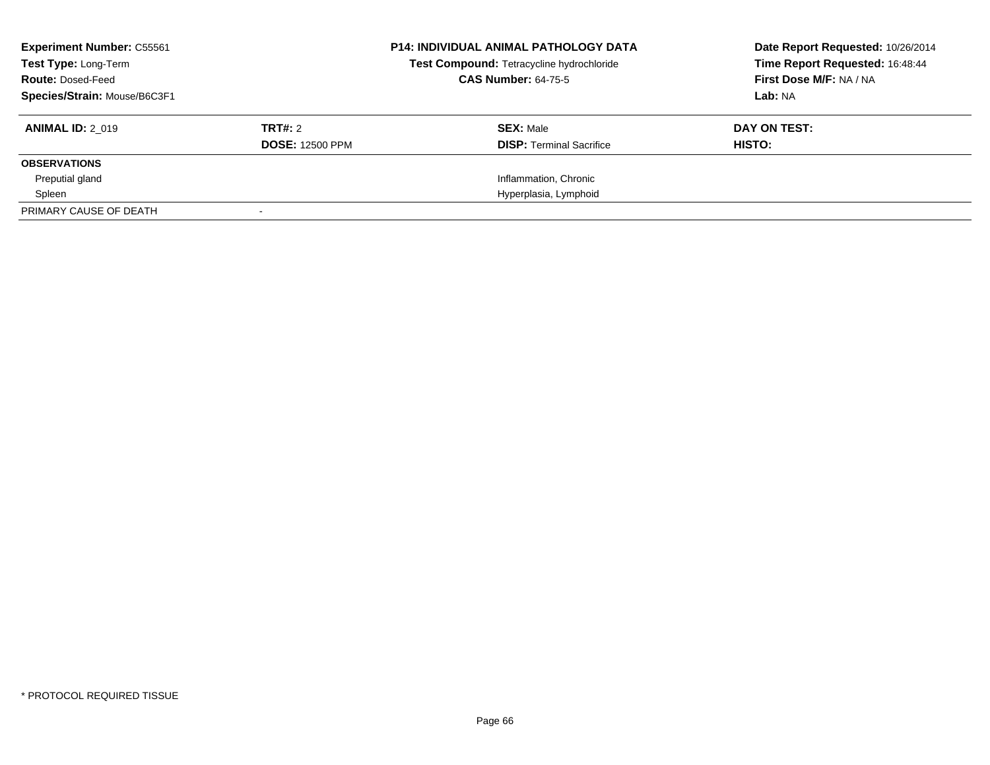| <b>Experiment Number: C55561</b><br>Test Type: Long-Term<br><b>Route: Dosed-Feed</b><br>Species/Strain: Mouse/B6C3F1 |                                          | <b>P14: INDIVIDUAL ANIMAL PATHOLOGY DATA</b><br>Test Compound: Tetracycline hydrochloride<br><b>CAS Number: 64-75-5</b> | Date Report Requested: 10/26/2014<br>Time Report Requested: 16:48:44<br>First Dose M/F: NA / NA<br>Lab: NA |
|----------------------------------------------------------------------------------------------------------------------|------------------------------------------|-------------------------------------------------------------------------------------------------------------------------|------------------------------------------------------------------------------------------------------------|
| <b>ANIMAL ID: 2 019</b>                                                                                              | <b>TRT#: 2</b><br><b>DOSE: 12500 PPM</b> | <b>SEX: Male</b><br><b>DISP: Terminal Sacrifice</b>                                                                     | DAY ON TEST:<br>HISTO:                                                                                     |
| <b>OBSERVATIONS</b>                                                                                                  |                                          |                                                                                                                         |                                                                                                            |
| Preputial gland                                                                                                      |                                          | Inflammation, Chronic                                                                                                   |                                                                                                            |
| Spleen                                                                                                               |                                          | Hyperplasia, Lymphoid                                                                                                   |                                                                                                            |
| PRIMARY CAUSE OF DEATH                                                                                               |                                          |                                                                                                                         |                                                                                                            |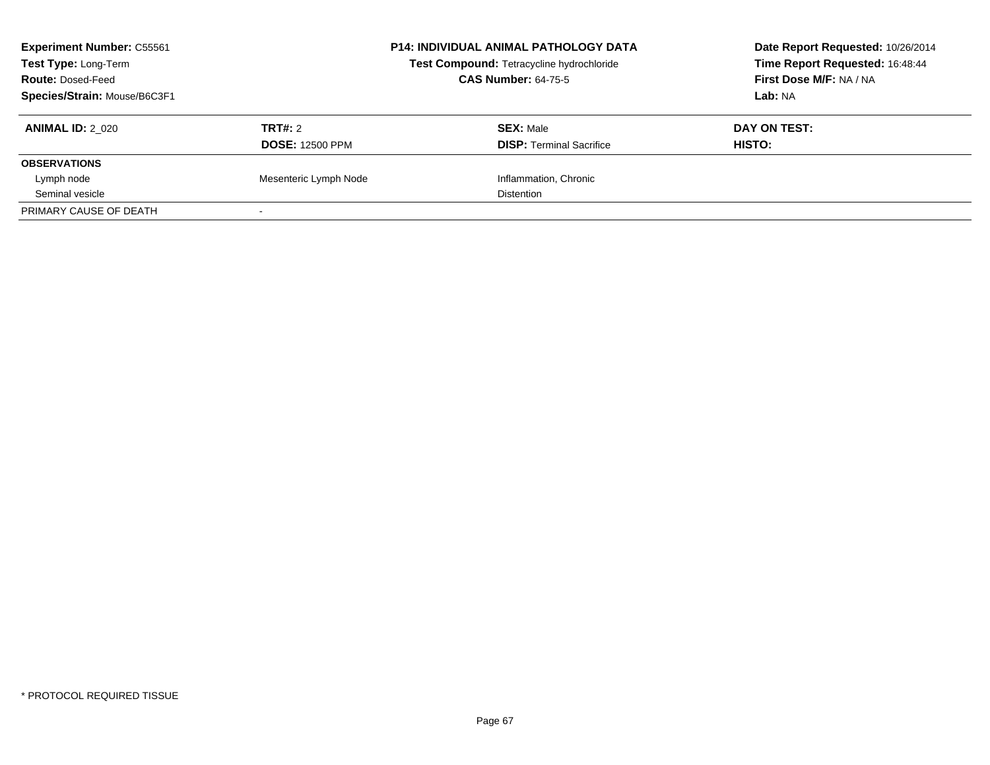| <b>Experiment Number: C55561</b><br>Test Type: Long-Term<br><b>Route: Dosed-Feed</b><br>Species/Strain: Mouse/B6C3F1 |                                   | <b>P14: INDIVIDUAL ANIMAL PATHOLOGY DATA</b><br>Test Compound: Tetracycline hydrochloride<br><b>CAS Number: 64-75-5</b> | Date Report Requested: 10/26/2014<br>Time Report Requested: 16:48:44<br>First Dose M/F: NA / NA<br>Lab: NA |
|----------------------------------------------------------------------------------------------------------------------|-----------------------------------|-------------------------------------------------------------------------------------------------------------------------|------------------------------------------------------------------------------------------------------------|
| <b>ANIMAL ID: 2 020</b>                                                                                              | TRT#: 2<br><b>DOSE: 12500 PPM</b> | <b>SEX: Male</b><br><b>DISP:</b> Terminal Sacrifice                                                                     | DAY ON TEST:<br><b>HISTO:</b>                                                                              |
| <b>OBSERVATIONS</b>                                                                                                  |                                   |                                                                                                                         |                                                                                                            |
| Lymph node                                                                                                           | Mesenteric Lymph Node             | Inflammation, Chronic                                                                                                   |                                                                                                            |
| Seminal vesicle                                                                                                      |                                   | <b>Distention</b>                                                                                                       |                                                                                                            |
| PRIMARY CAUSE OF DEATH                                                                                               |                                   |                                                                                                                         |                                                                                                            |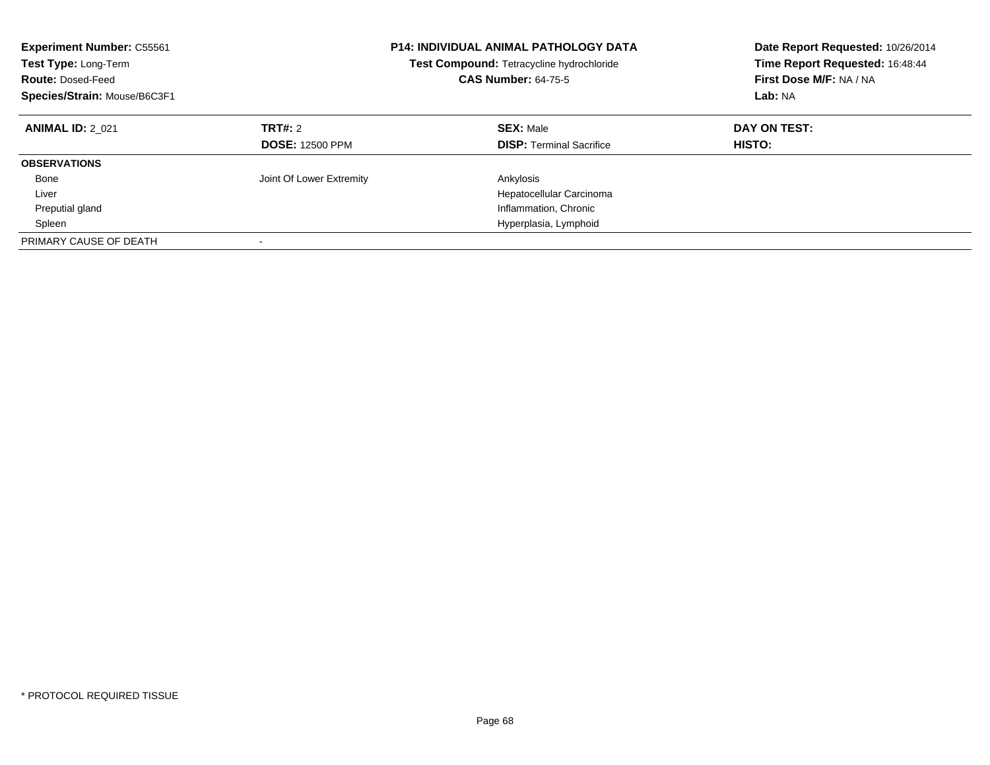| <b>Experiment Number: C55561</b><br>Test Type: Long-Term<br><b>Route: Dosed-Feed</b><br>Species/Strain: Mouse/B6C3F1 |                                          | <b>P14: INDIVIDUAL ANIMAL PATHOLOGY DATA</b><br>Test Compound: Tetracycline hydrochloride<br><b>CAS Number: 64-75-5</b> | Date Report Requested: 10/26/2014<br>Time Report Requested: 16:48:44<br>First Dose M/F: NA / NA<br>Lab: NA |
|----------------------------------------------------------------------------------------------------------------------|------------------------------------------|-------------------------------------------------------------------------------------------------------------------------|------------------------------------------------------------------------------------------------------------|
| <b>ANIMAL ID: 2 021</b>                                                                                              | <b>TRT#: 2</b><br><b>DOSE: 12500 PPM</b> | <b>SEX: Male</b><br><b>DISP:</b> Terminal Sacrifice                                                                     | DAY ON TEST:<br><b>HISTO:</b>                                                                              |
| <b>OBSERVATIONS</b>                                                                                                  |                                          |                                                                                                                         |                                                                                                            |
| Bone                                                                                                                 | Joint Of Lower Extremity                 | Ankylosis                                                                                                               |                                                                                                            |
| Liver                                                                                                                |                                          | Hepatocellular Carcinoma                                                                                                |                                                                                                            |
| Preputial gland                                                                                                      |                                          | Inflammation, Chronic                                                                                                   |                                                                                                            |
| Spleen                                                                                                               |                                          | Hyperplasia, Lymphoid                                                                                                   |                                                                                                            |
| PRIMARY CAUSE OF DEATH                                                                                               |                                          |                                                                                                                         |                                                                                                            |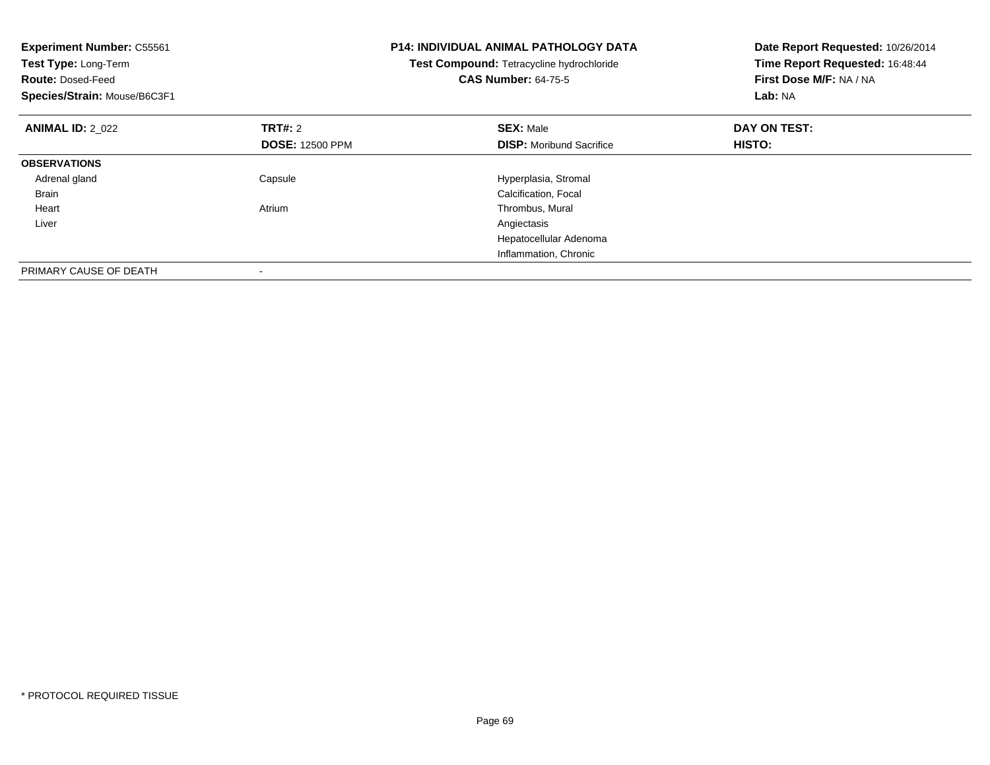| <b>Experiment Number: C55561</b><br>Test Type: Long-Term<br><b>Route: Dosed-Feed</b><br>Species/Strain: Mouse/B6C3F1 |                        | <b>P14: INDIVIDUAL ANIMAL PATHOLOGY DATA</b><br>Test Compound: Tetracycline hydrochloride<br><b>CAS Number: 64-75-5</b> | Date Report Requested: 10/26/2014<br>Time Report Requested: 16:48:44<br>First Dose M/F: NA / NA<br>Lab: NA |
|----------------------------------------------------------------------------------------------------------------------|------------------------|-------------------------------------------------------------------------------------------------------------------------|------------------------------------------------------------------------------------------------------------|
| <b>ANIMAL ID: 2 022</b>                                                                                              | TRT#: 2                | <b>SEX: Male</b>                                                                                                        | DAY ON TEST:                                                                                               |
|                                                                                                                      | <b>DOSE: 12500 PPM</b> | <b>DISP:</b> Moribund Sacrifice                                                                                         | <b>HISTO:</b>                                                                                              |
| <b>OBSERVATIONS</b>                                                                                                  |                        |                                                                                                                         |                                                                                                            |
| Adrenal gland                                                                                                        | Capsule                | Hyperplasia, Stromal                                                                                                    |                                                                                                            |
| <b>Brain</b>                                                                                                         |                        | Calcification, Focal                                                                                                    |                                                                                                            |
| Heart                                                                                                                | Atrium                 | Thrombus, Mural                                                                                                         |                                                                                                            |
| Liver                                                                                                                |                        | Angiectasis                                                                                                             |                                                                                                            |
|                                                                                                                      |                        | Hepatocellular Adenoma                                                                                                  |                                                                                                            |
|                                                                                                                      |                        | Inflammation, Chronic                                                                                                   |                                                                                                            |
| PRIMARY CAUSE OF DEATH                                                                                               |                        |                                                                                                                         |                                                                                                            |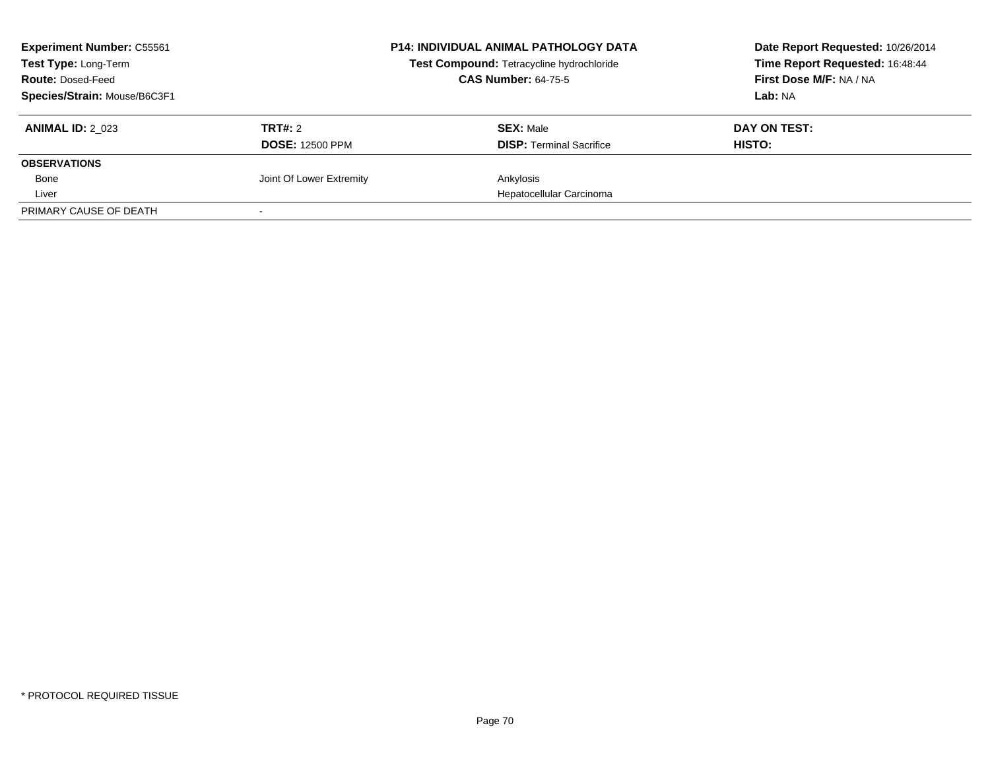| <b>Experiment Number: C55561</b><br>Test Type: Long-Term<br><b>Route: Dosed-Feed</b> |                          | <b>P14: INDIVIDUAL ANIMAL PATHOLOGY DATA</b><br>Test Compound: Tetracycline hydrochloride<br><b>CAS Number: 64-75-5</b> | Date Report Requested: 10/26/2014<br>Time Report Requested: 16:48:44<br>First Dose M/F: NA / NA |
|--------------------------------------------------------------------------------------|--------------------------|-------------------------------------------------------------------------------------------------------------------------|-------------------------------------------------------------------------------------------------|
| Species/Strain: Mouse/B6C3F1                                                         |                          |                                                                                                                         | Lab: NA                                                                                         |
| <b>ANIMAL ID: 2 023</b>                                                              | TRT#: 2                  | <b>SEX: Male</b>                                                                                                        | DAY ON TEST:                                                                                    |
|                                                                                      | <b>DOSE: 12500 PPM</b>   | <b>DISP:</b> Terminal Sacrifice                                                                                         | HISTO:                                                                                          |
| <b>OBSERVATIONS</b>                                                                  |                          |                                                                                                                         |                                                                                                 |
| Bone                                                                                 | Joint Of Lower Extremity | Ankylosis                                                                                                               |                                                                                                 |
| Liver                                                                                |                          | Hepatocellular Carcinoma                                                                                                |                                                                                                 |
| PRIMARY CAUSE OF DEATH                                                               |                          |                                                                                                                         |                                                                                                 |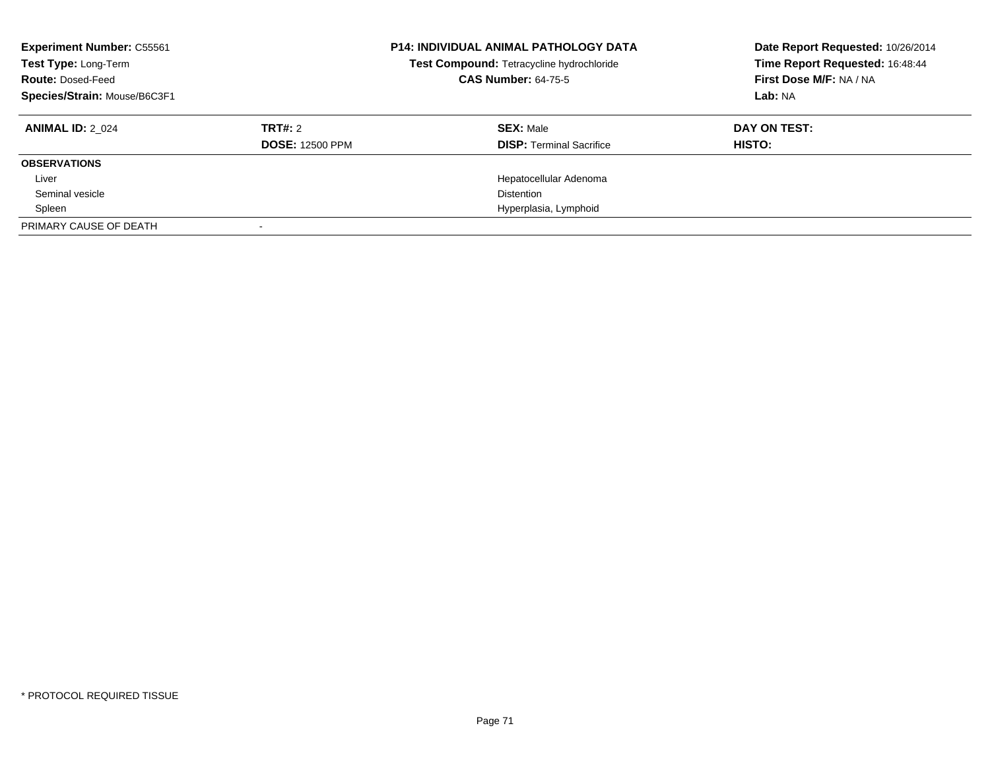| <b>Experiment Number: C55561</b><br>Test Type: Long-Term<br><b>Route: Dosed-Feed</b><br>Species/Strain: Mouse/B6C3F1 |                        | <b>P14: INDIVIDUAL ANIMAL PATHOLOGY DATA</b><br>Test Compound: Tetracycline hydrochloride<br><b>CAS Number: 64-75-5</b> | Date Report Requested: 10/26/2014<br>Time Report Requested: 16:48:44<br>First Dose M/F: NA / NA<br>Lab: NA |
|----------------------------------------------------------------------------------------------------------------------|------------------------|-------------------------------------------------------------------------------------------------------------------------|------------------------------------------------------------------------------------------------------------|
| <b>ANIMAL ID: 2 024</b>                                                                                              | TRT#: 2                | <b>SEX: Male</b>                                                                                                        | DAY ON TEST:                                                                                               |
|                                                                                                                      | <b>DOSE: 12500 PPM</b> | <b>DISP: Terminal Sacrifice</b>                                                                                         | HISTO:                                                                                                     |
| <b>OBSERVATIONS</b>                                                                                                  |                        |                                                                                                                         |                                                                                                            |
| Liver                                                                                                                |                        | Hepatocellular Adenoma                                                                                                  |                                                                                                            |
| Seminal vesicle                                                                                                      |                        | Distention                                                                                                              |                                                                                                            |
| Spleen                                                                                                               |                        | Hyperplasia, Lymphoid                                                                                                   |                                                                                                            |
| PRIMARY CAUSE OF DEATH                                                                                               |                        |                                                                                                                         |                                                                                                            |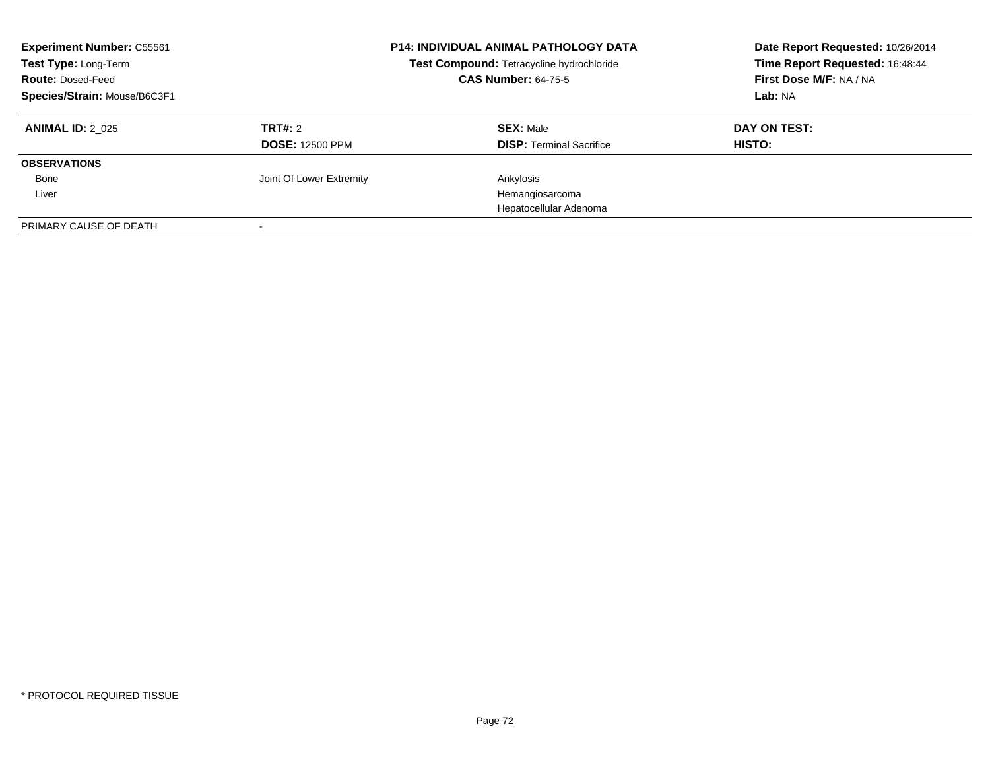| <b>Experiment Number: C55561</b><br>Test Type: Long-Term<br><b>Route: Dosed-Feed</b><br>Species/Strain: Mouse/B6C3F1 |                                   | <b>P14: INDIVIDUAL ANIMAL PATHOLOGY DATA</b><br>Test Compound: Tetracycline hydrochloride<br><b>CAS Number: 64-75-5</b> | Date Report Requested: 10/26/2014<br>Time Report Requested: 16:48:44<br>First Dose M/F: NA / NA<br>Lab: NA |
|----------------------------------------------------------------------------------------------------------------------|-----------------------------------|-------------------------------------------------------------------------------------------------------------------------|------------------------------------------------------------------------------------------------------------|
| <b>ANIMAL ID: 2 025</b>                                                                                              | TRT#: 2<br><b>DOSE: 12500 PPM</b> | <b>SEX: Male</b><br><b>DISP:</b> Terminal Sacrifice                                                                     | DAY ON TEST:<br><b>HISTO:</b>                                                                              |
| <b>OBSERVATIONS</b>                                                                                                  |                                   |                                                                                                                         |                                                                                                            |
| Bone                                                                                                                 | Joint Of Lower Extremity          | Ankylosis                                                                                                               |                                                                                                            |
| Liver                                                                                                                |                                   | Hemangiosarcoma                                                                                                         |                                                                                                            |
|                                                                                                                      |                                   | Hepatocellular Adenoma                                                                                                  |                                                                                                            |
| PRIMARY CAUSE OF DEATH                                                                                               |                                   |                                                                                                                         |                                                                                                            |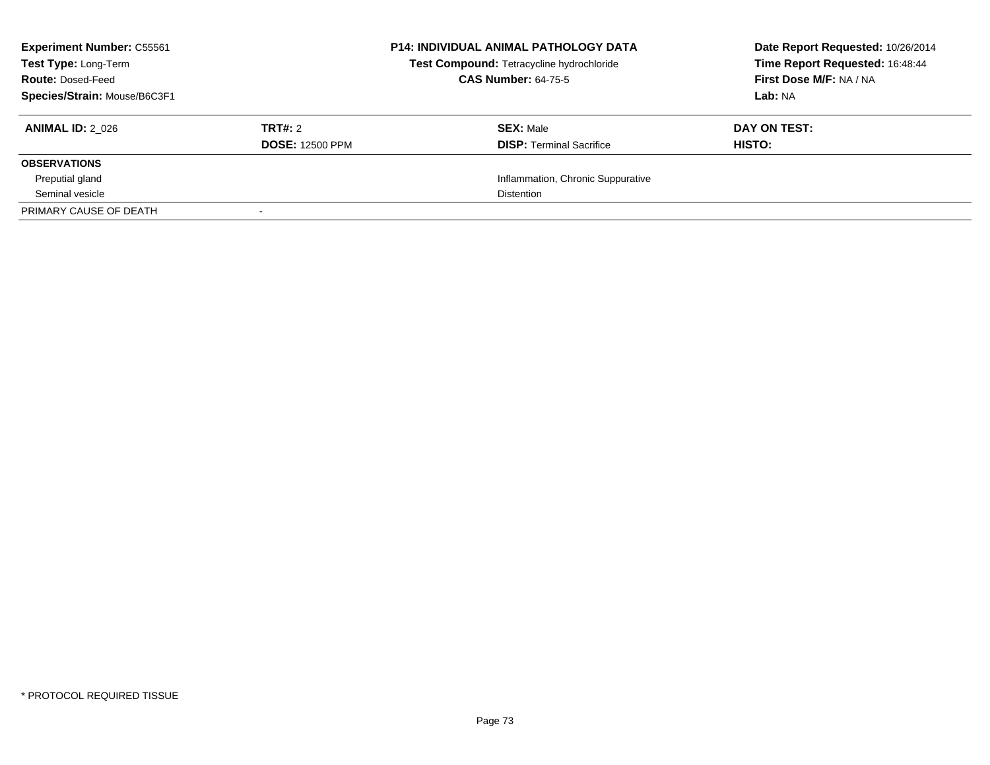| <b>Experiment Number: C55561</b><br>Test Type: Long-Term<br><b>Route: Dosed-Feed</b><br>Species/Strain: Mouse/B6C3F1 |                                   | <b>P14: INDIVIDUAL ANIMAL PATHOLOGY DATA</b><br>Test Compound: Tetracycline hydrochloride<br><b>CAS Number: 64-75-5</b> | Date Report Requested: 10/26/2014<br>Time Report Requested: 16:48:44<br>First Dose M/F: NA / NA<br>Lab: NA |
|----------------------------------------------------------------------------------------------------------------------|-----------------------------------|-------------------------------------------------------------------------------------------------------------------------|------------------------------------------------------------------------------------------------------------|
| <b>ANIMAL ID: 2 026</b>                                                                                              | TRT#: 2<br><b>DOSE: 12500 PPM</b> | <b>SEX: Male</b><br><b>DISP:</b> Terminal Sacrifice                                                                     | DAY ON TEST:<br><b>HISTO:</b>                                                                              |
| <b>OBSERVATIONS</b>                                                                                                  |                                   |                                                                                                                         |                                                                                                            |
| Preputial gland                                                                                                      |                                   | Inflammation, Chronic Suppurative                                                                                       |                                                                                                            |
| Seminal vesicle                                                                                                      |                                   | <b>Distention</b>                                                                                                       |                                                                                                            |
| PRIMARY CAUSE OF DEATH                                                                                               |                                   |                                                                                                                         |                                                                                                            |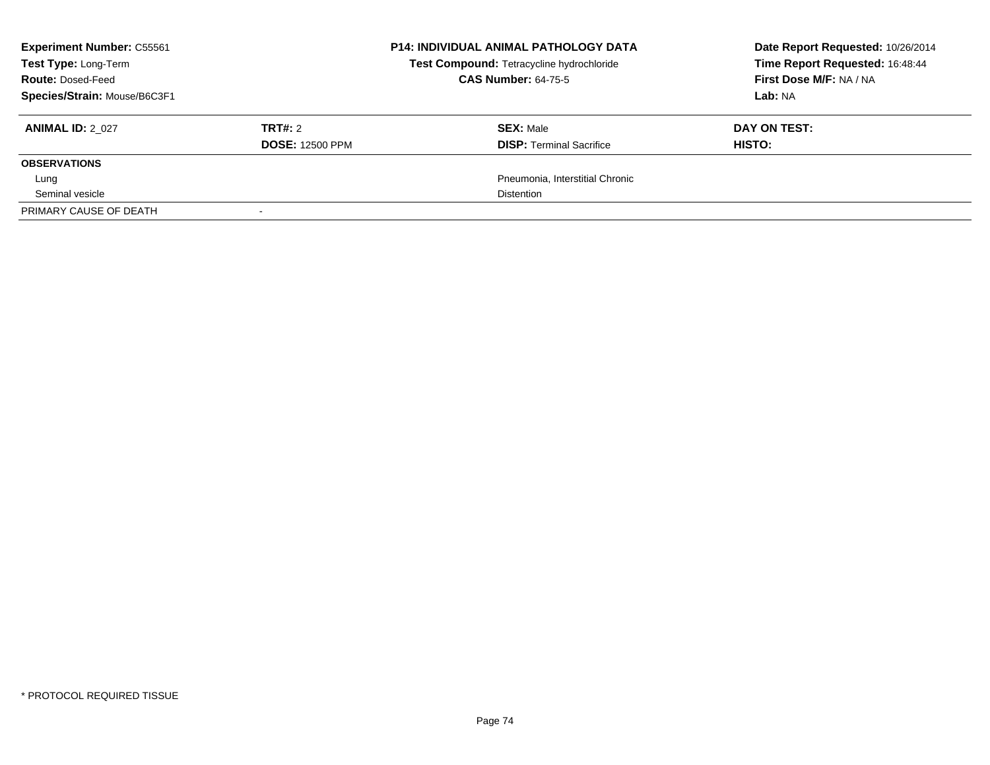| <b>Experiment Number: C55561</b><br>Test Type: Long-Term<br><b>Route: Dosed-Feed</b><br>Species/Strain: Mouse/B6C3F1 |                                   | <b>P14: INDIVIDUAL ANIMAL PATHOLOGY DATA</b><br>Test Compound: Tetracycline hydrochloride<br><b>CAS Number: 64-75-5</b> | Date Report Requested: 10/26/2014<br>Time Report Requested: 16:48:44<br>First Dose M/F: NA / NA<br>Lab: NA |
|----------------------------------------------------------------------------------------------------------------------|-----------------------------------|-------------------------------------------------------------------------------------------------------------------------|------------------------------------------------------------------------------------------------------------|
| <b>ANIMAL ID: 2 027</b>                                                                                              | TRT#: 2<br><b>DOSE: 12500 PPM</b> | <b>SEX: Male</b><br><b>DISP:</b> Terminal Sacrifice                                                                     | DAY ON TEST:<br>HISTO:                                                                                     |
| <b>OBSERVATIONS</b>                                                                                                  |                                   |                                                                                                                         |                                                                                                            |
| Lung                                                                                                                 |                                   | Pneumonia, Interstitial Chronic                                                                                         |                                                                                                            |
| Seminal vesicle                                                                                                      |                                   | <b>Distention</b>                                                                                                       |                                                                                                            |
| PRIMARY CAUSE OF DEATH                                                                                               |                                   |                                                                                                                         |                                                                                                            |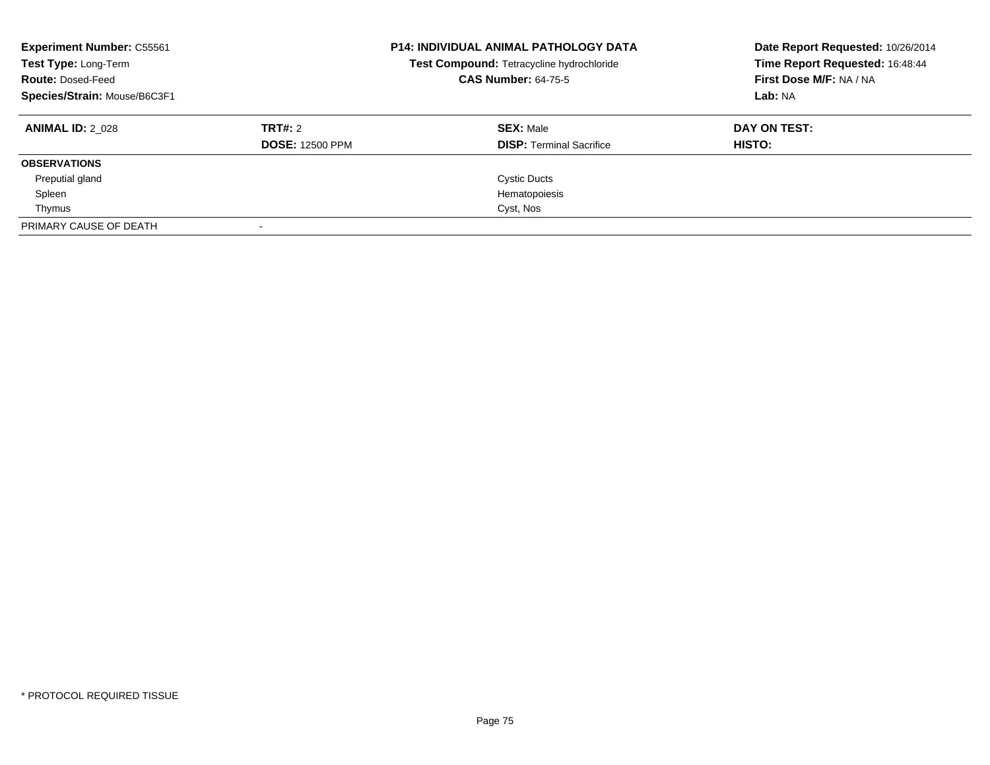| <b>Experiment Number: C55561</b><br>Test Type: Long-Term<br><b>Route: Dosed-Feed</b><br>Species/Strain: Mouse/B6C3F1 |                        | <b>P14: INDIVIDUAL ANIMAL PATHOLOGY DATA</b><br>Test Compound: Tetracycline hydrochloride<br><b>CAS Number: 64-75-5</b> | Date Report Requested: 10/26/2014<br>Time Report Requested: 16:48:44<br>First Dose M/F: NA / NA<br>Lab: NA |
|----------------------------------------------------------------------------------------------------------------------|------------------------|-------------------------------------------------------------------------------------------------------------------------|------------------------------------------------------------------------------------------------------------|
| <b>ANIMAL ID: 2 028</b>                                                                                              | <b>TRT#: 2</b>         | <b>SEX: Male</b>                                                                                                        | DAY ON TEST:                                                                                               |
|                                                                                                                      | <b>DOSE: 12500 PPM</b> | <b>DISP: Terminal Sacrifice</b>                                                                                         | HISTO:                                                                                                     |
| <b>OBSERVATIONS</b>                                                                                                  |                        |                                                                                                                         |                                                                                                            |
| Preputial gland                                                                                                      |                        | <b>Cystic Ducts</b>                                                                                                     |                                                                                                            |
| Spleen                                                                                                               |                        | Hematopoiesis                                                                                                           |                                                                                                            |
| Thymus                                                                                                               |                        | Cyst, Nos                                                                                                               |                                                                                                            |
| PRIMARY CAUSE OF DEATH                                                                                               |                        |                                                                                                                         |                                                                                                            |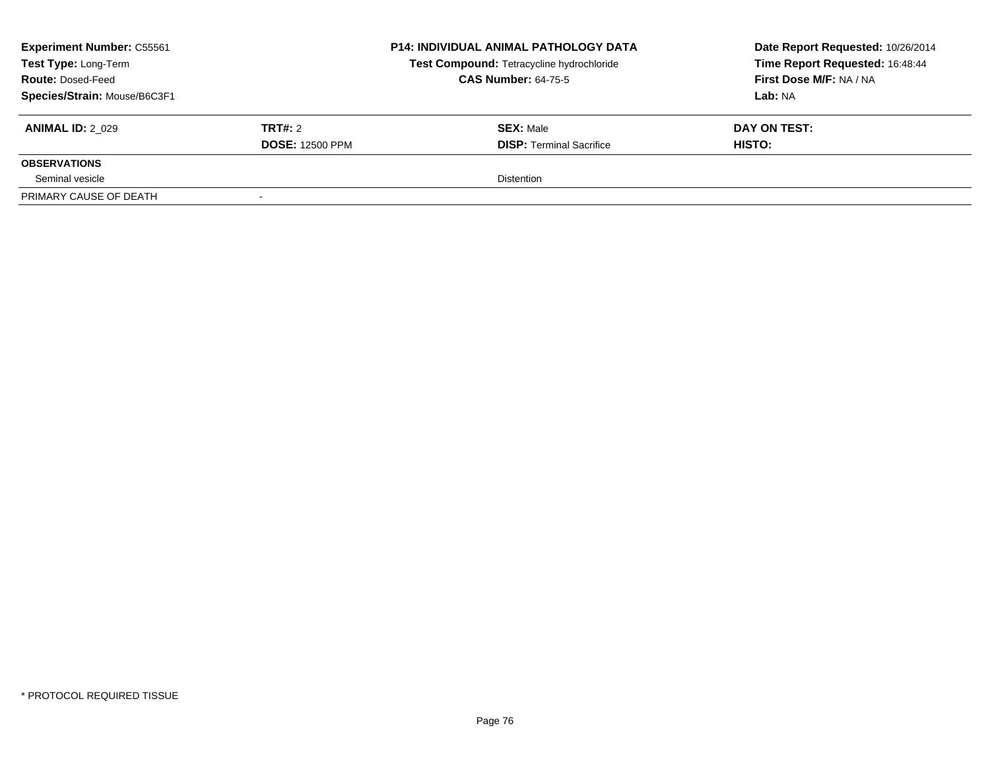| <b>Experiment Number: C55561</b><br>Test Type: Long-Term<br><b>Route: Dosed-Feed</b><br>Species/Strain: Mouse/B6C3F1 |                                          | <b>P14: INDIVIDUAL ANIMAL PATHOLOGY DATA</b><br>Test Compound: Tetracycline hydrochloride<br><b>CAS Number: 64-75-5</b> | Date Report Requested: 10/26/2014<br>Time Report Requested: 16:48:44<br>First Dose M/F: NA / NA<br>Lab: NA |
|----------------------------------------------------------------------------------------------------------------------|------------------------------------------|-------------------------------------------------------------------------------------------------------------------------|------------------------------------------------------------------------------------------------------------|
| <b>ANIMAL ID: 2 029</b>                                                                                              | <b>TRT#: 2</b><br><b>DOSE: 12500 PPM</b> | <b>SEX: Male</b><br><b>DISP: Terminal Sacrifice</b>                                                                     | DAY ON TEST:<br>HISTO:                                                                                     |
| <b>OBSERVATIONS</b>                                                                                                  |                                          |                                                                                                                         |                                                                                                            |
| Seminal vesicle                                                                                                      |                                          | <b>Distention</b>                                                                                                       |                                                                                                            |
| PRIMARY CAUSE OF DEATH                                                                                               |                                          |                                                                                                                         |                                                                                                            |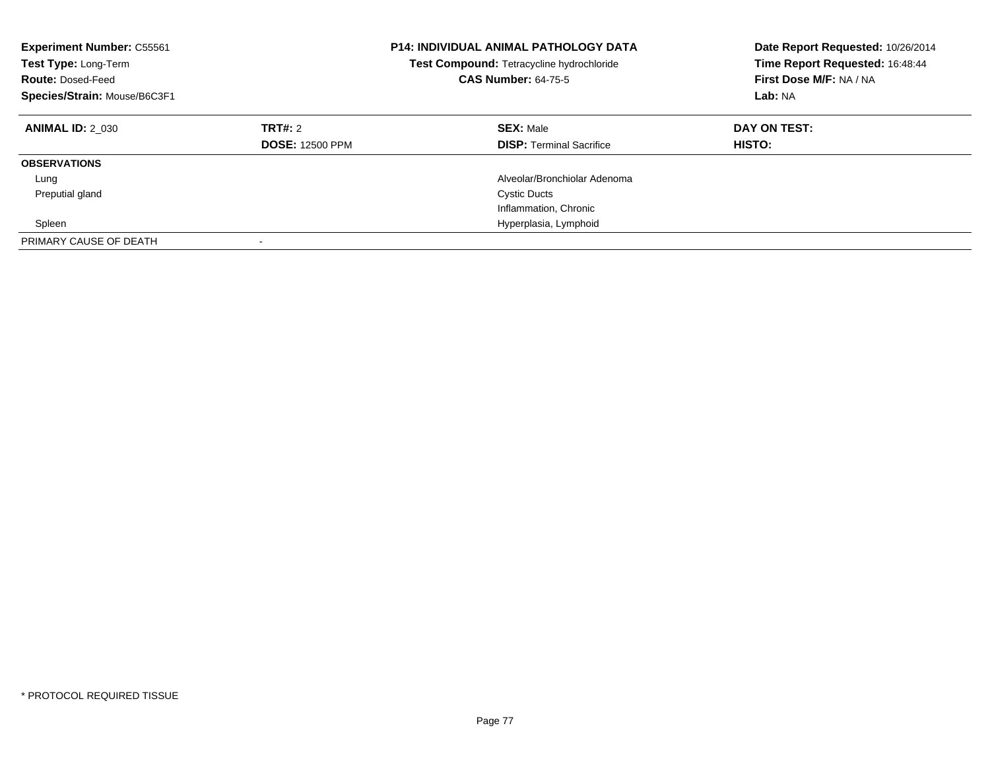| <b>Experiment Number: C55561</b><br>Test Type: Long-Term<br><b>Route: Dosed-Feed</b><br>Species/Strain: Mouse/B6C3F1 |                                   | <b>P14: INDIVIDUAL ANIMAL PATHOLOGY DATA</b><br>Test Compound: Tetracycline hydrochloride<br><b>CAS Number: 64-75-5</b> | Date Report Requested: 10/26/2014<br>Time Report Requested: 16:48:44<br>First Dose M/F: NA / NA<br>Lab: NA |
|----------------------------------------------------------------------------------------------------------------------|-----------------------------------|-------------------------------------------------------------------------------------------------------------------------|------------------------------------------------------------------------------------------------------------|
| <b>ANIMAL ID: 2 030</b>                                                                                              | TRT#: 2<br><b>DOSE: 12500 PPM</b> | <b>SEX: Male</b><br><b>DISP:</b> Terminal Sacrifice                                                                     | DAY ON TEST:<br><b>HISTO:</b>                                                                              |
| <b>OBSERVATIONS</b>                                                                                                  |                                   |                                                                                                                         |                                                                                                            |
| Lung                                                                                                                 |                                   | Alveolar/Bronchiolar Adenoma                                                                                            |                                                                                                            |
| Preputial gland                                                                                                      |                                   | <b>Cystic Ducts</b>                                                                                                     |                                                                                                            |
|                                                                                                                      |                                   | Inflammation, Chronic                                                                                                   |                                                                                                            |
| Spleen                                                                                                               |                                   | Hyperplasia, Lymphoid                                                                                                   |                                                                                                            |
| PRIMARY CAUSE OF DEATH                                                                                               |                                   |                                                                                                                         |                                                                                                            |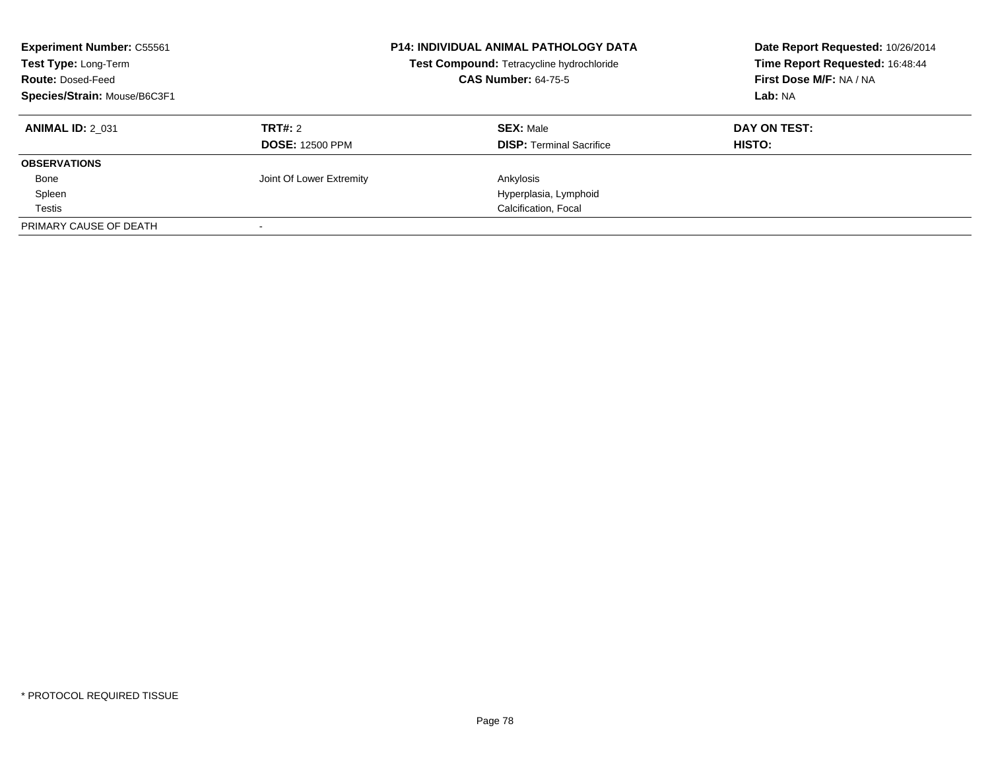| <b>Experiment Number: C55561</b><br>Test Type: Long-Term<br><b>Route: Dosed-Feed</b><br>Species/Strain: Mouse/B6C3F1 |                          | <b>P14: INDIVIDUAL ANIMAL PATHOLOGY DATA</b><br>Test Compound: Tetracycline hydrochloride<br><b>CAS Number: 64-75-5</b> | Date Report Requested: 10/26/2014<br>Time Report Requested: 16:48:44<br>First Dose M/F: NA / NA<br>Lab: NA |
|----------------------------------------------------------------------------------------------------------------------|--------------------------|-------------------------------------------------------------------------------------------------------------------------|------------------------------------------------------------------------------------------------------------|
| <b>ANIMAL ID: 2 031</b>                                                                                              | TRT#: 2                  | <b>SEX: Male</b>                                                                                                        | DAY ON TEST:                                                                                               |
|                                                                                                                      | <b>DOSE: 12500 PPM</b>   | <b>DISP:</b> Terminal Sacrifice                                                                                         | HISTO:                                                                                                     |
| <b>OBSERVATIONS</b>                                                                                                  |                          |                                                                                                                         |                                                                                                            |
| Bone                                                                                                                 | Joint Of Lower Extremity | Ankylosis                                                                                                               |                                                                                                            |
| Spleen                                                                                                               |                          | Hyperplasia, Lymphoid                                                                                                   |                                                                                                            |
| Testis                                                                                                               |                          | Calcification, Focal                                                                                                    |                                                                                                            |
| PRIMARY CAUSE OF DEATH                                                                                               |                          |                                                                                                                         |                                                                                                            |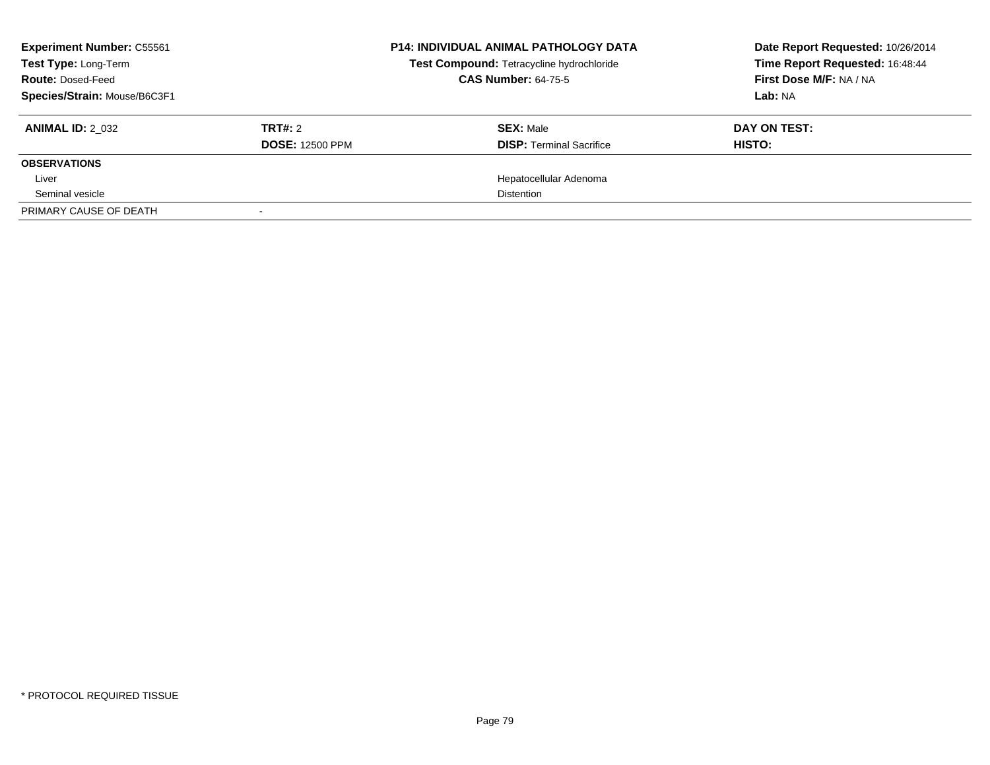| <b>Experiment Number: C55561</b><br>Test Type: Long-Term<br><b>Route: Dosed-Feed</b><br>Species/Strain: Mouse/B6C3F1 |                                   | <b>P14: INDIVIDUAL ANIMAL PATHOLOGY DATA</b><br>Test Compound: Tetracycline hydrochloride<br><b>CAS Number: 64-75-5</b> | Date Report Requested: 10/26/2014<br>Time Report Requested: 16:48:44<br>First Dose M/F: NA / NA<br>Lab: NA |
|----------------------------------------------------------------------------------------------------------------------|-----------------------------------|-------------------------------------------------------------------------------------------------------------------------|------------------------------------------------------------------------------------------------------------|
| <b>ANIMAL ID: 2 032</b>                                                                                              | TRT#: 2<br><b>DOSE: 12500 PPM</b> | <b>SEX: Male</b><br><b>DISP:</b> Terminal Sacrifice                                                                     | DAY ON TEST:<br>HISTO:                                                                                     |
| <b>OBSERVATIONS</b>                                                                                                  |                                   |                                                                                                                         |                                                                                                            |
| Liver                                                                                                                |                                   | Hepatocellular Adenoma                                                                                                  |                                                                                                            |
| Seminal vesicle                                                                                                      |                                   | <b>Distention</b>                                                                                                       |                                                                                                            |
| PRIMARY CAUSE OF DEATH                                                                                               |                                   |                                                                                                                         |                                                                                                            |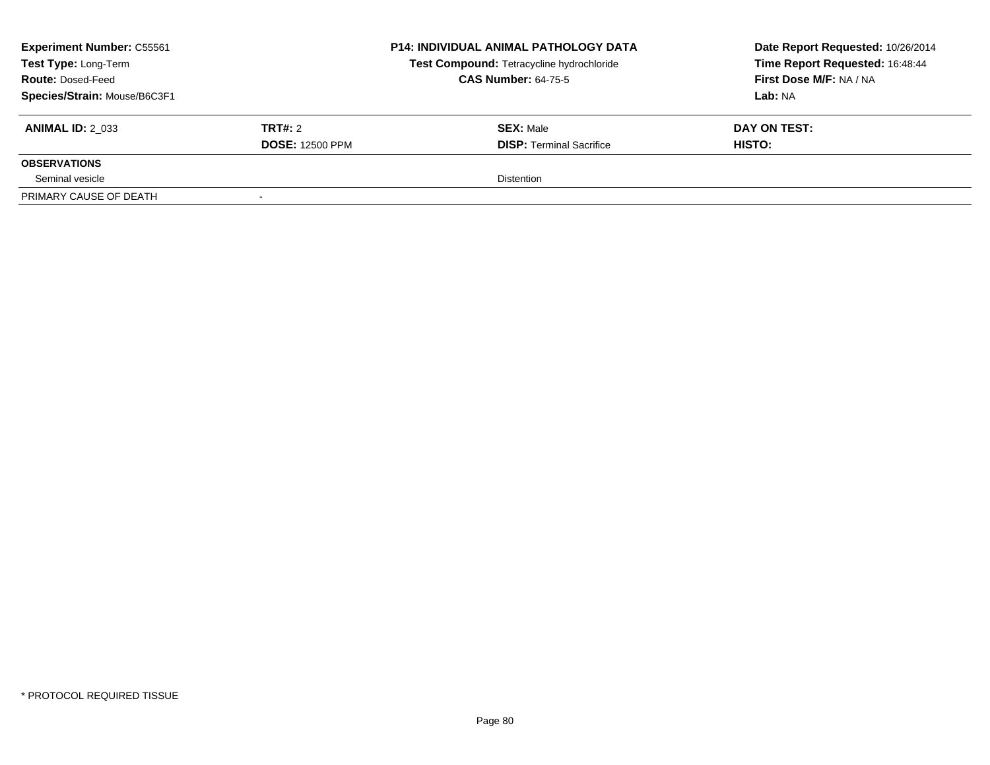| <b>Experiment Number: C55561</b><br>Test Type: Long-Term<br><b>Route: Dosed-Feed</b><br>Species/Strain: Mouse/B6C3F1 |                                   | <b>P14: INDIVIDUAL ANIMAL PATHOLOGY DATA</b><br>Test Compound: Tetracycline hydrochloride<br><b>CAS Number: 64-75-5</b> | Date Report Requested: 10/26/2014<br>Time Report Requested: 16:48:44<br>First Dose M/F: NA / NA<br>Lab: NA |
|----------------------------------------------------------------------------------------------------------------------|-----------------------------------|-------------------------------------------------------------------------------------------------------------------------|------------------------------------------------------------------------------------------------------------|
| <b>ANIMAL ID: 2 033</b>                                                                                              | TRT#: 2<br><b>DOSE: 12500 PPM</b> | <b>SEX: Male</b><br><b>DISP: Terminal Sacrifice</b>                                                                     | DAY ON TEST:<br>HISTO:                                                                                     |
| <b>OBSERVATIONS</b>                                                                                                  |                                   |                                                                                                                         |                                                                                                            |
| Seminal vesicle                                                                                                      |                                   | <b>Distention</b>                                                                                                       |                                                                                                            |
| PRIMARY CAUSE OF DEATH                                                                                               |                                   |                                                                                                                         |                                                                                                            |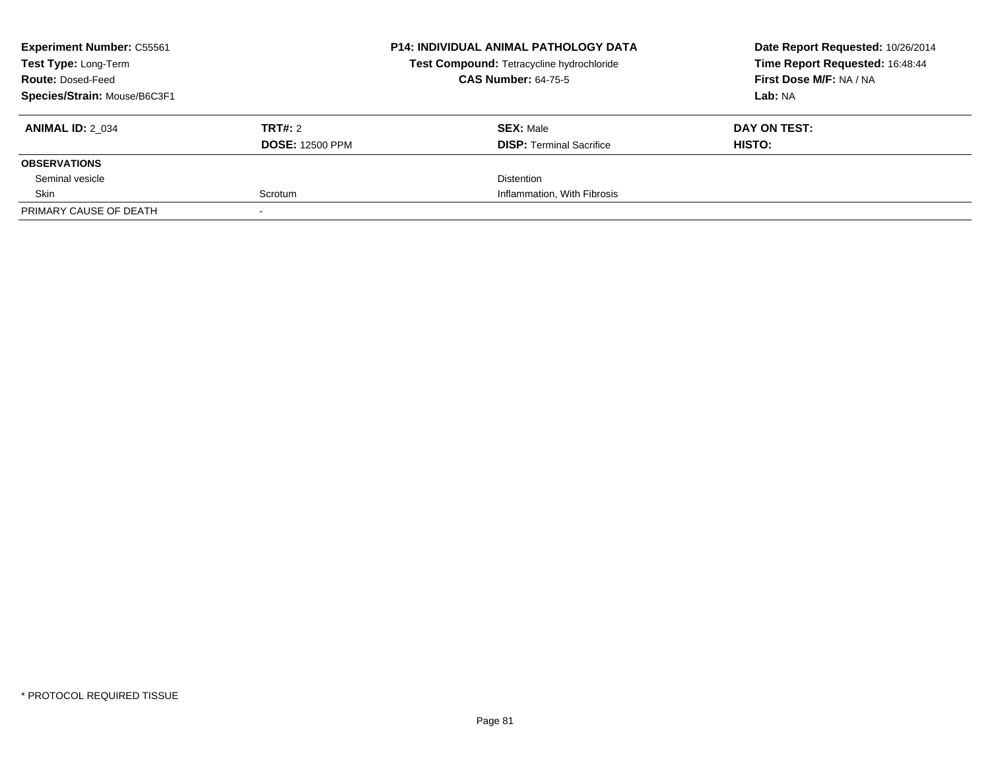| <b>Experiment Number: C55561</b><br><b>Test Type: Long-Term</b><br><b>Route: Dosed-Feed</b><br>Species/Strain: Mouse/B6C3F1 |                                   | <b>P14: INDIVIDUAL ANIMAL PATHOLOGY DATA</b><br>Test Compound: Tetracycline hydrochloride<br><b>CAS Number: 64-75-5</b> | Date Report Requested: 10/26/2014<br>Time Report Requested: 16:48:44<br>First Dose M/F: NA / NA<br>Lab: NA |
|-----------------------------------------------------------------------------------------------------------------------------|-----------------------------------|-------------------------------------------------------------------------------------------------------------------------|------------------------------------------------------------------------------------------------------------|
| <b>ANIMAL ID: 2 034</b>                                                                                                     | TRT#: 2<br><b>DOSE: 12500 PPM</b> | <b>SEX: Male</b><br><b>DISP:</b> Terminal Sacrifice                                                                     | DAY ON TEST:<br>HISTO:                                                                                     |
| <b>OBSERVATIONS</b>                                                                                                         |                                   |                                                                                                                         |                                                                                                            |
| Seminal vesicle                                                                                                             |                                   | <b>Distention</b>                                                                                                       |                                                                                                            |
| Skin                                                                                                                        | Scrotum                           | Inflammation, With Fibrosis                                                                                             |                                                                                                            |
| PRIMARY CAUSE OF DEATH                                                                                                      |                                   |                                                                                                                         |                                                                                                            |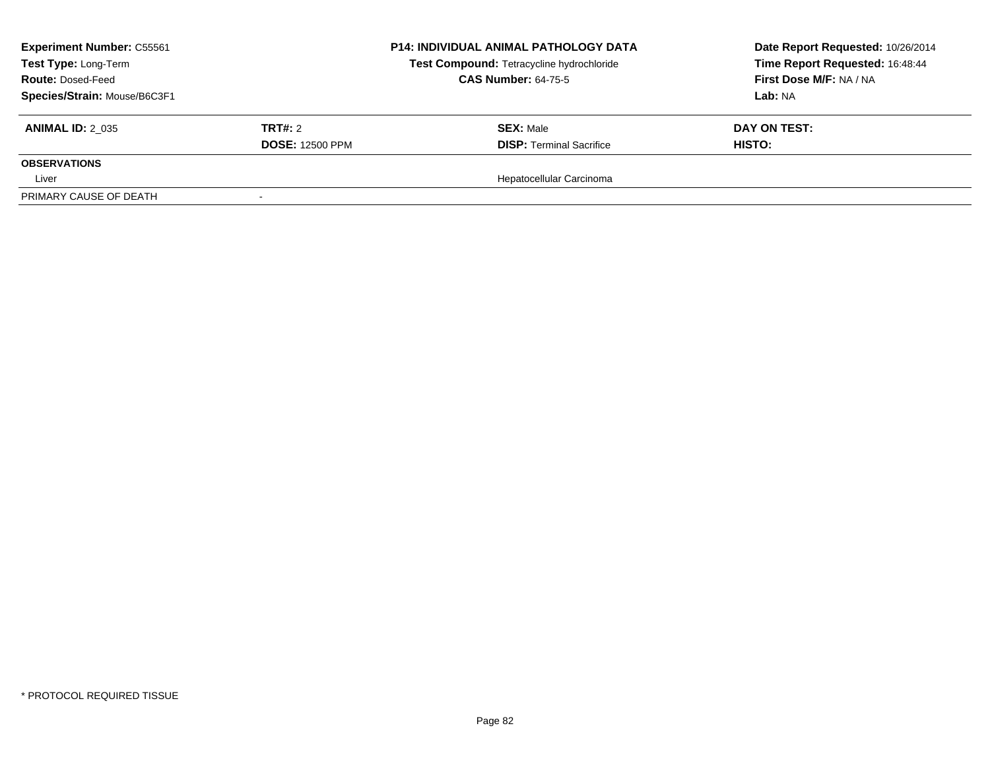| <b>Experiment Number: C55561</b><br>Test Type: Long-Term<br><b>Route: Dosed-Feed</b><br>Species/Strain: Mouse/B6C3F1 |                                          | <b>P14: INDIVIDUAL ANIMAL PATHOLOGY DATA</b><br>Test Compound: Tetracycline hydrochloride<br><b>CAS Number: 64-75-5</b> | Date Report Requested: 10/26/2014<br>Time Report Requested: 16:48:44<br>First Dose M/F: NA / NA<br>Lab: NA |
|----------------------------------------------------------------------------------------------------------------------|------------------------------------------|-------------------------------------------------------------------------------------------------------------------------|------------------------------------------------------------------------------------------------------------|
| <b>ANIMAL ID: 2 035</b>                                                                                              | <b>TRT#: 2</b><br><b>DOSE: 12500 PPM</b> | <b>SEX: Male</b><br><b>DISP: Terminal Sacrifice</b>                                                                     | DAY ON TEST:<br><b>HISTO:</b>                                                                              |
| <b>OBSERVATIONS</b>                                                                                                  |                                          |                                                                                                                         |                                                                                                            |
| Liver                                                                                                                |                                          | Hepatocellular Carcinoma                                                                                                |                                                                                                            |
| PRIMARY CAUSE OF DEATH                                                                                               |                                          |                                                                                                                         |                                                                                                            |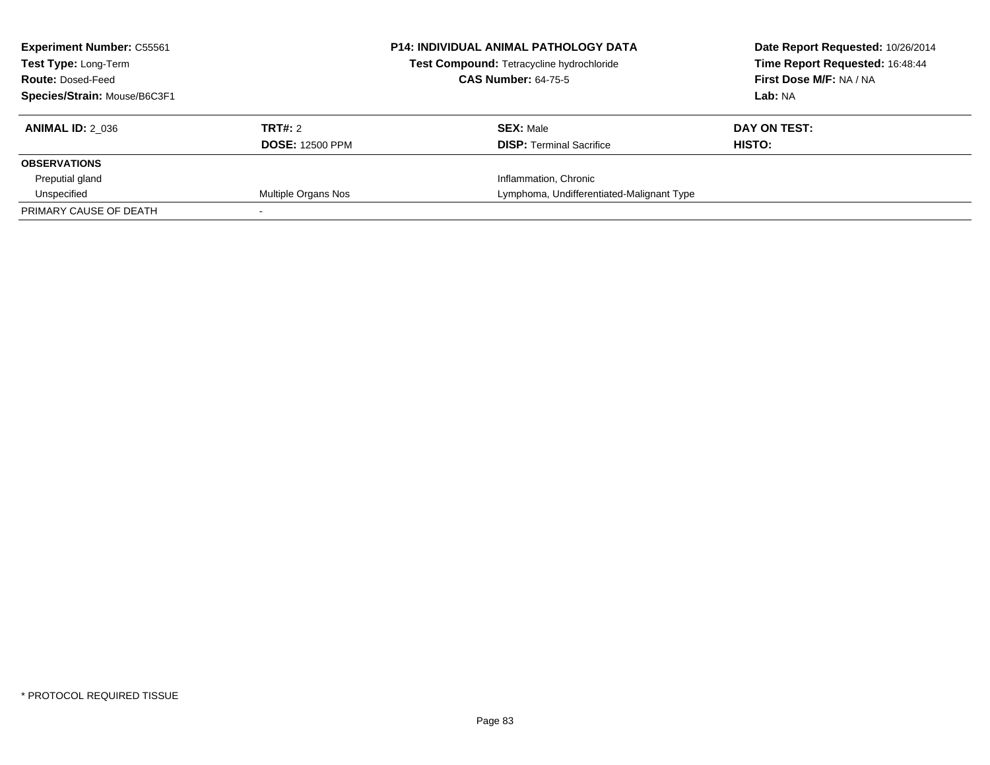| <b>Experiment Number: C55561</b><br>Test Type: Long-Term<br><b>Route: Dosed-Feed</b><br>Species/Strain: Mouse/B6C3F1 |                                   | <b>P14: INDIVIDUAL ANIMAL PATHOLOGY DATA</b><br>Test Compound: Tetracycline hydrochloride<br><b>CAS Number: 64-75-5</b> | Date Report Requested: 10/26/2014<br>Time Report Requested: 16:48:44<br>First Dose M/F: NA / NA<br>Lab: NA |
|----------------------------------------------------------------------------------------------------------------------|-----------------------------------|-------------------------------------------------------------------------------------------------------------------------|------------------------------------------------------------------------------------------------------------|
| <b>ANIMAL ID: 2 036</b>                                                                                              | TRT#: 2<br><b>DOSE: 12500 PPM</b> | <b>SEX: Male</b><br><b>DISP:</b> Terminal Sacrifice                                                                     | DAY ON TEST:<br>HISTO:                                                                                     |
| <b>OBSERVATIONS</b>                                                                                                  |                                   |                                                                                                                         |                                                                                                            |
| Preputial gland                                                                                                      |                                   | Inflammation, Chronic                                                                                                   |                                                                                                            |
| Unspecified                                                                                                          | Multiple Organs Nos               | Lymphoma, Undifferentiated-Malignant Type                                                                               |                                                                                                            |
| PRIMARY CAUSE OF DEATH                                                                                               |                                   |                                                                                                                         |                                                                                                            |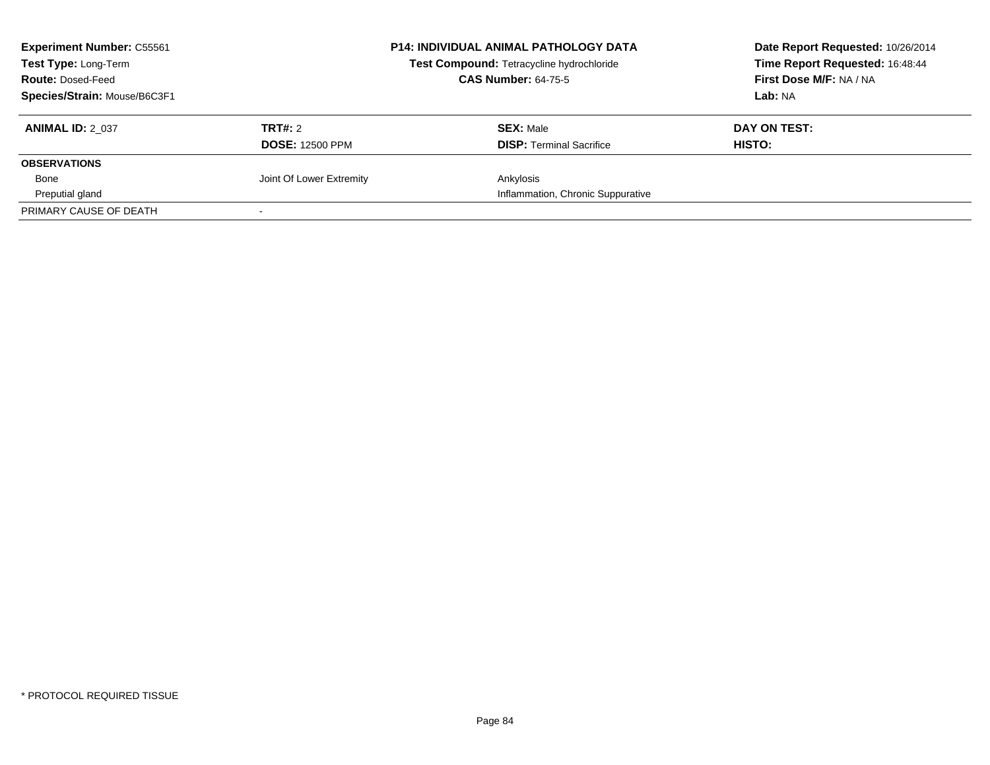| <b>Experiment Number: C55561</b><br><b>Test Type: Long-Term</b><br><b>Route: Dosed-Feed</b><br>Species/Strain: Mouse/B6C3F1 |                                   | <b>P14: INDIVIDUAL ANIMAL PATHOLOGY DATA</b><br>Test Compound: Tetracycline hydrochloride<br><b>CAS Number: 64-75-5</b> | Date Report Requested: 10/26/2014<br>Time Report Requested: 16:48:44<br>First Dose M/F: NA / NA<br>Lab: NA |
|-----------------------------------------------------------------------------------------------------------------------------|-----------------------------------|-------------------------------------------------------------------------------------------------------------------------|------------------------------------------------------------------------------------------------------------|
| <b>ANIMAL ID: 2 037</b>                                                                                                     | TRT#: 2<br><b>DOSE: 12500 PPM</b> | <b>SEX: Male</b><br><b>DISP:</b> Terminal Sacrifice                                                                     | DAY ON TEST:<br>HISTO:                                                                                     |
| <b>OBSERVATIONS</b>                                                                                                         |                                   |                                                                                                                         |                                                                                                            |
| Bone                                                                                                                        | Joint Of Lower Extremity          | Ankylosis                                                                                                               |                                                                                                            |
| Preputial gland                                                                                                             |                                   | Inflammation, Chronic Suppurative                                                                                       |                                                                                                            |
| PRIMARY CAUSE OF DEATH                                                                                                      |                                   |                                                                                                                         |                                                                                                            |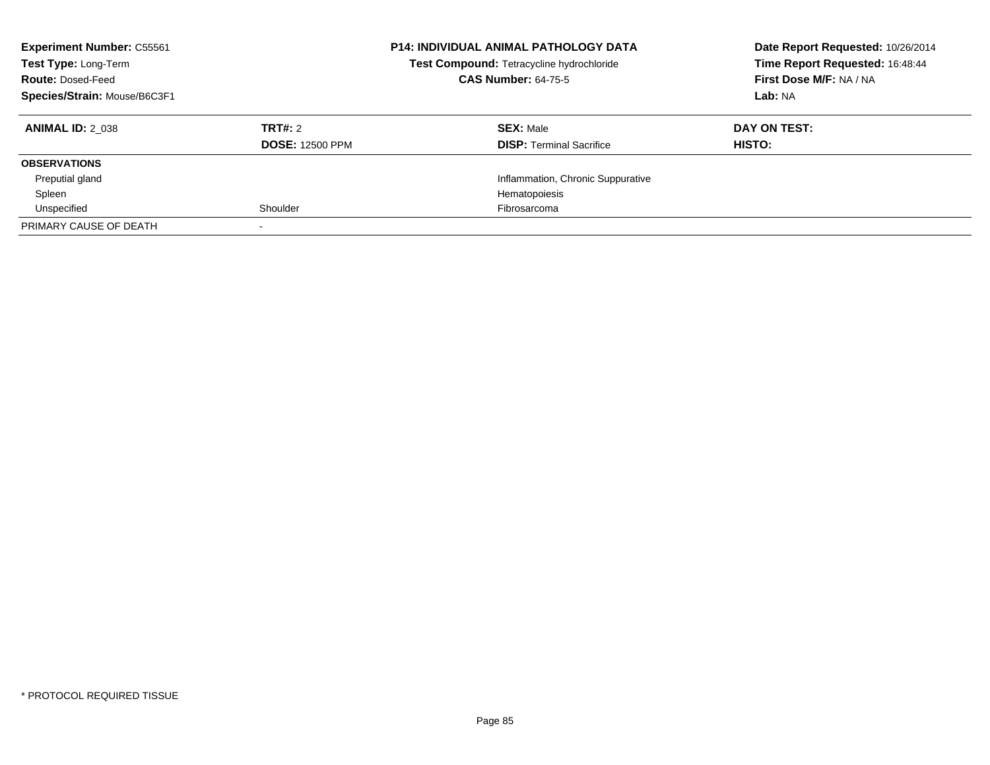| <b>Experiment Number: C55561</b><br>Test Type: Long-Term<br><b>Route: Dosed-Feed</b><br>Species/Strain: Mouse/B6C3F1 |                        | <b>P14: INDIVIDUAL ANIMAL PATHOLOGY DATA</b><br>Test Compound: Tetracycline hydrochloride<br><b>CAS Number: 64-75-5</b> | Date Report Requested: 10/26/2014<br>Time Report Requested: 16:48:44<br>First Dose M/F: NA / NA<br>Lab: NA |
|----------------------------------------------------------------------------------------------------------------------|------------------------|-------------------------------------------------------------------------------------------------------------------------|------------------------------------------------------------------------------------------------------------|
| <b>ANIMAL ID: 2 038</b>                                                                                              | TRT#: 2                | <b>SEX: Male</b>                                                                                                        | DAY ON TEST:                                                                                               |
|                                                                                                                      | <b>DOSE: 12500 PPM</b> | <b>DISP:</b> Terminal Sacrifice                                                                                         | <b>HISTO:</b>                                                                                              |
| <b>OBSERVATIONS</b>                                                                                                  |                        |                                                                                                                         |                                                                                                            |
| Preputial gland                                                                                                      |                        | Inflammation, Chronic Suppurative                                                                                       |                                                                                                            |
| Spleen                                                                                                               |                        | Hematopoiesis                                                                                                           |                                                                                                            |
| Unspecified                                                                                                          | Shoulder               | Fibrosarcoma                                                                                                            |                                                                                                            |
| PRIMARY CAUSE OF DEATH                                                                                               |                        |                                                                                                                         |                                                                                                            |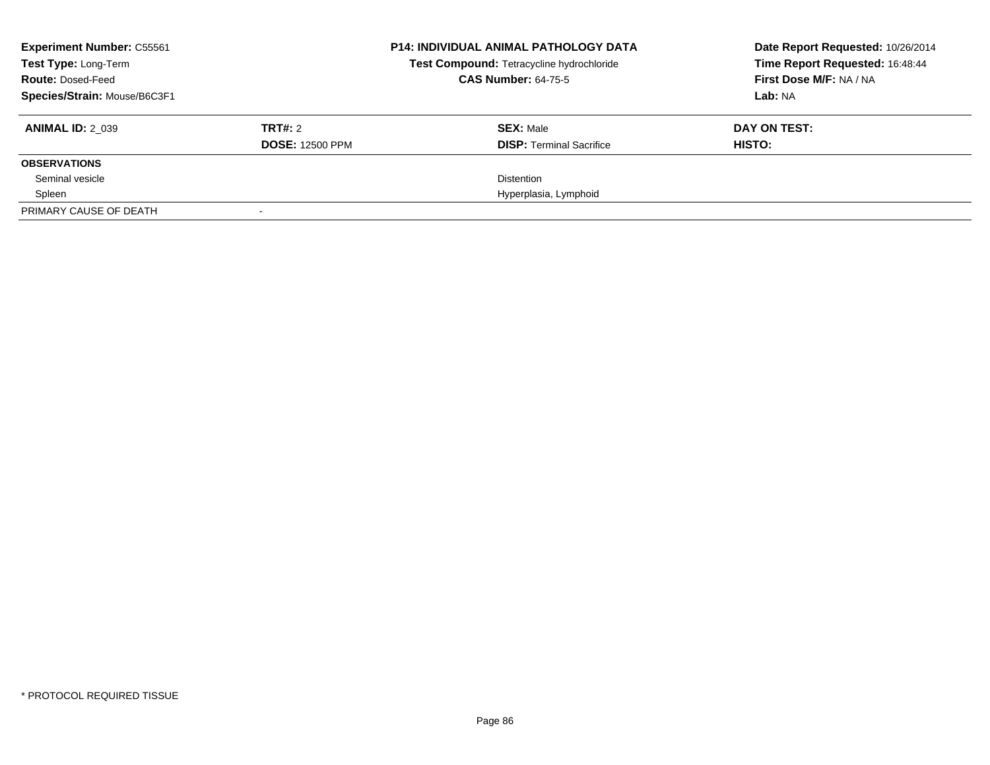| <b>Experiment Number: C55561</b><br>Test Type: Long-Term<br><b>Route: Dosed-Feed</b><br>Species/Strain: Mouse/B6C3F1 |                                   | <b>P14: INDIVIDUAL ANIMAL PATHOLOGY DATA</b><br>Test Compound: Tetracycline hydrochloride<br><b>CAS Number: 64-75-5</b> | Date Report Requested: 10/26/2014<br>Time Report Requested: 16:48:44<br>First Dose M/F: NA / NA<br>Lab: NA |
|----------------------------------------------------------------------------------------------------------------------|-----------------------------------|-------------------------------------------------------------------------------------------------------------------------|------------------------------------------------------------------------------------------------------------|
| <b>ANIMAL ID: 2 039</b>                                                                                              | TRT#: 2<br><b>DOSE: 12500 PPM</b> | <b>SEX: Male</b><br><b>DISP:</b> Terminal Sacrifice                                                                     | DAY ON TEST:<br>HISTO:                                                                                     |
| <b>OBSERVATIONS</b>                                                                                                  |                                   |                                                                                                                         |                                                                                                            |
| Seminal vesicle                                                                                                      |                                   | Distention                                                                                                              |                                                                                                            |
| Spleen                                                                                                               |                                   | Hyperplasia, Lymphoid                                                                                                   |                                                                                                            |
| PRIMARY CAUSE OF DEATH                                                                                               |                                   |                                                                                                                         |                                                                                                            |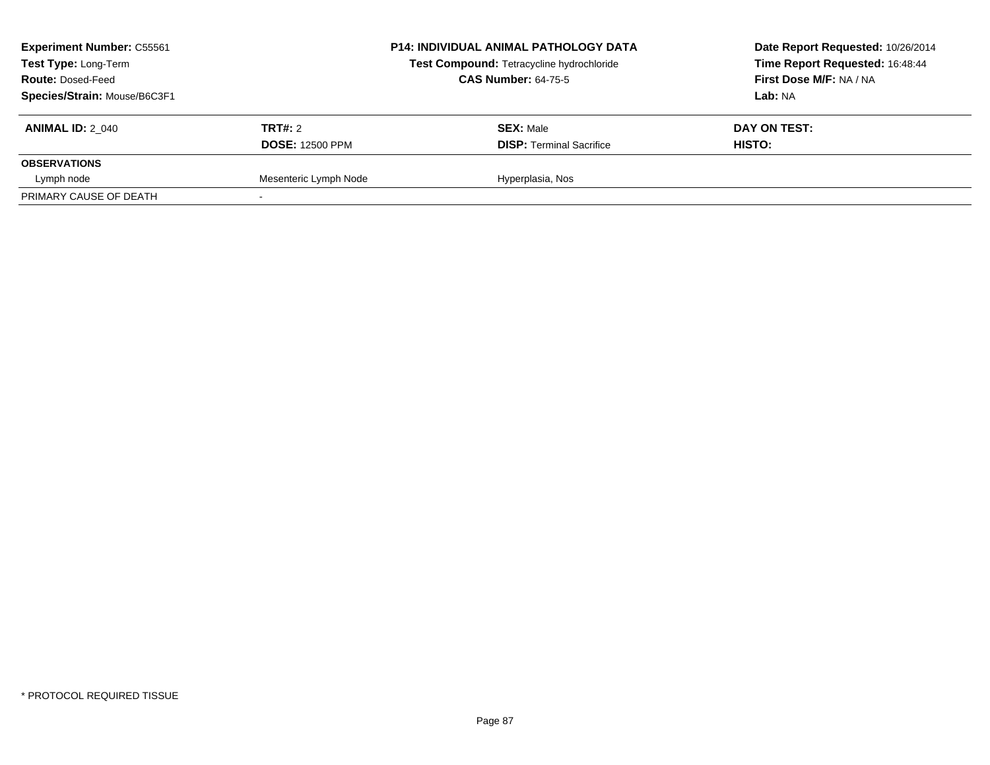| <b>Experiment Number: C55561</b><br>Test Type: Long-Term<br><b>Route: Dosed-Feed</b><br>Species/Strain: Mouse/B6C3F1 |                                   | <b>P14: INDIVIDUAL ANIMAL PATHOLOGY DATA</b><br>Test Compound: Tetracycline hydrochloride<br><b>CAS Number: 64-75-5</b> | Date Report Requested: 10/26/2014<br>Time Report Requested: 16:48:44<br><b>First Dose M/F: NA / NA</b><br>Lab: NA |
|----------------------------------------------------------------------------------------------------------------------|-----------------------------------|-------------------------------------------------------------------------------------------------------------------------|-------------------------------------------------------------------------------------------------------------------|
| <b>ANIMAL ID: 2 040</b>                                                                                              | TRT#: 2<br><b>DOSE: 12500 PPM</b> | <b>SEX: Male</b><br><b>DISP: Terminal Sacrifice</b>                                                                     | DAY ON TEST:<br>HISTO:                                                                                            |
| <b>OBSERVATIONS</b>                                                                                                  |                                   |                                                                                                                         |                                                                                                                   |
| Lymph node                                                                                                           | Mesenteric Lymph Node             | Hyperplasia, Nos                                                                                                        |                                                                                                                   |
| PRIMARY CAUSE OF DEATH                                                                                               |                                   |                                                                                                                         |                                                                                                                   |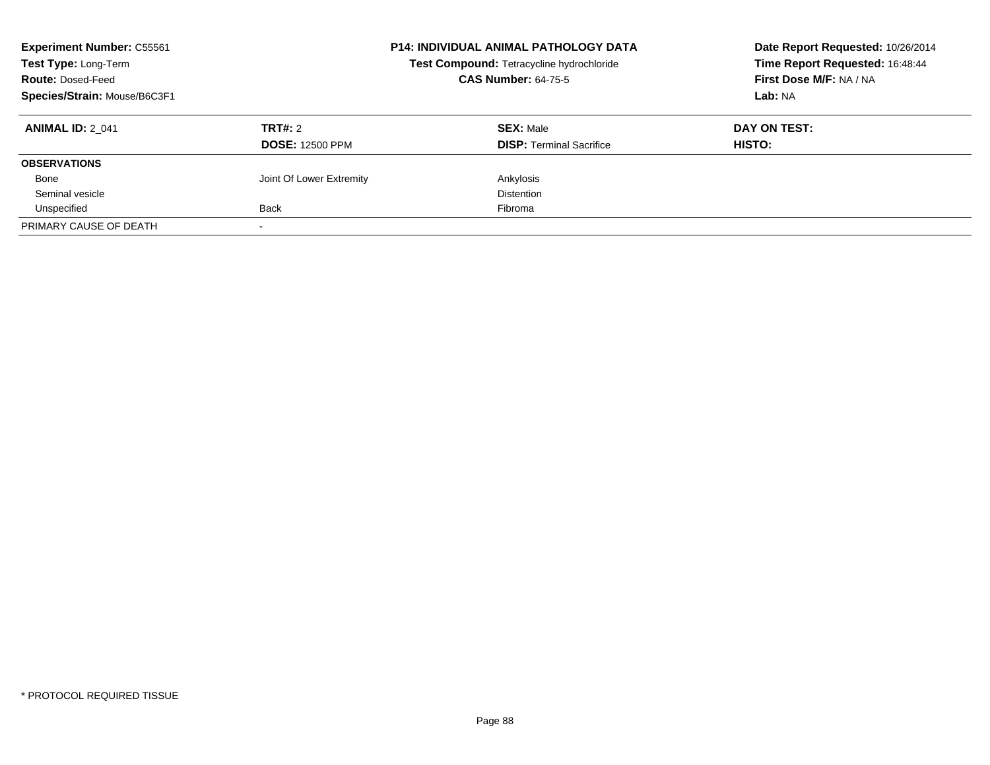| <b>Experiment Number: C55561</b><br>Test Type: Long-Term<br><b>Route: Dosed-Feed</b><br>Species/Strain: Mouse/B6C3F1 |                                   | <b>P14: INDIVIDUAL ANIMAL PATHOLOGY DATA</b><br>Test Compound: Tetracycline hydrochloride<br><b>CAS Number: 64-75-5</b> | Date Report Requested: 10/26/2014<br>Time Report Requested: 16:48:44<br>First Dose M/F: NA / NA<br>Lab: NA |
|----------------------------------------------------------------------------------------------------------------------|-----------------------------------|-------------------------------------------------------------------------------------------------------------------------|------------------------------------------------------------------------------------------------------------|
| <b>ANIMAL ID: 2 041</b>                                                                                              | TRT#: 2<br><b>DOSE: 12500 PPM</b> | <b>SEX: Male</b><br><b>DISP:</b> Terminal Sacrifice                                                                     | DAY ON TEST:<br>HISTO:                                                                                     |
| <b>OBSERVATIONS</b>                                                                                                  |                                   |                                                                                                                         |                                                                                                            |
| Bone                                                                                                                 | Joint Of Lower Extremity          | Ankylosis                                                                                                               |                                                                                                            |
| Seminal vesicle                                                                                                      |                                   | <b>Distention</b>                                                                                                       |                                                                                                            |
| Unspecified                                                                                                          | Back                              | Fibroma                                                                                                                 |                                                                                                            |
| PRIMARY CAUSE OF DEATH                                                                                               |                                   |                                                                                                                         |                                                                                                            |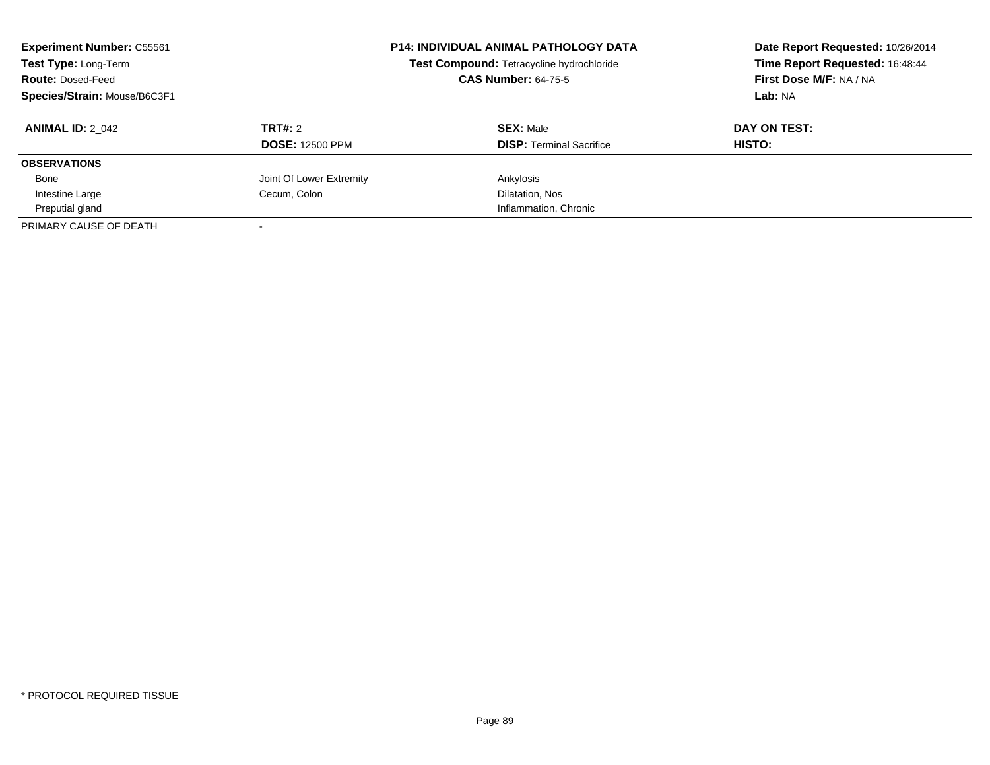| <b>Experiment Number: C55561</b><br><b>Test Type: Long-Term</b><br><b>Route: Dosed-Feed</b><br>Species/Strain: Mouse/B6C3F1 |                                          | <b>P14: INDIVIDUAL ANIMAL PATHOLOGY DATA</b><br>Test Compound: Tetracycline hydrochloride<br><b>CAS Number: 64-75-5</b> | Date Report Requested: 10/26/2014<br>Time Report Requested: 16:48:44<br>First Dose M/F: NA / NA<br>Lab: NA |
|-----------------------------------------------------------------------------------------------------------------------------|------------------------------------------|-------------------------------------------------------------------------------------------------------------------------|------------------------------------------------------------------------------------------------------------|
| <b>ANIMAL ID: 2 042</b>                                                                                                     | <b>TRT#: 2</b><br><b>DOSE: 12500 PPM</b> | <b>SEX: Male</b><br><b>DISP:</b> Terminal Sacrifice                                                                     | DAY ON TEST:<br>HISTO:                                                                                     |
| <b>OBSERVATIONS</b>                                                                                                         |                                          |                                                                                                                         |                                                                                                            |
| Bone                                                                                                                        | Joint Of Lower Extremity                 | Ankylosis                                                                                                               |                                                                                                            |
| Intestine Large                                                                                                             | Cecum, Colon                             | Dilatation, Nos                                                                                                         |                                                                                                            |
| Preputial gland                                                                                                             |                                          | Inflammation, Chronic                                                                                                   |                                                                                                            |
| PRIMARY CAUSE OF DEATH                                                                                                      |                                          |                                                                                                                         |                                                                                                            |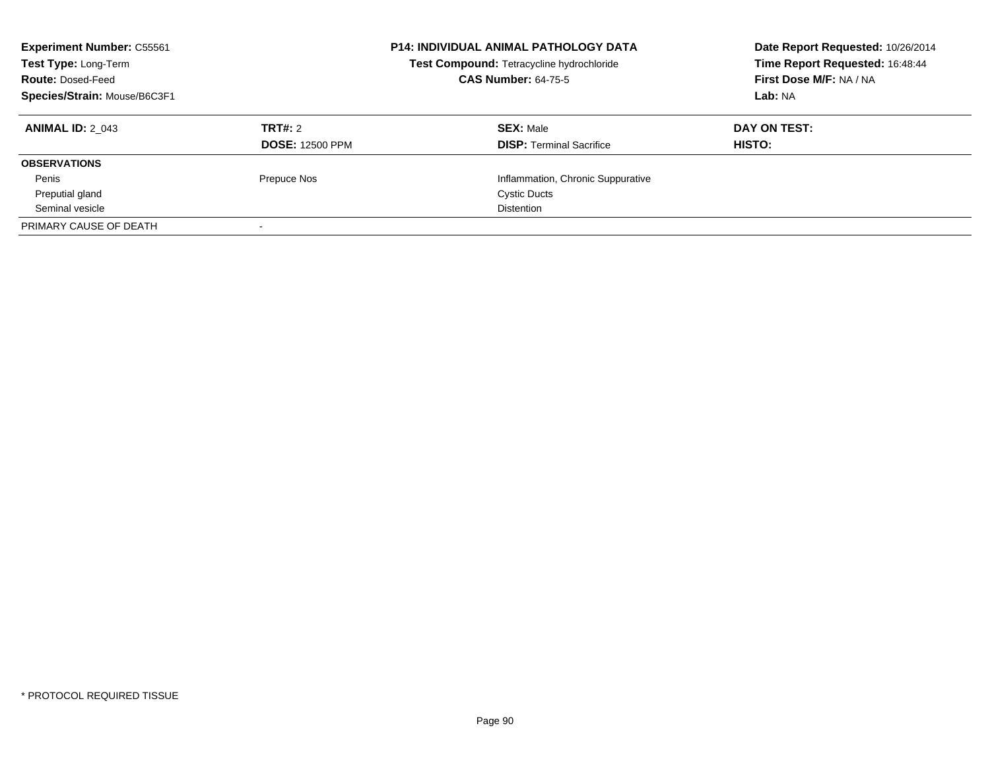| <b>Experiment Number: C55561</b><br>Test Type: Long-Term<br><b>Route: Dosed-Feed</b><br>Species/Strain: Mouse/B6C3F1 |                        | <b>P14: INDIVIDUAL ANIMAL PATHOLOGY DATA</b><br>Test Compound: Tetracycline hydrochloride<br><b>CAS Number: 64-75-5</b> | Date Report Requested: 10/26/2014<br>Time Report Requested: 16:48:44<br>First Dose M/F: NA / NA<br>Lab: NA |
|----------------------------------------------------------------------------------------------------------------------|------------------------|-------------------------------------------------------------------------------------------------------------------------|------------------------------------------------------------------------------------------------------------|
| <b>ANIMAL ID: 2 043</b>                                                                                              | <b>TRT#: 2</b>         | <b>SEX: Male</b>                                                                                                        | DAY ON TEST:                                                                                               |
|                                                                                                                      | <b>DOSE: 12500 PPM</b> | <b>DISP:</b> Terminal Sacrifice                                                                                         | HISTO:                                                                                                     |
| <b>OBSERVATIONS</b>                                                                                                  |                        |                                                                                                                         |                                                                                                            |
| Penis                                                                                                                | Prepuce Nos            | Inflammation, Chronic Suppurative                                                                                       |                                                                                                            |
| Preputial gland                                                                                                      |                        | <b>Cystic Ducts</b>                                                                                                     |                                                                                                            |
| Seminal vesicle                                                                                                      |                        | <b>Distention</b>                                                                                                       |                                                                                                            |
| PRIMARY CAUSE OF DEATH                                                                                               |                        |                                                                                                                         |                                                                                                            |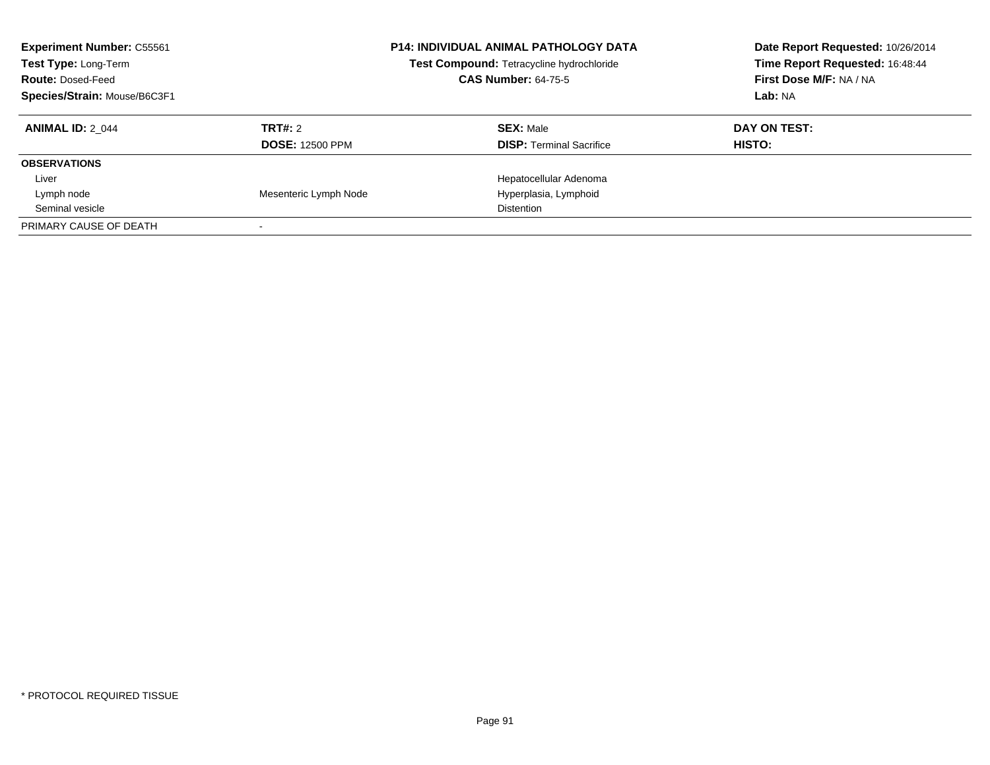| <b>Experiment Number: C55561</b><br>Test Type: Long-Term<br><b>Route: Dosed-Feed</b><br>Species/Strain: Mouse/B6C3F1 |                        | <b>P14: INDIVIDUAL ANIMAL PATHOLOGY DATA</b><br>Test Compound: Tetracycline hydrochloride<br><b>CAS Number: 64-75-5</b> | Date Report Requested: 10/26/2014<br>Time Report Requested: 16:48:44<br>First Dose M/F: NA / NA<br>Lab: NA |
|----------------------------------------------------------------------------------------------------------------------|------------------------|-------------------------------------------------------------------------------------------------------------------------|------------------------------------------------------------------------------------------------------------|
| <b>ANIMAL ID: 2 044</b>                                                                                              | TRT#: 2                | <b>SEX: Male</b>                                                                                                        | DAY ON TEST:                                                                                               |
|                                                                                                                      | <b>DOSE: 12500 PPM</b> | <b>DISP:</b> Terminal Sacrifice                                                                                         | HISTO:                                                                                                     |
| <b>OBSERVATIONS</b>                                                                                                  |                        |                                                                                                                         |                                                                                                            |
| Liver                                                                                                                |                        | Hepatocellular Adenoma                                                                                                  |                                                                                                            |
| Lymph node                                                                                                           | Mesenteric Lymph Node  | Hyperplasia, Lymphoid                                                                                                   |                                                                                                            |
| Seminal vesicle                                                                                                      |                        | <b>Distention</b>                                                                                                       |                                                                                                            |
| PRIMARY CAUSE OF DEATH                                                                                               |                        |                                                                                                                         |                                                                                                            |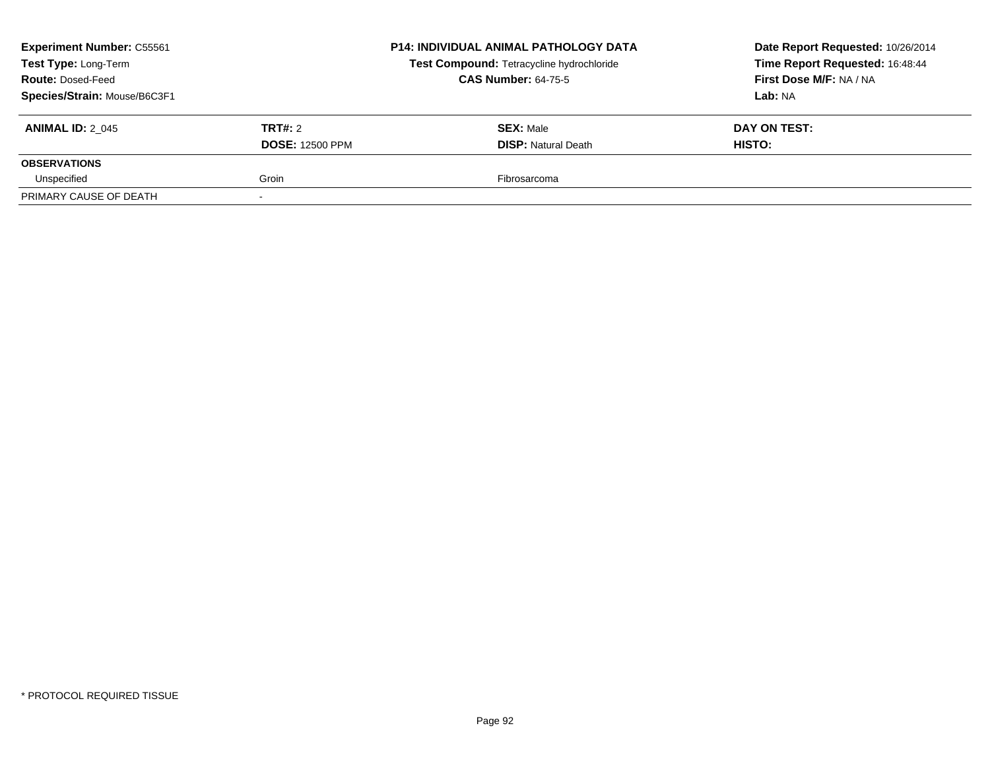| <b>Experiment Number: C55561</b><br>Test Type: Long-Term<br><b>Route: Dosed-Feed</b><br>Species/Strain: Mouse/B6C3F1 |                                   | <b>P14: INDIVIDUAL ANIMAL PATHOLOGY DATA</b><br>Test Compound: Tetracycline hydrochloride<br><b>CAS Number: 64-75-5</b> | Date Report Requested: 10/26/2014<br>Time Report Requested: 16:48:44<br>First Dose M/F: NA / NA<br>Lab: NA |
|----------------------------------------------------------------------------------------------------------------------|-----------------------------------|-------------------------------------------------------------------------------------------------------------------------|------------------------------------------------------------------------------------------------------------|
| <b>ANIMAL ID: 2 045</b>                                                                                              | TRT#: 2<br><b>DOSE: 12500 PPM</b> | <b>SEX: Male</b><br><b>DISP:</b> Natural Death                                                                          | DAY ON TEST:<br>HISTO:                                                                                     |
| <b>OBSERVATIONS</b>                                                                                                  |                                   |                                                                                                                         |                                                                                                            |
| Unspecified                                                                                                          | Groin                             | Fibrosarcoma                                                                                                            |                                                                                                            |
| PRIMARY CAUSE OF DEATH                                                                                               |                                   |                                                                                                                         |                                                                                                            |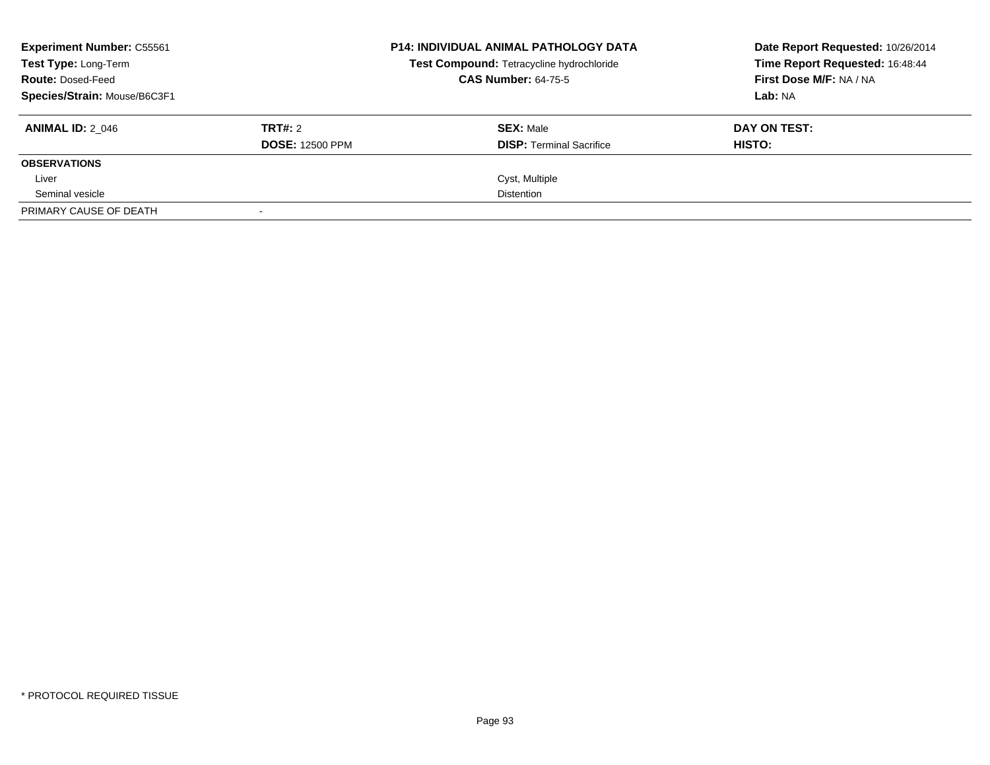| <b>Experiment Number: C55561</b><br><b>Test Type: Long-Term</b><br><b>Route: Dosed-Feed</b><br>Species/Strain: Mouse/B6C3F1 |                                   | <b>P14: INDIVIDUAL ANIMAL PATHOLOGY DATA</b><br>Test Compound: Tetracycline hydrochloride<br><b>CAS Number: 64-75-5</b> | Date Report Requested: 10/26/2014<br>Time Report Requested: 16:48:44<br>First Dose M/F: NA / NA<br>Lab: NA |
|-----------------------------------------------------------------------------------------------------------------------------|-----------------------------------|-------------------------------------------------------------------------------------------------------------------------|------------------------------------------------------------------------------------------------------------|
| <b>ANIMAL ID: 2 046</b>                                                                                                     | TRT#: 2<br><b>DOSE: 12500 PPM</b> | <b>SEX: Male</b><br><b>DISP:</b> Terminal Sacrifice                                                                     | DAY ON TEST:<br>HISTO:                                                                                     |
| <b>OBSERVATIONS</b>                                                                                                         |                                   |                                                                                                                         |                                                                                                            |
| Liver                                                                                                                       |                                   | Cyst, Multiple                                                                                                          |                                                                                                            |
| Seminal vesicle                                                                                                             |                                   | <b>Distention</b>                                                                                                       |                                                                                                            |
| PRIMARY CAUSE OF DEATH                                                                                                      |                                   |                                                                                                                         |                                                                                                            |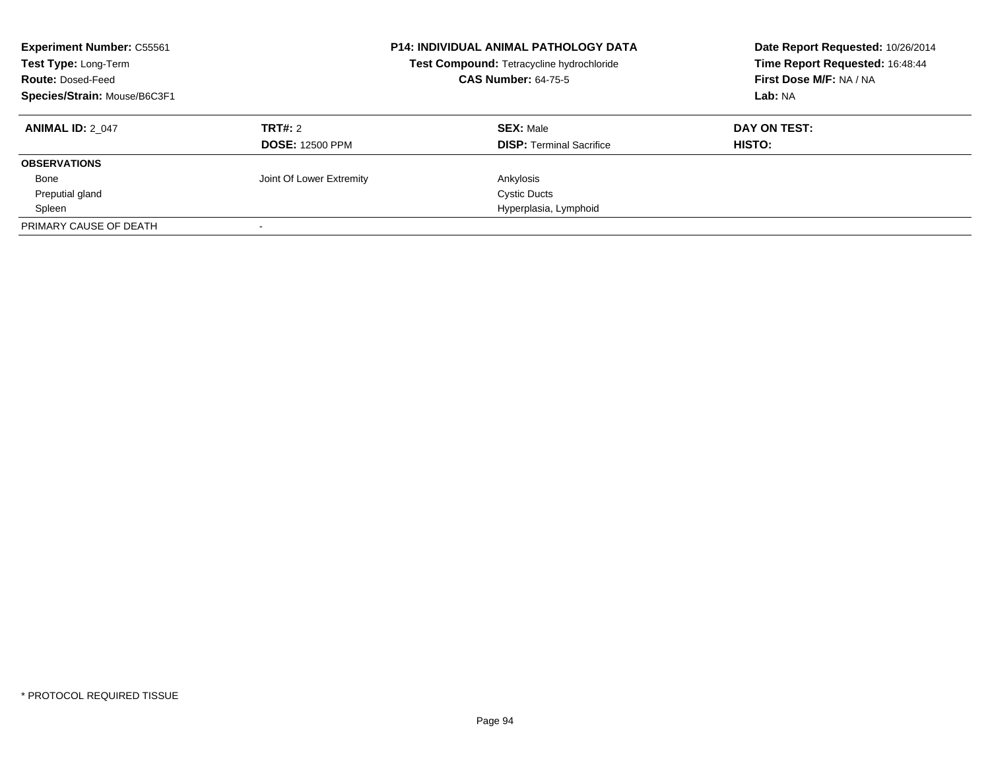| <b>Experiment Number: C55561</b><br>Test Type: Long-Term<br><b>Route: Dosed-Feed</b><br>Species/Strain: Mouse/B6C3F1 |                          | <b>P14: INDIVIDUAL ANIMAL PATHOLOGY DATA</b><br>Test Compound: Tetracycline hydrochloride<br><b>CAS Number: 64-75-5</b> | Date Report Requested: 10/26/2014<br>Time Report Requested: 16:48:44<br>First Dose M/F: NA / NA<br>Lab: NA |
|----------------------------------------------------------------------------------------------------------------------|--------------------------|-------------------------------------------------------------------------------------------------------------------------|------------------------------------------------------------------------------------------------------------|
| <b>ANIMAL ID: 2 047</b>                                                                                              | <b>TRT#: 2</b>           | <b>SEX: Male</b>                                                                                                        | DAY ON TEST:                                                                                               |
|                                                                                                                      | <b>DOSE: 12500 PPM</b>   | <b>DISP:</b> Terminal Sacrifice                                                                                         | HISTO:                                                                                                     |
| <b>OBSERVATIONS</b>                                                                                                  |                          |                                                                                                                         |                                                                                                            |
| Bone                                                                                                                 | Joint Of Lower Extremity | Ankylosis                                                                                                               |                                                                                                            |
| Preputial gland                                                                                                      |                          | <b>Cystic Ducts</b>                                                                                                     |                                                                                                            |
| Spleen                                                                                                               |                          | Hyperplasia, Lymphoid                                                                                                   |                                                                                                            |
| PRIMARY CAUSE OF DEATH                                                                                               |                          |                                                                                                                         |                                                                                                            |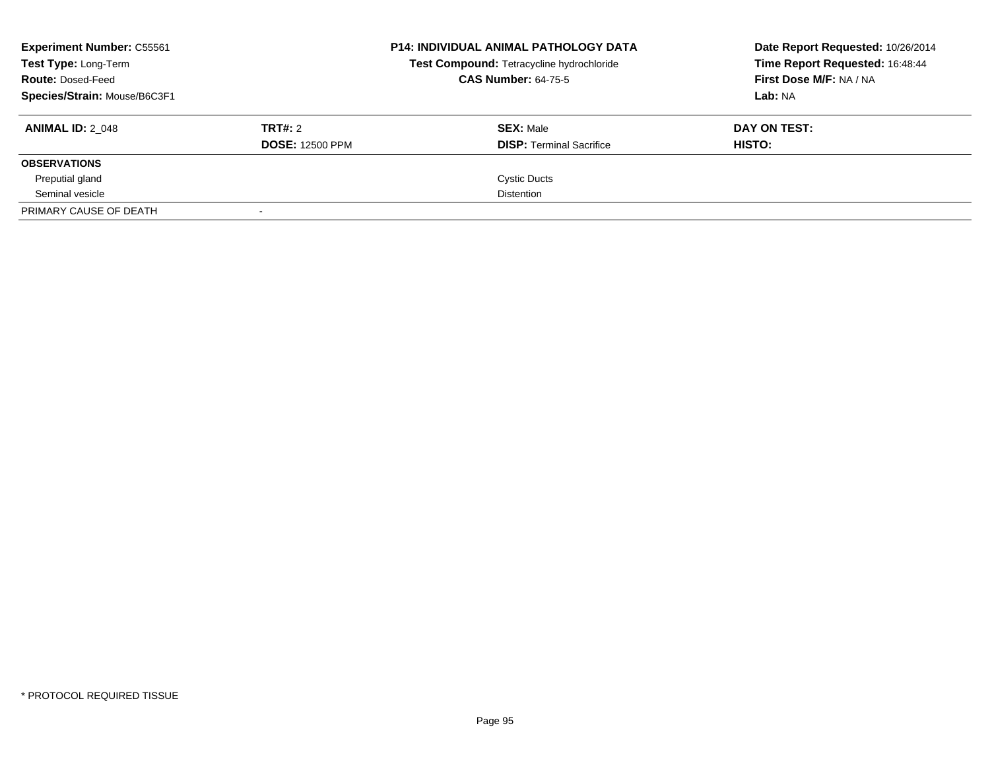| <b>Experiment Number: C55561</b><br>Test Type: Long-Term<br><b>Route: Dosed-Feed</b><br>Species/Strain: Mouse/B6C3F1 |                                          | <b>P14: INDIVIDUAL ANIMAL PATHOLOGY DATA</b><br>Test Compound: Tetracycline hydrochloride<br><b>CAS Number: 64-75-5</b> | Date Report Requested: 10/26/2014<br>Time Report Requested: 16:48:44<br>First Dose M/F: NA / NA<br>Lab: NA |
|----------------------------------------------------------------------------------------------------------------------|------------------------------------------|-------------------------------------------------------------------------------------------------------------------------|------------------------------------------------------------------------------------------------------------|
| <b>ANIMAL ID: 2 048</b>                                                                                              | <b>TRT#: 2</b><br><b>DOSE: 12500 PPM</b> | <b>SEX: Male</b><br><b>DISP:</b> Terminal Sacrifice                                                                     | DAY ON TEST:<br>HISTO:                                                                                     |
| <b>OBSERVATIONS</b>                                                                                                  |                                          |                                                                                                                         |                                                                                                            |
| Preputial gland                                                                                                      |                                          | <b>Cystic Ducts</b>                                                                                                     |                                                                                                            |
| Seminal vesicle                                                                                                      |                                          | <b>Distention</b>                                                                                                       |                                                                                                            |
| PRIMARY CAUSE OF DEATH                                                                                               |                                          |                                                                                                                         |                                                                                                            |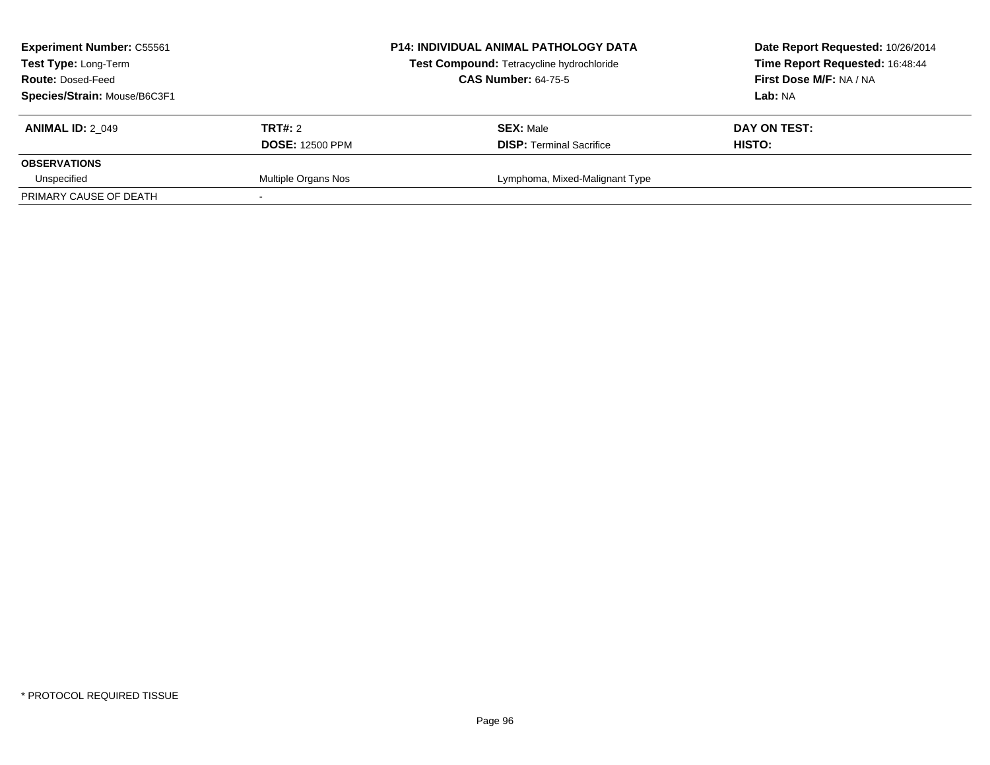| <b>Experiment Number: C55561</b><br>Test Type: Long-Term<br><b>Route: Dosed-Feed</b><br>Species/Strain: Mouse/B6C3F1 |                                   | <b>P14: INDIVIDUAL ANIMAL PATHOLOGY DATA</b><br>Test Compound: Tetracycline hydrochloride<br><b>CAS Number: 64-75-5</b> | Date Report Requested: 10/26/2014<br>Time Report Requested: 16:48:44<br>First Dose M/F: NA / NA<br>Lab: NA |
|----------------------------------------------------------------------------------------------------------------------|-----------------------------------|-------------------------------------------------------------------------------------------------------------------------|------------------------------------------------------------------------------------------------------------|
| <b>ANIMAL ID: 2 049</b>                                                                                              | TRT#: 2<br><b>DOSE: 12500 PPM</b> | <b>SEX: Male</b><br><b>DISP: Terminal Sacrifice</b>                                                                     | DAY ON TEST:<br>HISTO:                                                                                     |
| <b>OBSERVATIONS</b>                                                                                                  |                                   |                                                                                                                         |                                                                                                            |
| Unspecified<br>PRIMARY CAUSE OF DEATH                                                                                | Multiple Organs Nos               | Lymphoma, Mixed-Malignant Type                                                                                          |                                                                                                            |
|                                                                                                                      |                                   |                                                                                                                         |                                                                                                            |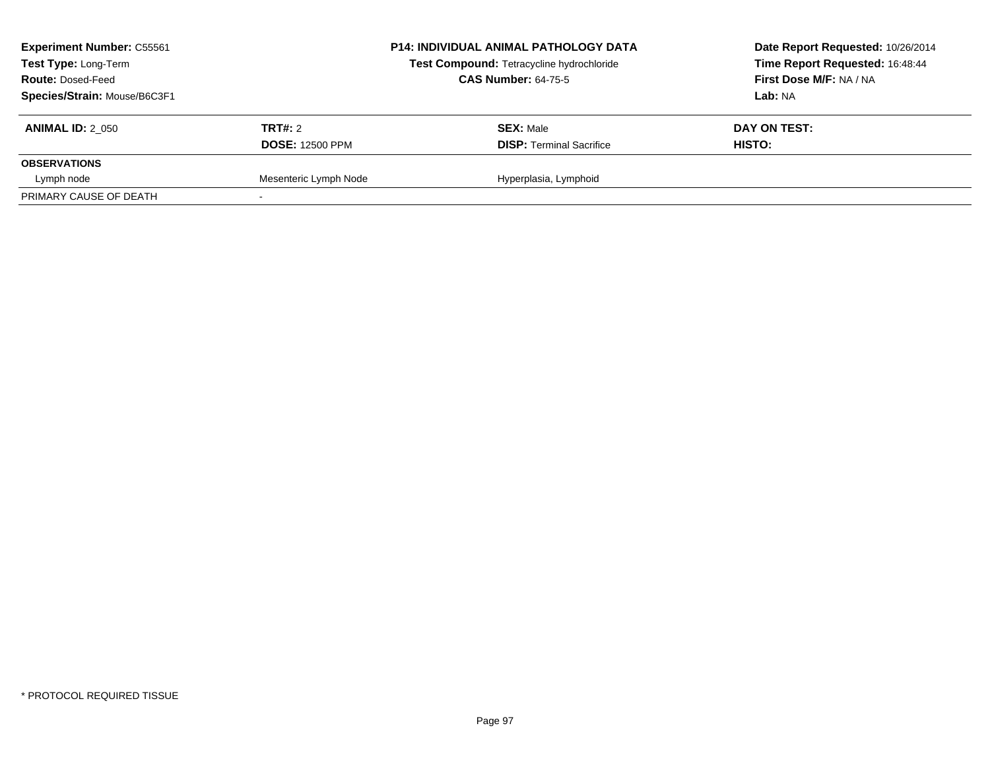| <b>Experiment Number: C55561</b><br>Test Type: Long-Term<br><b>Route: Dosed-Feed</b><br>Species/Strain: Mouse/B6C3F1 |                                          | <b>P14: INDIVIDUAL ANIMAL PATHOLOGY DATA</b><br>Test Compound: Tetracycline hydrochloride<br><b>CAS Number: 64-75-5</b> | Date Report Requested: 10/26/2014<br>Time Report Requested: 16:48:44<br><b>First Dose M/F: NA / NA</b><br>Lab: NA |
|----------------------------------------------------------------------------------------------------------------------|------------------------------------------|-------------------------------------------------------------------------------------------------------------------------|-------------------------------------------------------------------------------------------------------------------|
| <b>ANIMAL ID: 2 050</b>                                                                                              | <b>TRT#: 2</b><br><b>DOSE: 12500 PPM</b> | <b>SEX: Male</b><br><b>DISP: Terminal Sacrifice</b>                                                                     | DAY ON TEST:<br><b>HISTO:</b>                                                                                     |
| <b>OBSERVATIONS</b>                                                                                                  |                                          |                                                                                                                         |                                                                                                                   |
| Lymph node                                                                                                           | Mesenteric Lymph Node                    | Hyperplasia, Lymphoid                                                                                                   |                                                                                                                   |
| PRIMARY CAUSE OF DEATH                                                                                               |                                          |                                                                                                                         |                                                                                                                   |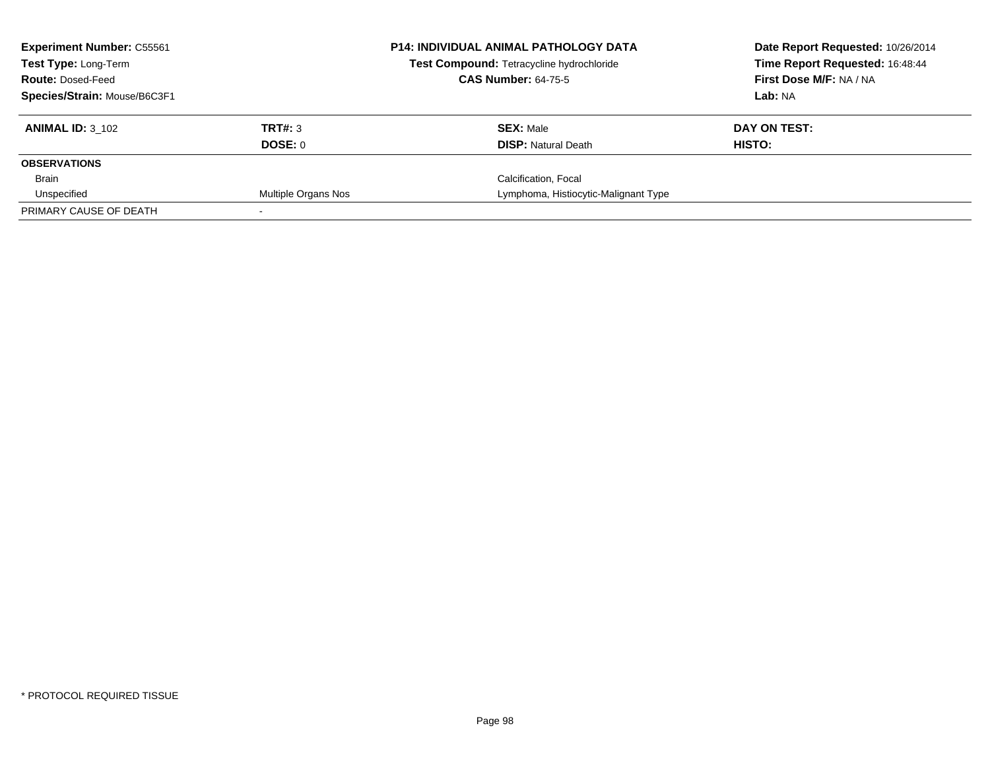| <b>Experiment Number: C55561</b><br><b>Test Type: Long-Term</b> |                     | <b>P14: INDIVIDUAL ANIMAL PATHOLOGY DATA</b><br>Test Compound: Tetracycline hydrochloride | Date Report Requested: 10/26/2014<br>Time Report Requested: 16:48:44 |
|-----------------------------------------------------------------|---------------------|-------------------------------------------------------------------------------------------|----------------------------------------------------------------------|
| <b>Route: Dosed-Feed</b>                                        |                     | <b>CAS Number: 64-75-5</b>                                                                | First Dose M/F: NA / NA                                              |
| Species/Strain: Mouse/B6C3F1                                    |                     |                                                                                           | Lab: NA                                                              |
| <b>ANIMAL ID: 3 102</b>                                         | TRT#: 3             | <b>SEX: Male</b>                                                                          | DAY ON TEST:                                                         |
|                                                                 | DOSE: 0             | <b>DISP:</b> Natural Death                                                                | HISTO:                                                               |
| <b>OBSERVATIONS</b>                                             |                     |                                                                                           |                                                                      |
| Brain                                                           |                     | Calcification, Focal                                                                      |                                                                      |
| Unspecified                                                     | Multiple Organs Nos | Lymphoma, Histiocytic-Malignant Type                                                      |                                                                      |
| PRIMARY CAUSE OF DEATH                                          |                     |                                                                                           |                                                                      |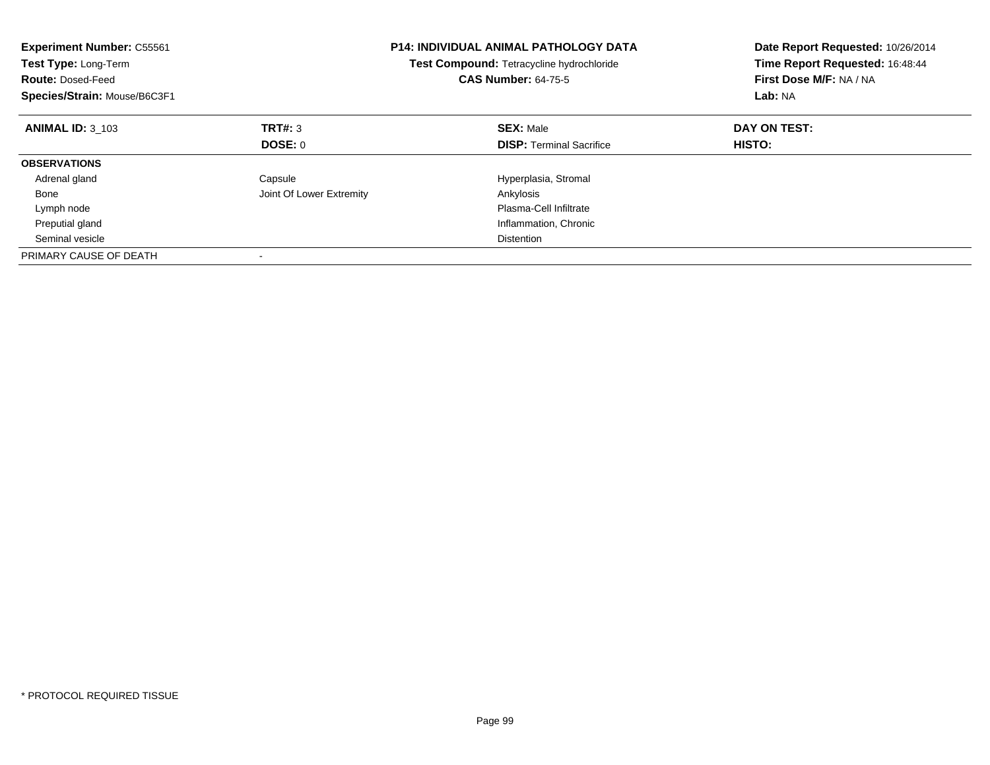| <b>Experiment Number: C55561</b><br>Test Type: Long-Term<br><b>Route: Dosed-Feed</b><br>Species/Strain: Mouse/B6C3F1 |                          | <b>P14: INDIVIDUAL ANIMAL PATHOLOGY DATA</b><br>Test Compound: Tetracycline hydrochloride<br><b>CAS Number: 64-75-5</b> | Date Report Requested: 10/26/2014<br>Time Report Requested: 16:48:44<br>First Dose M/F: NA / NA<br>Lab: NA |
|----------------------------------------------------------------------------------------------------------------------|--------------------------|-------------------------------------------------------------------------------------------------------------------------|------------------------------------------------------------------------------------------------------------|
| <b>ANIMAL ID: 3 103</b>                                                                                              | TRT#: 3                  | <b>SEX: Male</b>                                                                                                        | DAY ON TEST:                                                                                               |
|                                                                                                                      | DOSE: 0                  | <b>DISP:</b> Terminal Sacrifice                                                                                         | HISTO:                                                                                                     |
| <b>OBSERVATIONS</b>                                                                                                  |                          |                                                                                                                         |                                                                                                            |
| Adrenal gland                                                                                                        | Capsule                  | Hyperplasia, Stromal                                                                                                    |                                                                                                            |
| Bone                                                                                                                 | Joint Of Lower Extremity | Ankylosis                                                                                                               |                                                                                                            |
| Lymph node                                                                                                           |                          | Plasma-Cell Infiltrate                                                                                                  |                                                                                                            |
| Preputial gland                                                                                                      |                          | Inflammation, Chronic                                                                                                   |                                                                                                            |
| Seminal vesicle                                                                                                      |                          | <b>Distention</b>                                                                                                       |                                                                                                            |
| PRIMARY CAUSE OF DEATH                                                                                               |                          |                                                                                                                         |                                                                                                            |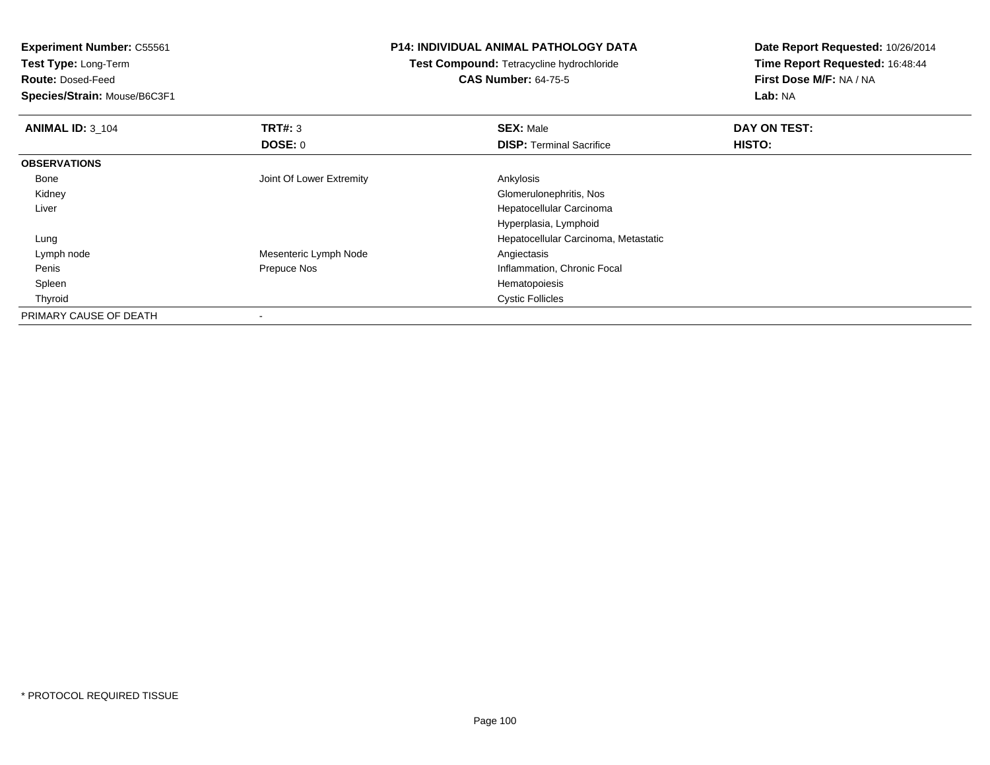**Experiment Number:** C55561

**Test Type:** Long-Term

**Route:** Dosed-Feed

**Species/Strain:** Mouse/B6C3F1

## **P14: INDIVIDUAL ANIMAL PATHOLOGY DATA**

**Test Compound:** Tetracycline hydrochloride**CAS Number:** 64-75-5

**Date Report Requested:** 10/26/2014**Time Report Requested:** 16:48:44**First Dose M/F:** NA / NA**Lab:** NA

| <b>ANIMAL ID: 3 104</b> | TRT#: 3                  | <b>SEX: Male</b>                     | DAY ON TEST: |  |
|-------------------------|--------------------------|--------------------------------------|--------------|--|
|                         | <b>DOSE: 0</b>           | <b>DISP: Terminal Sacrifice</b>      | HISTO:       |  |
| <b>OBSERVATIONS</b>     |                          |                                      |              |  |
| Bone                    | Joint Of Lower Extremity | Ankylosis                            |              |  |
| Kidney                  |                          | Glomerulonephritis, Nos              |              |  |
| Liver                   |                          | Hepatocellular Carcinoma             |              |  |
|                         |                          | Hyperplasia, Lymphoid                |              |  |
| Lung                    |                          | Hepatocellular Carcinoma, Metastatic |              |  |
| Lymph node              | Mesenteric Lymph Node    | Angiectasis                          |              |  |
| Penis                   | Prepuce Nos              | Inflammation, Chronic Focal          |              |  |
| Spleen                  |                          | Hematopoiesis                        |              |  |
| Thyroid                 |                          | <b>Cystic Follicles</b>              |              |  |
| PRIMARY CAUSE OF DEATH  |                          |                                      |              |  |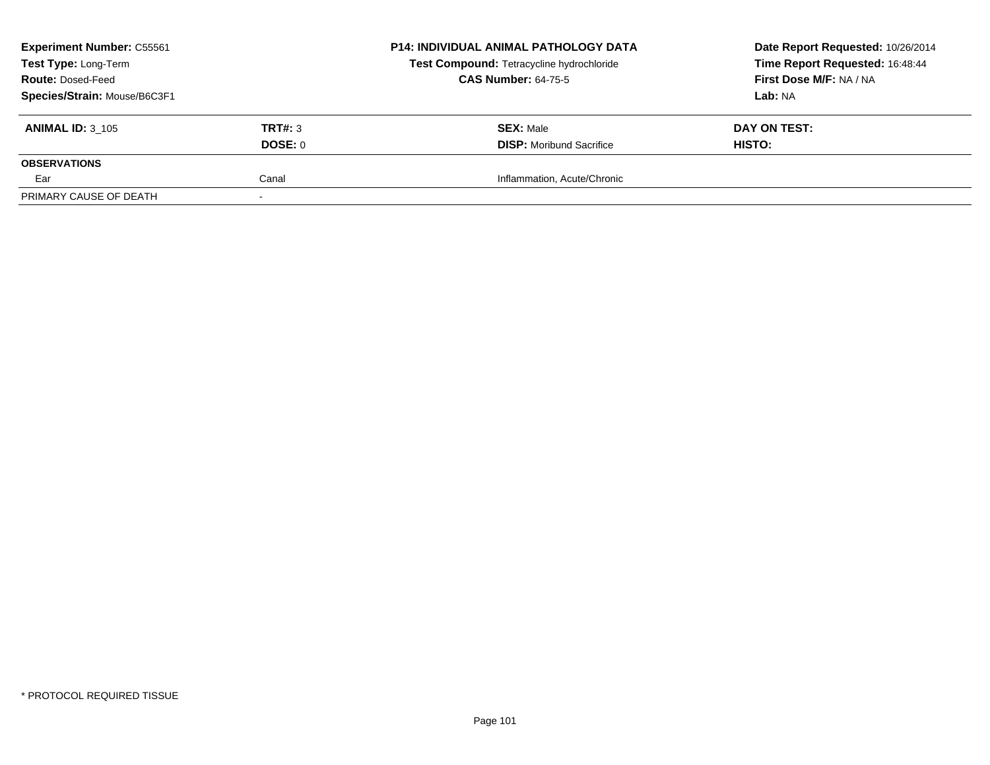| <b>Experiment Number: C55561</b>                 |                | <b>P14: INDIVIDUAL ANIMAL PATHOLOGY DATA</b> | Date Report Requested: 10/26/2014 |
|--------------------------------------------------|----------------|----------------------------------------------|-----------------------------------|
| Test Type: Long-Term<br><b>Route: Dosed-Feed</b> |                | Test Compound: Tetracycline hydrochloride    | Time Report Requested: 16:48:44   |
|                                                  |                | <b>CAS Number: 64-75-5</b>                   | First Dose M/F: NA / NA           |
| Species/Strain: Mouse/B6C3F1                     |                |                                              | Lab: NA                           |
| <b>ANIMAL ID: 3 105</b>                          | <b>TRT#: 3</b> | <b>SEX: Male</b>                             | DAY ON TEST:                      |
|                                                  | DOSE: 0        | <b>DISP:</b> Moribund Sacrifice              | HISTO:                            |
| <b>OBSERVATIONS</b>                              |                |                                              |                                   |
| Ear                                              | Canal          | Inflammation, Acute/Chronic                  |                                   |
| PRIMARY CAUSE OF DEATH                           |                |                                              |                                   |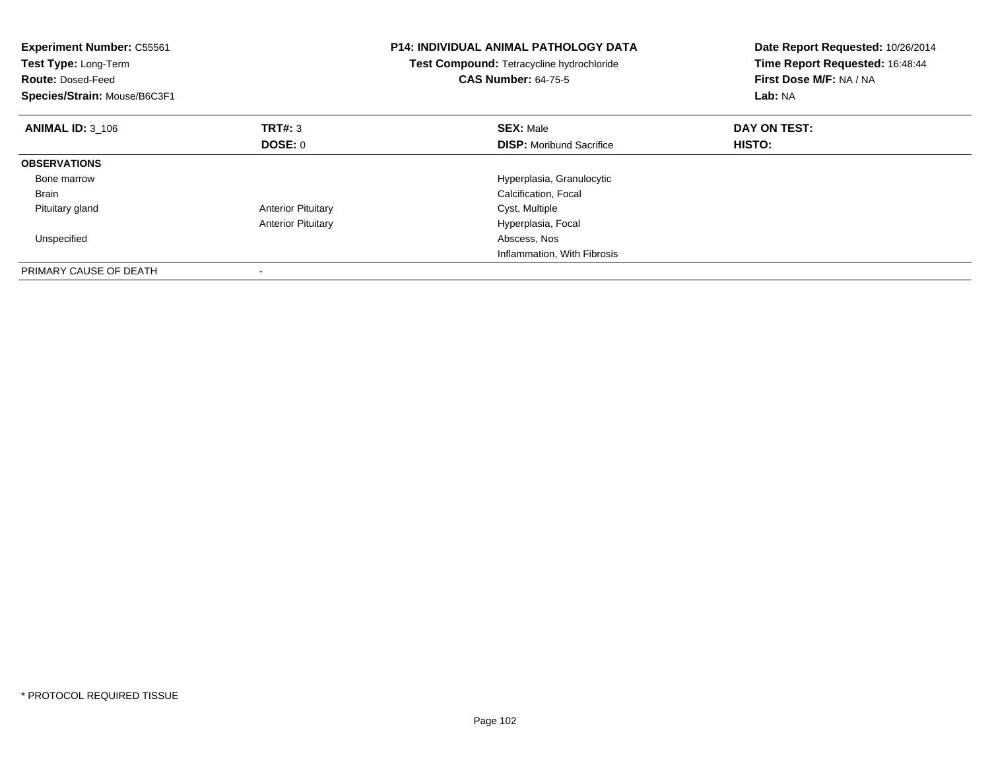| <b>Experiment Number: C55561</b><br>Test Type: Long-Term<br><b>Route: Dosed-Feed</b><br>Species/Strain: Mouse/B6C3F1 |                           | <b>P14: INDIVIDUAL ANIMAL PATHOLOGY DATA</b><br>Test Compound: Tetracycline hydrochloride<br><b>CAS Number: 64-75-5</b> | Date Report Requested: 10/26/2014<br>Time Report Requested: 16:48:44<br>First Dose M/F: NA / NA<br>Lab: NA |
|----------------------------------------------------------------------------------------------------------------------|---------------------------|-------------------------------------------------------------------------------------------------------------------------|------------------------------------------------------------------------------------------------------------|
| <b>ANIMAL ID: 3_106</b>                                                                                              | <b>TRT#: 3</b>            | <b>SEX: Male</b>                                                                                                        | DAY ON TEST:                                                                                               |
|                                                                                                                      | DOSE: 0                   | <b>DISP:</b> Moribund Sacrifice                                                                                         | <b>HISTO:</b>                                                                                              |
| <b>OBSERVATIONS</b>                                                                                                  |                           |                                                                                                                         |                                                                                                            |
| Bone marrow                                                                                                          |                           | Hyperplasia, Granulocytic                                                                                               |                                                                                                            |
| <b>Brain</b>                                                                                                         |                           | Calcification, Focal                                                                                                    |                                                                                                            |
| Pituitary gland                                                                                                      | <b>Anterior Pituitary</b> | Cyst, Multiple                                                                                                          |                                                                                                            |
|                                                                                                                      | <b>Anterior Pituitary</b> | Hyperplasia, Focal                                                                                                      |                                                                                                            |
| Unspecified                                                                                                          |                           | Abscess, Nos                                                                                                            |                                                                                                            |
|                                                                                                                      |                           | Inflammation, With Fibrosis                                                                                             |                                                                                                            |
| PRIMARY CAUSE OF DEATH                                                                                               |                           |                                                                                                                         |                                                                                                            |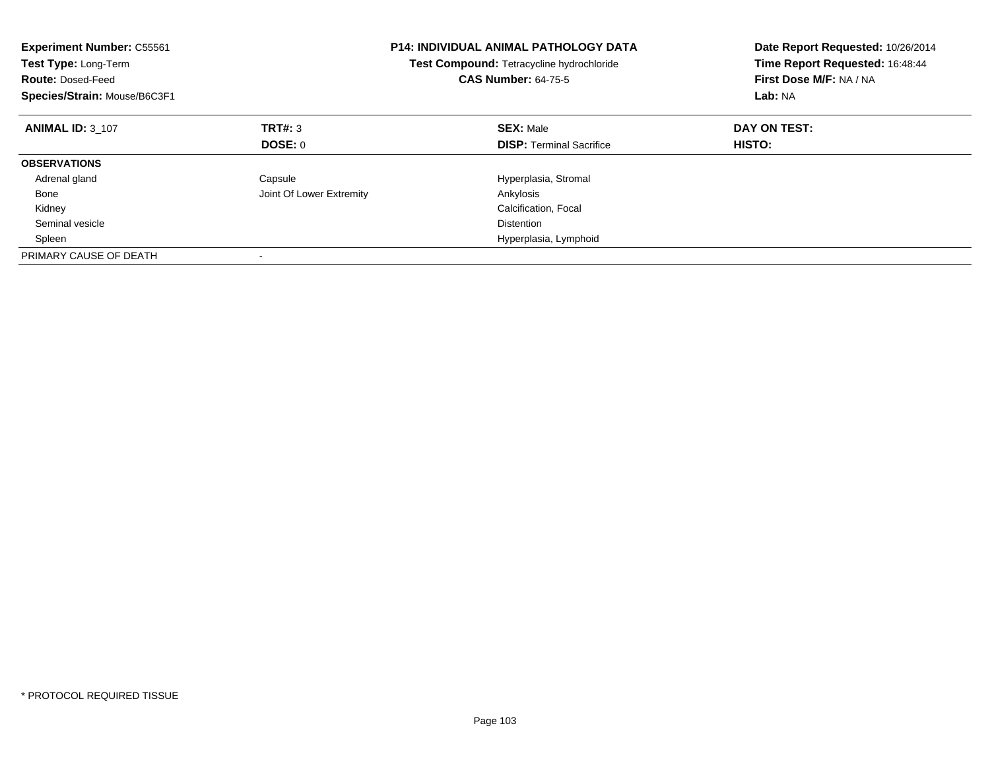| <b>Experiment Number: C55561</b><br>Test Type: Long-Term<br><b>Route: Dosed-Feed</b><br>Species/Strain: Mouse/B6C3F1 |                          | <b>P14: INDIVIDUAL ANIMAL PATHOLOGY DATA</b><br>Test Compound: Tetracycline hydrochloride<br><b>CAS Number: 64-75-5</b> | Date Report Requested: 10/26/2014<br>Time Report Requested: 16:48:44<br>First Dose M/F: NA / NA<br>Lab: NA |
|----------------------------------------------------------------------------------------------------------------------|--------------------------|-------------------------------------------------------------------------------------------------------------------------|------------------------------------------------------------------------------------------------------------|
| <b>ANIMAL ID: 3 107</b>                                                                                              | TRT#: 3                  | <b>SEX: Male</b>                                                                                                        | DAY ON TEST:                                                                                               |
|                                                                                                                      | DOSE: 0                  | <b>DISP:</b> Terminal Sacrifice                                                                                         | HISTO:                                                                                                     |
| <b>OBSERVATIONS</b>                                                                                                  |                          |                                                                                                                         |                                                                                                            |
| Adrenal gland                                                                                                        | Capsule                  | Hyperplasia, Stromal                                                                                                    |                                                                                                            |
| Bone                                                                                                                 | Joint Of Lower Extremity | Ankylosis                                                                                                               |                                                                                                            |
| Kidney                                                                                                               |                          | Calcification, Focal                                                                                                    |                                                                                                            |
| Seminal vesicle                                                                                                      |                          | <b>Distention</b>                                                                                                       |                                                                                                            |
| Spleen                                                                                                               |                          | Hyperplasia, Lymphoid                                                                                                   |                                                                                                            |
| PRIMARY CAUSE OF DEATH                                                                                               |                          |                                                                                                                         |                                                                                                            |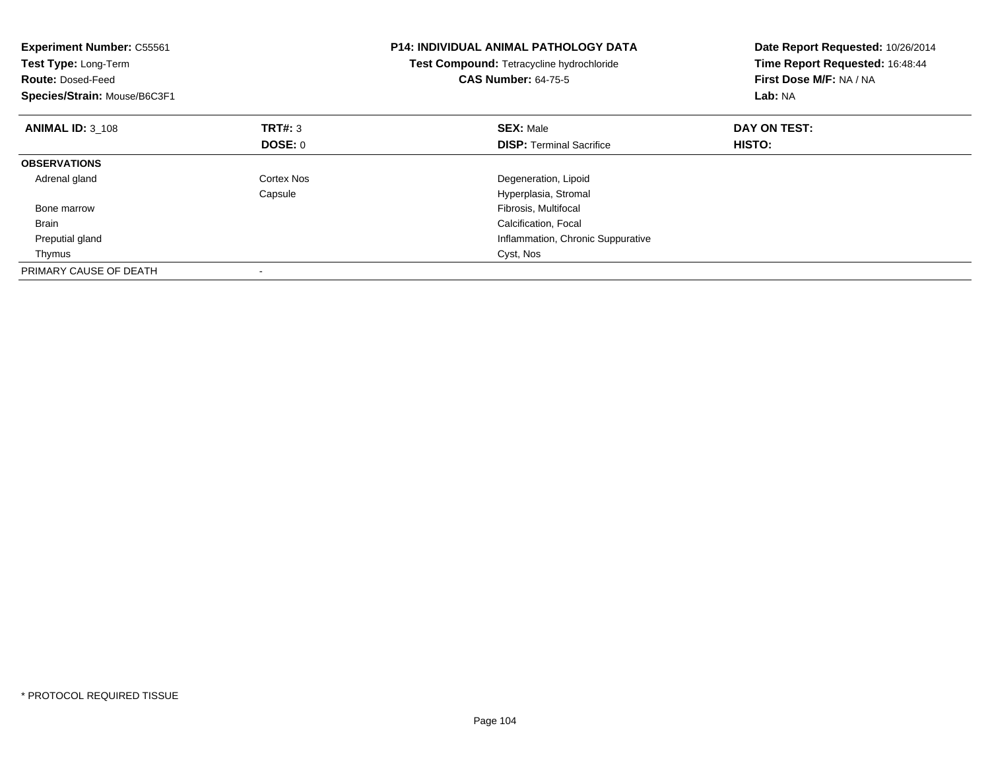| <b>Experiment Number: C55561</b><br>Test Type: Long-Term<br><b>Route: Dosed-Feed</b><br>Species/Strain: Mouse/B6C3F1 |                | <b>P14: INDIVIDUAL ANIMAL PATHOLOGY DATA</b><br>Test Compound: Tetracycline hydrochloride<br><b>CAS Number: 64-75-5</b> | Date Report Requested: 10/26/2014<br>Time Report Requested: 16:48:44<br>First Dose M/F: NA / NA<br>Lab: NA |
|----------------------------------------------------------------------------------------------------------------------|----------------|-------------------------------------------------------------------------------------------------------------------------|------------------------------------------------------------------------------------------------------------|
| <b>ANIMAL ID: 3_108</b>                                                                                              | <b>TRT#: 3</b> | <b>SEX: Male</b>                                                                                                        | DAY ON TEST:                                                                                               |
|                                                                                                                      | DOSE: 0        | <b>DISP:</b> Terminal Sacrifice                                                                                         | HISTO:                                                                                                     |
| <b>OBSERVATIONS</b>                                                                                                  |                |                                                                                                                         |                                                                                                            |
| Adrenal gland                                                                                                        | Cortex Nos     | Degeneration, Lipoid                                                                                                    |                                                                                                            |
|                                                                                                                      | Capsule        | Hyperplasia, Stromal                                                                                                    |                                                                                                            |
| Bone marrow                                                                                                          |                | Fibrosis, Multifocal                                                                                                    |                                                                                                            |
| <b>Brain</b>                                                                                                         |                | Calcification, Focal                                                                                                    |                                                                                                            |
| Preputial gland                                                                                                      |                | Inflammation, Chronic Suppurative                                                                                       |                                                                                                            |
| Thymus                                                                                                               |                | Cyst, Nos                                                                                                               |                                                                                                            |
| PRIMARY CAUSE OF DEATH                                                                                               |                |                                                                                                                         |                                                                                                            |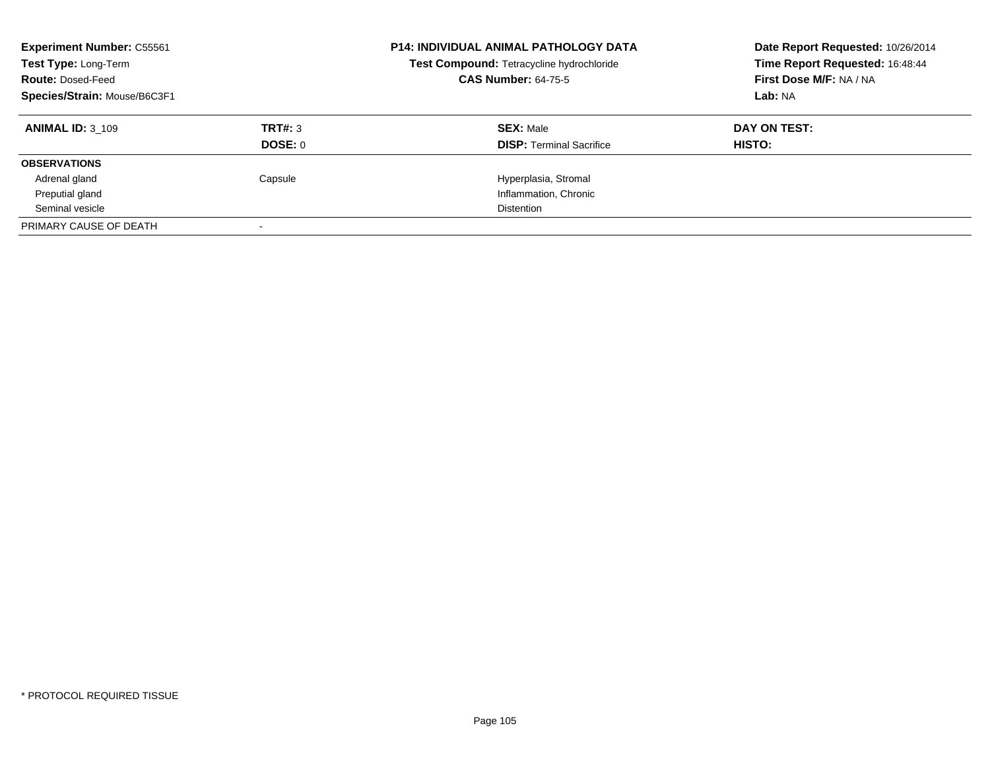| <b>Experiment Number: C55561</b><br>Test Type: Long-Term<br><b>Route: Dosed-Feed</b><br>Species/Strain: Mouse/B6C3F1 |                | <b>P14: INDIVIDUAL ANIMAL PATHOLOGY DATA</b><br>Test Compound: Tetracycline hydrochloride<br><b>CAS Number: 64-75-5</b> | Date Report Requested: 10/26/2014<br>Time Report Requested: 16:48:44<br>First Dose M/F: NA / NA<br>Lab: NA |
|----------------------------------------------------------------------------------------------------------------------|----------------|-------------------------------------------------------------------------------------------------------------------------|------------------------------------------------------------------------------------------------------------|
| <b>ANIMAL ID: 3 109</b>                                                                                              | TRT#: 3        | <b>SEX: Male</b>                                                                                                        | DAY ON TEST:                                                                                               |
|                                                                                                                      | <b>DOSE: 0</b> | <b>DISP:</b> Terminal Sacrifice                                                                                         | HISTO:                                                                                                     |
| <b>OBSERVATIONS</b>                                                                                                  |                |                                                                                                                         |                                                                                                            |
| Adrenal gland                                                                                                        | Capsule        | Hyperplasia, Stromal                                                                                                    |                                                                                                            |
| Preputial gland                                                                                                      |                | Inflammation, Chronic                                                                                                   |                                                                                                            |
| Seminal vesicle                                                                                                      |                | <b>Distention</b>                                                                                                       |                                                                                                            |
| PRIMARY CAUSE OF DEATH                                                                                               |                |                                                                                                                         |                                                                                                            |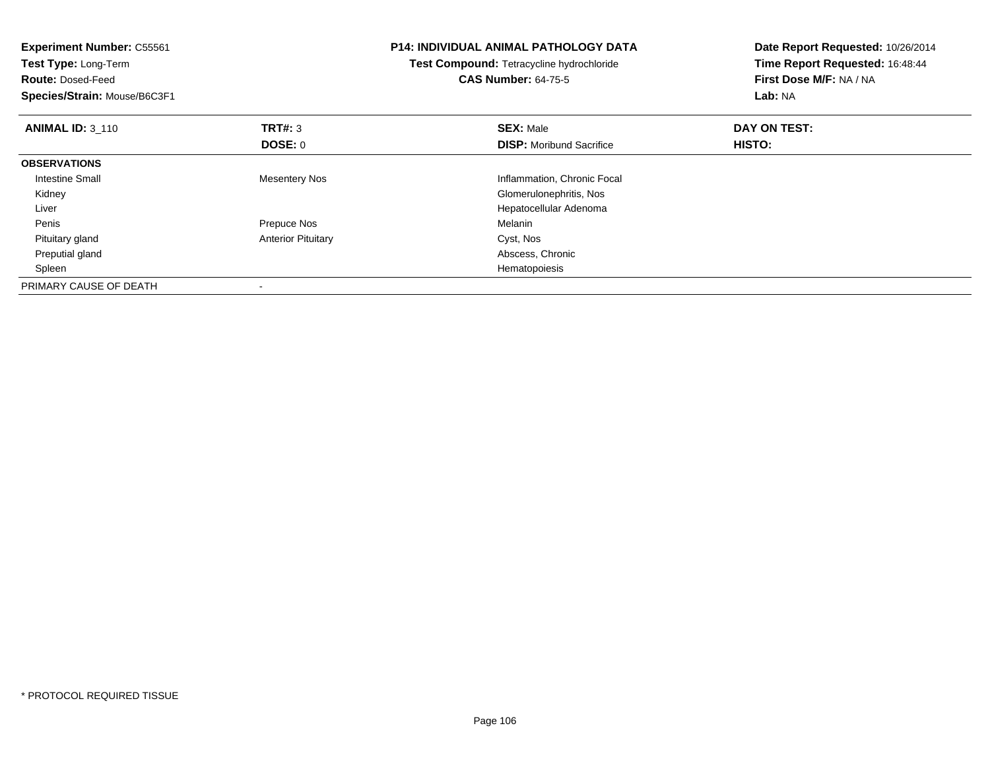| <b>Experiment Number: C55561</b><br>Test Type: Long-Term<br><b>Route: Dosed-Feed</b><br>Species/Strain: Mouse/B6C3F1 |                           | <b>P14: INDIVIDUAL ANIMAL PATHOLOGY DATA</b><br>Test Compound: Tetracycline hydrochloride<br><b>CAS Number: 64-75-5</b> | Date Report Requested: 10/26/2014<br>Time Report Requested: 16:48:44<br>First Dose M/F: NA / NA<br>Lab: NA |
|----------------------------------------------------------------------------------------------------------------------|---------------------------|-------------------------------------------------------------------------------------------------------------------------|------------------------------------------------------------------------------------------------------------|
| <b>ANIMAL ID: 3 110</b>                                                                                              | TRT#: 3                   | <b>SEX: Male</b>                                                                                                        | DAY ON TEST:                                                                                               |
|                                                                                                                      | <b>DOSE: 0</b>            | <b>DISP:</b> Moribund Sacrifice                                                                                         | HISTO:                                                                                                     |
| <b>OBSERVATIONS</b>                                                                                                  |                           |                                                                                                                         |                                                                                                            |
| <b>Intestine Small</b>                                                                                               | <b>Mesentery Nos</b>      | Inflammation, Chronic Focal                                                                                             |                                                                                                            |
| Kidney                                                                                                               |                           | Glomerulonephritis, Nos                                                                                                 |                                                                                                            |
| Liver                                                                                                                |                           | Hepatocellular Adenoma                                                                                                  |                                                                                                            |
| Penis                                                                                                                | Prepuce Nos               | Melanin                                                                                                                 |                                                                                                            |
| Pituitary gland                                                                                                      | <b>Anterior Pituitary</b> | Cyst, Nos                                                                                                               |                                                                                                            |
| Preputial gland                                                                                                      |                           | Abscess, Chronic                                                                                                        |                                                                                                            |
| Spleen                                                                                                               |                           | Hematopoiesis                                                                                                           |                                                                                                            |
| PRIMARY CAUSE OF DEATH                                                                                               |                           |                                                                                                                         |                                                                                                            |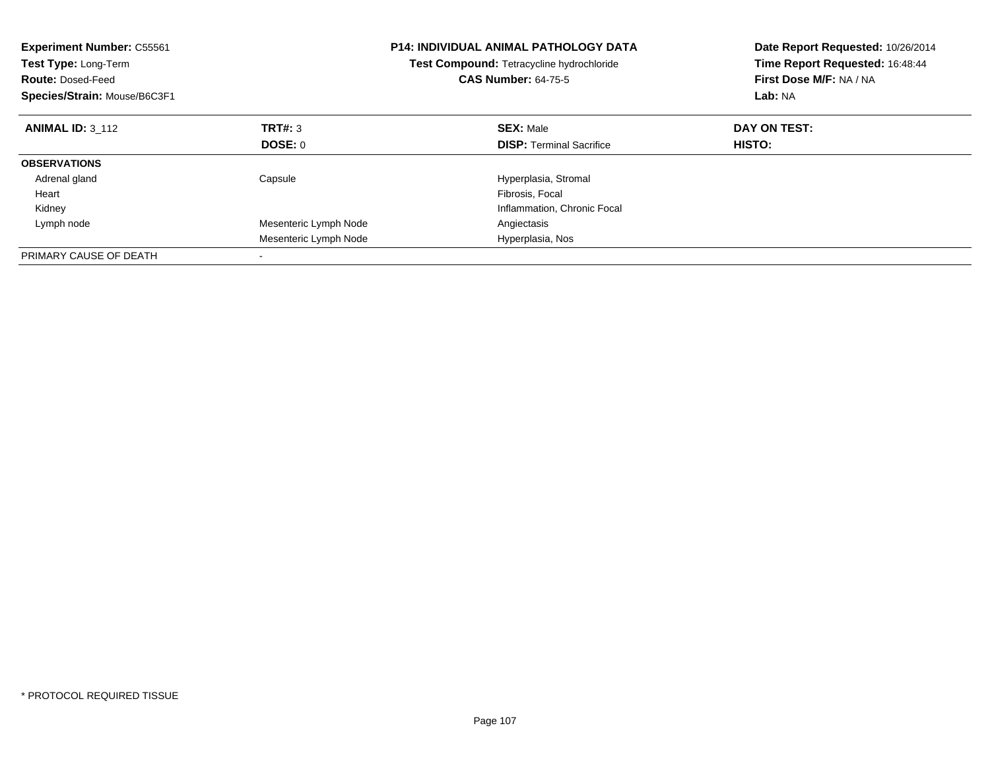| <b>Experiment Number: C55561</b><br>Test Type: Long-Term<br><b>Route: Dosed-Feed</b><br>Species/Strain: Mouse/B6C3F1 |                       | <b>P14: INDIVIDUAL ANIMAL PATHOLOGY DATA</b><br>Test Compound: Tetracycline hydrochloride<br><b>CAS Number: 64-75-5</b> | Date Report Requested: 10/26/2014<br>Time Report Requested: 16:48:44<br>First Dose M/F: NA / NA<br>Lab: NA |
|----------------------------------------------------------------------------------------------------------------------|-----------------------|-------------------------------------------------------------------------------------------------------------------------|------------------------------------------------------------------------------------------------------------|
| <b>ANIMAL ID: 3 112</b>                                                                                              | TRT#: 3               | <b>SEX: Male</b>                                                                                                        | DAY ON TEST:                                                                                               |
|                                                                                                                      | DOSE: 0               | <b>DISP:</b> Terminal Sacrifice                                                                                         | HISTO:                                                                                                     |
| <b>OBSERVATIONS</b>                                                                                                  |                       |                                                                                                                         |                                                                                                            |
| Adrenal gland                                                                                                        | Capsule               | Hyperplasia, Stromal                                                                                                    |                                                                                                            |
| Heart                                                                                                                |                       | Fibrosis, Focal                                                                                                         |                                                                                                            |
| Kidney                                                                                                               |                       | Inflammation, Chronic Focal                                                                                             |                                                                                                            |
| Lymph node                                                                                                           | Mesenteric Lymph Node | Angiectasis                                                                                                             |                                                                                                            |
|                                                                                                                      | Mesenteric Lymph Node | Hyperplasia, Nos                                                                                                        |                                                                                                            |
| PRIMARY CAUSE OF DEATH                                                                                               |                       |                                                                                                                         |                                                                                                            |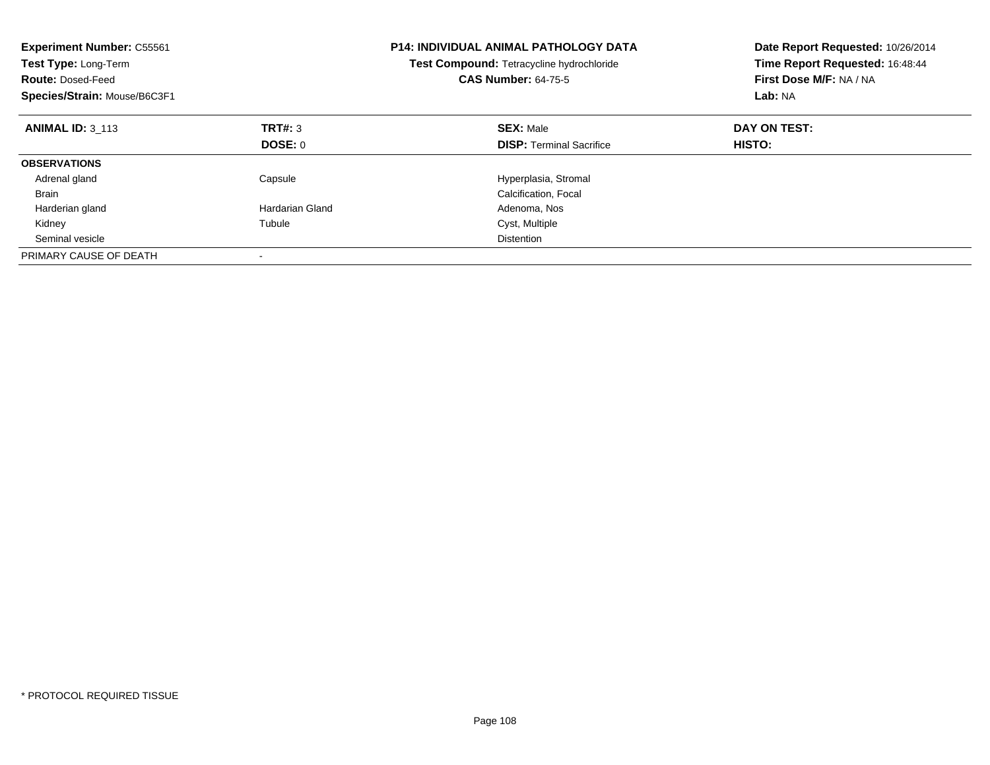| <b>Experiment Number: C55561</b><br>Test Type: Long-Term<br><b>Route: Dosed-Feed</b><br>Species/Strain: Mouse/B6C3F1 |                        | <b>P14: INDIVIDUAL ANIMAL PATHOLOGY DATA</b><br>Test Compound: Tetracycline hydrochloride<br><b>CAS Number: 64-75-5</b> | Date Report Requested: 10/26/2014<br>Time Report Requested: 16:48:44<br>First Dose M/F: NA / NA<br>Lab: NA |
|----------------------------------------------------------------------------------------------------------------------|------------------------|-------------------------------------------------------------------------------------------------------------------------|------------------------------------------------------------------------------------------------------------|
| <b>ANIMAL ID: 3 113</b>                                                                                              | TRT#: 3                | <b>SEX: Male</b>                                                                                                        | DAY ON TEST:                                                                                               |
|                                                                                                                      | DOSE: 0                | <b>DISP:</b> Terminal Sacrifice                                                                                         | HISTO:                                                                                                     |
| <b>OBSERVATIONS</b>                                                                                                  |                        |                                                                                                                         |                                                                                                            |
| Adrenal gland                                                                                                        | Capsule                | Hyperplasia, Stromal                                                                                                    |                                                                                                            |
| Brain                                                                                                                |                        | Calcification, Focal                                                                                                    |                                                                                                            |
| Harderian gland                                                                                                      | <b>Hardarian Gland</b> | Adenoma, Nos                                                                                                            |                                                                                                            |
| Kidney                                                                                                               | Tubule                 | Cyst, Multiple                                                                                                          |                                                                                                            |
| Seminal vesicle                                                                                                      |                        | <b>Distention</b>                                                                                                       |                                                                                                            |
| PRIMARY CAUSE OF DEATH                                                                                               |                        |                                                                                                                         |                                                                                                            |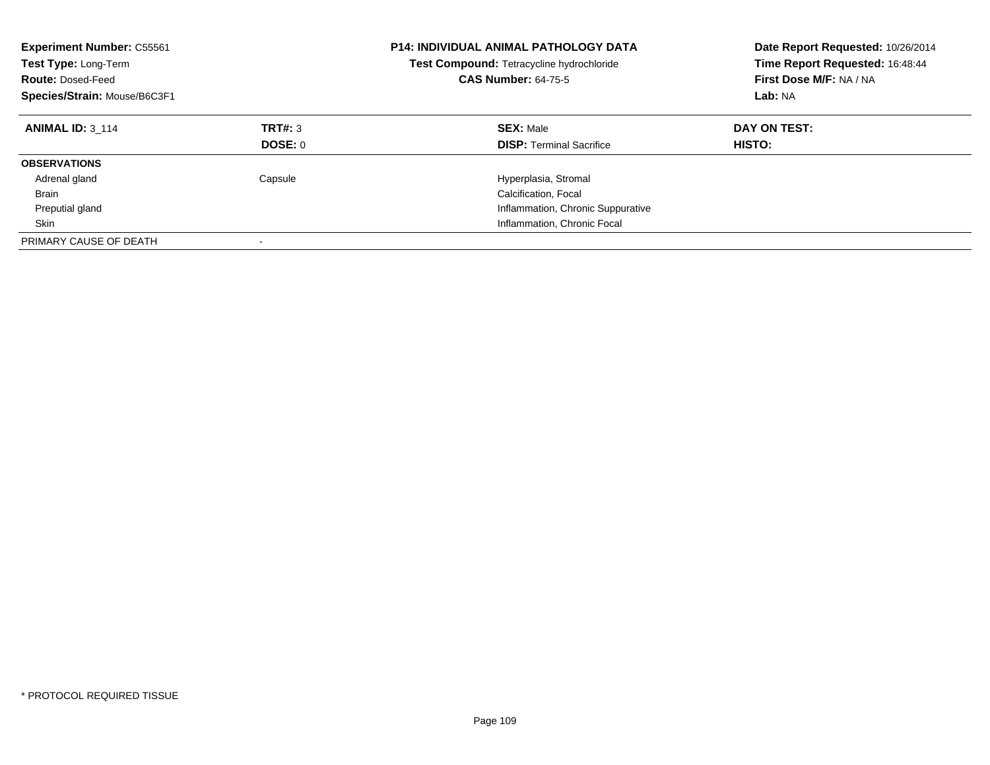| <b>Experiment Number: C55561</b><br>Test Type: Long-Term<br><b>Route: Dosed-Feed</b><br>Species/Strain: Mouse/B6C3F1 |                    | <b>P14: INDIVIDUAL ANIMAL PATHOLOGY DATA</b><br>Test Compound: Tetracycline hydrochloride<br><b>CAS Number: 64-75-5</b> | Date Report Requested: 10/26/2014<br>Time Report Requested: 16:48:44<br>First Dose M/F: NA / NA<br>Lab: NA |
|----------------------------------------------------------------------------------------------------------------------|--------------------|-------------------------------------------------------------------------------------------------------------------------|------------------------------------------------------------------------------------------------------------|
| <b>ANIMAL ID: 3 114</b>                                                                                              | TRT#: 3<br>DOSE: 0 | <b>SEX: Male</b><br><b>DISP:</b> Terminal Sacrifice                                                                     | DAY ON TEST:<br><b>HISTO:</b>                                                                              |
| <b>OBSERVATIONS</b>                                                                                                  |                    |                                                                                                                         |                                                                                                            |
| Adrenal gland                                                                                                        | Capsule            | Hyperplasia, Stromal                                                                                                    |                                                                                                            |
| <b>Brain</b>                                                                                                         |                    | Calcification, Focal                                                                                                    |                                                                                                            |
| Preputial gland                                                                                                      |                    | Inflammation, Chronic Suppurative                                                                                       |                                                                                                            |
| Skin                                                                                                                 |                    | Inflammation, Chronic Focal                                                                                             |                                                                                                            |
| PRIMARY CAUSE OF DEATH                                                                                               |                    |                                                                                                                         |                                                                                                            |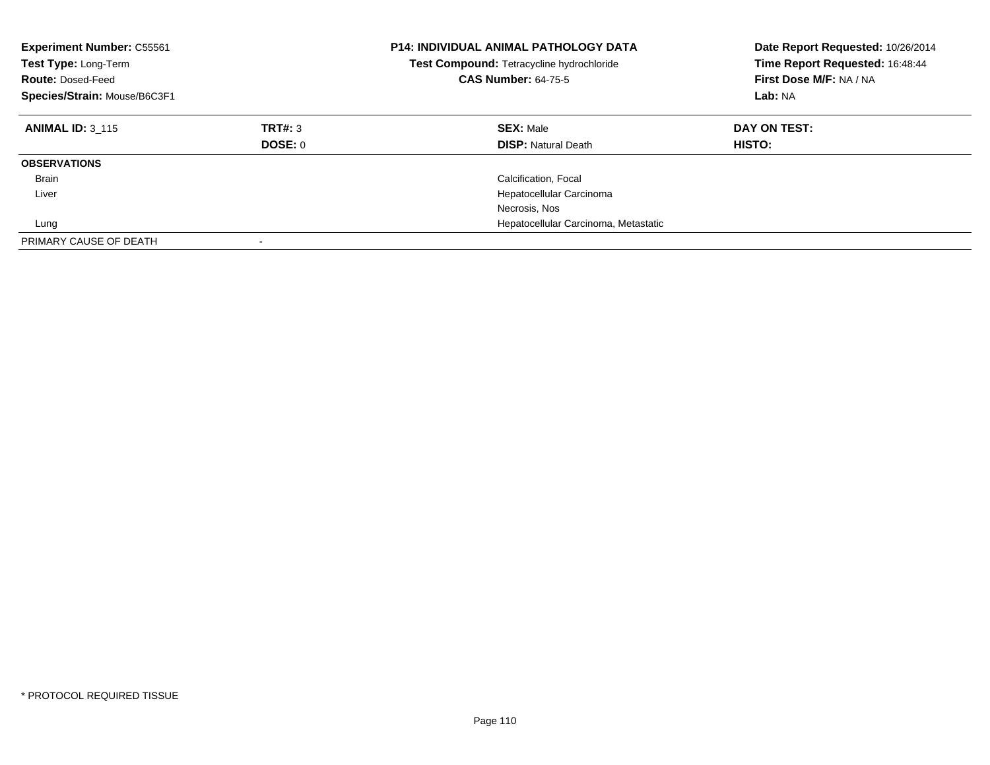| <b>Experiment Number: C55561</b><br>Test Type: Long-Term<br><b>Route: Dosed-Feed</b><br>Species/Strain: Mouse/B6C3F1 |                    | <b>P14: INDIVIDUAL ANIMAL PATHOLOGY DATA</b><br>Test Compound: Tetracycline hydrochloride<br><b>CAS Number: 64-75-5</b> | Date Report Requested: 10/26/2014<br>Time Report Requested: 16:48:44<br>First Dose M/F: NA / NA<br>Lab: NA |
|----------------------------------------------------------------------------------------------------------------------|--------------------|-------------------------------------------------------------------------------------------------------------------------|------------------------------------------------------------------------------------------------------------|
| <b>ANIMAL ID: 3 115</b>                                                                                              | TRT#: 3<br>DOSE: 0 | <b>SEX: Male</b><br><b>DISP:</b> Natural Death                                                                          | DAY ON TEST:<br><b>HISTO:</b>                                                                              |
| <b>OBSERVATIONS</b>                                                                                                  |                    |                                                                                                                         |                                                                                                            |
| <b>Brain</b>                                                                                                         |                    | Calcification, Focal                                                                                                    |                                                                                                            |
| Liver                                                                                                                |                    | Hepatocellular Carcinoma                                                                                                |                                                                                                            |
|                                                                                                                      |                    | Necrosis, Nos                                                                                                           |                                                                                                            |
| Lung                                                                                                                 |                    | Hepatocellular Carcinoma, Metastatic                                                                                    |                                                                                                            |
| PRIMARY CAUSE OF DEATH                                                                                               |                    |                                                                                                                         |                                                                                                            |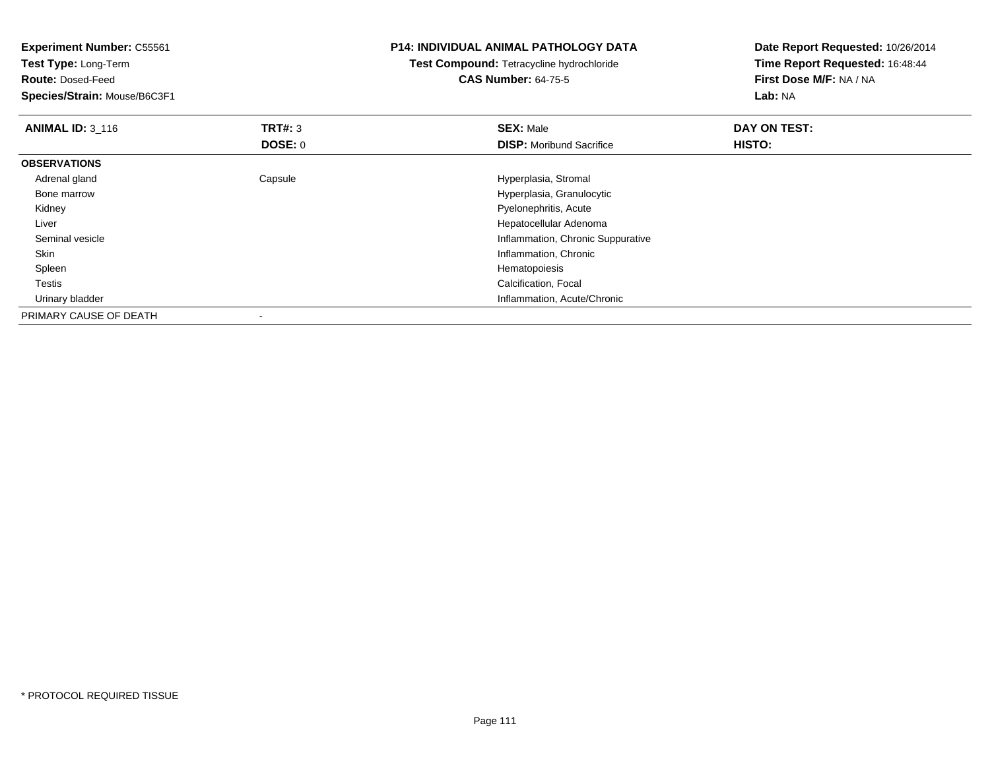| <b>Experiment Number: C55561</b> |                | <b>P14: INDIVIDUAL ANIMAL PATHOLOGY DATA</b> | Date Report Requested: 10/26/2014 |  |
|----------------------------------|----------------|----------------------------------------------|-----------------------------------|--|
| <b>Test Type: Long-Term</b>      |                | Test Compound: Tetracycline hydrochloride    | Time Report Requested: 16:48:44   |  |
| <b>Route: Dosed-Feed</b>         |                | <b>CAS Number: 64-75-5</b>                   | First Dose M/F: NA / NA           |  |
| Species/Strain: Mouse/B6C3F1     |                |                                              | Lab: NA                           |  |
| <b>ANIMAL ID: 3_116</b>          | <b>TRT#: 3</b> | <b>SEX: Male</b>                             | DAY ON TEST:                      |  |
|                                  | DOSE: 0        | <b>DISP:</b> Moribund Sacrifice              | <b>HISTO:</b>                     |  |
| <b>OBSERVATIONS</b>              |                |                                              |                                   |  |
| Adrenal gland                    | Capsule        | Hyperplasia, Stromal                         |                                   |  |
| Bone marrow                      |                | Hyperplasia, Granulocytic                    |                                   |  |
| Kidney                           |                | Pyelonephritis, Acute                        |                                   |  |
| Liver                            |                | Hepatocellular Adenoma                       |                                   |  |
| Seminal vesicle                  |                | Inflammation, Chronic Suppurative            |                                   |  |
| Skin                             |                | Inflammation, Chronic                        |                                   |  |
| Spleen                           |                | Hematopoiesis                                |                                   |  |
| Testis                           |                | Calcification, Focal                         |                                   |  |
| Urinary bladder                  |                | Inflammation, Acute/Chronic                  |                                   |  |
| PRIMARY CAUSE OF DEATH           |                |                                              |                                   |  |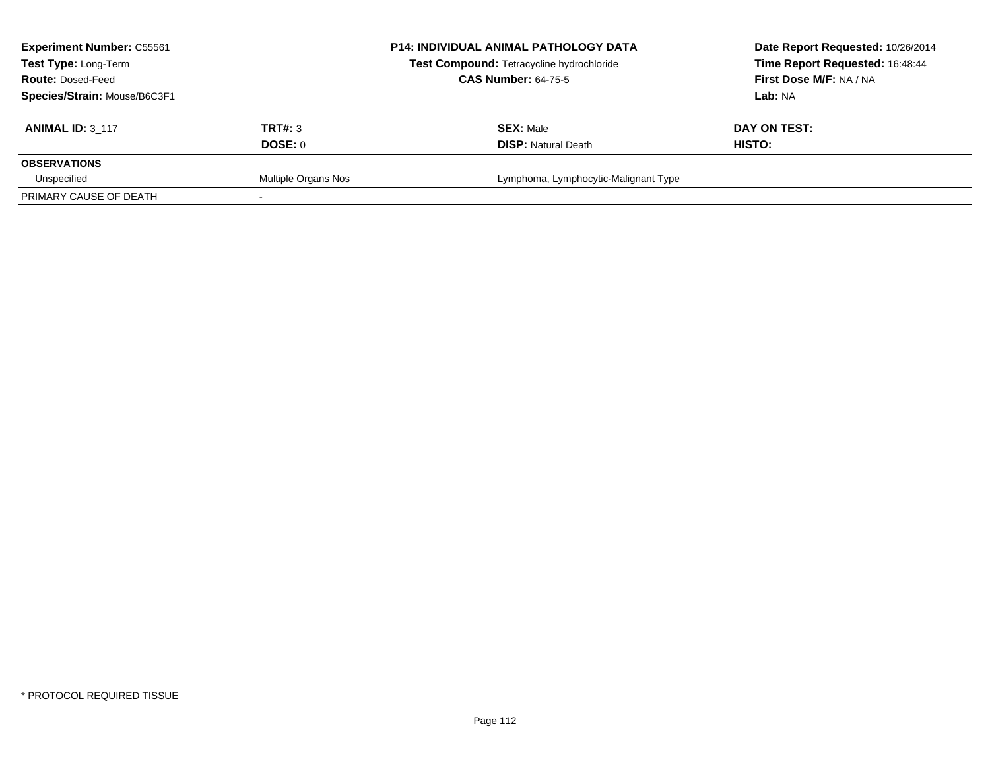| <b>Experiment Number: C55561</b> |                     | <b>P14: INDIVIDUAL ANIMAL PATHOLOGY DATA</b> | Date Report Requested: 10/26/2014 |
|----------------------------------|---------------------|----------------------------------------------|-----------------------------------|
| Test Type: Long-Term             |                     | Test Compound: Tetracycline hydrochloride    | Time Report Requested: 16:48:44   |
| <b>Route: Dosed-Feed</b>         |                     | <b>CAS Number: 64-75-5</b>                   | First Dose M/F: NA / NA           |
| Species/Strain: Mouse/B6C3F1     |                     |                                              | Lab: NA                           |
| <b>ANIMAL ID: 3 117</b>          | TRT#: 3             | <b>SEX: Male</b>                             | DAY ON TEST:                      |
|                                  | DOSE: 0             | <b>DISP:</b> Natural Death                   | HISTO:                            |
| <b>OBSERVATIONS</b>              |                     |                                              |                                   |
| Unspecified                      | Multiple Organs Nos | Lymphoma, Lymphocytic-Malignant Type         |                                   |
| PRIMARY CAUSE OF DEATH           |                     |                                              |                                   |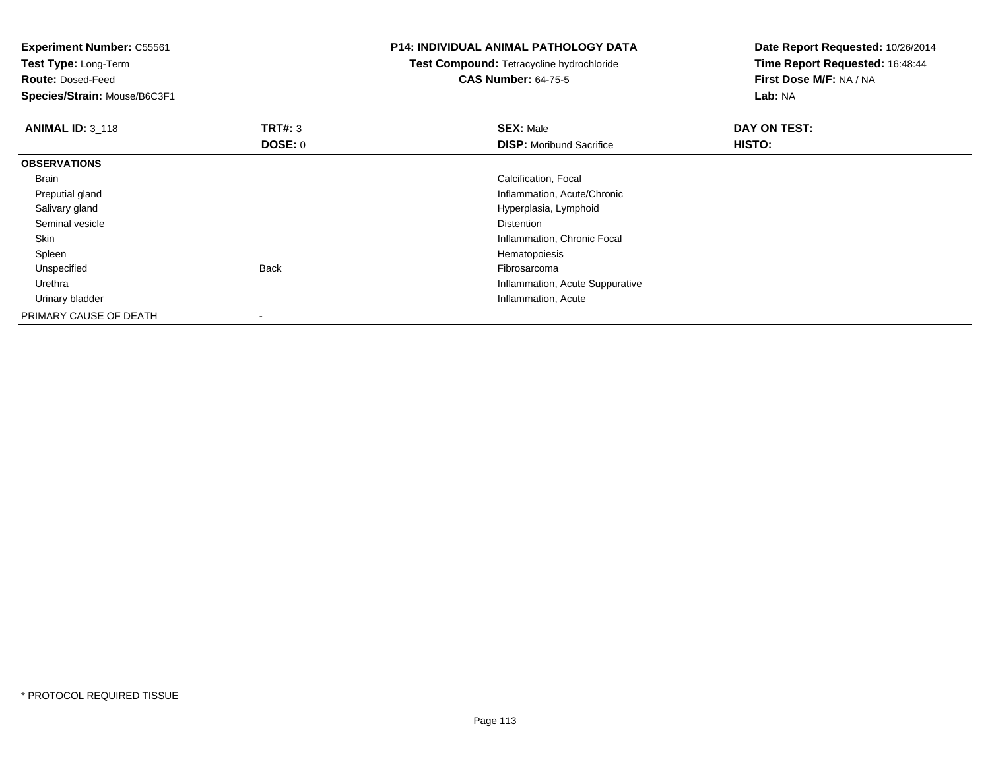**Experiment Number:** C55561**Test Type:** Long-Term**Route:** Dosed-Feed **Species/Strain:** Mouse/B6C3F1**P14: INDIVIDUAL ANIMAL PATHOLOGY DATATest Compound:** Tetracycline hydrochloride**CAS Number:** 64-75-5**Date Report Requested:** 10/26/2014**Time Report Requested:** 16:48:44**First Dose M/F:** NA / NA**Lab:** NA**ANIMAL ID: 3 118 REX:** Male **DAY ON TEST: SEX:** Male **SEX:** Male **DOSE:** 0**DISP:** Moribund Sacrifice **HISTO: OBSERVATIONS** Brain Calcification, Focal Preputial gland Inflammation, Acute/Chronic Salivary gland Hyperplasia, Lymphoid Seminal vesiclee distance de la proposition de la proposition de la proposition de la proposition de la proposition de la pro<br>Distance de la proposition de la proposition de la proposition de la proposition de la proposition de la propo SkinInflammation, Chronic Focal<br>Hematopoiesis Spleenn and the state of the state of the state of the state of the state of the state of the state of the state of the state of the state of the state of the state of the state of the state of the state of the state of the stat Unspecifiedd **Back Fibrosarcoma** Back Fibrosarcoma entre to the second term of the second term of the second term of the second term of the second term of the second term of the second term of the second term of the second term of th Urethra Inflammation, Acute Suppurative Urinary bladder Inflammation, AcutePRIMARY CAUSE OF DEATH-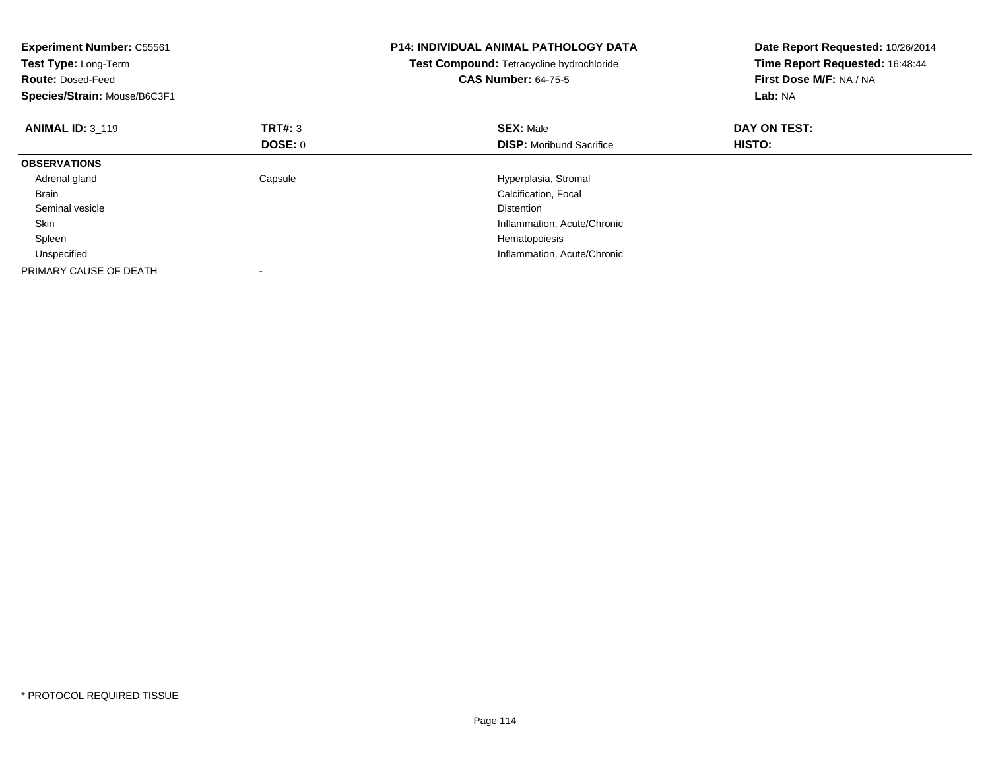| <b>Experiment Number: C55561</b><br>Test Type: Long-Term<br><b>Route: Dosed-Feed</b><br>Species/Strain: Mouse/B6C3F1 |         | <b>P14: INDIVIDUAL ANIMAL PATHOLOGY DATA</b><br>Test Compound: Tetracycline hydrochloride<br><b>CAS Number: 64-75-5</b> | Date Report Requested: 10/26/2014<br>Time Report Requested: 16:48:44<br>First Dose M/F: NA / NA<br>Lab: NA |
|----------------------------------------------------------------------------------------------------------------------|---------|-------------------------------------------------------------------------------------------------------------------------|------------------------------------------------------------------------------------------------------------|
| <b>ANIMAL ID: 3 119</b>                                                                                              | TRT#: 3 | <b>SEX: Male</b>                                                                                                        | DAY ON TEST:                                                                                               |
|                                                                                                                      | DOSE: 0 | <b>DISP:</b> Moribund Sacrifice                                                                                         | HISTO:                                                                                                     |
| <b>OBSERVATIONS</b>                                                                                                  |         |                                                                                                                         |                                                                                                            |
| Adrenal gland                                                                                                        | Capsule | Hyperplasia, Stromal                                                                                                    |                                                                                                            |
| <b>Brain</b>                                                                                                         |         | Calcification, Focal                                                                                                    |                                                                                                            |
| Seminal vesicle                                                                                                      |         | <b>Distention</b>                                                                                                       |                                                                                                            |
| <b>Skin</b>                                                                                                          |         | Inflammation, Acute/Chronic                                                                                             |                                                                                                            |
| Spleen                                                                                                               |         | Hematopoiesis                                                                                                           |                                                                                                            |
| Unspecified                                                                                                          |         | Inflammation, Acute/Chronic                                                                                             |                                                                                                            |
| PRIMARY CAUSE OF DEATH                                                                                               |         |                                                                                                                         |                                                                                                            |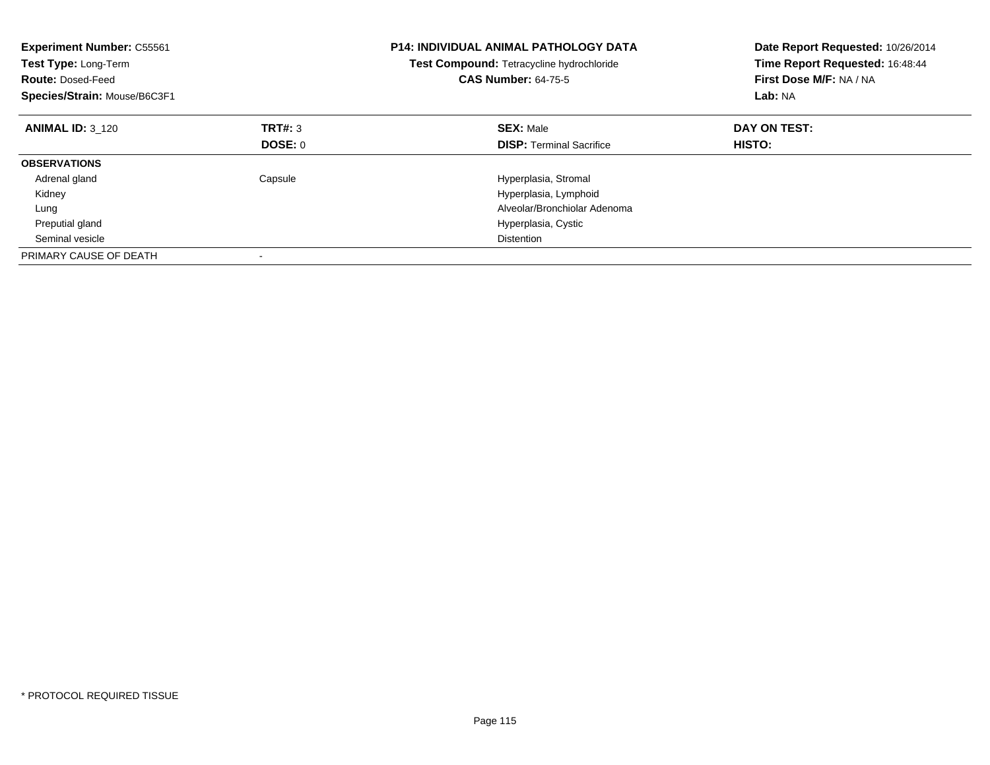| <b>Experiment Number: C55561</b><br>Test Type: Long-Term<br><b>Route: Dosed-Feed</b><br>Species/Strain: Mouse/B6C3F1 |         | <b>P14: INDIVIDUAL ANIMAL PATHOLOGY DATA</b><br>Test Compound: Tetracycline hydrochloride<br><b>CAS Number: 64-75-5</b> | Date Report Requested: 10/26/2014<br>Time Report Requested: 16:48:44<br>First Dose M/F: NA / NA<br>Lab: NA |
|----------------------------------------------------------------------------------------------------------------------|---------|-------------------------------------------------------------------------------------------------------------------------|------------------------------------------------------------------------------------------------------------|
| <b>ANIMAL ID: 3_120</b>                                                                                              | TRT#: 3 | <b>SEX: Male</b>                                                                                                        | DAY ON TEST:                                                                                               |
|                                                                                                                      | DOSE: 0 | <b>DISP:</b> Terminal Sacrifice                                                                                         | <b>HISTO:</b>                                                                                              |
| <b>OBSERVATIONS</b>                                                                                                  |         |                                                                                                                         |                                                                                                            |
| Adrenal gland                                                                                                        | Capsule | Hyperplasia, Stromal                                                                                                    |                                                                                                            |
| Kidney                                                                                                               |         | Hyperplasia, Lymphoid                                                                                                   |                                                                                                            |
| Lung                                                                                                                 |         | Alveolar/Bronchiolar Adenoma                                                                                            |                                                                                                            |
| Preputial gland                                                                                                      |         | Hyperplasia, Cystic                                                                                                     |                                                                                                            |
| Seminal vesicle                                                                                                      |         | <b>Distention</b>                                                                                                       |                                                                                                            |
| PRIMARY CAUSE OF DEATH                                                                                               |         |                                                                                                                         |                                                                                                            |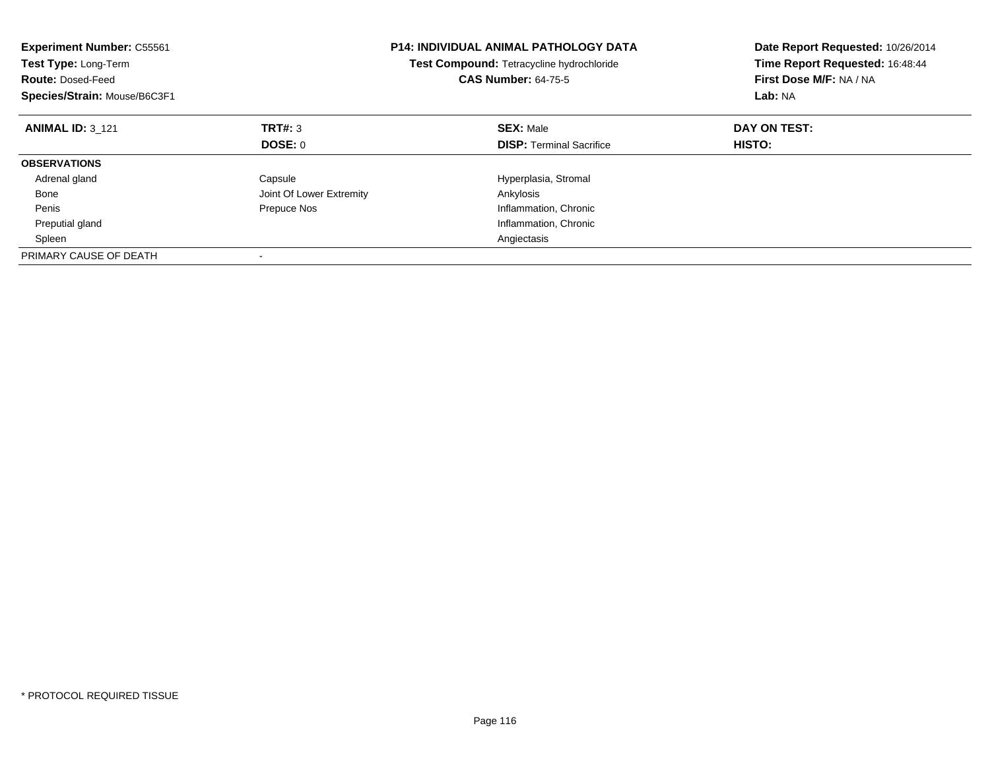| <b>Experiment Number: C55561</b><br>Test Type: Long-Term<br><b>Route: Dosed-Feed</b><br>Species/Strain: Mouse/B6C3F1 |                          | <b>P14: INDIVIDUAL ANIMAL PATHOLOGY DATA</b><br>Test Compound: Tetracycline hydrochloride<br><b>CAS Number: 64-75-5</b> | Date Report Requested: 10/26/2014<br>Time Report Requested: 16:48:44<br>First Dose M/F: NA / NA<br>Lab: NA |
|----------------------------------------------------------------------------------------------------------------------|--------------------------|-------------------------------------------------------------------------------------------------------------------------|------------------------------------------------------------------------------------------------------------|
| <b>ANIMAL ID: 3 121</b>                                                                                              | TRT#: 3                  | <b>SEX: Male</b>                                                                                                        | DAY ON TEST:                                                                                               |
|                                                                                                                      | DOSE: 0                  | <b>DISP:</b> Terminal Sacrifice                                                                                         | HISTO:                                                                                                     |
| <b>OBSERVATIONS</b>                                                                                                  |                          |                                                                                                                         |                                                                                                            |
| Adrenal gland                                                                                                        | Capsule                  | Hyperplasia, Stromal                                                                                                    |                                                                                                            |
| Bone                                                                                                                 | Joint Of Lower Extremity | Ankylosis                                                                                                               |                                                                                                            |
| Penis                                                                                                                | Prepuce Nos              | Inflammation, Chronic                                                                                                   |                                                                                                            |
| Preputial gland                                                                                                      |                          | Inflammation, Chronic                                                                                                   |                                                                                                            |
| Spleen                                                                                                               |                          | Angiectasis                                                                                                             |                                                                                                            |
| PRIMARY CAUSE OF DEATH                                                                                               |                          |                                                                                                                         |                                                                                                            |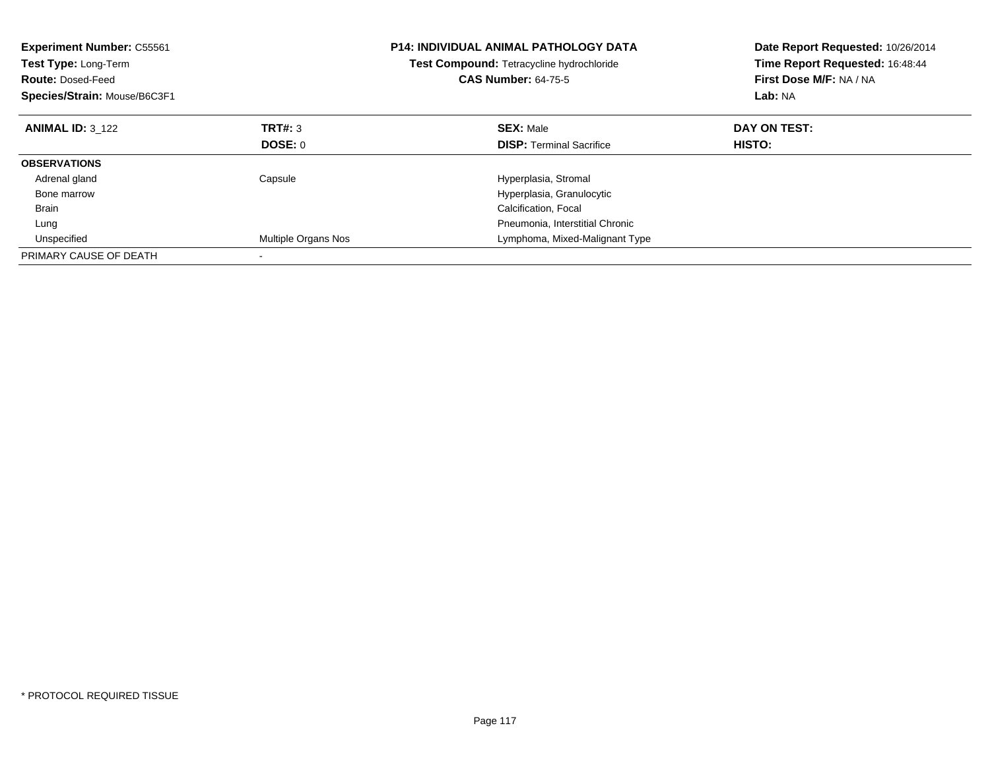| <b>Experiment Number: C55561</b><br>Test Type: Long-Term<br><b>Route: Dosed-Feed</b><br>Species/Strain: Mouse/B6C3F1 |                     | <b>P14: INDIVIDUAL ANIMAL PATHOLOGY DATA</b><br>Test Compound: Tetracycline hydrochloride<br><b>CAS Number: 64-75-5</b> | Date Report Requested: 10/26/2014<br>Time Report Requested: 16:48:44<br>First Dose M/F: NA / NA<br>Lab: NA |
|----------------------------------------------------------------------------------------------------------------------|---------------------|-------------------------------------------------------------------------------------------------------------------------|------------------------------------------------------------------------------------------------------------|
| <b>ANIMAL ID: 3 122</b>                                                                                              | TRT#: 3             | <b>SEX: Male</b>                                                                                                        | DAY ON TEST:                                                                                               |
|                                                                                                                      | DOSE: 0             | <b>DISP:</b> Terminal Sacrifice                                                                                         | HISTO:                                                                                                     |
| <b>OBSERVATIONS</b>                                                                                                  |                     |                                                                                                                         |                                                                                                            |
| Adrenal gland                                                                                                        | Capsule             | Hyperplasia, Stromal                                                                                                    |                                                                                                            |
| Bone marrow                                                                                                          |                     | Hyperplasia, Granulocytic                                                                                               |                                                                                                            |
| <b>Brain</b>                                                                                                         |                     | Calcification, Focal                                                                                                    |                                                                                                            |
| Lung                                                                                                                 |                     | Pneumonia, Interstitial Chronic                                                                                         |                                                                                                            |
| Unspecified                                                                                                          | Multiple Organs Nos | Lymphoma, Mixed-Malignant Type                                                                                          |                                                                                                            |
| PRIMARY CAUSE OF DEATH                                                                                               |                     |                                                                                                                         |                                                                                                            |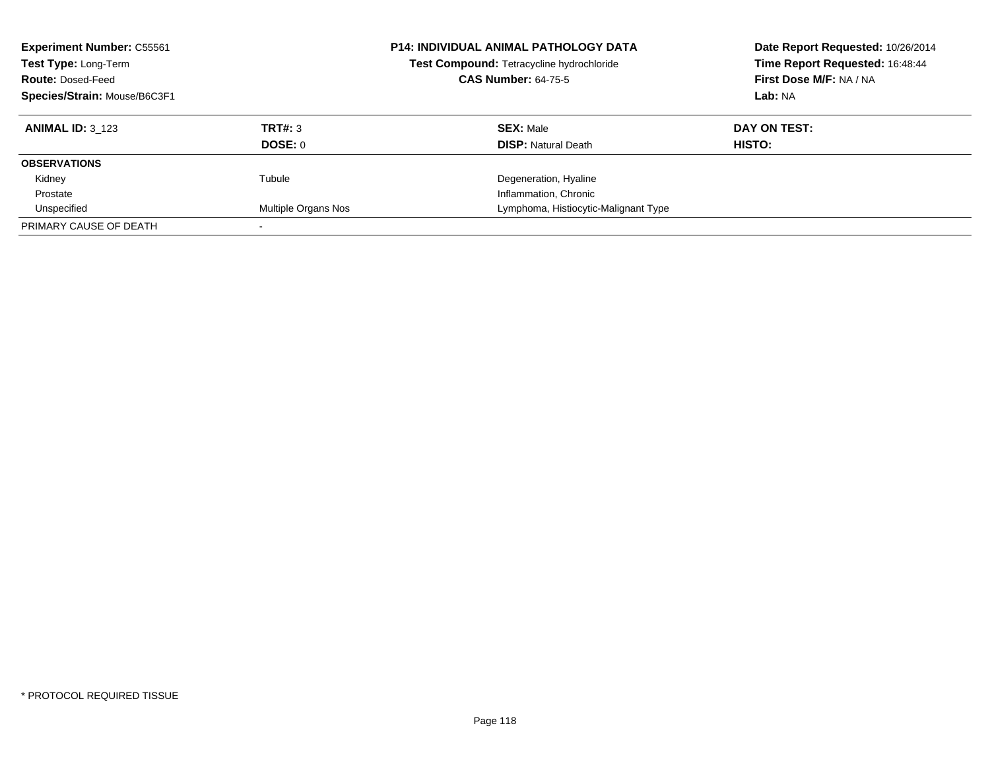| <b>Experiment Number: C55561</b><br>Test Type: Long-Term<br><b>Route: Dosed-Feed</b><br>Species/Strain: Mouse/B6C3F1 |                           | <b>P14: INDIVIDUAL ANIMAL PATHOLOGY DATA</b><br>Test Compound: Tetracycline hydrochloride<br><b>CAS Number: 64-75-5</b> | Date Report Requested: 10/26/2014<br>Time Report Requested: 16:48:44<br>First Dose M/F: NA / NA<br>Lab: NA |
|----------------------------------------------------------------------------------------------------------------------|---------------------------|-------------------------------------------------------------------------------------------------------------------------|------------------------------------------------------------------------------------------------------------|
| <b>ANIMAL ID: 3 123</b>                                                                                              | TRT#: 3<br><b>DOSE: 0</b> | <b>SEX: Male</b><br><b>DISP: Natural Death</b>                                                                          | DAY ON TEST:<br>HISTO:                                                                                     |
| <b>OBSERVATIONS</b>                                                                                                  |                           |                                                                                                                         |                                                                                                            |
| Kidney                                                                                                               | Tubule                    | Degeneration, Hyaline                                                                                                   |                                                                                                            |
| Prostate                                                                                                             |                           | Inflammation, Chronic                                                                                                   |                                                                                                            |
| Unspecified                                                                                                          | Multiple Organs Nos       | Lymphoma, Histiocytic-Malignant Type                                                                                    |                                                                                                            |
| PRIMARY CAUSE OF DEATH                                                                                               |                           |                                                                                                                         |                                                                                                            |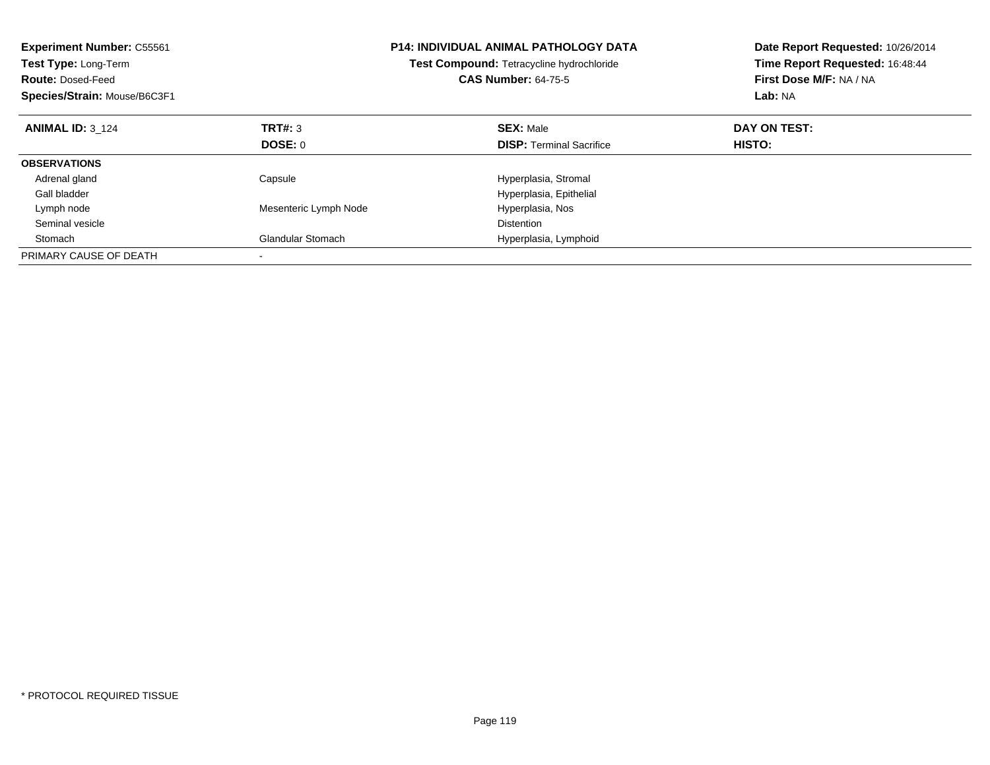| <b>Experiment Number: C55561</b><br>Test Type: Long-Term<br><b>Route: Dosed-Feed</b><br>Species/Strain: Mouse/B6C3F1 |                          | <b>P14: INDIVIDUAL ANIMAL PATHOLOGY DATA</b><br>Test Compound: Tetracycline hydrochloride<br><b>CAS Number: 64-75-5</b> | Date Report Requested: 10/26/2014<br>Time Report Requested: 16:48:44<br>First Dose M/F: NA / NA<br>Lab: NA |
|----------------------------------------------------------------------------------------------------------------------|--------------------------|-------------------------------------------------------------------------------------------------------------------------|------------------------------------------------------------------------------------------------------------|
| <b>ANIMAL ID: 3 124</b>                                                                                              | TRT#: 3                  | <b>SEX: Male</b>                                                                                                        | DAY ON TEST:                                                                                               |
|                                                                                                                      | DOSE: 0                  | <b>DISP:</b> Terminal Sacrifice                                                                                         | HISTO:                                                                                                     |
| <b>OBSERVATIONS</b>                                                                                                  |                          |                                                                                                                         |                                                                                                            |
| Adrenal gland                                                                                                        | Capsule                  | Hyperplasia, Stromal                                                                                                    |                                                                                                            |
| Gall bladder                                                                                                         |                          | Hyperplasia, Epithelial                                                                                                 |                                                                                                            |
| Lymph node                                                                                                           | Mesenteric Lymph Node    | Hyperplasia, Nos                                                                                                        |                                                                                                            |
| Seminal vesicle                                                                                                      |                          | <b>Distention</b>                                                                                                       |                                                                                                            |
| Stomach                                                                                                              | <b>Glandular Stomach</b> | Hyperplasia, Lymphoid                                                                                                   |                                                                                                            |
| PRIMARY CAUSE OF DEATH                                                                                               |                          |                                                                                                                         |                                                                                                            |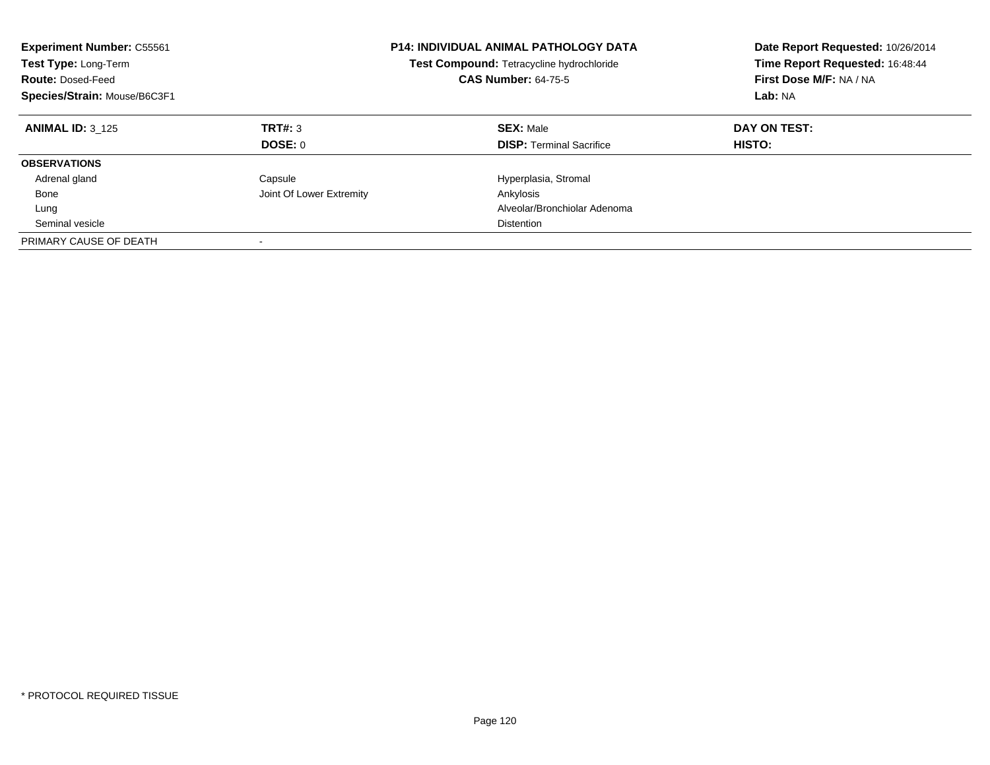| <b>Experiment Number: C55561</b><br>Test Type: Long-Term<br><b>Route: Dosed-Feed</b><br>Species/Strain: Mouse/B6C3F1 |                          | <b>P14: INDIVIDUAL ANIMAL PATHOLOGY DATA</b><br>Test Compound: Tetracycline hydrochloride<br><b>CAS Number: 64-75-5</b> | Date Report Requested: 10/26/2014<br>Time Report Requested: 16:48:44<br>First Dose M/F: NA / NA<br>Lab: NA |
|----------------------------------------------------------------------------------------------------------------------|--------------------------|-------------------------------------------------------------------------------------------------------------------------|------------------------------------------------------------------------------------------------------------|
| <b>ANIMAL ID: 3 125</b>                                                                                              | TRT#: 3<br>DOSE: 0       | <b>SEX: Male</b><br><b>DISP:</b> Terminal Sacrifice                                                                     | DAY ON TEST:<br>HISTO:                                                                                     |
|                                                                                                                      |                          |                                                                                                                         |                                                                                                            |
| <b>OBSERVATIONS</b>                                                                                                  |                          |                                                                                                                         |                                                                                                            |
| Adrenal gland                                                                                                        | Capsule                  | Hyperplasia, Stromal                                                                                                    |                                                                                                            |
| Bone                                                                                                                 | Joint Of Lower Extremity | Ankylosis                                                                                                               |                                                                                                            |
| Lung                                                                                                                 |                          | Alveolar/Bronchiolar Adenoma                                                                                            |                                                                                                            |
| Seminal vesicle                                                                                                      |                          | Distention                                                                                                              |                                                                                                            |
| PRIMARY CAUSE OF DEATH                                                                                               |                          |                                                                                                                         |                                                                                                            |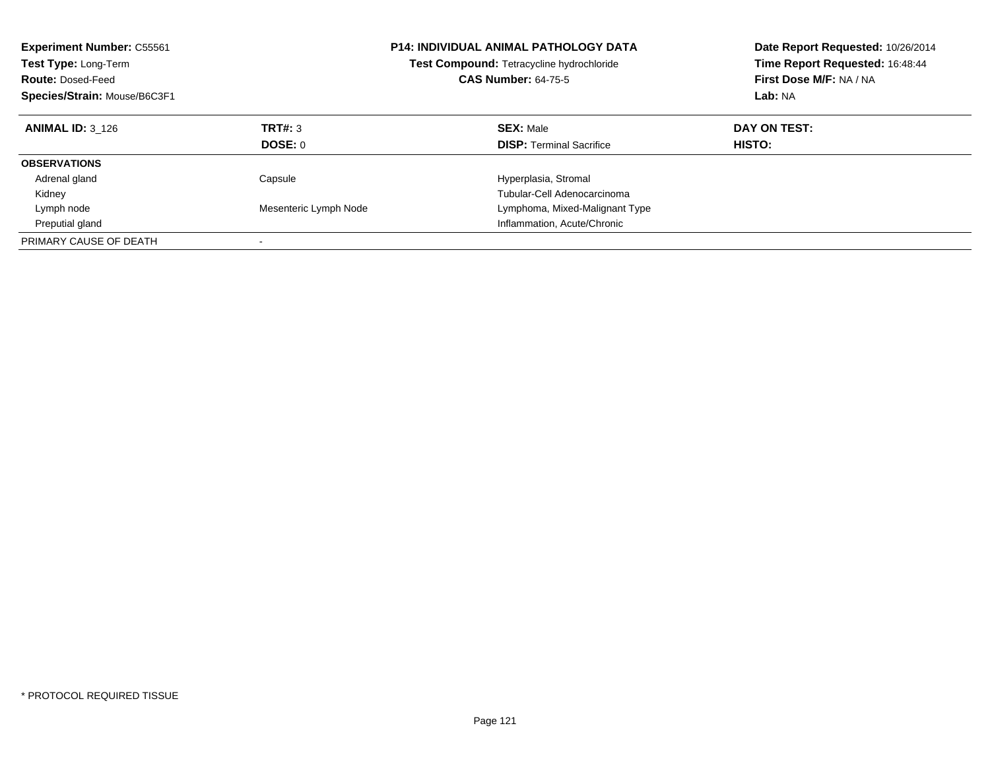| <b>Experiment Number: C55561</b><br>Test Type: Long-Term<br><b>Route: Dosed-Feed</b><br>Species/Strain: Mouse/B6C3F1 |                       | <b>P14: INDIVIDUAL ANIMAL PATHOLOGY DATA</b><br>Test Compound: Tetracycline hydrochloride<br><b>CAS Number: 64-75-5</b> | Date Report Requested: 10/26/2014<br>Time Report Requested: 16:48:44<br>First Dose M/F: NA / NA<br>Lab: NA |
|----------------------------------------------------------------------------------------------------------------------|-----------------------|-------------------------------------------------------------------------------------------------------------------------|------------------------------------------------------------------------------------------------------------|
| <b>ANIMAL ID: 3 126</b>                                                                                              | TRT#: 3               | <b>SEX: Male</b>                                                                                                        | DAY ON TEST:                                                                                               |
|                                                                                                                      | DOSE: 0               | <b>DISP:</b> Terminal Sacrifice                                                                                         | HISTO:                                                                                                     |
| <b>OBSERVATIONS</b>                                                                                                  |                       |                                                                                                                         |                                                                                                            |
| Adrenal gland                                                                                                        | Capsule               | Hyperplasia, Stromal                                                                                                    |                                                                                                            |
| Kidney                                                                                                               |                       | Tubular-Cell Adenocarcinoma                                                                                             |                                                                                                            |
| Lymph node                                                                                                           | Mesenteric Lymph Node | Lymphoma, Mixed-Malignant Type                                                                                          |                                                                                                            |
| Preputial gland                                                                                                      |                       | Inflammation, Acute/Chronic                                                                                             |                                                                                                            |
| PRIMARY CAUSE OF DEATH                                                                                               |                       |                                                                                                                         |                                                                                                            |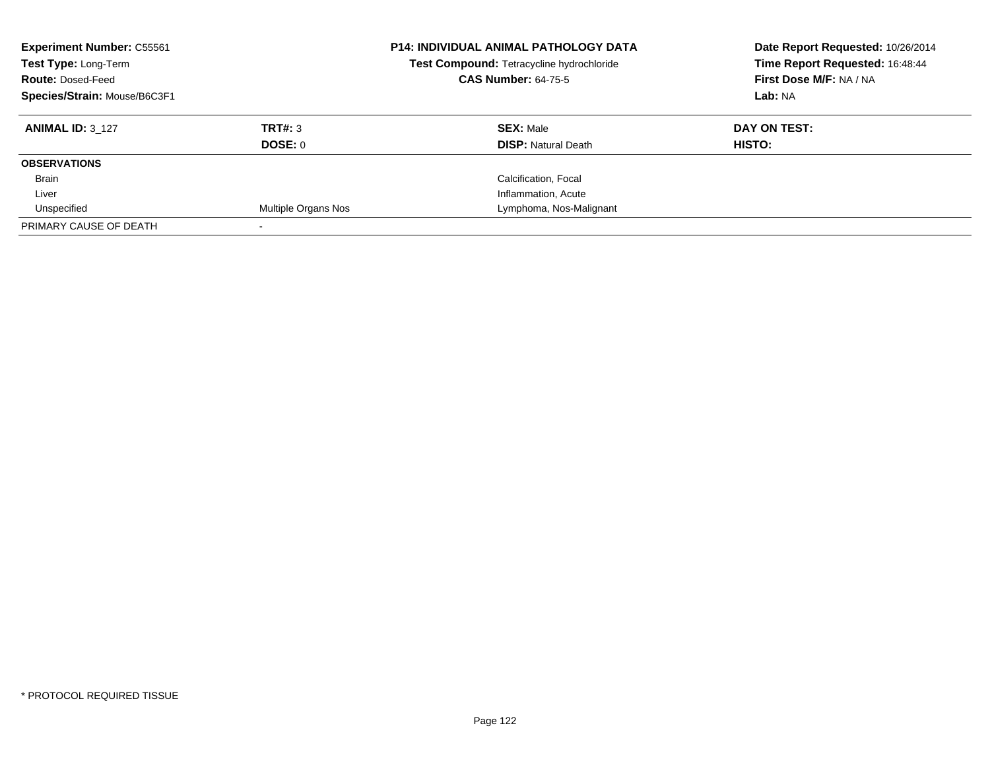| <b>Experiment Number: C55561</b><br>Test Type: Long-Term<br><b>Route: Dosed-Feed</b><br>Species/Strain: Mouse/B6C3F1 |                     | <b>P14: INDIVIDUAL ANIMAL PATHOLOGY DATA</b><br>Test Compound: Tetracycline hydrochloride<br><b>CAS Number: 64-75-5</b> | Date Report Requested: 10/26/2014<br>Time Report Requested: 16:48:44<br>First Dose M/F: NA / NA<br>Lab: NA |
|----------------------------------------------------------------------------------------------------------------------|---------------------|-------------------------------------------------------------------------------------------------------------------------|------------------------------------------------------------------------------------------------------------|
| <b>ANIMAL ID: 3 127</b>                                                                                              | TRT#: 3             | <b>SEX: Male</b>                                                                                                        | DAY ON TEST:                                                                                               |
|                                                                                                                      | DOSE: 0             | <b>DISP:</b> Natural Death                                                                                              | HISTO:                                                                                                     |
| <b>OBSERVATIONS</b>                                                                                                  |                     |                                                                                                                         |                                                                                                            |
| <b>Brain</b>                                                                                                         |                     | Calcification, Focal                                                                                                    |                                                                                                            |
| Liver                                                                                                                |                     | Inflammation, Acute                                                                                                     |                                                                                                            |
| Unspecified                                                                                                          | Multiple Organs Nos | Lymphoma, Nos-Malignant                                                                                                 |                                                                                                            |
| PRIMARY CAUSE OF DEATH                                                                                               |                     |                                                                                                                         |                                                                                                            |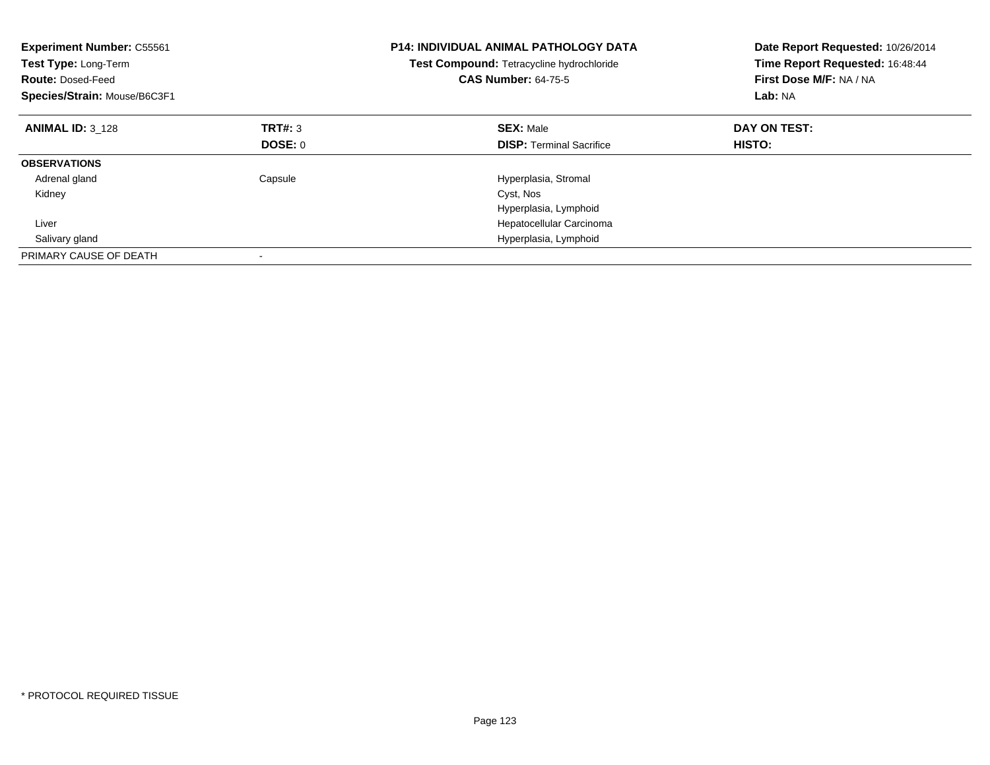| <b>Experiment Number: C55561</b><br>Test Type: Long-Term<br><b>Route: Dosed-Feed</b><br>Species/Strain: Mouse/B6C3F1 |         | <b>P14: INDIVIDUAL ANIMAL PATHOLOGY DATA</b><br>Test Compound: Tetracycline hydrochloride<br><b>CAS Number: 64-75-5</b> | Date Report Requested: 10/26/2014<br>Time Report Requested: 16:48:44<br>First Dose M/F: NA / NA<br>Lab: NA |
|----------------------------------------------------------------------------------------------------------------------|---------|-------------------------------------------------------------------------------------------------------------------------|------------------------------------------------------------------------------------------------------------|
| <b>ANIMAL ID: 3 128</b>                                                                                              | TRT#: 3 | <b>SEX: Male</b>                                                                                                        | DAY ON TEST:                                                                                               |
|                                                                                                                      | DOSE: 0 | <b>DISP:</b> Terminal Sacrifice                                                                                         | HISTO:                                                                                                     |
| <b>OBSERVATIONS</b>                                                                                                  |         |                                                                                                                         |                                                                                                            |
| Adrenal gland                                                                                                        | Capsule | Hyperplasia, Stromal                                                                                                    |                                                                                                            |
| Kidney                                                                                                               |         | Cyst, Nos                                                                                                               |                                                                                                            |
|                                                                                                                      |         | Hyperplasia, Lymphoid                                                                                                   |                                                                                                            |
| Liver                                                                                                                |         | Hepatocellular Carcinoma                                                                                                |                                                                                                            |
| Salivary gland                                                                                                       |         | Hyperplasia, Lymphoid                                                                                                   |                                                                                                            |
| PRIMARY CAUSE OF DEATH                                                                                               |         |                                                                                                                         |                                                                                                            |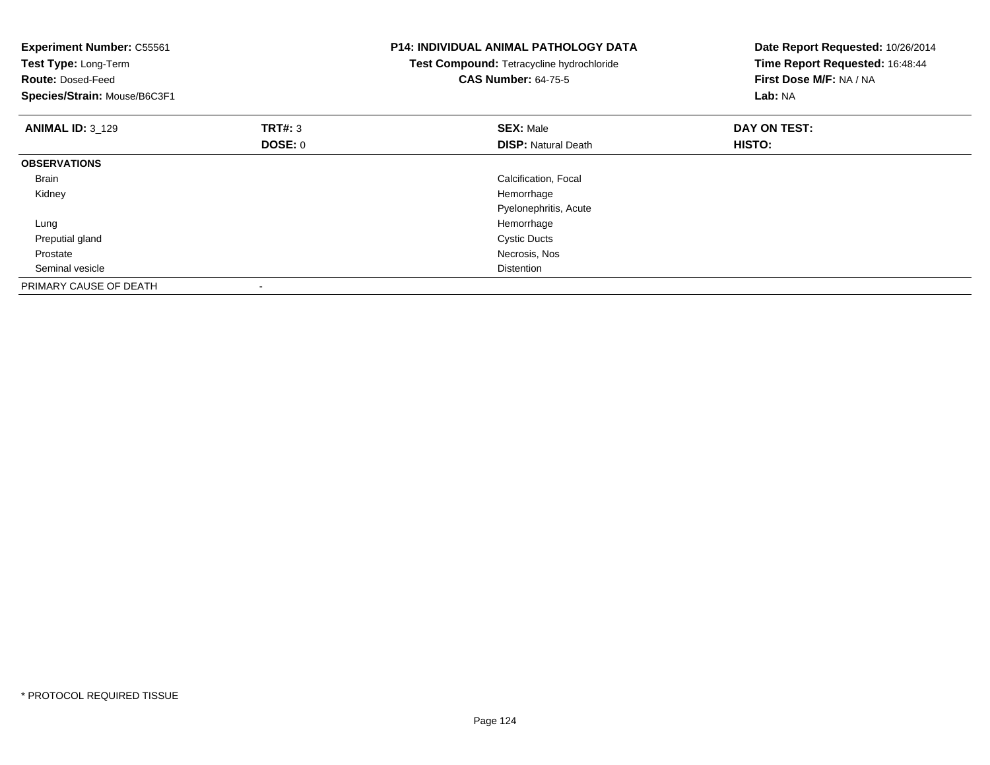| <b>Experiment Number: C55561</b><br>Test Type: Long-Term<br><b>Route: Dosed-Feed</b><br>Species/Strain: Mouse/B6C3F1 |                    | <b>P14: INDIVIDUAL ANIMAL PATHOLOGY DATA</b><br>Test Compound: Tetracycline hydrochloride<br><b>CAS Number: 64-75-5</b> | Date Report Requested: 10/26/2014<br>Time Report Requested: 16:48:44<br>First Dose M/F: NA / NA<br>Lab: NA |
|----------------------------------------------------------------------------------------------------------------------|--------------------|-------------------------------------------------------------------------------------------------------------------------|------------------------------------------------------------------------------------------------------------|
| <b>ANIMAL ID: 3 129</b>                                                                                              | TRT#: 3<br>DOSE: 0 | <b>SEX: Male</b><br><b>DISP: Natural Death</b>                                                                          | DAY ON TEST:<br>HISTO:                                                                                     |
| <b>OBSERVATIONS</b>                                                                                                  |                    |                                                                                                                         |                                                                                                            |
| Brain                                                                                                                |                    | Calcification, Focal                                                                                                    |                                                                                                            |
| Kidney                                                                                                               |                    | Hemorrhage                                                                                                              |                                                                                                            |
|                                                                                                                      |                    | Pyelonephritis, Acute                                                                                                   |                                                                                                            |
| Lung                                                                                                                 |                    | Hemorrhage                                                                                                              |                                                                                                            |
| Preputial gland                                                                                                      |                    | <b>Cystic Ducts</b>                                                                                                     |                                                                                                            |
| Prostate                                                                                                             |                    | Necrosis, Nos                                                                                                           |                                                                                                            |
| Seminal vesicle                                                                                                      |                    | <b>Distention</b>                                                                                                       |                                                                                                            |
| PRIMARY CAUSE OF DEATH                                                                                               |                    |                                                                                                                         |                                                                                                            |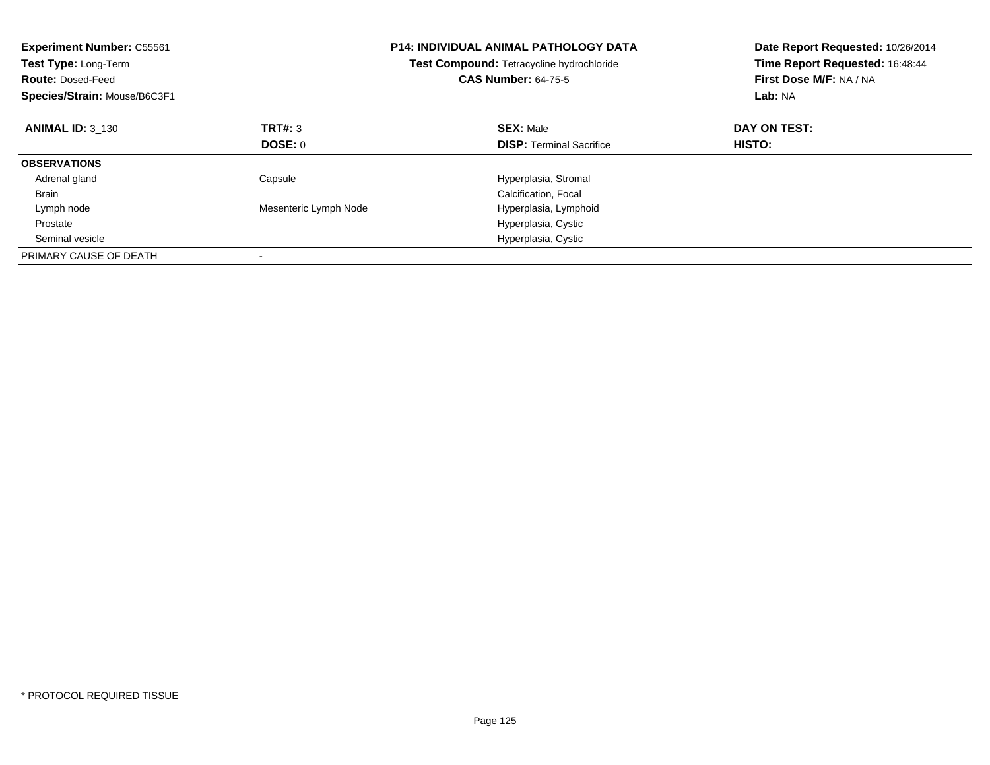| <b>Experiment Number: C55561</b><br><b>Test Type: Long-Term</b><br><b>Route: Dosed-Feed</b><br>Species/Strain: Mouse/B6C3F1 |                       | <b>P14: INDIVIDUAL ANIMAL PATHOLOGY DATA</b><br><b>Test Compound: Tetracycline hydrochloride</b><br><b>CAS Number: 64-75-5</b> | Date Report Requested: 10/26/2014<br>Time Report Requested: 16:48:44<br>First Dose M/F: NA / NA<br>Lab: NA |
|-----------------------------------------------------------------------------------------------------------------------------|-----------------------|--------------------------------------------------------------------------------------------------------------------------------|------------------------------------------------------------------------------------------------------------|
| <b>ANIMAL ID: 3 130</b>                                                                                                     | TRT#: 3               | <b>SEX: Male</b>                                                                                                               | DAY ON TEST:                                                                                               |
|                                                                                                                             | DOSE: 0               | <b>DISP:</b> Terminal Sacrifice                                                                                                | HISTO:                                                                                                     |
| <b>OBSERVATIONS</b>                                                                                                         |                       |                                                                                                                                |                                                                                                            |
| Adrenal gland                                                                                                               | Capsule               | Hyperplasia, Stromal                                                                                                           |                                                                                                            |
| <b>Brain</b>                                                                                                                |                       | Calcification, Focal                                                                                                           |                                                                                                            |
| Lymph node                                                                                                                  | Mesenteric Lymph Node | Hyperplasia, Lymphoid                                                                                                          |                                                                                                            |
| Prostate                                                                                                                    |                       | Hyperplasia, Cystic                                                                                                            |                                                                                                            |
| Seminal vesicle                                                                                                             |                       | Hyperplasia, Cystic                                                                                                            |                                                                                                            |
| PRIMARY CAUSE OF DEATH                                                                                                      |                       |                                                                                                                                |                                                                                                            |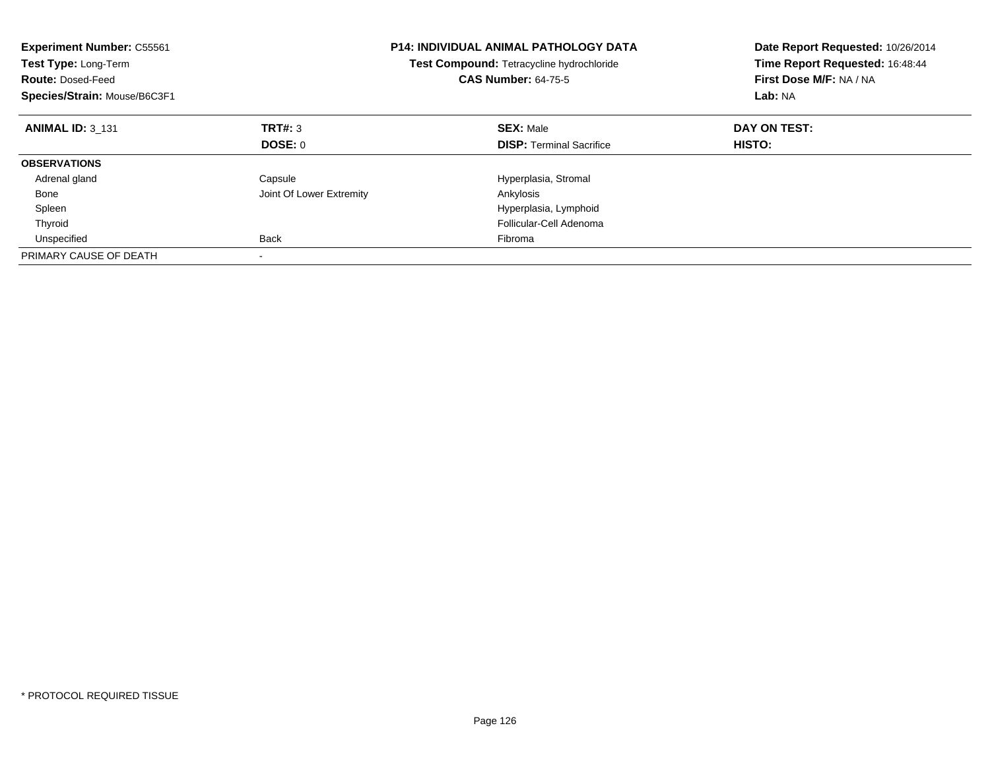| <b>Experiment Number: C55561</b><br>Test Type: Long-Term<br><b>Route: Dosed-Feed</b><br>Species/Strain: Mouse/B6C3F1 |                          | <b>P14: INDIVIDUAL ANIMAL PATHOLOGY DATA</b><br>Test Compound: Tetracycline hydrochloride<br><b>CAS Number: 64-75-5</b> | Date Report Requested: 10/26/2014<br>Time Report Requested: 16:48:44<br>First Dose M/F: NA / NA<br>Lab: NA |
|----------------------------------------------------------------------------------------------------------------------|--------------------------|-------------------------------------------------------------------------------------------------------------------------|------------------------------------------------------------------------------------------------------------|
| <b>ANIMAL ID: 3 131</b>                                                                                              | TRT#: 3                  | <b>SEX: Male</b>                                                                                                        | DAY ON TEST:                                                                                               |
|                                                                                                                      | DOSE: 0                  | <b>DISP:</b> Terminal Sacrifice                                                                                         | HISTO:                                                                                                     |
| <b>OBSERVATIONS</b>                                                                                                  |                          |                                                                                                                         |                                                                                                            |
| Adrenal gland                                                                                                        | Capsule                  | Hyperplasia, Stromal                                                                                                    |                                                                                                            |
| Bone                                                                                                                 | Joint Of Lower Extremity | Ankylosis                                                                                                               |                                                                                                            |
| Spleen                                                                                                               |                          | Hyperplasia, Lymphoid                                                                                                   |                                                                                                            |
| Thyroid                                                                                                              |                          | Follicular-Cell Adenoma                                                                                                 |                                                                                                            |
| Unspecified                                                                                                          | Back                     | Fibroma                                                                                                                 |                                                                                                            |
| PRIMARY CAUSE OF DEATH                                                                                               |                          |                                                                                                                         |                                                                                                            |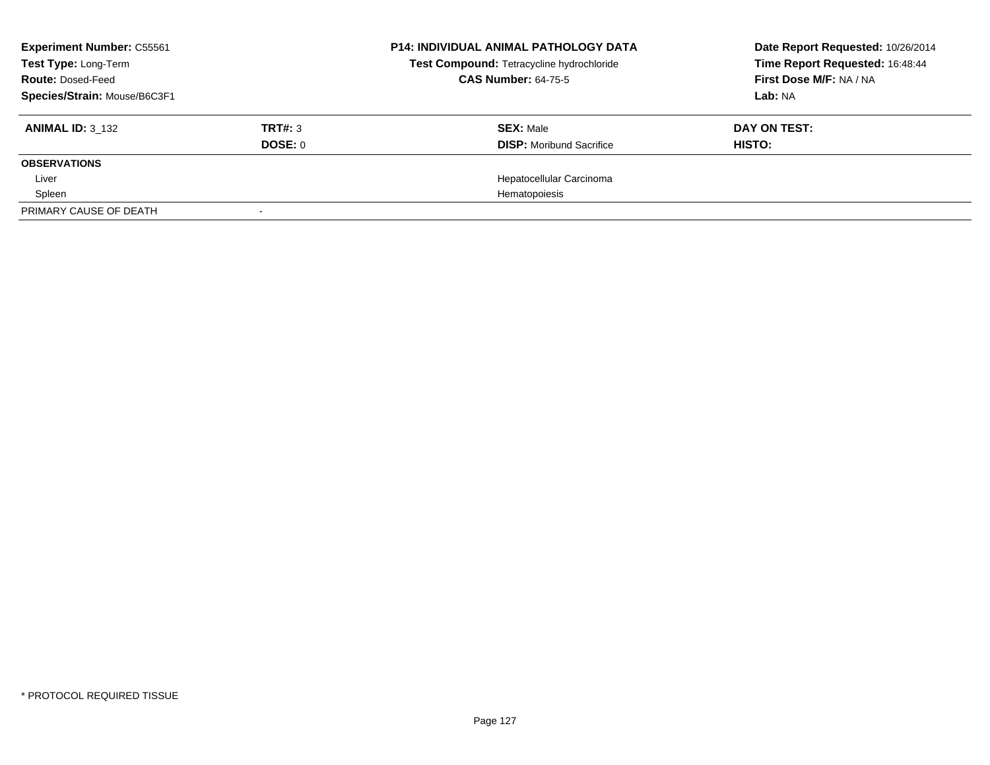| <b>Experiment Number: C55561</b><br>Test Type: Long-Term<br><b>Route: Dosed-Feed</b> |         | <b>P14: INDIVIDUAL ANIMAL PATHOLOGY DATA</b> | Date Report Requested: 10/26/2014 |
|--------------------------------------------------------------------------------------|---------|----------------------------------------------|-----------------------------------|
|                                                                                      |         | Test Compound: Tetracycline hydrochloride    | Time Report Requested: 16:48:44   |
|                                                                                      |         | <b>CAS Number: 64-75-5</b>                   | First Dose M/F: NA / NA           |
| Species/Strain: Mouse/B6C3F1                                                         |         |                                              | Lab: NA                           |
| <b>ANIMAL ID: 3 132</b>                                                              | TRT#: 3 | <b>SEX: Male</b>                             | DAY ON TEST:                      |
|                                                                                      | DOSE: 0 | <b>DISP:</b> Moribund Sacrifice              | HISTO:                            |
| <b>OBSERVATIONS</b>                                                                  |         |                                              |                                   |
| Liver                                                                                |         | Hepatocellular Carcinoma                     |                                   |
| Spleen                                                                               |         | Hematopoiesis                                |                                   |
| PRIMARY CAUSE OF DEATH                                                               |         |                                              |                                   |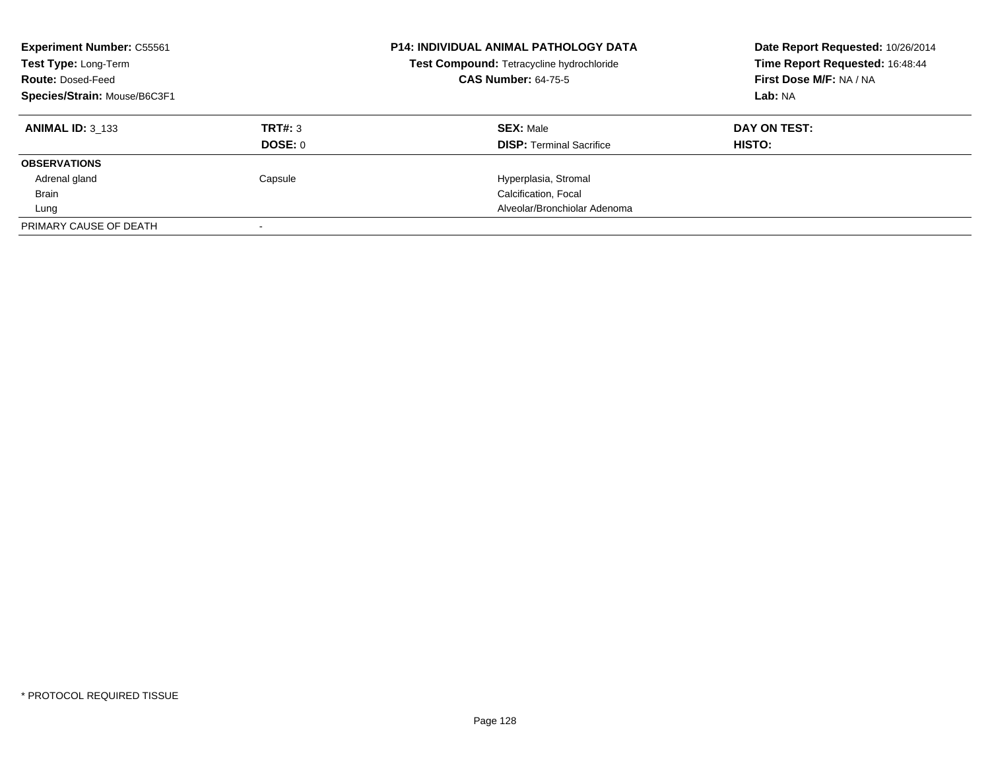| <b>Experiment Number: C55561</b><br>Test Type: Long-Term<br><b>Route: Dosed-Feed</b><br>Species/Strain: Mouse/B6C3F1 |         | <b>P14: INDIVIDUAL ANIMAL PATHOLOGY DATA</b><br>Test Compound: Tetracycline hydrochloride<br><b>CAS Number: 64-75-5</b> | Date Report Requested: 10/26/2014<br>Time Report Requested: 16:48:44<br>First Dose M/F: NA / NA<br>Lab: NA |
|----------------------------------------------------------------------------------------------------------------------|---------|-------------------------------------------------------------------------------------------------------------------------|------------------------------------------------------------------------------------------------------------|
| <b>ANIMAL ID: 3 133</b>                                                                                              | TRT#: 3 | <b>SEX: Male</b>                                                                                                        | DAY ON TEST:                                                                                               |
|                                                                                                                      | DOSE: 0 | <b>DISP:</b> Terminal Sacrifice                                                                                         | HISTO:                                                                                                     |
| <b>OBSERVATIONS</b>                                                                                                  |         |                                                                                                                         |                                                                                                            |
| Adrenal gland                                                                                                        | Capsule | Hyperplasia, Stromal                                                                                                    |                                                                                                            |
| <b>Brain</b>                                                                                                         |         | Calcification, Focal                                                                                                    |                                                                                                            |
| Lung                                                                                                                 |         | Alveolar/Bronchiolar Adenoma                                                                                            |                                                                                                            |
| PRIMARY CAUSE OF DEATH                                                                                               |         |                                                                                                                         |                                                                                                            |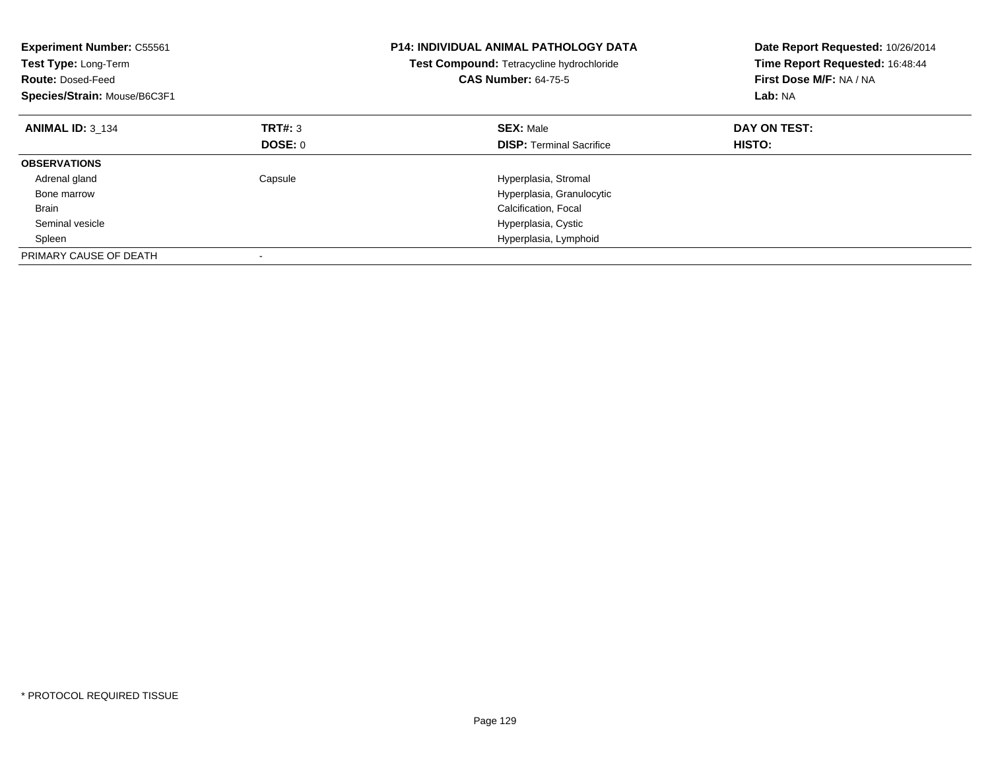| <b>Experiment Number: C55561</b><br>Test Type: Long-Term<br><b>Route: Dosed-Feed</b><br>Species/Strain: Mouse/B6C3F1 |         | P14: INDIVIDUAL ANIMAL PATHOLOGY DATA<br>Test Compound: Tetracycline hydrochloride<br><b>CAS Number: 64-75-5</b> | Date Report Requested: 10/26/2014<br>Time Report Requested: 16:48:44<br>First Dose M/F: NA / NA<br>Lab: NA |
|----------------------------------------------------------------------------------------------------------------------|---------|------------------------------------------------------------------------------------------------------------------|------------------------------------------------------------------------------------------------------------|
| <b>ANIMAL ID: 3 134</b>                                                                                              | TRT#: 3 | <b>SEX: Male</b>                                                                                                 | DAY ON TEST:                                                                                               |
|                                                                                                                      | DOSE: 0 | <b>DISP:</b> Terminal Sacrifice                                                                                  | HISTO:                                                                                                     |
| <b>OBSERVATIONS</b>                                                                                                  |         |                                                                                                                  |                                                                                                            |
| Adrenal gland                                                                                                        | Capsule | Hyperplasia, Stromal                                                                                             |                                                                                                            |
| Bone marrow                                                                                                          |         | Hyperplasia, Granulocytic                                                                                        |                                                                                                            |
| <b>Brain</b>                                                                                                         |         | Calcification, Focal                                                                                             |                                                                                                            |
| Seminal vesicle                                                                                                      |         | Hyperplasia, Cystic                                                                                              |                                                                                                            |
| Spleen                                                                                                               |         | Hyperplasia, Lymphoid                                                                                            |                                                                                                            |
| PRIMARY CAUSE OF DEATH                                                                                               |         |                                                                                                                  |                                                                                                            |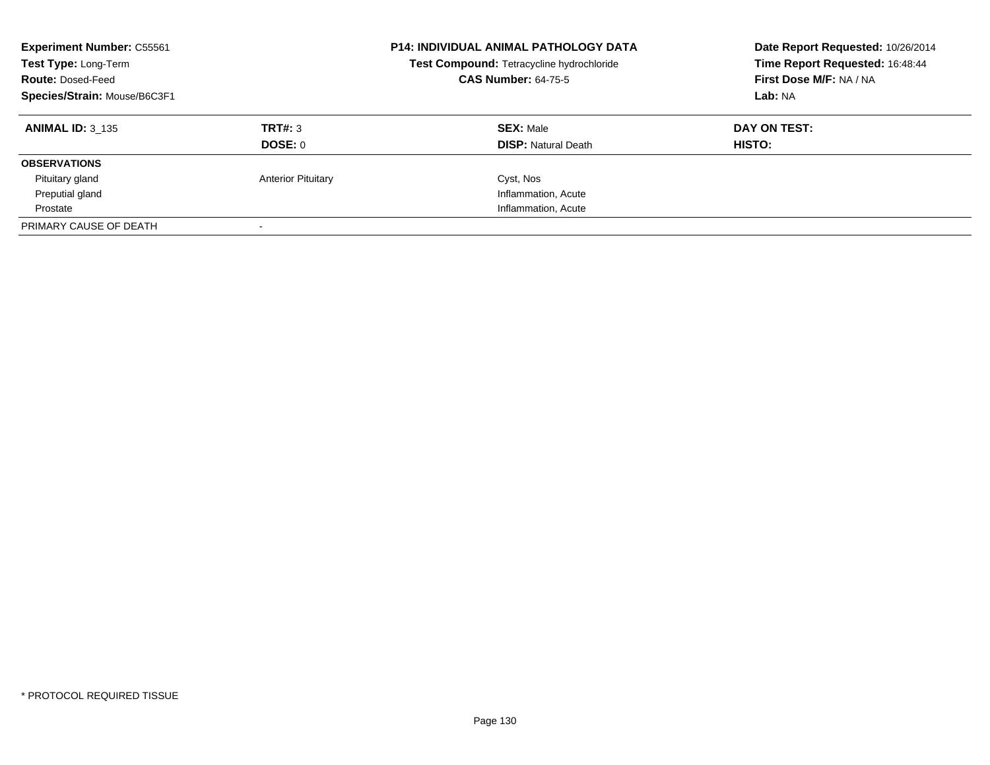| <b>Experiment Number: C55561</b><br>Test Type: Long-Term<br><b>Route: Dosed-Feed</b><br>Species/Strain: Mouse/B6C3F1 |                           | <b>P14: INDIVIDUAL ANIMAL PATHOLOGY DATA</b><br>Test Compound: Tetracycline hydrochloride<br><b>CAS Number: 64-75-5</b> | Date Report Requested: 10/26/2014<br>Time Report Requested: 16:48:44<br>First Dose M/F: NA / NA<br>Lab: NA |
|----------------------------------------------------------------------------------------------------------------------|---------------------------|-------------------------------------------------------------------------------------------------------------------------|------------------------------------------------------------------------------------------------------------|
| <b>ANIMAL ID: 3 135</b>                                                                                              | TRT#: 3<br>DOSE: 0        | <b>SEX: Male</b><br><b>DISP: Natural Death</b>                                                                          | DAY ON TEST:<br><b>HISTO:</b>                                                                              |
| <b>OBSERVATIONS</b>                                                                                                  |                           |                                                                                                                         |                                                                                                            |
| Pituitary gland                                                                                                      | <b>Anterior Pituitary</b> | Cyst, Nos                                                                                                               |                                                                                                            |
| Preputial gland                                                                                                      |                           | Inflammation, Acute                                                                                                     |                                                                                                            |
| Prostate                                                                                                             |                           | Inflammation, Acute                                                                                                     |                                                                                                            |
| PRIMARY CAUSE OF DEATH                                                                                               |                           |                                                                                                                         |                                                                                                            |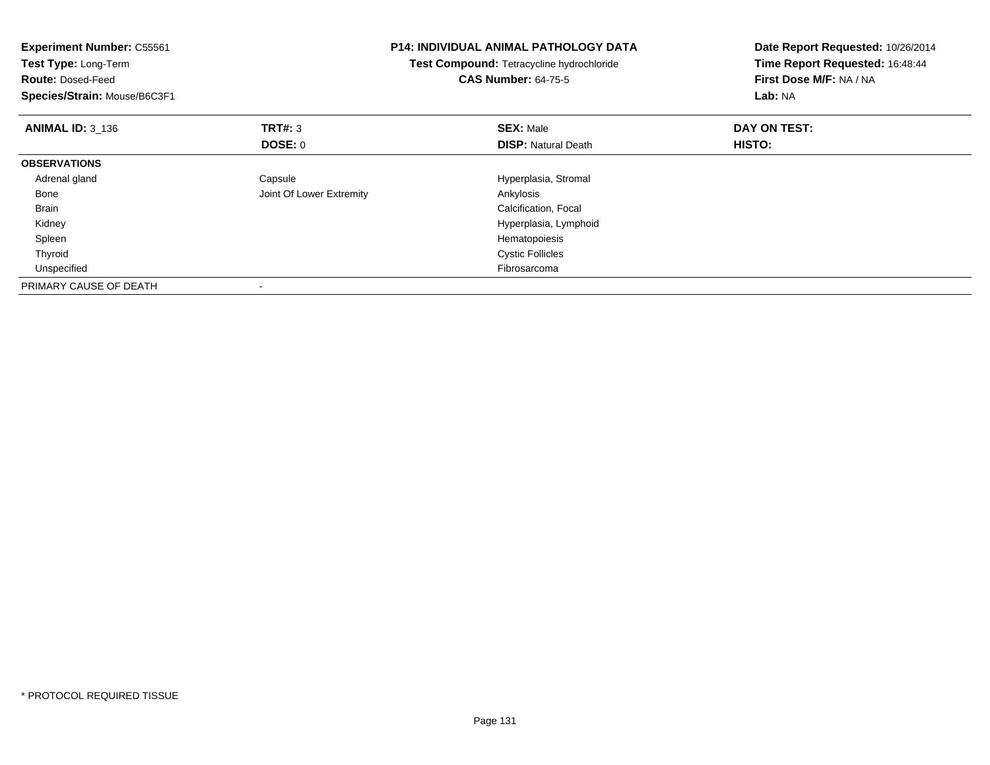| <b>Experiment Number: C55561</b><br>Test Type: Long-Term<br><b>Route: Dosed-Feed</b><br>Species/Strain: Mouse/B6C3F1 |                          | <b>P14: INDIVIDUAL ANIMAL PATHOLOGY DATA</b><br>Test Compound: Tetracycline hydrochloride<br><b>CAS Number: 64-75-5</b> | Date Report Requested: 10/26/2014<br>Time Report Requested: 16:48:44<br>First Dose M/F: NA / NA<br>Lab: NA |
|----------------------------------------------------------------------------------------------------------------------|--------------------------|-------------------------------------------------------------------------------------------------------------------------|------------------------------------------------------------------------------------------------------------|
| <b>ANIMAL ID: 3_136</b>                                                                                              | TRT#: 3                  | <b>SEX: Male</b>                                                                                                        | DAY ON TEST:                                                                                               |
|                                                                                                                      | DOSE: 0                  | <b>DISP:</b> Natural Death                                                                                              | HISTO:                                                                                                     |
| <b>OBSERVATIONS</b>                                                                                                  |                          |                                                                                                                         |                                                                                                            |
| Adrenal gland                                                                                                        | Capsule                  | Hyperplasia, Stromal                                                                                                    |                                                                                                            |
| Bone                                                                                                                 | Joint Of Lower Extremity | Ankylosis                                                                                                               |                                                                                                            |
| <b>Brain</b>                                                                                                         |                          | Calcification, Focal                                                                                                    |                                                                                                            |
| Kidney                                                                                                               |                          | Hyperplasia, Lymphoid                                                                                                   |                                                                                                            |
| Spleen                                                                                                               |                          | Hematopoiesis                                                                                                           |                                                                                                            |
| Thyroid                                                                                                              |                          | <b>Cystic Follicles</b>                                                                                                 |                                                                                                            |
| Unspecified                                                                                                          |                          | Fibrosarcoma                                                                                                            |                                                                                                            |
| PRIMARY CAUSE OF DEATH                                                                                               |                          |                                                                                                                         |                                                                                                            |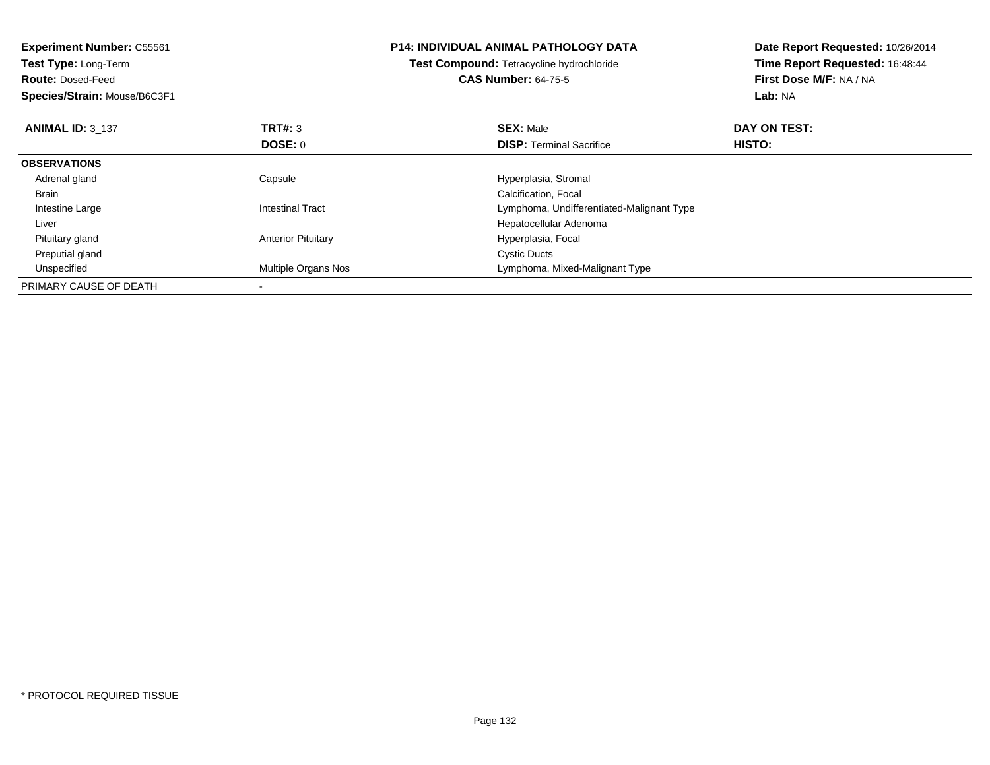| <b>Experiment Number: C55561</b> | <b>P14: INDIVIDUAL ANIMAL PATHOLOGY DATA</b><br>Test Compound: Tetracycline hydrochloride |                                           | Date Report Requested: 10/26/2014<br>Time Report Requested: 16:48:44 |
|----------------------------------|-------------------------------------------------------------------------------------------|-------------------------------------------|----------------------------------------------------------------------|
| <b>Test Type: Long-Term</b>      |                                                                                           |                                           |                                                                      |
| <b>Route: Dosed-Feed</b>         |                                                                                           | <b>CAS Number: 64-75-5</b>                | First Dose M/F: NA / NA                                              |
| Species/Strain: Mouse/B6C3F1     |                                                                                           |                                           | Lab: NA                                                              |
| <b>ANIMAL ID: 3 137</b>          | <b>TRT#:</b> 3                                                                            | <b>SEX: Male</b>                          | DAY ON TEST:                                                         |
|                                  | DOSE: 0                                                                                   | <b>DISP:</b> Terminal Sacrifice           | HISTO:                                                               |
| <b>OBSERVATIONS</b>              |                                                                                           |                                           |                                                                      |
| Adrenal gland                    | Capsule                                                                                   | Hyperplasia, Stromal                      |                                                                      |
| Brain                            |                                                                                           | Calcification, Focal                      |                                                                      |
| Intestine Large                  | <b>Intestinal Tract</b>                                                                   | Lymphoma, Undifferentiated-Malignant Type |                                                                      |
| Liver                            |                                                                                           | Hepatocellular Adenoma                    |                                                                      |
| Pituitary gland                  | <b>Anterior Pituitary</b>                                                                 | Hyperplasia, Focal                        |                                                                      |
| Preputial gland                  |                                                                                           | <b>Cystic Ducts</b>                       |                                                                      |
| Unspecified                      | Multiple Organs Nos                                                                       | Lymphoma, Mixed-Malignant Type            |                                                                      |
| PRIMARY CAUSE OF DEATH           |                                                                                           |                                           |                                                                      |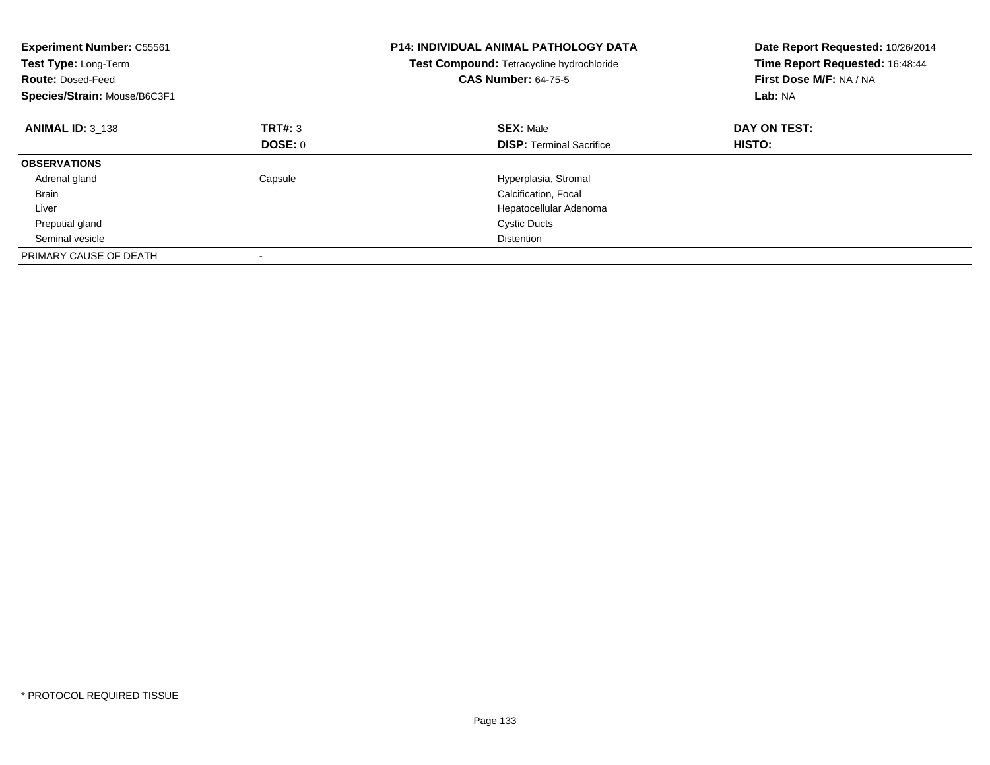| <b>Experiment Number: C55561</b><br>Test Type: Long-Term<br><b>Route: Dosed-Feed</b><br>Species/Strain: Mouse/B6C3F1 |         | <b>P14: INDIVIDUAL ANIMAL PATHOLOGY DATA</b><br>Test Compound: Tetracycline hydrochloride<br><b>CAS Number: 64-75-5</b> | Date Report Requested: 10/26/2014<br>Time Report Requested: 16:48:44<br>First Dose M/F: NA / NA<br>Lab: NA |
|----------------------------------------------------------------------------------------------------------------------|---------|-------------------------------------------------------------------------------------------------------------------------|------------------------------------------------------------------------------------------------------------|
| <b>ANIMAL ID: 3 138</b>                                                                                              | TRT#: 3 | <b>SEX: Male</b>                                                                                                        | DAY ON TEST:                                                                                               |
|                                                                                                                      | DOSE: 0 | <b>DISP:</b> Terminal Sacrifice                                                                                         | HISTO:                                                                                                     |
| <b>OBSERVATIONS</b>                                                                                                  |         |                                                                                                                         |                                                                                                            |
| Adrenal gland                                                                                                        | Capsule | Hyperplasia, Stromal                                                                                                    |                                                                                                            |
| <b>Brain</b>                                                                                                         |         | Calcification, Focal                                                                                                    |                                                                                                            |
| Liver                                                                                                                |         | Hepatocellular Adenoma                                                                                                  |                                                                                                            |
| Preputial gland                                                                                                      |         | <b>Cystic Ducts</b>                                                                                                     |                                                                                                            |
| Seminal vesicle                                                                                                      |         | <b>Distention</b>                                                                                                       |                                                                                                            |
| PRIMARY CAUSE OF DEATH                                                                                               |         |                                                                                                                         |                                                                                                            |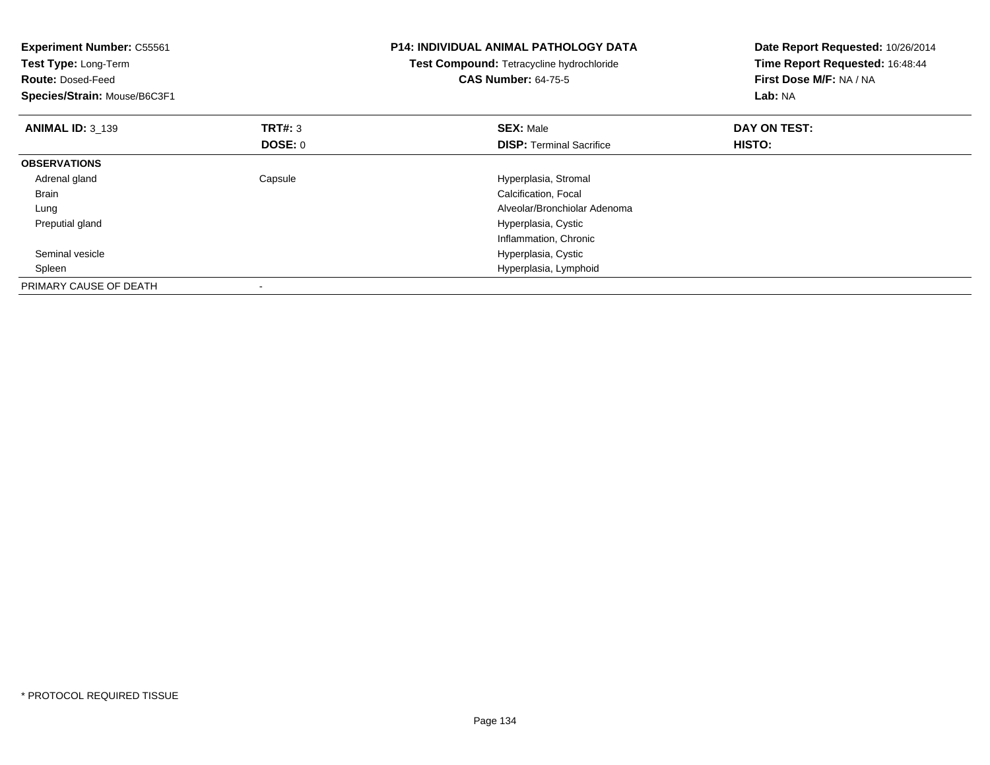| <b>Experiment Number: C55561</b><br>Test Type: Long-Term<br><b>Route: Dosed-Feed</b><br>Species/Strain: Mouse/B6C3F1 |                | <b>P14: INDIVIDUAL ANIMAL PATHOLOGY DATA</b><br>Test Compound: Tetracycline hydrochloride<br><b>CAS Number: 64-75-5</b> | Date Report Requested: 10/26/2014<br>Time Report Requested: 16:48:44<br>First Dose M/F: NA / NA<br>Lab: NA |
|----------------------------------------------------------------------------------------------------------------------|----------------|-------------------------------------------------------------------------------------------------------------------------|------------------------------------------------------------------------------------------------------------|
| <b>ANIMAL ID: 3 139</b>                                                                                              | <b>TRT#: 3</b> | <b>SEX: Male</b>                                                                                                        | DAY ON TEST:                                                                                               |
|                                                                                                                      | DOSE: 0        | <b>DISP:</b> Terminal Sacrifice                                                                                         | HISTO:                                                                                                     |
| <b>OBSERVATIONS</b>                                                                                                  |                |                                                                                                                         |                                                                                                            |
| Adrenal gland                                                                                                        | Capsule        | Hyperplasia, Stromal                                                                                                    |                                                                                                            |
| Brain                                                                                                                |                | Calcification, Focal                                                                                                    |                                                                                                            |
| Lung                                                                                                                 |                | Alveolar/Bronchiolar Adenoma                                                                                            |                                                                                                            |
| Preputial gland                                                                                                      |                | Hyperplasia, Cystic                                                                                                     |                                                                                                            |
|                                                                                                                      |                | Inflammation, Chronic                                                                                                   |                                                                                                            |
| Seminal vesicle                                                                                                      |                | Hyperplasia, Cystic                                                                                                     |                                                                                                            |
| Spleen                                                                                                               |                | Hyperplasia, Lymphoid                                                                                                   |                                                                                                            |
| PRIMARY CAUSE OF DEATH                                                                                               |                |                                                                                                                         |                                                                                                            |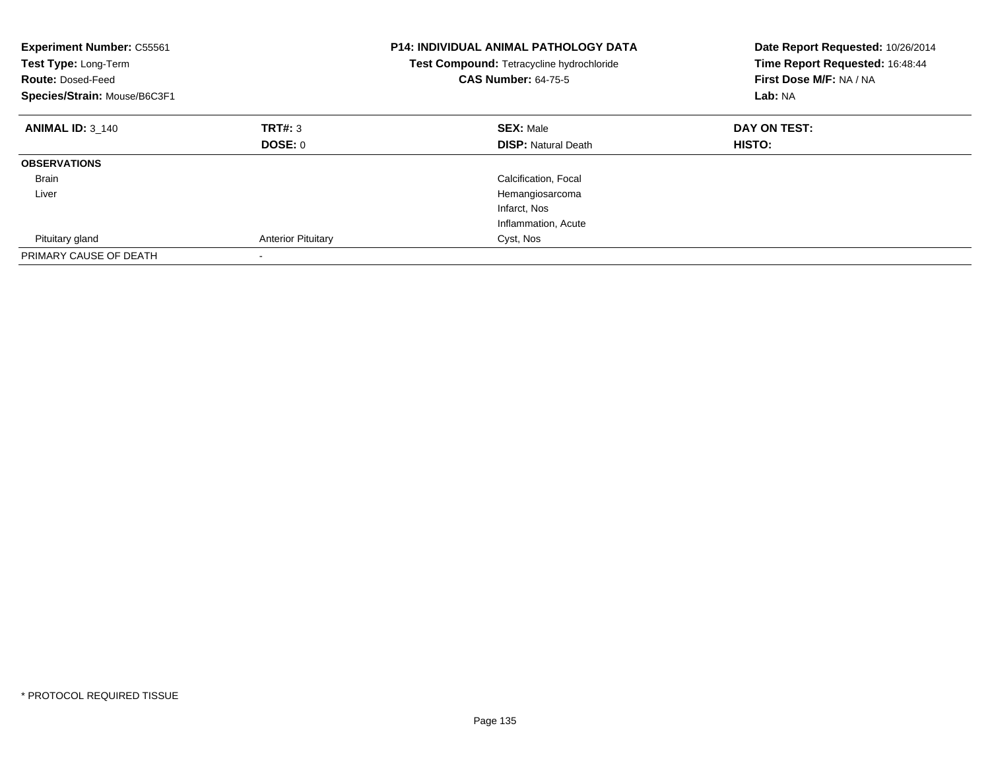| <b>Experiment Number: C55561</b><br>Test Type: Long-Term<br><b>Route: Dosed-Feed</b><br>Species/Strain: Mouse/B6C3F1 |                           | <b>P14: INDIVIDUAL ANIMAL PATHOLOGY DATA</b><br>Test Compound: Tetracycline hydrochloride<br><b>CAS Number: 64-75-5</b> | Date Report Requested: 10/26/2014<br>Time Report Requested: 16:48:44<br>First Dose M/F: NA / NA<br>Lab: NA |
|----------------------------------------------------------------------------------------------------------------------|---------------------------|-------------------------------------------------------------------------------------------------------------------------|------------------------------------------------------------------------------------------------------------|
| <b>ANIMAL ID: 3 140</b>                                                                                              | TRT#: 3                   | <b>SEX: Male</b>                                                                                                        | DAY ON TEST:                                                                                               |
|                                                                                                                      | DOSE: 0                   | <b>DISP:</b> Natural Death                                                                                              | <b>HISTO:</b>                                                                                              |
| <b>OBSERVATIONS</b>                                                                                                  |                           |                                                                                                                         |                                                                                                            |
| Brain                                                                                                                |                           | Calcification, Focal                                                                                                    |                                                                                                            |
| Liver                                                                                                                |                           | Hemangiosarcoma                                                                                                         |                                                                                                            |
|                                                                                                                      |                           | Infarct, Nos                                                                                                            |                                                                                                            |
|                                                                                                                      |                           | Inflammation, Acute                                                                                                     |                                                                                                            |
| Pituitary gland                                                                                                      | <b>Anterior Pituitary</b> | Cyst, Nos                                                                                                               |                                                                                                            |
| PRIMARY CAUSE OF DEATH                                                                                               |                           |                                                                                                                         |                                                                                                            |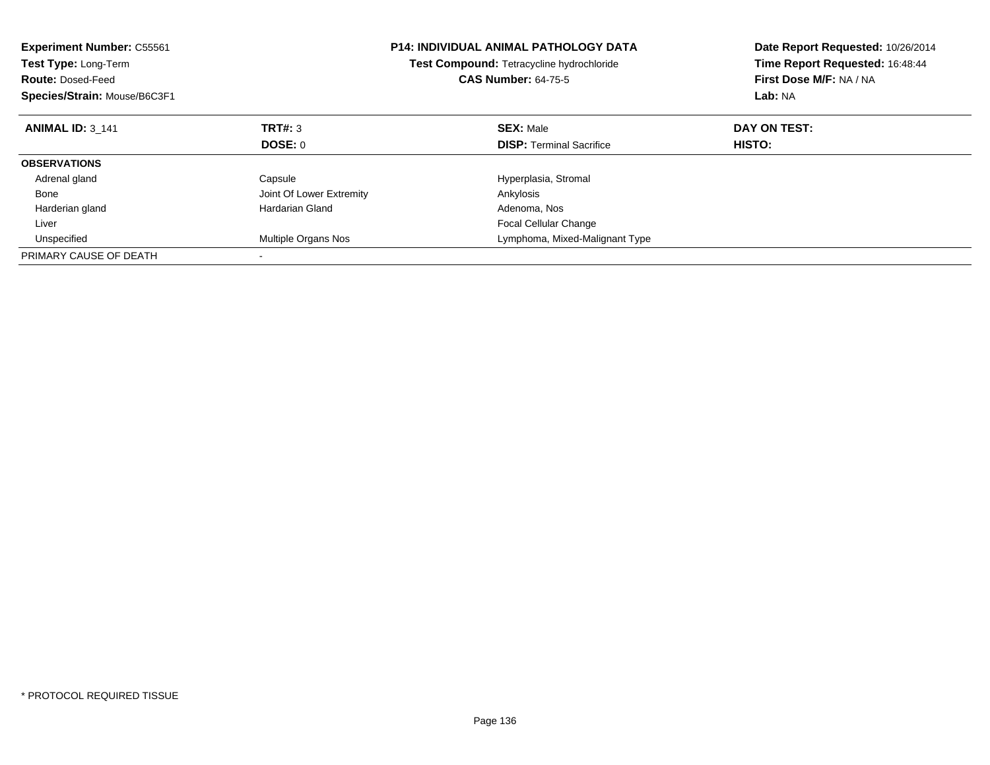| <b>Experiment Number: C55561</b><br>Test Type: Long-Term<br><b>Route: Dosed-Feed</b><br>Species/Strain: Mouse/B6C3F1 |                          | <b>P14: INDIVIDUAL ANIMAL PATHOLOGY DATA</b><br><b>Test Compound: Tetracycline hydrochloride</b><br><b>CAS Number: 64-75-5</b> | Date Report Requested: 10/26/2014<br>Time Report Requested: 16:48:44<br>First Dose M/F: NA / NA<br>Lab: NA |
|----------------------------------------------------------------------------------------------------------------------|--------------------------|--------------------------------------------------------------------------------------------------------------------------------|------------------------------------------------------------------------------------------------------------|
| <b>ANIMAL ID: 3 141</b>                                                                                              | TRT#: 3                  | <b>SEX: Male</b>                                                                                                               | DAY ON TEST:                                                                                               |
|                                                                                                                      | DOSE: 0                  | <b>DISP:</b> Terminal Sacrifice                                                                                                | HISTO:                                                                                                     |
| <b>OBSERVATIONS</b>                                                                                                  |                          |                                                                                                                                |                                                                                                            |
| Adrenal gland                                                                                                        | Capsule                  | Hyperplasia, Stromal                                                                                                           |                                                                                                            |
| Bone                                                                                                                 | Joint Of Lower Extremity | Ankylosis                                                                                                                      |                                                                                                            |
| Harderian gland                                                                                                      | Hardarian Gland          | Adenoma, Nos                                                                                                                   |                                                                                                            |
| Liver                                                                                                                |                          | Focal Cellular Change                                                                                                          |                                                                                                            |
| Unspecified                                                                                                          | Multiple Organs Nos      | Lymphoma, Mixed-Malignant Type                                                                                                 |                                                                                                            |
| PRIMARY CAUSE OF DEATH                                                                                               |                          |                                                                                                                                |                                                                                                            |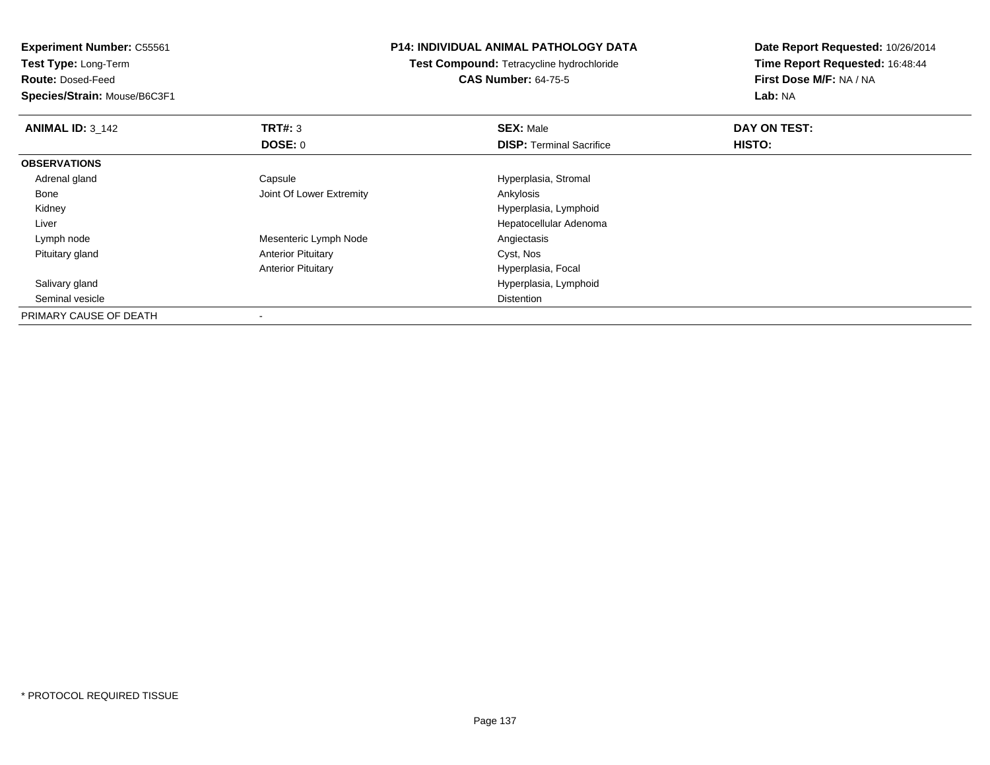**Experiment Number:** C55561

**Test Type:** Long-Term

**Route:** Dosed-Feed

**Species/Strain:** Mouse/B6C3F1

## **P14: INDIVIDUAL ANIMAL PATHOLOGY DATA**

**Test Compound:** Tetracycline hydrochloride**CAS Number:** 64-75-5

**Date Report Requested:** 10/26/2014**Time Report Requested:** 16:48:44**First Dose M/F:** NA / NA**Lab:** NA

| <b>ANIMAL ID: 3 142</b> | TRT#: 3                   | <b>SEX: Male</b>                | DAY ON TEST: |  |
|-------------------------|---------------------------|---------------------------------|--------------|--|
|                         | <b>DOSE: 0</b>            | <b>DISP: Terminal Sacrifice</b> | HISTO:       |  |
| <b>OBSERVATIONS</b>     |                           |                                 |              |  |
| Adrenal gland           | Capsule                   | Hyperplasia, Stromal            |              |  |
| Bone                    | Joint Of Lower Extremity  | Ankylosis                       |              |  |
| Kidney                  |                           | Hyperplasia, Lymphoid           |              |  |
| Liver                   |                           | Hepatocellular Adenoma          |              |  |
| Lymph node              | Mesenteric Lymph Node     | Angiectasis                     |              |  |
| Pituitary gland         | <b>Anterior Pituitary</b> | Cyst, Nos                       |              |  |
|                         | <b>Anterior Pituitary</b> | Hyperplasia, Focal              |              |  |
| Salivary gland          |                           | Hyperplasia, Lymphoid           |              |  |
| Seminal vesicle         |                           | <b>Distention</b>               |              |  |
| PRIMARY CAUSE OF DEATH  |                           |                                 |              |  |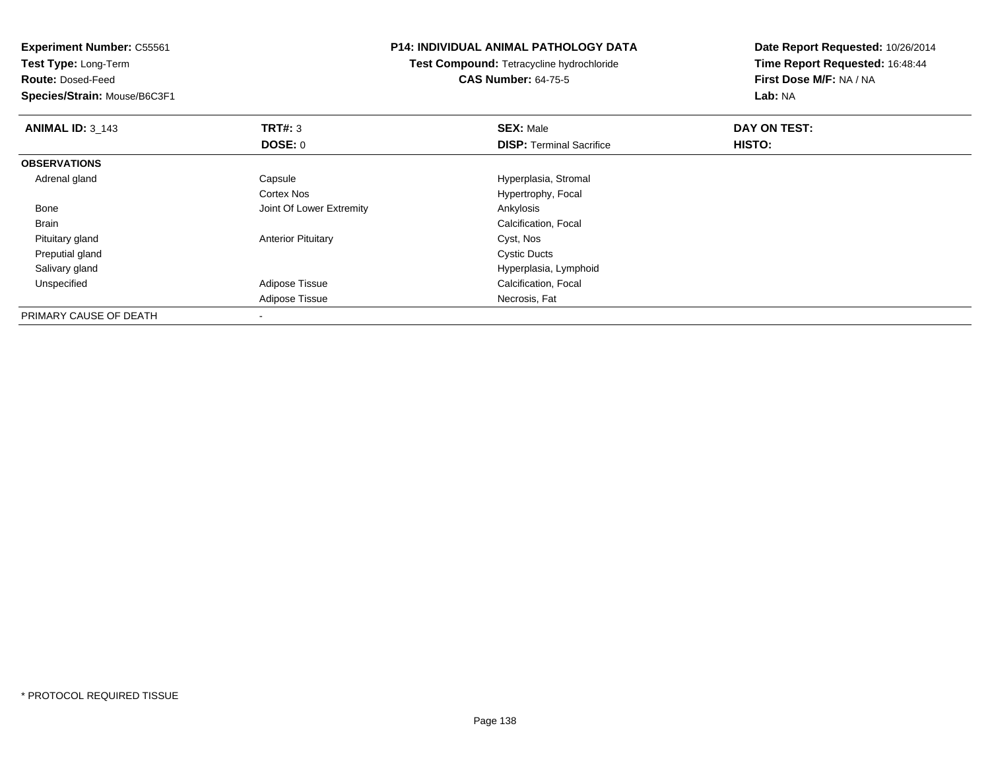**Experiment Number:** C55561**Test Type:** Long-Term**Route:** Dosed-Feed **Species/Strain:** Mouse/B6C3F1**P14: INDIVIDUAL ANIMAL PATHOLOGY DATATest Compound:** Tetracycline hydrochloride**CAS Number:** 64-75-5**Date Report Requested:** 10/26/2014**Time Report Requested:** 16:48:44**First Dose M/F:** NA / NA**Lab:** NA**ANIMAL ID: 3 143 TRT#:** 3 **SEX:** Male **DAY ON TEST: DOSE:** 0**DISP:** Terminal Sacrifice **HISTO: OBSERVATIONS** Adrenal glandCapsule **Capsule Capsule Capsule Capsule Capsule Capsule Capsule Capsule Capsule Capsule Capsule Capsule Capsule Capsule Capsule Capsule Capsule Capsule Capsule Capsule Capsule Cap** Cortex Nos Hypertrophy, Focal BoneJoint Of Lower Extremity **Ankylosis** Ankylosis BrainCalcification, Focal<br>Cyst, Nos Pituitary glandAnterior Pituitary Cyst, Nos<br>Cystic Ducts<br>Cystic Ducts Preputial glandd Cystic Ducts Salivary glandHyperplasia, Lymphoid<br>
Adipose Tissue<br>
Calcification, Focal UnspecifiedCalcification, Focal Adipose Tissue Necrosis, Fat PRIMARY CAUSE OF DEATH-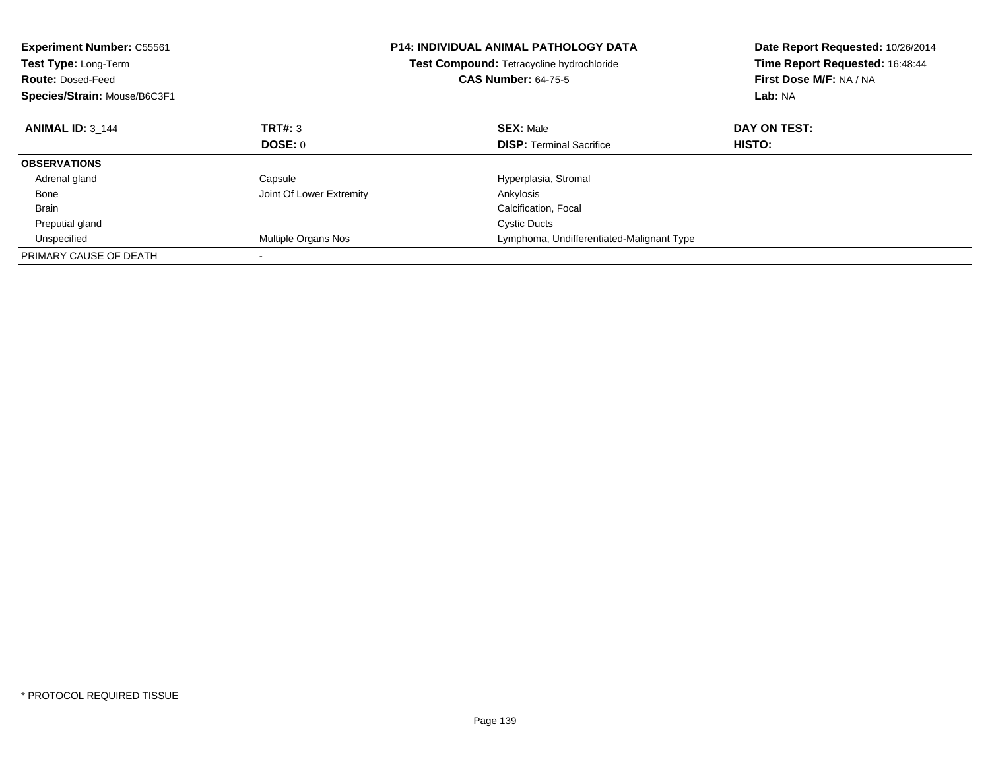| <b>Experiment Number: C55561</b><br>Test Type: Long-Term<br><b>Route: Dosed-Feed</b><br>Species/Strain: Mouse/B6C3F1 |                          | <b>P14: INDIVIDUAL ANIMAL PATHOLOGY DATA</b><br>Test Compound: Tetracycline hydrochloride<br><b>CAS Number: 64-75-5</b> | Date Report Requested: 10/26/2014<br>Time Report Requested: 16:48:44<br>First Dose M/F: NA / NA<br>Lab: NA |
|----------------------------------------------------------------------------------------------------------------------|--------------------------|-------------------------------------------------------------------------------------------------------------------------|------------------------------------------------------------------------------------------------------------|
| <b>ANIMAL ID: 3 144</b>                                                                                              | TRT#: 3                  | <b>SEX: Male</b>                                                                                                        | DAY ON TEST:                                                                                               |
|                                                                                                                      | DOSE: 0                  | <b>DISP:</b> Terminal Sacrifice                                                                                         | HISTO:                                                                                                     |
| <b>OBSERVATIONS</b>                                                                                                  |                          |                                                                                                                         |                                                                                                            |
| Adrenal gland                                                                                                        | Capsule                  | Hyperplasia, Stromal                                                                                                    |                                                                                                            |
| Bone                                                                                                                 | Joint Of Lower Extremity | Ankylosis                                                                                                               |                                                                                                            |
| <b>Brain</b>                                                                                                         |                          | Calcification, Focal                                                                                                    |                                                                                                            |
| Preputial gland                                                                                                      |                          | <b>Cystic Ducts</b>                                                                                                     |                                                                                                            |
| Unspecified                                                                                                          | Multiple Organs Nos      | Lymphoma, Undifferentiated-Malignant Type                                                                               |                                                                                                            |
| PRIMARY CAUSE OF DEATH                                                                                               |                          |                                                                                                                         |                                                                                                            |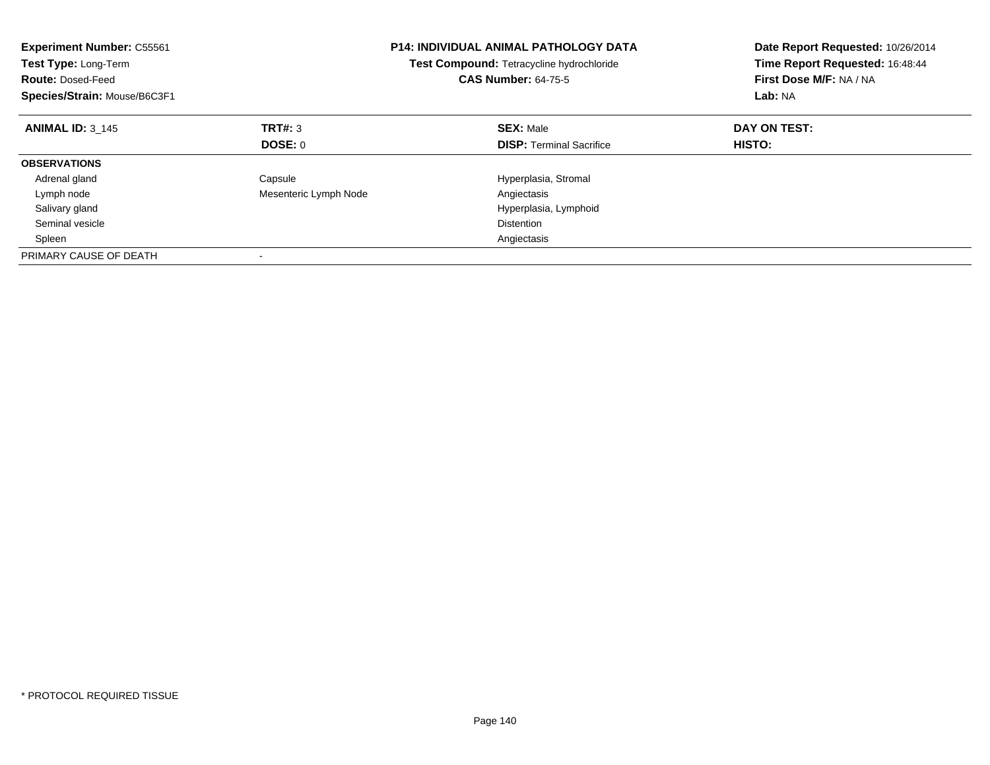| <b>Experiment Number: C55561</b><br>Test Type: Long-Term<br><b>Route: Dosed-Feed</b><br>Species/Strain: Mouse/B6C3F1 |                       | <b>P14: INDIVIDUAL ANIMAL PATHOLOGY DATA</b><br>Test Compound: Tetracycline hydrochloride<br><b>CAS Number: 64-75-5</b> | Date Report Requested: 10/26/2014<br>Time Report Requested: 16:48:44<br>First Dose M/F: NA / NA<br>Lab: NA |
|----------------------------------------------------------------------------------------------------------------------|-----------------------|-------------------------------------------------------------------------------------------------------------------------|------------------------------------------------------------------------------------------------------------|
| <b>ANIMAL ID: 3 145</b>                                                                                              | TRT#: 3               | <b>SEX: Male</b>                                                                                                        | DAY ON TEST:                                                                                               |
|                                                                                                                      | DOSE: 0               | <b>DISP:</b> Terminal Sacrifice                                                                                         | <b>HISTO:</b>                                                                                              |
| <b>OBSERVATIONS</b>                                                                                                  |                       |                                                                                                                         |                                                                                                            |
| Adrenal gland                                                                                                        | Capsule               | Hyperplasia, Stromal                                                                                                    |                                                                                                            |
| Lymph node                                                                                                           | Mesenteric Lymph Node | Angiectasis                                                                                                             |                                                                                                            |
| Salivary gland                                                                                                       |                       | Hyperplasia, Lymphoid                                                                                                   |                                                                                                            |
| Seminal vesicle                                                                                                      |                       | Distention                                                                                                              |                                                                                                            |
| Spleen                                                                                                               |                       | Angiectasis                                                                                                             |                                                                                                            |
| PRIMARY CAUSE OF DEATH                                                                                               |                       |                                                                                                                         |                                                                                                            |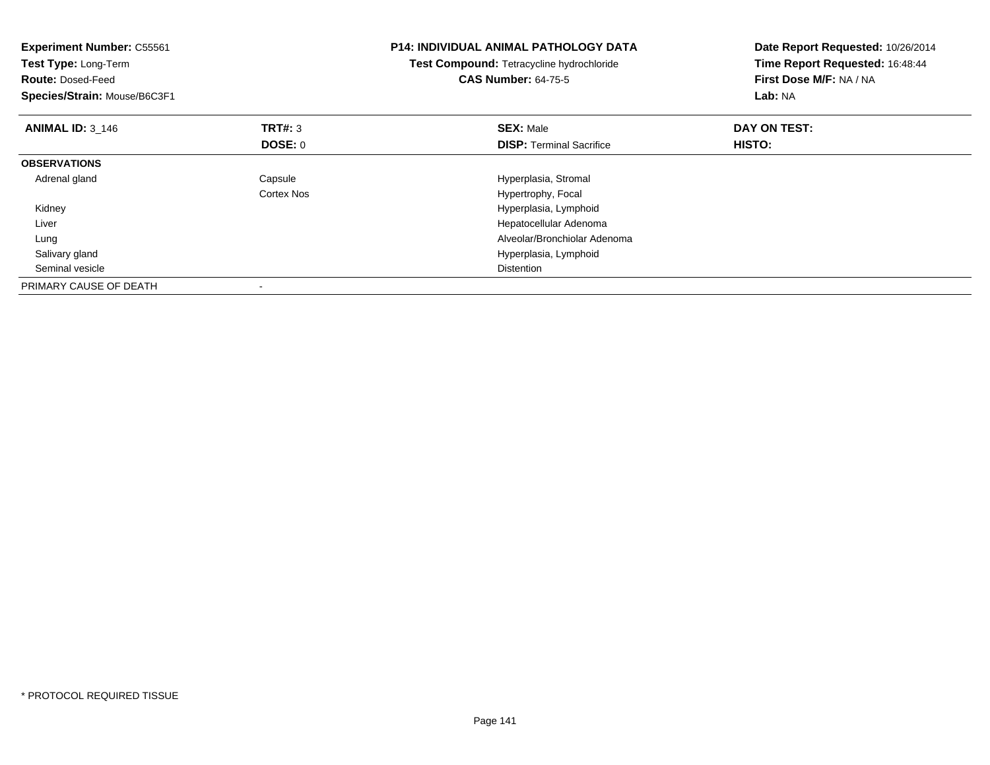| <b>Experiment Number: C55561</b><br>Test Type: Long-Term<br><b>Route: Dosed-Feed</b><br>Species/Strain: Mouse/B6C3F1 |                           | <b>P14: INDIVIDUAL ANIMAL PATHOLOGY DATA</b><br>Test Compound: Tetracycline hydrochloride<br><b>CAS Number: 64-75-5</b> | Date Report Requested: 10/26/2014<br>Time Report Requested: 16:48:44<br>First Dose M/F: NA / NA<br>Lab: NA |
|----------------------------------------------------------------------------------------------------------------------|---------------------------|-------------------------------------------------------------------------------------------------------------------------|------------------------------------------------------------------------------------------------------------|
| <b>ANIMAL ID: 3 146</b>                                                                                              | <b>TRT#: 3</b><br>DOSE: 0 | <b>SEX: Male</b><br><b>DISP:</b> Terminal Sacrifice                                                                     | DAY ON TEST:<br>HISTO:                                                                                     |
| <b>OBSERVATIONS</b>                                                                                                  |                           |                                                                                                                         |                                                                                                            |
| Adrenal gland                                                                                                        | Capsule<br>Cortex Nos     | Hyperplasia, Stromal<br>Hypertrophy, Focal                                                                              |                                                                                                            |
| Kidney                                                                                                               |                           | Hyperplasia, Lymphoid                                                                                                   |                                                                                                            |
| Liver                                                                                                                |                           | Hepatocellular Adenoma                                                                                                  |                                                                                                            |
| Lung                                                                                                                 |                           | Alveolar/Bronchiolar Adenoma                                                                                            |                                                                                                            |
| Salivary gland                                                                                                       |                           | Hyperplasia, Lymphoid                                                                                                   |                                                                                                            |
| Seminal vesicle                                                                                                      |                           | Distention                                                                                                              |                                                                                                            |
| PRIMARY CAUSE OF DEATH                                                                                               |                           |                                                                                                                         |                                                                                                            |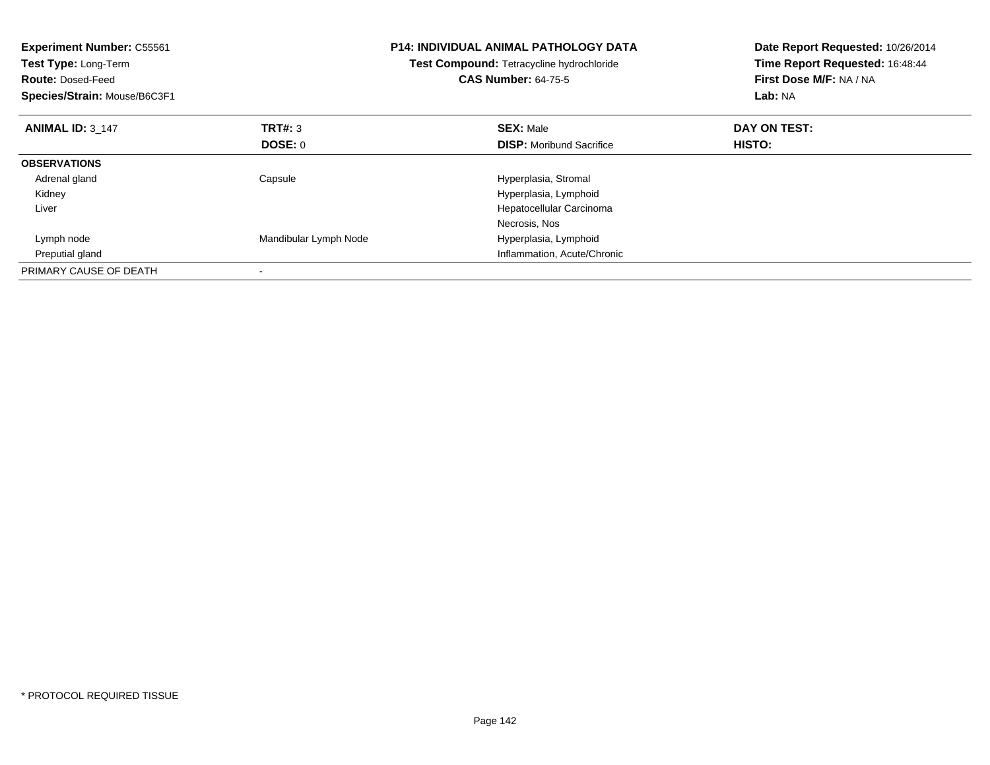| <b>Experiment Number: C55561</b><br>Test Type: Long-Term<br><b>Route: Dosed-Feed</b><br>Species/Strain: Mouse/B6C3F1 |                       | <b>P14: INDIVIDUAL ANIMAL PATHOLOGY DATA</b><br>Test Compound: Tetracycline hydrochloride<br><b>CAS Number: 64-75-5</b> | Date Report Requested: 10/26/2014<br>Time Report Requested: 16:48:44<br>First Dose M/F: NA / NA<br>Lab: NA |
|----------------------------------------------------------------------------------------------------------------------|-----------------------|-------------------------------------------------------------------------------------------------------------------------|------------------------------------------------------------------------------------------------------------|
| <b>ANIMAL ID: 3 147</b>                                                                                              | <b>TRT#: 3</b>        | <b>SEX: Male</b>                                                                                                        | DAY ON TEST:                                                                                               |
|                                                                                                                      | DOSE: 0               | <b>DISP:</b> Moribund Sacrifice                                                                                         | <b>HISTO:</b>                                                                                              |
| <b>OBSERVATIONS</b>                                                                                                  |                       |                                                                                                                         |                                                                                                            |
| Adrenal gland                                                                                                        | Capsule               | Hyperplasia, Stromal                                                                                                    |                                                                                                            |
| Kidney                                                                                                               |                       | Hyperplasia, Lymphoid                                                                                                   |                                                                                                            |
| Liver                                                                                                                |                       | Hepatocellular Carcinoma                                                                                                |                                                                                                            |
|                                                                                                                      |                       | Necrosis, Nos                                                                                                           |                                                                                                            |
| Lymph node                                                                                                           | Mandibular Lymph Node | Hyperplasia, Lymphoid                                                                                                   |                                                                                                            |
| Preputial gland                                                                                                      |                       | Inflammation, Acute/Chronic                                                                                             |                                                                                                            |
| PRIMARY CAUSE OF DEATH                                                                                               |                       |                                                                                                                         |                                                                                                            |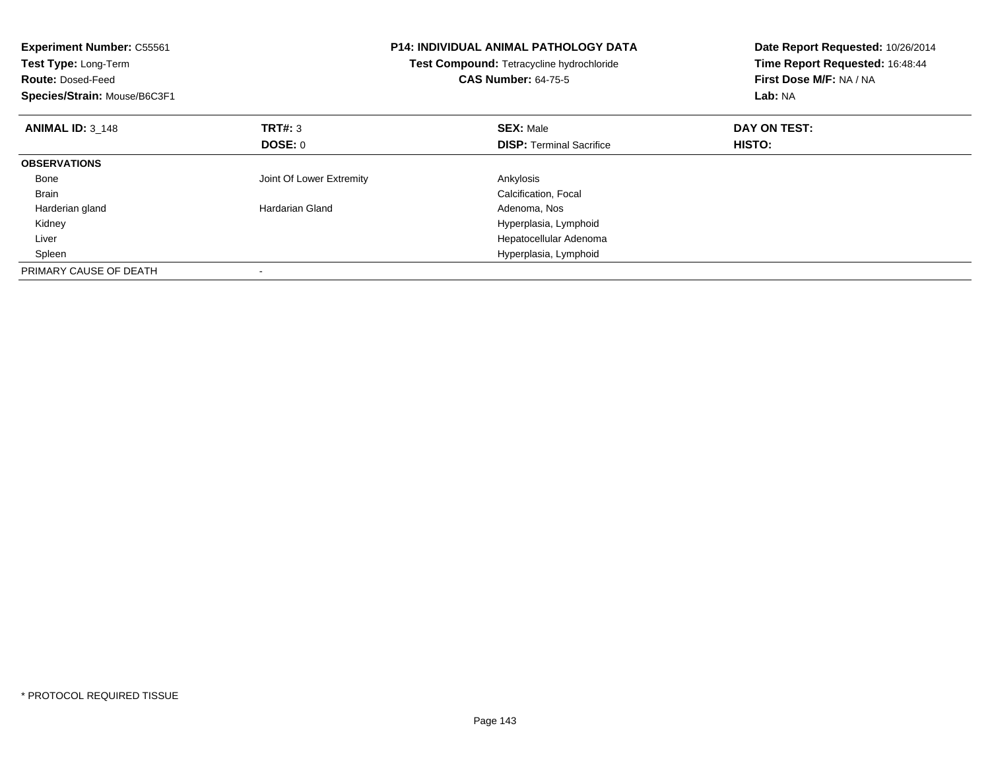| <b>Experiment Number: C55561</b><br>Test Type: Long-Term<br><b>Route: Dosed-Feed</b><br>Species/Strain: Mouse/B6C3F1 |                          | <b>P14: INDIVIDUAL ANIMAL PATHOLOGY DATA</b><br>Test Compound: Tetracycline hydrochloride<br><b>CAS Number: 64-75-5</b> | Date Report Requested: 10/26/2014<br>Time Report Requested: 16:48:44<br>First Dose M/F: NA / NA<br>Lab: NA |
|----------------------------------------------------------------------------------------------------------------------|--------------------------|-------------------------------------------------------------------------------------------------------------------------|------------------------------------------------------------------------------------------------------------|
| <b>ANIMAL ID: 3 148</b>                                                                                              | TRT#: 3                  | <b>SEX: Male</b>                                                                                                        | DAY ON TEST:                                                                                               |
|                                                                                                                      | DOSE: 0                  | <b>DISP:</b> Terminal Sacrifice                                                                                         | HISTO:                                                                                                     |
| <b>OBSERVATIONS</b>                                                                                                  |                          |                                                                                                                         |                                                                                                            |
| Bone                                                                                                                 | Joint Of Lower Extremity | Ankylosis                                                                                                               |                                                                                                            |
| <b>Brain</b>                                                                                                         |                          | Calcification, Focal                                                                                                    |                                                                                                            |
| Harderian gland                                                                                                      | Hardarian Gland          | Adenoma, Nos                                                                                                            |                                                                                                            |
| Kidney                                                                                                               |                          | Hyperplasia, Lymphoid                                                                                                   |                                                                                                            |
| Liver                                                                                                                |                          | Hepatocellular Adenoma                                                                                                  |                                                                                                            |
| Spleen                                                                                                               |                          | Hyperplasia, Lymphoid                                                                                                   |                                                                                                            |
| PRIMARY CAUSE OF DEATH                                                                                               |                          |                                                                                                                         |                                                                                                            |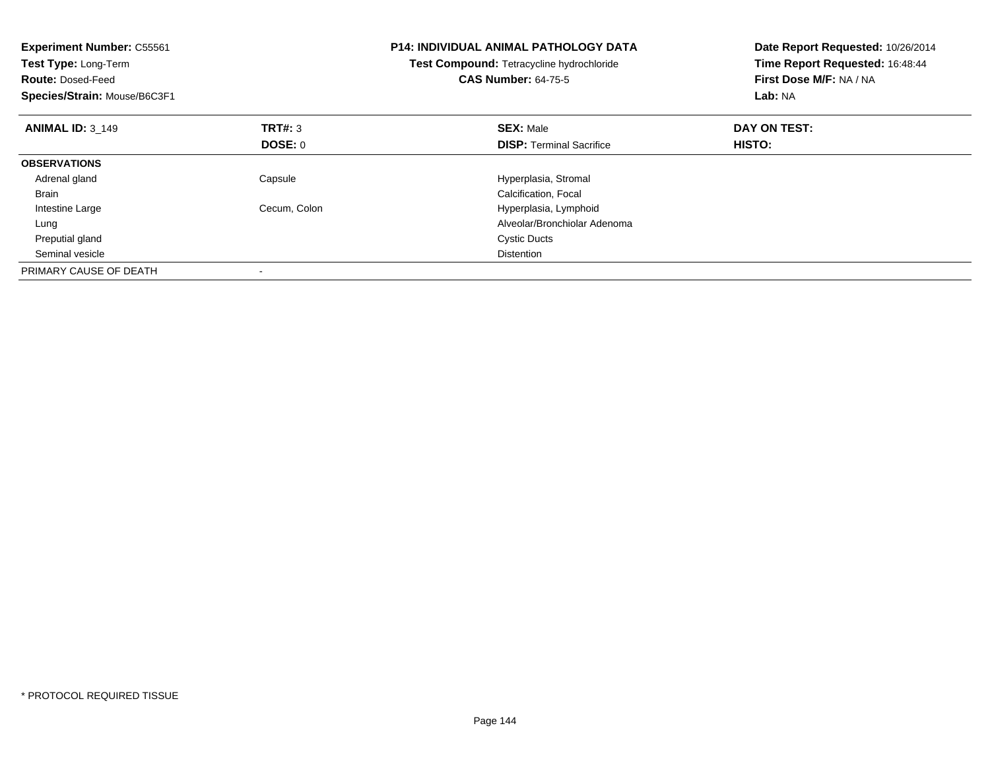| <b>Experiment Number: C55561</b><br>Test Type: Long-Term<br><b>Route: Dosed-Feed</b><br>Species/Strain: Mouse/B6C3F1 |                | <b>P14: INDIVIDUAL ANIMAL PATHOLOGY DATA</b><br>Test Compound: Tetracycline hydrochloride<br><b>CAS Number: 64-75-5</b> | Date Report Requested: 10/26/2014<br>Time Report Requested: 16:48:44<br>First Dose M/F: NA / NA<br>Lab: NA |
|----------------------------------------------------------------------------------------------------------------------|----------------|-------------------------------------------------------------------------------------------------------------------------|------------------------------------------------------------------------------------------------------------|
| <b>ANIMAL ID: 3 149</b>                                                                                              | <b>TRT#: 3</b> | <b>SEX: Male</b>                                                                                                        | DAY ON TEST:                                                                                               |
|                                                                                                                      | DOSE: 0        | <b>DISP:</b> Terminal Sacrifice                                                                                         | HISTO:                                                                                                     |
| <b>OBSERVATIONS</b>                                                                                                  |                |                                                                                                                         |                                                                                                            |
| Adrenal gland                                                                                                        | Capsule        | Hyperplasia, Stromal                                                                                                    |                                                                                                            |
| <b>Brain</b>                                                                                                         |                | Calcification, Focal                                                                                                    |                                                                                                            |
| Intestine Large                                                                                                      | Cecum, Colon   | Hyperplasia, Lymphoid                                                                                                   |                                                                                                            |
| Lung                                                                                                                 |                | Alveolar/Bronchiolar Adenoma                                                                                            |                                                                                                            |
| Preputial gland                                                                                                      |                | <b>Cystic Ducts</b>                                                                                                     |                                                                                                            |
| Seminal vesicle                                                                                                      |                | <b>Distention</b>                                                                                                       |                                                                                                            |
| PRIMARY CAUSE OF DEATH                                                                                               |                |                                                                                                                         |                                                                                                            |